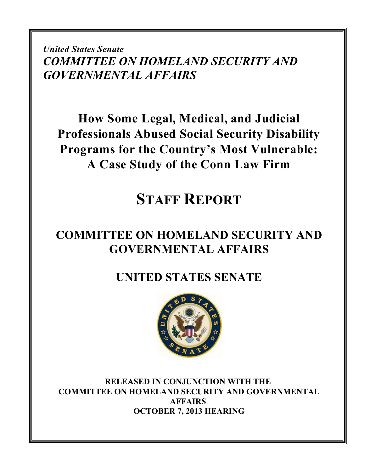*United States Senate COMMITTEE ON HOMELAND SECURITY AND GOVERNMENTAL AFFAIRS*

**How Some Legal, Medical, and Judicial Professionals Abused Social Security Disability Programs for the Country's Most Vulnerable: A Case Study of the Conn Law Firm**

# **STAFF REPORT**

## **COMMITTEE ON HOMELAND SECURITY AND GOVERNMENTAL AFFAIRS**

**UNITED STATES SENATE**



**RELEASED IN CONJUNCTION WITH THE COMMITTEE ON HOMELAND SECURITY AND GOVERNMENTAL AFFAIRS OCTOBER 7, 2013 HEARING**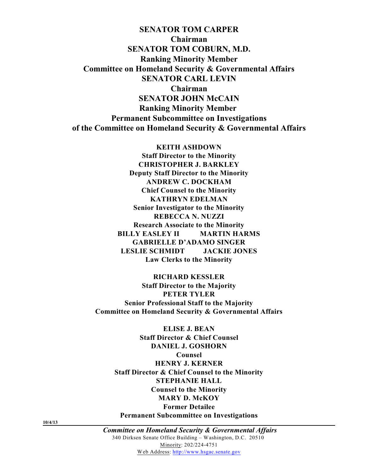**SENATOR TOM CARPER Chairman SENATOR TOM COBURN, M.D. Ranking Minority Member Committee on Homeland Security & Governmental Affairs SENATOR CARL LEVIN Chairman SENATOR JOHN McCAIN Ranking Minority Member Permanent Subcommittee on Investigations of the Committee on Homeland Security & Governmental Affairs**

> **KEITH ASHDOWN Staff Director to the Minority CHRISTOPHER J. BARKLEY Deputy Staff Director to the Minority ANDREW C. DOCKHAM Chief Counsel to the Minority KATHRYN EDELMAN Senior Investigator to the Minority REBECCA N. NUZZI Research Associate to the Minority BILLY EASLEY II MARTIN HARMS GABRIELLE D'ADAMO SINGER LESLIE SCHMIDT JACKIE JONES Law Clerks to the Minority**

**RICHARD KESSLER Staff Director to the Majority PETER TYLER Senior Professional Staff to the Majority Committee on Homeland Security & Governmental Affairs**

**ELISE J. BEAN Staff Director & Chief Counsel DANIEL J. GOSHORN Counsel HENRY J. KERNER Staff Director & Chief Counsel to the Minority STEPHANIE HALL Counsel to the Minority MARY D. McKOY Former Detailee Permanent Subcommittee on Investigations**

**10/4/13**

 *Committee on Homeland Security & Governmental Affairs* 340 Dirksen Senate Office Building – Washington, D.C. 20510 Minority: 202/224-4751 Web Address: [http://www.hsgac.senate.gov](http://www.hsgac.senate.gov/subcommittees/investigations)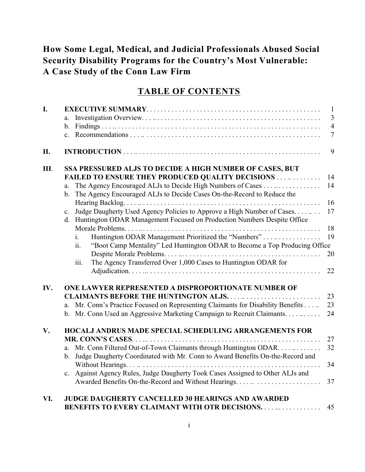## **How Some Legal, Medical, and Judicial Professionals Abused Social Security Disability Programs for the Country's Most Vulnerable: A Case Study of the Conn Law Firm**

## **TABLE OF CONTENTS**

| I.  |                                                                                                                                                                         |                |  |  |
|-----|-------------------------------------------------------------------------------------------------------------------------------------------------------------------------|----------------|--|--|
|     | a.                                                                                                                                                                      | $\mathfrak{Z}$ |  |  |
|     | b.                                                                                                                                                                      | $\overline{4}$ |  |  |
|     | $\mathbf{c}$ .                                                                                                                                                          | $\overline{7}$ |  |  |
| II. |                                                                                                                                                                         | 9              |  |  |
| Ш.  | SSA PRESSURED ALJS TO DECIDE A HIGH NUMBER OF CASES, BUT                                                                                                                |                |  |  |
|     | <b>FAILED TO ENSURE THEY PRODUCED QUALITY DECISIONS  </b>                                                                                                               | 14             |  |  |
|     | The Agency Encouraged ALJs to Decide High Numbers of Cases<br>a.<br>The Agency Encouraged ALJs to Decide Cases On-the-Record to Reduce the<br>b.                        | 14             |  |  |
|     |                                                                                                                                                                         | 16             |  |  |
|     | Judge Daugherty Used Agency Policies to Approve a High Number of Cases.<br>$\mathbf{c}$ .<br>d. Huntington ODAR Management Focused on Production Numbers Despite Office | 17             |  |  |
|     |                                                                                                                                                                         | 18             |  |  |
|     | Huntington ODAR Management Prioritized the "Numbers"<br>i.                                                                                                              | 19             |  |  |
|     | "Boot Camp Mentality" Led Huntington ODAR to Become a Top Producing Office<br>ii.                                                                                       |                |  |  |
|     |                                                                                                                                                                         | 20             |  |  |
|     | The Agency Transferred Over 1,000 Cases to Huntington ODAR for<br>iii.                                                                                                  | 22             |  |  |
| IV. | ONE LAWYER REPRESENTED A DISPROPORTIONATE NUMBER OF                                                                                                                     |                |  |  |
|     |                                                                                                                                                                         | 23             |  |  |
|     | Mr. Conn's Practice Focused on Representing Claimants for Disability Benefits<br>a.                                                                                     | 23             |  |  |
|     | Mr. Conn Used an Aggressive Marketing Campaign to Recruit Claimants.<br>$\mathbf{b}$ .                                                                                  | 24             |  |  |
| V.  | HOCALJ ANDRUS MADE SPECIAL SCHEDULING ARRANGEMENTS FOR                                                                                                                  |                |  |  |
|     |                                                                                                                                                                         | 27             |  |  |
|     | Mr. Conn Filtered Out-of-Town Claimants through Huntington ODAR.<br>a.                                                                                                  | 32             |  |  |
|     | Judge Daugherty Coordinated with Mr. Conn to Award Benefits On-the-Record and<br>b.                                                                                     |                |  |  |
|     |                                                                                                                                                                         | 34             |  |  |
|     | Against Agency Rules, Judge Daugherty Took Cases Assigned to Other ALJs and<br>$c_{\cdot}$                                                                              |                |  |  |
|     |                                                                                                                                                                         | 37             |  |  |
| VI. | <b>JUDGE DAUGHERTY CANCELLED 30 HEARINGS AND AWARDED</b>                                                                                                                |                |  |  |
|     | <b>BENEFITS TO EVERY CLAIMANT WITH OTR DECISIONS.</b>                                                                                                                   | 45             |  |  |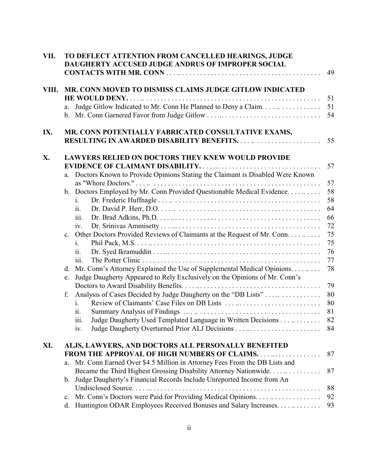| VII.  | TO DEFLECT ATTENTION FROM CANCELLED HEARINGS, JUDGE<br><b>DAUGHERTY ACCUSED JUDGE ANDRUS OF IMPROPER SOCIAL</b>      | 49       |  |  |  |
|-------|----------------------------------------------------------------------------------------------------------------------|----------|--|--|--|
| VIII. | MR. CONN MOVED TO DISMISS CLAIMS JUDGE GITLOW INDICATED                                                              |          |  |  |  |
|       |                                                                                                                      | 51       |  |  |  |
|       | Judge Gitlow Indicated to Mr. Conn He Planned to Deny a Claim.<br>a.<br>b. Mr. Conn Garnered Favor from Judge Gitlow | 51<br>54 |  |  |  |
| IX.   | MR. CONN POTENTIALLY FABRICATED CONSULTATIVE EXAMS,<br>55                                                            |          |  |  |  |
| X.    | <b>LAWYERS RELIED ON DOCTORS THEY KNEW WOULD PROVIDE</b>                                                             |          |  |  |  |
|       |                                                                                                                      | 57       |  |  |  |
|       | Doctors Known to Provide Opinions Stating the Claimant is Disabled Were Known<br>a.                                  |          |  |  |  |
|       | b. Doctors Employed by Mr. Conn Provided Questionable Medical Evidence                                               | 57<br>58 |  |  |  |
|       | i.                                                                                                                   | 58       |  |  |  |
|       | ii.                                                                                                                  | 64       |  |  |  |
|       | iii.                                                                                                                 | 66       |  |  |  |
|       | iv.                                                                                                                  | 72       |  |  |  |
|       | c. Other Doctors Provided Reviews of Claimants at the Request of Mr. Conn.                                           | 75       |  |  |  |
|       | 1.                                                                                                                   | 75       |  |  |  |
|       | $\overline{11}$ .                                                                                                    | 76       |  |  |  |
|       | 111.                                                                                                                 | 77       |  |  |  |
|       | Mr. Conn's Attorney Explained the Use of Supplemental Medical Opinions.<br>d.                                        | 78       |  |  |  |
|       | Judge Daugherty Appeared to Rely Exclusively on the Opinions of Mr. Conn's<br>e.                                     |          |  |  |  |
|       |                                                                                                                      | 79       |  |  |  |
|       | Analysis of Cases Decided by Judge Daugherty on the "DB Lists"<br>f.                                                 | 80       |  |  |  |
|       | Review of Claimants' Case Files on DB Lists<br>1.                                                                    | 80       |  |  |  |
|       | 11.                                                                                                                  | 81       |  |  |  |
|       | Judge Daugherty Used Templated Language in Written Decisions<br>$\overline{111}$ .                                   | 82       |  |  |  |
|       | iv.                                                                                                                  | 84       |  |  |  |
| XI.   | ALJS, LAWYERS, AND DOCTORS ALL PERSONALLY BENEFITED                                                                  |          |  |  |  |
|       | <b>FROM THE APPROVAL OF HIGH NUMBERS OF CLAIMS</b>                                                                   | 87       |  |  |  |
|       | Mr. Conn Earned Over \$4.5 Million in Attorney Fees From the DB Lists and<br>a.                                      |          |  |  |  |
|       | Became the Third Highest Grossing Disability Attorney Nationwide                                                     | 87       |  |  |  |
|       | Judge Daugherty's Financial Records Include Unreported Income from An<br>$\mathbf{b}$ .                              |          |  |  |  |
|       |                                                                                                                      | 88       |  |  |  |
|       | $\mathbf{c}$ .                                                                                                       | 92       |  |  |  |
|       | Huntington ODAR Employees Received Bonuses and Salary Increases.<br>d.                                               | 93       |  |  |  |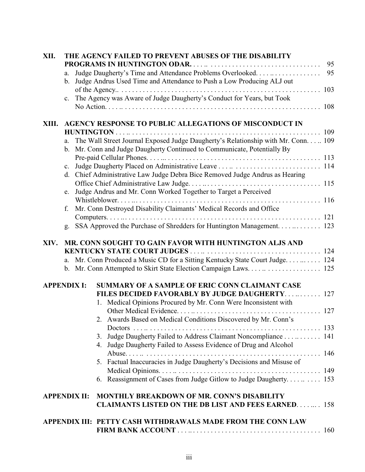| XII.               |                     | THE AGENCY FAILED TO PREVENT ABUSES OF THE DISABILITY                                                                                                                      | 95 |
|--------------------|---------------------|----------------------------------------------------------------------------------------------------------------------------------------------------------------------------|----|
|                    | a.<br>b.            | Judge Daugherty's Time and Attendance Problems Overlooked<br>Judge Andrus Used Time and Attendance to Push a Low Producing ALJ out                                         | 95 |
|                    | c.                  | The Agency was Aware of Judge Daugherty's Conduct for Years, but Took                                                                                                      |    |
| XIII.              |                     | <b>AGENCY RESPONSE TO PUBLIC ALLEGATIONS OF MISCONDUCT IN</b>                                                                                                              |    |
|                    | a.<br>$\mathbf b$ . | The Wall Street Journal Exposed Judge Daugherty's Relationship with Mr. Conn 109<br>Mr. Conn and Judge Daugherty Continued to Communicate, Potentially By                  |    |
|                    | $\mathbf{c}$ .      | d. Chief Administrative Law Judge Debra Bice Removed Judge Andrus as Hearing                                                                                               |    |
|                    | e.                  | Judge Andrus and Mr. Conn Worked Together to Target a Perceived                                                                                                            |    |
|                    | f.                  | Mr. Conn Destroyed Disability Claimants' Medical Records and Office                                                                                                        |    |
|                    | g.                  | SSA Approved the Purchase of Shredders for Huntington Management. 123                                                                                                      |    |
| XIV.               |                     | MR. CONN SOUGHT TO GAIN FAVOR WITH HUNTINGTON ALJS AND<br>a. Mr. Conn Produced a Music CD for a Sitting Kentucky State Court Judge. 124                                    |    |
| <b>APPENDIX I:</b> |                     | SUMMARY OF A SAMPLE OF ERIC CONN CLAIMANT CASE<br><b>FILES DECIDED FAVORABLY BY JUDGE DAUGHERTY 127</b><br>1. Medical Opinions Procured by Mr. Conn Were Inconsistent with |    |
|                    |                     | 2. Awards Based on Medical Conditions Discovered by Mr. Conn's                                                                                                             |    |
|                    |                     | Judge Daugherty Failed to Address Claimant Noncompliance 141<br>3.<br>4. Judge Daugherty Failed to Assess Evidence of Drug and Alcohol                                     |    |
|                    |                     | 5. Factual Inaccuracies in Judge Daugherty's Decisions and Misuse of                                                                                                       |    |
|                    |                     | 6. Reassignment of Cases from Judge Gitlow to Judge Daugherty 153                                                                                                          |    |
|                    | <b>APPENDIX II:</b> | <b>MONTHLY BREAKDOWN OF MR. CONN'S DISABILITY</b><br><b>CLAIMANTS LISTED ON THE DB LIST AND FEES EARNED 158</b>                                                            |    |
|                    |                     | APPENDIX III: PETTY CASH WITHDRAWALS MADE FROM THE CONN LAW                                                                                                                |    |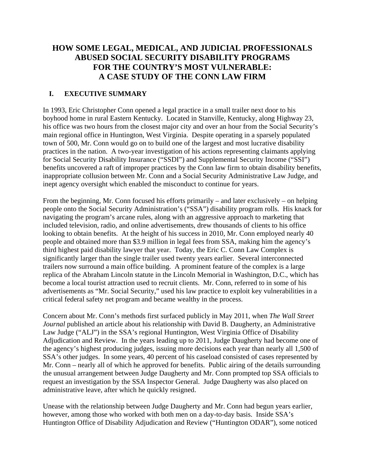### **HOW SOME LEGAL, MEDICAL, AND JUDICIAL PROFESSIONALS ABUSED SOCIAL SECURITY DISABILITY PROGRAMS FOR THE COUNTRY'S MOST VULNERABLE: A CASE STUDY OF THE CONN LAW FIRM**

#### **I. EXECUTIVE SUMMARY**

In 1993, Eric Christopher Conn opened a legal practice in a small trailer next door to his boyhood home in rural Eastern Kentucky. Located in Stanville, Kentucky, along Highway 23, his office was two hours from the closest major city and over an hour from the Social Security's main regional office in Huntington, West Virginia. Despite operating in a sparsely populated town of 500, Mr. Conn would go on to build one of the largest and most lucrative disability practices in the nation. A two-year investigation of his actions representing claimants applying for Social Security Disability Insurance ("SSDI") and Supplemental Security Income ("SSI") benefits uncovered a raft of improper practices by the Conn law firm to obtain disability benefits, inappropriate collusion between Mr. Conn and a Social Security Administrative Law Judge, and inept agency oversight which enabled the misconduct to continue for years.

From the beginning, Mr. Conn focused his efforts primarily – and later exclusively – on helping people onto the Social Security Administration's ("SSA") disability program rolls. His knack for navigating the program's arcane rules, along with an aggressive approach to marketing that included television, radio, and online advertisements, drew thousands of clients to his office looking to obtain benefits. At the height of his success in 2010, Mr. Conn employed nearly 40 people and obtained more than \$3.9 million in legal fees from SSA, making him the agency's third highest paid disability lawyer that year. Today, the Eric C. Conn Law Complex is significantly larger than the single trailer used twenty years earlier. Several interconnected trailers now surround a main office building. A prominent feature of the complex is a large replica of the Abraham Lincoln statute in the Lincoln Memorial in Washington, D.C., which has become a local tourist attraction used to recruit clients. Mr. Conn, referred to in some of his advertisements as "Mr. Social Security," used his law practice to exploit key vulnerabilities in a critical federal safety net program and became wealthy in the process.

Concern about Mr. Conn's methods first surfaced publicly in May 2011, when *The Wall Street Journal* published an article about his relationship with David B. Daugherty, an Administrative Law Judge ("ALJ") in the SSA's regional Huntington, West Virginia Office of Disability Adjudication and Review. In the years leading up to 2011, Judge Daugherty had become one of the agency's highest producing judges, issuing more decisions each year than nearly all 1,500 of SSA's other judges. In some years, 40 percent of his caseload consisted of cases represented by Mr. Conn – nearly all of which he approved for benefits. Public airing of the details surrounding the unusual arrangement between Judge Daugherty and Mr. Conn prompted top SSA officials to request an investigation by the SSA Inspector General. Judge Daugherty was also placed on administrative leave, after which he quickly resigned.

Unease with the relationship between Judge Daugherty and Mr. Conn had begun years earlier, however, among those who worked with both men on a day-to-day basis. Inside SSA's Huntington Office of Disability Adjudication and Review ("Huntington ODAR"), some noticed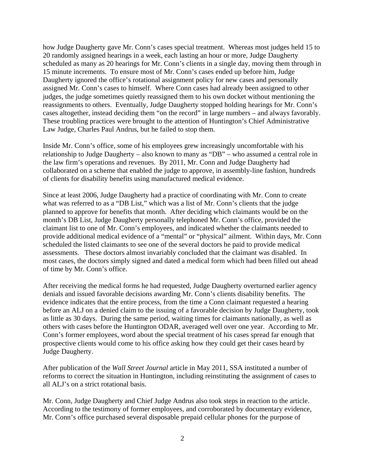how Judge Daugherty gave Mr. Conn's cases special treatment. Whereas most judges held 15 to 20 randomly assigned hearings in a week, each lasting an hour or more, Judge Daugherty scheduled as many as 20 hearings for Mr. Conn's clients in a single day, moving them through in 15 minute increments. To ensure most of Mr. Conn's cases ended up before him, Judge Daugherty ignored the office's rotational assignment policy for new cases and personally assigned Mr. Conn's cases to himself. Where Conn cases had already been assigned to other judges, the judge sometimes quietly reassigned them to his own docket without mentioning the reassignments to others. Eventually, Judge Daugherty stopped holding hearings for Mr. Conn's cases altogether, instead deciding them "on the record" in large numbers – and always favorably. These troubling practices were brought to the attention of Huntington's Chief Administrative Law Judge, Charles Paul Andrus, but he failed to stop them.

Inside Mr. Conn's office, some of his employees grew increasingly uncomfortable with his relationship to Judge Daugherty – also known to many as "DB" – who assumed a central role in the law firm's operations and revenues. By 2011, Mr. Conn and Judge Daugherty had collaborated on a scheme that enabled the judge to approve, in assembly-line fashion, hundreds of clients for disability benefits using manufactured medical evidence.

Since at least 2006, Judge Daugherty had a practice of coordinating with Mr. Conn to create what was referred to as a "DB List," which was a list of Mr. Conn's clients that the judge planned to approve for benefits that month. After deciding which claimants would be on the month's DB List, Judge Daugherty personally telephoned Mr. Conn's office, provided the claimant list to one of Mr. Conn's employees, and indicated whether the claimants needed to provide additional medical evidence of a "mental" or "physical" ailment. Within days, Mr. Conn scheduled the listed claimants to see one of the several doctors he paid to provide medical assessments. These doctors almost invariably concluded that the claimant was disabled. In most cases, the doctors simply signed and dated a medical form which had been filled out ahead of time by Mr. Conn's office.

After receiving the medical forms he had requested, Judge Daugherty overturned earlier agency denials and issued favorable decisions awarding Mr. Conn's clients disability benefits. The evidence indicates that the entire process, from the time a Conn claimant requested a hearing before an ALJ on a denied claim to the issuing of a favorable decision by Judge Daugherty, took as little as 30 days. During the same period, waiting times for claimants nationally, as well as others with cases before the Huntington ODAR, averaged well over one year. According to Mr. Conn's former employees, word about the special treatment of his cases spread far enough that prospective clients would come to his office asking how they could get their cases heard by Judge Daugherty.

After publication of the *Wall Street Journal* article in May 2011, SSA instituted a number of reforms to correct the situation in Huntington, including reinstituting the assignment of cases to all ALJ's on a strict rotational basis.

Mr. Conn, Judge Daugherty and Chief Judge Andrus also took steps in reaction to the article. According to the testimony of former employees, and corroborated by documentary evidence, Mr. Conn's office purchased several disposable prepaid cellular phones for the purpose of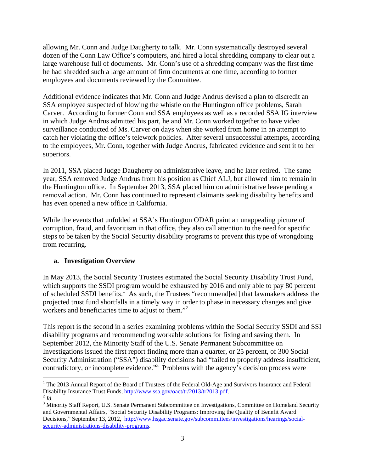allowing Mr. Conn and Judge Daugherty to talk. Mr. Conn systematically destroyed several dozen of the Conn Law Office's computers, and hired a local shredding company to clear out a large warehouse full of documents. Mr. Conn's use of a shredding company was the first time he had shredded such a large amount of firm documents at one time, according to former employees and documents reviewed by the Committee.

Additional evidence indicates that Mr. Conn and Judge Andrus devised a plan to discredit an SSA employee suspected of blowing the whistle on the Huntington office problems, Sarah Carver. According to former Conn and SSA employees as well as a recorded SSA IG interview in which Judge Andrus admitted his part, he and Mr. Conn worked together to have video surveillance conducted of Ms. Carver on days when she worked from home in an attempt to catch her violating the office's telework policies. After several unsuccessful attempts, according to the employees, Mr. Conn, together with Judge Andrus, fabricated evidence and sent it to her superiors.

In 2011, SSA placed Judge Daugherty on administrative leave, and he later retired. The same year, SSA removed Judge Andrus from his position as Chief ALJ, but allowed him to remain in the Huntington office. In September 2013, SSA placed him on administrative leave pending a removal action. Mr. Conn has continued to represent claimants seeking disability benefits and has even opened a new office in California.

While the events that unfolded at SSA's Huntington ODAR paint an unappealing picture of corruption, fraud, and favoritism in that office, they also call attention to the need for specific steps to be taken by the Social Security disability programs to prevent this type of wrongdoing from recurring.

#### **a. Investigation Overview**

In May 2013, the Social Security Trustees estimated the Social Security Disability Trust Fund, which supports the SSDI program would be exhausted by 2016 and only able to pay 80 percent of scheduled SSDI benefits.<sup>1</sup> As such, the Trustees "recommend[ed] that lawmakers address the projected trust fund shortfalls in a timely way in order to phase in necessary changes and give workers and beneficiaries time to adjust to them."

This report is the second in a series examining problems within the Social Security SSDI and SSI disability programs and recommending workable solutions for fixing and saving them. In September 2012, the Minority Staff of the U.S. Senate Permanent Subcommittee on Investigations issued the first report finding more than a quarter, or 25 percent, of 300 Social Security Administration ("SSA") disability decisions had "failed to properly address insufficient, contradictory, or incomplete evidence."<sup>3</sup> Problems with the agency's decision process were

 $\overline{a}$ <sup>1</sup> The 2013 Annual Report of the Board of Trustees of the Federal Old-Age and Survivors Insurance and Federal Disability Insurance Trust Funds, <u>http://www.ssa.gov/oact/tr/2013/tr2013.pdf</u>.<sup>2</sup> *Id.* 

<sup>&</sup>lt;sup>3</sup> Minority Staff Report, U.S. Senate Permanent Subcommittee on Investigations, Committee on Homeland Security and Governmental Affairs, "Social Security Disability Programs: Improving the Quality of Benefit Award Decisions," September 13, 2012, http://www.hsgac.senate.gov/subcommittees/investigations/hearings/socialsecurity-administrations-disability-programs.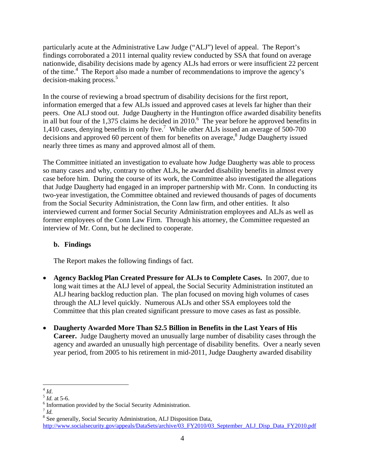particularly acute at the Administrative Law Judge ("ALJ") level of appeal. The Report's findings corroborated a 2011 internal quality review conducted by SSA that found on average nationwide, disability decisions made by agency ALJs had errors or were insufficient 22 percent of the time.<sup>4</sup> The Report also made a number of recommendations to improve the agency's decision-making process.<sup>5</sup>

In the course of reviewing a broad spectrum of disability decisions for the first report, information emerged that a few ALJs issued and approved cases at levels far higher than their peers. One ALJ stood out. Judge Daugherty in the Huntington office awarded disability benefits in all but four of the 1,375 claims he decided in 2010.<sup>6</sup> The year before he approved benefits in 1,410 cases, denying benefits in only five.<sup>7</sup> While other ALJs issued an average of 500-700 decisions and approved 60 percent of them for benefits on average,<sup>8</sup> Judge Daugherty issued nearly three times as many and approved almost all of them.

The Committee initiated an investigation to evaluate how Judge Daugherty was able to process so many cases and why, contrary to other ALJs, he awarded disability benefits in almost every case before him. During the course of its work, the Committee also investigated the allegations that Judge Daugherty had engaged in an improper partnership with Mr. Conn. In conducting its two-year investigation, the Committee obtained and reviewed thousands of pages of documents from the Social Security Administration, the Conn law firm, and other entities. It also interviewed current and former Social Security Administration employees and ALJs as well as former employees of the Conn Law Firm. Through his attorney, the Committee requested an interview of Mr. Conn, but he declined to cooperate.

#### **b. Findings**

The Report makes the following findings of fact.

- **Agency Backlog Plan Created Pressure for ALJs to Complete Cases.** In 2007, due to long wait times at the ALJ level of appeal, the Social Security Administration instituted an ALJ hearing backlog reduction plan. The plan focused on moving high volumes of cases through the ALJ level quickly. Numerous ALJs and other SSA employees told the Committee that this plan created significant pressure to move cases as fast as possible.
- **Daugherty Awarded More Than \$2.5 Billion in Benefits in the Last Years of His Career.** Judge Daugherty moved an unusually large number of disability cases through the agency and awarded an unusually high percentage of disability benefits. Over a nearly seven year period, from 2005 to his retirement in mid-2011, Judge Daugherty awarded disability

 $4$  Id.

<sup>&</sup>lt;sup>5</sup> *Id.* at 5-6.

 $<sup>6</sup>$  Information provided by the Social Security Administration.</sup>

 $^7$  *Id.* 

<sup>&</sup>lt;sup>8</sup> See generally, Social Security Administration, ALJ Disposition Data, http://www.socialsecurity.gov/appeals/DataSets/archive/03\_FY2010/03\_September\_ALJ\_Disp\_Data\_FY2010.pdf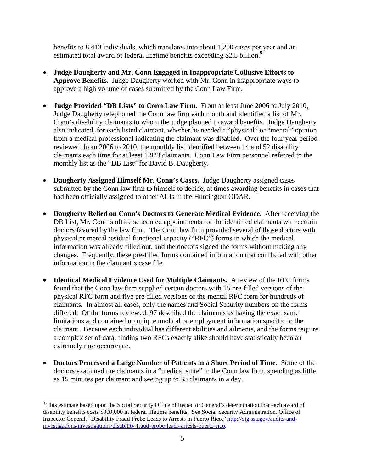benefits to 8,413 individuals, which translates into about 1,200 cases per year and an estimated total award of federal lifetime benefits exceeding \$2.5 billion.<sup>9</sup>

- **Judge Daugherty and Mr. Conn Engaged in Inappropriate Collusive Efforts to Approve Benefits.** Judge Daugherty worked with Mr. Conn in inappropriate ways to approve a high volume of cases submitted by the Conn Law Firm.
- **Judge Provided "DB Lists" to Conn Law Firm**. From at least June 2006 to July 2010, Judge Daugherty telephoned the Conn law firm each month and identified a list of Mr. Conn's disability claimants to whom the judge planned to award benefits. Judge Daugherty also indicated, for each listed claimant, whether he needed a "physical" or "mental" opinion from a medical professional indicating the claimant was disabled. Over the four year period reviewed, from 2006 to 2010, the monthly list identified between 14 and 52 disability claimants each time for at least 1,823 claimants. Conn Law Firm personnel referred to the monthly list as the "DB List" for David B. Daugherty.
- **Daugherty Assigned Himself Mr. Conn's Cases.** Judge Daugherty assigned cases submitted by the Conn law firm to himself to decide, at times awarding benefits in cases that had been officially assigned to other ALJs in the Huntington ODAR.
- **Daugherty Relied on Conn's Doctors to Generate Medical Evidence.** After receiving the DB List, Mr. Conn's office scheduled appointments for the identified claimants with certain doctors favored by the law firm. The Conn law firm provided several of those doctors with physical or mental residual functional capacity ("RFC") forms in which the medical information was already filled out, and the doctors signed the forms without making any changes. Frequently, these pre-filled forms contained information that conflicted with other information in the claimant's case file.
- **Identical Medical Evidence Used for Multiple Claimants.** A review of the RFC forms found that the Conn law firm supplied certain doctors with 15 pre-filled versions of the physical RFC form and five pre-filled versions of the mental RFC form for hundreds of claimants. In almost all cases, only the names and Social Security numbers on the forms differed. Of the forms reviewed, 97 described the claimants as having the exact same limitations and contained no unique medical or employment information specific to the claimant. Because each individual has different abilities and ailments, and the forms require a complex set of data, finding two RFCs exactly alike should have statistically been an extremely rare occurrence.
- **Doctors Processed a Large Number of Patients in a Short Period of Time**. Some of the doctors examined the claimants in a "medical suite" in the Conn law firm, spending as little as 15 minutes per claimant and seeing up to 35 claimants in a day.

<u>.</u>

<sup>&</sup>lt;sup>9</sup> This estimate based upon the Social Security Office of Inspector General's determination that each award of disability benefits costs \$300,000 in federal lifetime benefits. See Social Security Administration, Office of Inspector General, "Disability Fraud Probe Leads to Arrests in Puerto Rico," http://oig.ssa.gov/audits-andinvestigations/investigations/disability-fraud-probe-leads-arrests-puerto-rico.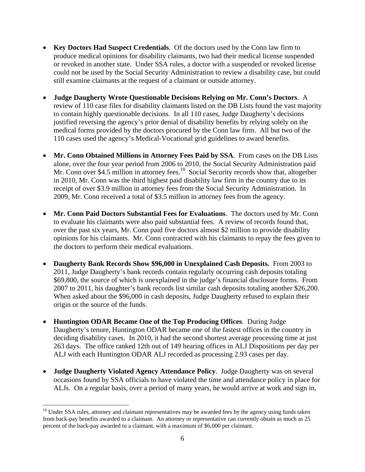- **Key Doctors Had Suspect Credentials**. Of the doctors used by the Conn law firm to produce medical opinions for disability claimants, two had their medical license suspended or revoked in another state. Under SSA rules, a doctor with a suspended or revoked license could not be used by the Social Security Administration to review a disability case, but could still examine claimants at the request of a claimant or outside attorney.
- **Judge Daugherty Wrote Questionable Decisions Relying on Mr. Conn's Doctors**. A review of 110 case files for disability claimants listed on the DB Lists found the vast majority to contain highly questionable decisions. In all 110 cases, Judge Daugherty's decisions justified reversing the agency's prior denial of disability benefits by relying solely on the medical forms provided by the doctors procured by the Conn law firm. All but two of the 110 cases used the agency's Medical-Vocational grid guidelines to award benefits.
- **Mr. Conn Obtained Millions in Attorney Fees Paid by SSA**. From cases on the DB Lists alone, over the four year period from 2006 to 2010, the Social Security Administration paid Mr. Conn over \$4.5 million in attorney fees.<sup>10</sup> Social Security records show that, altogether in 2010, Mr. Conn was the third highest paid disability law firm in the country due to its receipt of over \$3.9 million in attorney fees from the Social Security Administration. In 2009, Mr. Conn received a total of \$3.5 million in attorney fees from the agency.
- **Mr. Conn Paid Doctors Substantial Fees for Evaluations**. The doctors used by Mr. Conn to evaluate his claimants were also paid substantial fees. A review of records found that, over the past six years, Mr. Conn paid five doctors almost \$2 million to provide disability opinions for his claimants. Mr. Conn contracted with his claimants to repay the fees given to the doctors to perform their medical evaluations.
- **Daugherty Bank Records Show \$96,000 in Unexplained Cash Deposits.** From 2003 to 2011, Judge Daugherty's bank records contain regularly occurring cash deposits totaling \$69,800, the source of which is unexplained in the judge's financial disclosure forms. From 2007 to 2011, his daughter's bank records list similar cash deposits totaling another \$26,200. When asked about the \$96,000 in cash deposits, Judge Daugherty refused to explain their origin or the source of the funds.
- **Huntington ODAR Became One of the Top Producing Offices**. During Judge Daugherty's tenure, Huntington ODAR became one of the fastest offices in the country in deciding disability cases. In 2010, it had the second shortest average processing time at just 263 days. The office ranked 12th out of 149 hearing offices in ALJ Dispositions per day per ALJ with each Huntington ODAR ALJ recorded as processing 2.93 cases per day.
- **Judge Daugherty Violated Agency Attendance Policy**. Judge Daugherty was on several occasions found by SSA officials to have violated the time and attendance policy in place for ALJs. On a regular basis, over a period of many years, he would arrive at work and sign in,

1

<sup>&</sup>lt;sup>10</sup> Under SSA rules, attorney and claimant representatives may be awarded fees by the agency using funds taken from back-pay benefits awarded to a claimant. An attorney or representative can currently obtain as much as 25 percent of the back-pay awarded to a claimant, with a maximum of \$6,000 per claimant.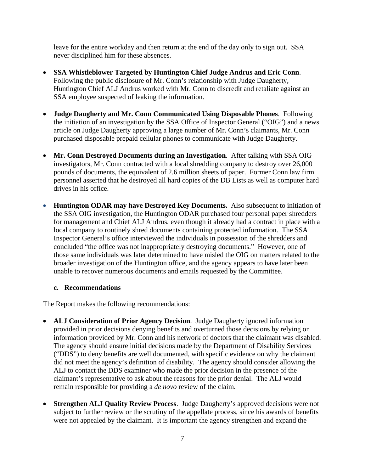leave for the entire workday and then return at the end of the day only to sign out. SSA never disciplined him for these absences.

- **SSA Whistleblower Targeted by Huntington Chief Judge Andrus and Eric Conn**. Following the public disclosure of Mr. Conn's relationship with Judge Daugherty, Huntington Chief ALJ Andrus worked with Mr. Conn to discredit and retaliate against an SSA employee suspected of leaking the information.
- **Judge Daugherty and Mr. Conn Communicated Using Disposable Phones**. Following the initiation of an investigation by the SSA Office of Inspector General ("OIG") and a news article on Judge Daugherty approving a large number of Mr. Conn's claimants, Mr. Conn purchased disposable prepaid cellular phones to communicate with Judge Daugherty.
- **Mr. Conn Destroyed Documents during an Investigation**. After talking with SSA OIG investigators, Mr. Conn contracted with a local shredding company to destroy over 26,000 pounds of documents, the equivalent of 2.6 million sheets of paper. Former Conn law firm personnel asserted that he destroyed all hard copies of the DB Lists as well as computer hard drives in his office.
- **Huntington ODAR may have Destroyed Key Documents.** Also subsequent to initiation of the SSA OIG investigation, the Huntington ODAR purchased four personal paper shredders for management and Chief ALJ Andrus, even though it already had a contract in place with a local company to routinely shred documents containing protected information. The SSA Inspector General's office interviewed the individuals in possession of the shredders and concluded "the office was not inappropriately destroying documents." However, one of those same individuals was later determined to have misled the OIG on matters related to the broader investigation of the Huntington office, and the agency appears to have later been unable to recover numerous documents and emails requested by the Committee.

#### **c. Recommendations**

The Report makes the following recommendations:

- **ALJ Consideration of Prior Agency Decision**. Judge Daugherty ignored information provided in prior decisions denying benefits and overturned those decisions by relying on information provided by Mr. Conn and his network of doctors that the claimant was disabled. The agency should ensure initial decisions made by the Department of Disability Services ("DDS") to deny benefits are well documented, with specific evidence on why the claimant did not meet the agency's definition of disability. The agency should consider allowing the ALJ to contact the DDS examiner who made the prior decision in the presence of the claimant's representative to ask about the reasons for the prior denial. The ALJ would remain responsible for providing a *de novo* review of the claim.
- **Strengthen ALJ Quality Review Process**. Judge Daugherty's approved decisions were not subject to further review or the scrutiny of the appellate process, since his awards of benefits were not appealed by the claimant. It is important the agency strengthen and expand the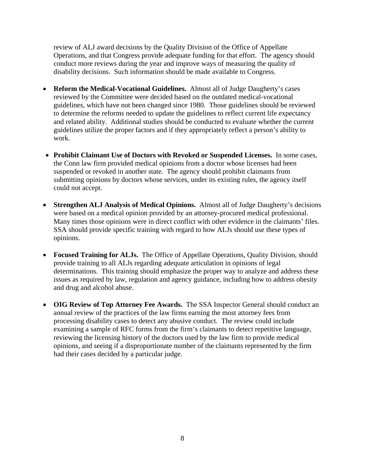review of ALJ award decisions by the Quality Division of the Office of Appellate Operations, and that Congress provide adequate funding for that effort. The agency should conduct more reviews during the year and improve ways of measuring the quality of disability decisions. Such information should be made available to Congress.

- **Reform the Medical-Vocational Guidelines.** Almost all of Judge Daugherty's cases reviewed by the Committee were decided based on the outdated medical-vocational guidelines, which have not been changed since 1980. Those guidelines should be reviewed to determine the reforms needed to update the guidelines to reflect current life expectancy and related ability. Additional studies should be conducted to evaluate whether the current guidelines utilize the proper factors and if they appropriately reflect a person's ability to work.
- **Prohibit Claimant Use of Doctors with Revoked or Suspended Licenses.** In some cases, the Conn law firm provided medical opinions from a doctor whose licenses had been suspended or revoked in another state. The agency should prohibit claimants from submitting opinions by doctors whose services, under its existing rules, the agency itself could not accept.
- **Strengthen ALJ Analysis of Medical Opinions.** Almost all of Judge Daugherty's decisions were based on a medical opinion provided by an attorney-procured medical professional. Many times those opinions were in direct conflict with other evidence in the claimants' files. SSA should provide specific training with regard to how ALJs should use these types of opinions.
- **Focused Training for ALJs.** The Office of Appellate Operations, Quality Division, should provide training to all ALJs regarding adequate articulation in opinions of legal determinations. This training should emphasize the proper way to analyze and address these issues as required by law, regulation and agency guidance, including how to address obesity and drug and alcohol abuse.
- **OIG Review of Top Attorney Fee Awards.** The SSA Inspector General should conduct an annual review of the practices of the law firms earning the most attorney fees from processing disability cases to detect any abusive conduct. The review could include examining a sample of RFC forms from the firm's claimants to detect repetitive language, reviewing the licensing history of the doctors used by the law firm to provide medical opinions, and seeing if a disproportionate number of the claimants represented by the firm had their cases decided by a particular judge.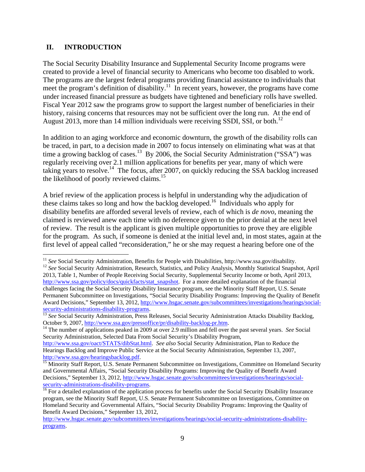#### **II. INTRODUCTION**

The Social Security Disability Insurance and Supplemental Security Income programs were created to provide a level of financial security to Americans who become too disabled to work. The programs are the largest federal programs providing financial assistance to individuals that meet the program's definition of disability.<sup>11</sup> In recent years, however, the programs have come under increased financial pressure as budgets have tightened and beneficiary rolls have swelled. Fiscal Year 2012 saw the programs grow to support the largest number of beneficiaries in their history, raising concerns that resources may not be sufficient over the long run. At the end of August 2013, more than 14 million individuals were receiving SSDI, SSI, or both.<sup>12</sup>

In addition to an aging workforce and economic downturn, the growth of the disability rolls can be traced, in part, to a decision made in 2007 to focus intensely on eliminating what was at that time a growing backlog of cases.<sup>13</sup> By 2006, the Social Security Administration ("SSA") was regularly receiving over 2.1 million applications for benefits per year, many of which were taking years to resolve.<sup>14</sup> The focus, after 2007, on quickly reducing the SSA backlog increased the likelihood of poorly reviewed claims.<sup>15</sup>

A brief review of the application process is helpful in understanding why the adjudication of these claims takes so long and how the backlog developed.<sup>16</sup> Individuals who apply for disability benefits are afforded several levels of review, each of which is *de novo*, meaning the claimed is reviewed anew each time with no deference given to the prior denial at the next level of review. The result is the applicant is given multiple opportunities to prove they are eligible for the program. As such, if someone is denied at the initial level and, in most states, again at the first level of appeal called "reconsideration," he or she may request a hearing before one of the

 $11$  See Social Security Administration, Benefits for People with Disabilities, http://www.ssa.gov/disability.

<sup>&</sup>lt;sup>12</sup> See Social Security Administration, Research, Statistics, and Policy Analysis, Monthly Statistical Snapshot, April 2013, Table 1, Number of People Receiving Social Security, Supplemental Security Income or both, April 2013, http://www.ssa.gov/policy/docs/quickfacts/stat\_snapshot. For a more detailed explanation of the financial challenges facing the Social Security Disability Insurance program, see the Minority Staff Report, U.S. Senate Permanent Subcommittee on Investigations, "Social Security Disability Programs: Improving the Quality of Benefit Award Decisions," September 13, 2012, http://www.hsgac.senate.gov/subcommittees/investigations/hearings/social-

security-administrations-disability-programs.<br><sup>13</sup> *See* Social Security Administration, Press Releases, Social Security Administration Attacks Disability Backlog,<br>October 9, 2007, http://www.ssa.gov/pressoffice/pr/disabil

<sup>&</sup>lt;sup>14</sup> The number of applications peaked in 2009 at over 2.9 million and fell over the past several years. *See* Social Security Administration, Selected Data From Social Security's Disability Program,

http://www.ssa.gov/oact/STATS/dibStat.html. *See also* Social Security Administration, Plan to Reduce the Hearings Backlog and Improve Public Service at the Social Security Administration, September 13, 2007, http://www.ssa.gov/hearingsbacklog.pdf.

Minority Staff Report, U.S. Senate Permanent Subcommittee on Investigations, Committee on Homeland Security and Governmental Affairs, "Social Security Disability Programs: Improving the Quality of Benefit Award Decisions," September 13, 2012, http://www.hsgac.senate.gov/subcommittees/investigations/hearings/socialsecurity-administrations-disability-programs.<br><sup>16</sup> For a detailed explanation of the application process for benefits under the Social Security Disability Insurance

program, see the Minority Staff Report, U.S. Senate Permanent Subcommittee on Investigations, Committee on Homeland Security and Governmental Affairs, "Social Security Disability Programs: Improving the Quality of Benefit Award Decisions," September 13, 2012,

http://www.hsgac.senate.gov/subcommittees/investigations/hearings/social-security-administrations-disabilityprograms.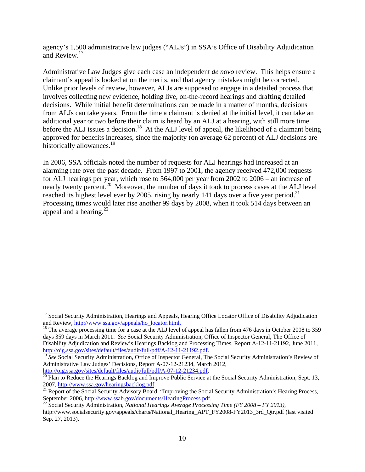agency's 1,500 administrative law judges ("ALJs") in SSA's Office of Disability Adjudication and Review.<sup>17</sup>

Administrative Law Judges give each case an independent *de novo* review. This helps ensure a claimant's appeal is looked at on the merits, and that agency mistakes might be corrected. Unlike prior levels of review, however, ALJs are supposed to engage in a detailed process that involves collecting new evidence, holding live, on-the-record hearings and drafting detailed decisions. While initial benefit determinations can be made in a matter of months, decisions from ALJs can take years. From the time a claimant is denied at the initial level, it can take an additional year or two before their claim is heard by an ALJ at a hearing, with still more time before the ALJ issues a decision.<sup>18</sup> At the ALJ level of appeal, the likelihood of a claimant being approved for benefits increases, since the majority (on average 62 percent) of ALJ decisions are historically allowances.<sup>19</sup>

In 2006, SSA officials noted the number of requests for ALJ hearings had increased at an alarming rate over the past decade. From 1997 to 2001, the agency received 472,000 requests for ALJ hearings per year, which rose to 564,000 per year from 2002 to 2006 – an increase of nearly twenty percent.<sup>20</sup> Moreover, the number of days it took to process cases at the ALJ level reached its highest level ever by 2005, rising by nearly 141 days over a five year period.<sup>21</sup> Processing times would later rise another 99 days by 2008, when it took 514 days between an appeal and a hearing. $^{22}$ 

1

<sup>&</sup>lt;sup>17</sup> Social Security Administration, Hearings and Appeals, Hearing Office Locator Office of Disability Adjudication and Review, http://www.ssa.gov/appeals/ho\_locator.html. <sup>18</sup> The average processing time for a case at the ALJ level of appeal has fallen from 476 days in October 2008 to 359

days 359 days in March 2011. *See* Social Security Administration, Office of Inspector General, The Office of Disability Adjudication and Review's Hearings Backlog and Processing Times, Report A-12-11-21192, June 2011, http://oig.ssa.gov/sites/default/files/audit/full/pdf/A-12-11-21192.pdf.

<sup>&</sup>lt;sup>19</sup> See Social Security Administration, Office of Inspector General, The Social Security Administration's Review of Administrative Law Judges' Decisions, Report A-07-12-21234, March 2012, http://oig.ssa.gov/sites/default/files/audit/full/pdf/A-07-12-21234.pdf.

 $\frac{1}{20}$  Plan to Reduce the Hearings Backlog and Improve Public Service at the Social Security Administration, Sept. 13, 2007, http://www.ssa.gov/hearingsbacklog.pdf.

<sup>&</sup>lt;sup>21</sup> Report of the Social Security Advisory Board, "Improving the Social Security Administration's Hearing Process, September 2006, <u>http://www.ssab.gov/documents/HearingProcess.pdf</u>.<br><sup>22</sup> Social Security Administration, *National Hearings Average Processing Time (FY 2008 – FY 2013)*,

http://www.socialsecurity.gov/appeals/charts/National\_Hearing\_APT\_FY2008-FY2013\_3rd\_Qtr.pdf (last visited Sep. 27, 2013).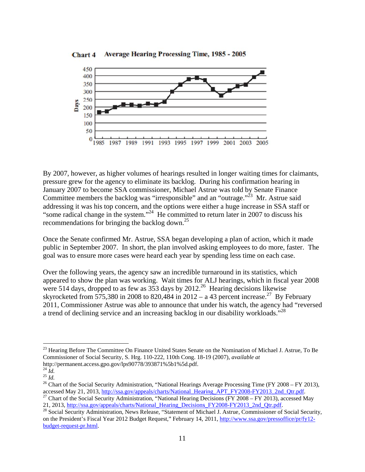

**Average Hearing Processing Time, 1985 - 2005** Chart 4

By 2007, however, as higher volumes of hearings resulted in longer waiting times for claimants, pressure grew for the agency to eliminate its backlog. During his confirmation hearing in January 2007 to become SSA commissioner, Michael Astrue was told by Senate Finance Committee members the backlog was "irresponsible" and an "outrage."<sup>23</sup> Mr. Astrue said addressing it was his top concern, and the options were either a huge increase in SSA staff or "some radical change in the system."<sup>24</sup> He committed to return later in 2007 to discuss his recommendations for bringing the backlog down.<sup>25</sup>

Once the Senate confirmed Mr. Astrue, SSA began developing a plan of action, which it made public in September 2007. In short, the plan involved asking employees to do more, faster. The goal was to ensure more cases were heard each year by spending less time on each case.

Over the following years, the agency saw an incredible turnaround in its statistics, which appeared to show the plan was working. Wait times for ALJ hearings, which in fiscal year 2008 were 514 days, dropped to as few as  $353$  days by  $2012^{26}$  Hearing decisions likewise skyrocketed from 575,380 in 2008 to 820,484 in 2012 – a 43 percent increase.<sup>27</sup> By February 2011, Commissioner Astrue was able to announce that under his watch, the agency had "reversed a trend of declining service and an increasing backlog in our disability workloads."<sup>28</sup>

 $\overline{a}$ <sup>23</sup> Hearing Before The Committee On Finance United States Senate on the Nomination of Michael J. Astrue, To Be Commissioner of Social Security, S. Hrg. 110-222, 110th Cong. 18-19 (2007), *available at*  $\overline{a}$ manent.access.gpo.gov/lps90778/393871%5b1%5d.pdf.  $\overline{a}$ 

http://permanent.access.gpo.gov/lps90778/393871%5b1%5d.pdf.<br><sup>24</sup> *Id.*<br><sup>25</sup> *Id.* 25 *Id.* 26 Chart of the Social Security Administration, "National Hearings Average Processing Time (FY 2008 – FY 2013), accessed May 21, 2013, http://ssa.gov/appeals/charts/National Hearing APT FY2008-FY2013 2nd Qtr.pdf.<br><sup>27</sup> Chart of the Social Security Administration, "National Hearing Decisions (FY 2008 – FY 2013), accessed May May 21, 2013, http://ssa.gov/appeals/charts/National\_Hearing\_APT\_FY2008-FY2013\_2nd\_Qtr.pdf.

appeals/charts/N National Hear ring Decisions s FY2008-FY2 2013 2nd Qtr. .pdf.

<sup>21, 2013, &</sup>lt;u>http://ssa.gov/a</u><br><sup>28</sup> Social Security Admini on the President's Fiscal Year 2012 Budget Request," February 14, 2011, http://www.ssa.gov/pressoffice/pr/fy12budget-request-pr.html. ecurity Admin nistration, New s Release, "Sta atement of Mic chael J. Astrue , Commissione er of Social Se curity,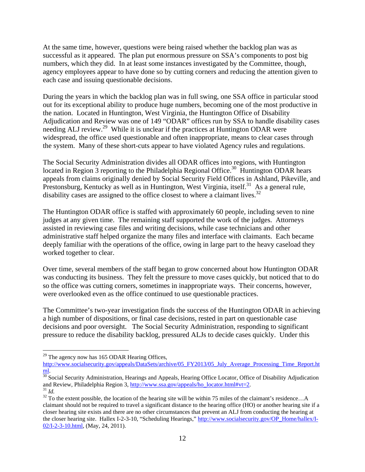At the same time, however, questions were being raised whether the backlog plan was as successful as it appeared. The plan put enormous pressure on SSA's components to post big numbers, which they did. In at least some instances investigated by the Committee, though, agency employees appear to have done so by cutting corners and reducing the attention given to each case and issuing questionable decisions.

During the years in which the backlog plan was in full swing, one SSA office in particular stood out for its exceptional ability to produce huge numbers, becoming one of the most productive in the nation. Located in Huntington, West Virginia, the Huntington Office of Disability Adjudication and Review was one of 149 "ODAR" offices run by SSA to handle disability cases needing ALJ review.<sup>29</sup> While it is unclear if the practices at Huntington ODAR were widespread, the office used questionable and often inappropriate, means to clear cases through the system. Many of these short-cuts appear to have violated Agency rules and regulations.

The Social Security Administration divides all ODAR offices into regions, with Huntington located in Region  $\overline{3}$  reporting to the Philadelphia Regional Office.<sup>30</sup> Huntington ODAR hears appeals from claims originally denied by Social Security Field Offices in Ashland, Pikeville, and Prestonsburg, Kentucky as well as in Huntington, West Virginia, itself.<sup>31</sup> As a general rule, disability cases are assigned to the office closest to where a claimant lives.<sup>32</sup>

The Huntington ODAR office is staffed with approximately 60 people, including seven to nine judges at any given time. The remaining staff supported the work of the judges. Attorneys assisted in reviewing case files and writing decisions, while case technicians and other administrative staff helped organize the many files and interface with claimants. Each became deeply familiar with the operations of the office, owing in large part to the heavy caseload they worked together to clear.

Over time, several members of the staff began to grow concerned about how Huntington ODAR was conducting its business. They felt the pressure to move cases quickly, but noticed that to do so the office was cutting corners, sometimes in inappropriate ways. Their concerns, however, were overlooked even as the office continued to use questionable practices.

The Committee's two-year investigation finds the success of the Huntington ODAR in achieving a high number of dispositions, or final case decisions, rested in part on questionable case decisions and poor oversight. The Social Security Administration, responding to significant pressure to reduce the disability backlog, pressured ALJs to decide cases quickly. Under this

 $\overline{a}$ 

<sup>&</sup>lt;sup>29</sup> The agency now has 165 ODAR Hearing Offices,

http://www.socialsecurity.gov/appeals/DataSets/archive/05\_FY2013/05\_July\_Average\_Processing\_Time\_Report.ht

 $\frac{\text{ml}}{30}$  Social Security Administration, Hearings and Appeals, Hearing Office Locator, Office of Disability Adjudication and Review, Philadelphia Region 3,  $\frac{\text{http://www.ssa.gov/appeals/ho} \cdot \text{location} \cdot \text{location} \cdot \text{html#vt=2}}{2}$ .

<sup>&</sup>lt;sup>31</sup> *Id.*  $\overline{a}$  To the extent possible, the location of the hearing site will be within 75 miles of the claimant's residence...A claimant should not be required to travel a significant distance to the hearing office (HO) or another hearing site if a closer hearing site exists and there are no other circumstances that prevent an ALJ from conducting the hearing at the closer hearing site. Hallex I-2-3-10, "Scheduling Hearings," http://www.socialsecurity.gov/OP\_Home/hallex/I-02/I-2-3-10.html, (May, 24, 2011).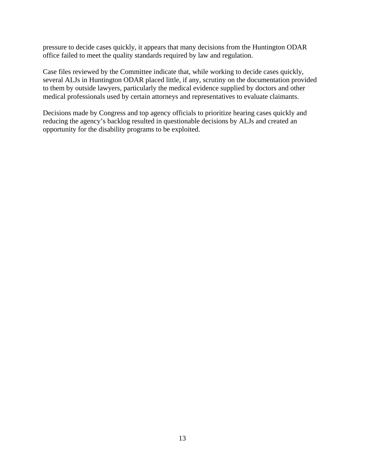pressure to decide cases quickly, it appears that many decisions from the Huntington ODAR office failed to meet the quality standards required by law and regulation.

Case files reviewed by the Committee indicate that, while working to decide cases quickly, several ALJs in Huntington ODAR placed little, if any, scrutiny on the documentation provided to them by outside lawyers, particularly the medical evidence supplied by doctors and other medical professionals used by certain attorneys and representatives to evaluate claimants.

Decisions made by Congress and top agency officials to prioritize hearing cases quickly and reducing the agency's backlog resulted in questionable decisions by ALJs and created an opportunity for the disability programs to be exploited.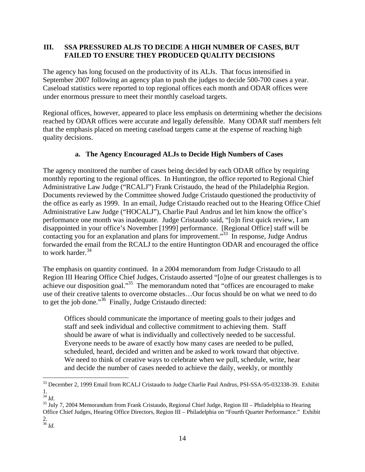#### **III. SSA PRESSURED ALJS TO DECIDE A HIGH NUMBER OF CASES, BUT FAILED TO ENSURE THEY PRODUCED QUALITY DECISIONS**

The agency has long focused on the productivity of its ALJs. That focus intensified in September 2007 following an agency plan to push the judges to decide 500-700 cases a year. Caseload statistics were reported to top regional offices each month and ODAR offices were under enormous pressure to meet their monthly caseload targets.

Regional offices, however, appeared to place less emphasis on determining whether the decisions reached by ODAR offices were accurate and legally defensible. Many ODAR staff members felt that the emphasis placed on meeting caseload targets came at the expense of reaching high quality decisions.

#### **a. The Agency Encouraged ALJs to Decide High Numbers of Cases**

The agency monitored the number of cases being decided by each ODAR office by requiring monthly reporting to the regional offices. In Huntington, the office reported to Regional Chief Administrative Law Judge ("RCALJ") Frank Cristaudo, the head of the Philadelphia Region. Documents reviewed by the Committee showed Judge Cristaudo questioned the productivity of the office as early as 1999. In an email, Judge Cristaudo reached out to the Hearing Office Chief Administrative Law Judge ("HOCALJ"), Charlie Paul Andrus and let him know the office's performance one month was inadequate. Judge Cristaudo said, "[o]n first quick review, I am disappointed in your office's November [1999] performance. [Regional Office] staff will be contacting you for an explanation and plans for improvement."<sup>33</sup> In response, Judge Andrus forwarded the email from the RCALJ to the entire Huntington ODAR and encouraged the office to work harder.<sup>34</sup>

The emphasis on quantity continued. In a 2004 memorandum from Judge Cristaudo to all Region III Hearing Office Chief Judges, Cristaudo asserted "[o]ne of our greatest challenges is to achieve our disposition goal."35 The memorandum noted that "offices are encouraged to make use of their creative talents to overcome obstacles…Our focus should be on what we need to do to get the job done."<sup>36</sup> Finally, Judge Cristaudo directed:

Offices should communicate the importance of meeting goals to their judges and staff and seek individual and collective commitment to achieving them. Staff should be aware of what is individually and collectively needed to be successful. Everyone needs to be aware of exactly how many cases are needed to be pulled, scheduled, heard, decided and written and be asked to work toward that objective. We need to think of creative ways to celebrate when we pull, schedule, write, hear and decide the number of cases needed to achieve the daily, weekly, or monthly

 $\overline{a}$ <sup>33</sup> December 2, 1999 Email from RCALJ Cristaudo to Judge Charlie Paul Andrus, PSI-SSA-95-032338-39. Exhibit  $rac{1}{34}$  *Id.* 

<sup>&</sup>lt;sup>35</sup> July 7, 2004 Memorandum from Frank Cristaudo, Regional Chief Judge, Region III – Philadelphia to Hearing Office Chief Judges, Hearing Office Directors, Region III – Philadelphia on "Fourth Quarter Performance." Exhibit 2.

<sup>36</sup> *Id*.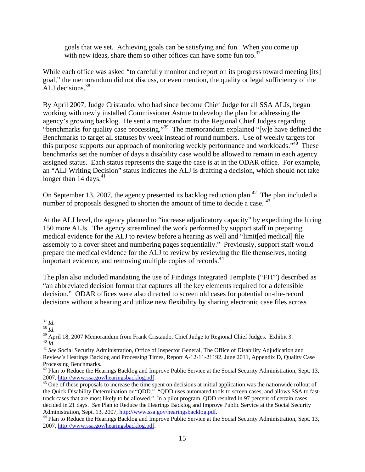goals that we set. Achieving goals can be satisfying and fun. When you come up with new ideas, share them so other offices can have some fun too.<sup>37</sup>

While each office was asked "to carefully monitor and report on its progress toward meeting [its] goal," the memorandum did not discuss, or even mention, the quality or legal sufficiency of the ALJ decisions.<sup>38</sup>

By April 2007, Judge Cristaudo, who had since become Chief Judge for all SSA ALJs, began working with newly installed Commissioner Astrue to develop the plan for addressing the agency's growing backlog. He sent a memorandum to the Regional Chief Judges regarding "benchmarks for quality case processing."<sup>39</sup> The memorandum explained "[w]e have defined the Benchmarks to target all statuses by week instead of round numbers. Use of weekly targets for this purpose supports our approach of monitoring weekly performance and workloads."<sup>40</sup> These benchmarks set the number of days a disability case would be allowed to remain in each agency assigned status. Each status represents the stage the case is at in the ODAR office. For example, an "ALJ Writing Decision" status indicates the ALJ is drafting a decision, which should not take longer than 14 days. $41$ 

On September 13, 2007, the agency presented its backlog reduction plan.<sup>42</sup> The plan included a number of proposals designed to shorten the amount of time to decide a case.  $43$ 

At the ALJ level, the agency planned to "increase adjudicatory capacity" by expediting the hiring 150 more ALJs. The agency streamlined the work performed by support staff in preparing medical evidence for the ALJ to review before a hearing as well and "limit[ed medical] file assembly to a cover sheet and numbering pages sequentially." Previously, support staff would prepare the medical evidence for the ALJ to review by reviewing the file themselves, noting important evidence, and removing multiple copies of records.<sup>44</sup>

The plan also included mandating the use of Findings Integrated Template ("FIT") described as "an abbreviated decision format that captures all the key elements required for a defensible decision." ODAR offices were also directed to screen old cases for potential on-the-record decisions without a hearing and utilize new flexibility by sharing electronic case files across

 $37$   $Id$ .

<sup>&</sup>lt;sup>38</sup> *Id.* 39 *Id.* 38 *Id.* 39 April 18, 2007 Memorandum from Frank Cristaudo, Chief Judge to Regional Chief Judges. Exhibit 3. <sup>40</sup> *Id.* 

<sup>&</sup>lt;sup>41</sup> See Social Security Administration, Office of Inspector General, The Office of Disability Adjudication and Review's Hearings Backlog and Processing Times, Report A-12-11-21192, June 2011, Appendix D, Quality Case Processing Benchmarks.

 $42$  Plan to Reduce the Hearings Backlog and Improve Public Service at the Social Security Administration, Sept. 13, 2007, http://www.ssa.gov/hearingsbacklog.pdf.<br><sup>43</sup> One of these proposals to increase the time spent on decisions at initial application was the nationwide rollout of

the Quick Disability Determination or "QDD." "QDD uses automated tools to screen cases, and allows SSA to fasttrack cases that are most likely to be allowed." In a pilot program, QDD resulted in 97 percent of certain cases decided in 21 days. *See* Plan to Reduce the Hearings Backlog and Improve Public Service at the Social Security Administration, Sept. 13, 2007, http://www.ssa.gov/hearingsbacklog.pdf.

<sup>&</sup>lt;sup>44</sup> Plan to Reduce the Hearings Backlog and Improve Public Service at the Social Security Administration, Sept. 13, 2007, http://www.ssa.gov/hearingsbacklog.pdf.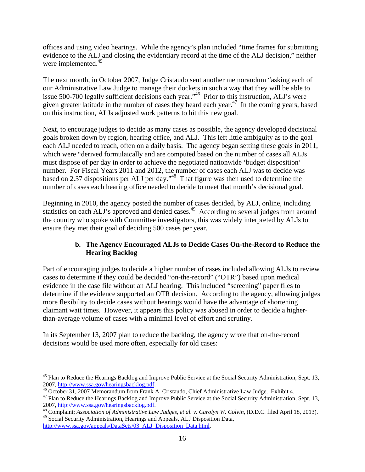offices and using video hearings. While the agency's plan included "time frames for submitting evidence to the ALJ and closing the evidentiary record at the time of the ALJ decision," neither were implemented.<sup>45</sup>

The next month, in October 2007, Judge Cristaudo sent another memorandum "asking each of our Administrative Law Judge to manage their dockets in such a way that they will be able to issue 500-700 legally sufficient decisions each year."<sup>46</sup> Prior to this instruction, ALJ's were given greater latitude in the number of cases they heard each year.47 In the coming years, based on this instruction, ALJs adjusted work patterns to hit this new goal.

Next, to encourage judges to decide as many cases as possible, the agency developed decisional goals broken down by region, hearing office, and ALJ. This left little ambiguity as to the goal each ALJ needed to reach, often on a daily basis. The agency began setting these goals in 2011, which were "derived formulaically and are computed based on the number of cases all ALJs must dispose of per day in order to achieve the negotiated nationwide 'budget disposition' number. For Fiscal Years 2011 and 2012, the number of cases each ALJ was to decide was based on 2.37 dispositions per ALJ per day."48 That figure was then used to determine the number of cases each hearing office needed to decide to meet that month's decisional goal.

Beginning in 2010, the agency posted the number of cases decided, by ALJ, online, including statistics on each ALJ's approved and denied cases.<sup>49</sup> According to several judges from around the country who spoke with Committee investigators, this was widely interpreted by ALJs to ensure they met their goal of deciding 500 cases per year.

#### **b. The Agency Encouraged ALJs to Decide Cases On-the-Record to Reduce the Hearing Backlog**

Part of encouraging judges to decide a higher number of cases included allowing ALJs to review cases to determine if they could be decided "on-the-record" ("OTR") based upon medical evidence in the case file without an ALJ hearing. This included "screening" paper files to determine if the evidence supported an OTR decision. According to the agency, allowing judges more flexibility to decide cases without hearings would have the advantage of shortening claimant wait times. However, it appears this policy was abused in order to decide a higherthan-average volume of cases with a minimal level of effort and scrutiny.

In its September 13, 2007 plan to reduce the backlog, the agency wrote that on-the-record decisions would be used more often, especially for old cases:

 $\overline{a}$ 

<sup>&</sup>lt;sup>45</sup> Plan to Reduce the Hearings Backlog and Improve Public Service at the Social Security Administration, Sept. 13, 2007, http://www.ssa.gov/hearingsbacklog.pdf.<br><sup>46</sup> October 31, 2007 Memorandum from Frank A. Cristaudo, Chief Administrative Law Judge. Exhibit 4.

 $47$  Plan to Reduce the Hearings Backlog and Improve Public Service at the Social Security Administration, Sept. 13, 2007, http://www.ssa.gov/hearingsbacklog.pdf. 48 Complaint; *Association of Administrative Law Judges, et al. v. Carolyn W. Colvin*, (D.D.C. filed April 18, 2013).

<sup>&</sup>lt;sup>49</sup> Social Security Administration, Hearings and Appeals, ALJ Disposition Data,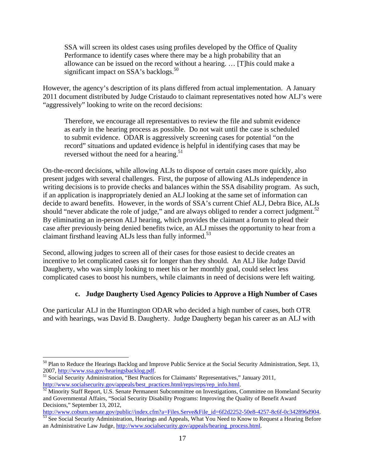SSA will screen its oldest cases using profiles developed by the Office of Quality Performance to identify cases where there may be a high probability that an allowance can be issued on the record without a hearing. … [T]his could make a significant impact on  $SSA$ 's backlogs.<sup>50</sup>

However, the agency's description of its plans differed from actual implementation. A January 2011 document distributed by Judge Cristaudo to claimant representatives noted how ALJ's were "aggressively" looking to write on the record decisions:

Therefore, we encourage all representatives to review the file and submit evidence as early in the hearing process as possible. Do not wait until the case is scheduled to submit evidence. ODAR is aggressively screening cases for potential "on the record" situations and updated evidence is helpful in identifying cases that may be reversed without the need for a hearing.<sup>51</sup>

On-the-record decisions, while allowing ALJs to dispose of certain cases more quickly, also present judges with several challenges. First, the purpose of allowing ALJs independence in writing decisions is to provide checks and balances within the SSA disability program. As such, if an application is inappropriately denied an ALJ looking at the same set of information can decide to award benefits. However, in the words of SSA's current Chief ALJ, Debra Bice, ALJs should "never abdicate the role of judge," and are always obliged to render a correct judgment.<sup>52</sup> By eliminating an in-person ALJ hearing, which provides the claimant a forum to plead their case after previously being denied benefits twice, an ALJ misses the opportunity to hear from a claimant firsthand leaving ALJs less than fully informed.<sup>53</sup>

Second, allowing judges to screen all of their cases for those easiest to decide creates an incentive to let complicated cases sit for longer than they should. An ALJ like Judge David Daugherty, who was simply looking to meet his or her monthly goal, could select less complicated cases to boost his numbers, while claimants in need of decisions were left waiting.

#### **c. Judge Daugherty Used Agency Policies to Approve a High Number of Cases**

One particular ALJ in the Huntington ODAR who decided a high number of cases, both OTR and with hearings, was David B. Daugherty. Judge Daugherty began his career as an ALJ with

 $\overline{a}$ <sup>50</sup> Plan to Reduce the Hearings Backlog and Improve Public Service at the Social Security Administration, Sept. 13, 2007, http://www.ssa.gov/hearingsbacklog.pdf.

<sup>&</sup>lt;sup>51</sup> Social Security Administration, "Best Practices for Claimants' Representatives," January 2011, http://www.socialsecurity.gov/appeals/best\_practices.html/reps/reps/rep\_info.html.<br><sup>52</sup> Minority Staff Report, U.S. Senate Permanent Subcommittee on Investigations, Committee on Homeland Security

and Governmental Affairs, "Social Security Disability Programs: Improving the Quality of Benefit Award Decisions," September 13, 2012,<br>http://www.coburn.senate.gov/public//index.cfm?a=Files.Serve&File id=6f2d2252-50e8-4257-8c6f-0c342896d904.

http://index.com/public//index.com/public//index.cfm?a=Files.served&File\_id=67.<br>See Social Security Administration, Hearings and Appeals, What You Need to Know to Request a Hearing Before an Administrative Law Judge, http://www.socialsecurity.gov/appeals/hearing\_process.html.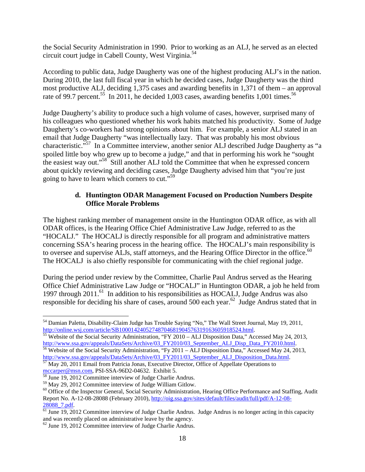the Social Security Administration in 1990. Prior to working as an ALJ, he served as an elected circuit court judge in Cabell County, West Virginia.54

According to public data, Judge Daugherty was one of the highest producing ALJ's in the nation. During 2010, the last full fiscal year in which he decided cases, Judge Daugherty was the third most productive ALJ, deciding 1,375 cases and awarding benefits in 1,371 of them – an approval rate of 99.7 percent.<sup>55</sup> In 2011, he decided 1,003 cases, awarding benefits 1,001 times.<sup>56</sup>

Judge Daugherty's ability to produce such a high volume of cases, however, surprised many of his colleagues who questioned whether his work habits matched his productivity. Some of Judge Daugherty's co-workers had strong opinions about him. For example, a senior ALJ stated in an email that Judge Daugherty "was intellectually lazy. That was probably his most obvious characteristic."57 In a Committee interview, another senior ALJ described Judge Daugherty as "a spoiled little boy who grew up to become a judge," and that in performing his work he "sought the easiest way out."58 Still another ALJ told the Committee that when he expressed concern about quickly reviewing and deciding cases, Judge Daugherty advised him that "you're just going to have to learn which corners to cut."59

#### **d. Huntington ODAR Management Focused on Production Numbers Despite Office Morale Problems**

The highest ranking member of management onsite in the Huntington ODAR office, as with all ODAR offices, is the Hearing Office Chief Administrative Law Judge, referred to as the "HOCALJ." The HOCALJ is directly responsible for all program and administrative matters concerning SSA's hearing process in the hearing office. The HOCALJ's main responsibility is to oversee and supervise ALJs, staff attorneys, and the Hearing Office Director in the office.<sup>60</sup> The HOCALJ is also chiefly responsible for communicating with the chief regional judge.

During the period under review by the Committee, Charlie Paul Andrus served as the Hearing Office Chief Administrative Law Judge or "HOCALJ" in Huntington ODAR, a job he held from 1997 through 2011.<sup>61</sup> In addition to his responsibilities as HOCALJ, Judge Andrus was also responsible for deciding his share of cases, around 500 each year.<sup>62</sup> Judge Andrus stated that in

 $\overline{a}$ <sup>54</sup> Damian Paletta, Disability-Claim Judge has Trouble Saying "No," The Wall Street Journal, May 19, 2011, http://online.wsj.com/article/SB10001424052748704681904576319163605918524.html.<br><sup>55</sup> Website of the Social Security Administration, "FY 2010 – ALJ Disposition Data," Accessed May 24, 2013,

http://www.ssa.gov/appeals/DataSets/Archive/03\_FY2010/03\_September\_ALJ\_Disp\_Data\_FY2010.html. <sup>56</sup> Website of the Social Security Administration, "Fy 2011 – ALJ Disposition Data," Accessed May 24, 2013,

http://www.ssa.gov/appeals/DataSets/Archive/03\_FY2011/03\_September\_ALJ\_Disposition\_Data.html.<br>
<sup>57</sup> May 20, 2011 Email from Patricia Jonas, Executive Director, Office of Appellate Operations to<br>
mccarper@msn.com, PSI-SSA-9

<sup>&</sup>lt;sup>58</sup> June 19, 2012 Committee interview of Judge Charlie Andrus.

<sup>&</sup>lt;sup>59</sup> May 29, 2012 Committee interview of Judge William Gitlow.

<sup>&</sup>lt;sup>60</sup> Office of the Inspector General, Social Security Administration, Hearing Office Performance and Staffing, Audit Report No. A-12-08-28088 (February 2010), http://oig.ssa.gov/sites/default/files/audit/full/pdf/A-12-08-

 $\frac{28088}{61}$  June 19, 2012 Committee interview of Judge Charlie Andrus. Judge Andrus is no longer acting in this capacity and was recently placed on administrative leave by the agency.<br><sup>62</sup> June 19, 2012 Committee interview of Judge Charlie Andrus.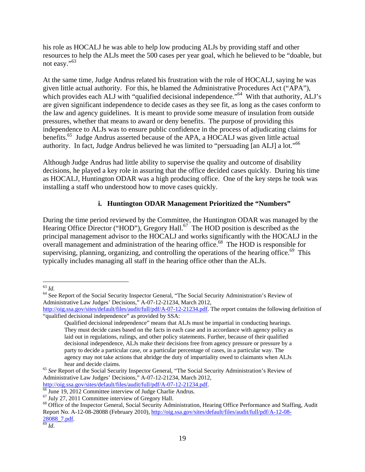his role as HOCALJ he was able to help low producing ALJs by providing staff and other resources to help the ALJs meet the 500 cases per year goal, which he believed to be "doable, but not easy."<sup>63</sup>

At the same time, Judge Andrus related his frustration with the role of HOCALJ, saying he was given little actual authority. For this, he blamed the Administrative Procedures Act ("APA"), which provides each ALJ with "qualified decisional independence."<sup>64</sup> With that authority, ALJ's are given significant independence to decide cases as they see fit, as long as the cases conform to the law and agency guidelines. It is meant to provide some measure of insulation from outside pressures, whether that means to award or deny benefits. The purpose of providing this independence to ALJs was to ensure public confidence in the process of adjudicating claims for benefits.<sup>65</sup> Judge Andrus asserted because of the APA, a HOCALJ was given little actual authority. In fact, Judge Andrus believed he was limited to "persuading [an ALJ] a lot."66

Although Judge Andrus had little ability to supervise the quality and outcome of disability decisions, he played a key role in assuring that the office decided cases quickly. During his time as HOCALJ, Huntington ODAR was a high producing office. One of the key steps he took was installing a staff who understood how to move cases quickly.

#### **i. Huntington ODAR Management Prioritized the "Numbers"**

During the time period reviewed by the Committee, the Huntington ODAR was managed by the Hearing Office Director ("HOD"), Gregory Hall.<sup>67</sup> The HOD position is described as the principal management advisor to the HOCALJ and works significantly with the HOCALJ in the  $\overline{\text{1}}$  overall management and administration of the hearing office.<sup>68</sup> The HOD is responsible for supervising, planning, organizing, and controlling the operations of the hearing office.<sup>69</sup> This typically includes managing all staff in the hearing office other than the ALJs.

http://oig.ssa.gov/sites/default/files/audit/full/pdf/A-07-12-21234.pdf. 66 June 19, 2012 Committee interview of Judge Charlie Andrus.

 $63$   $Id.$ 

<sup>&</sup>lt;sup>64</sup> See Report of the Social Security Inspector General, "The Social Security Administration's Review of Administrative Law Judges' Decisions," A-07-12-21234, March 2012,

http://oig.ssa.gov/sites/default/files/audit/full/pdf/A-07-12-21234.pdf. The report contains the following definition of "qualified decisional independence" as provided by SSA:

Qualified decisional independence" means that ALJs must be impartial in conducting hearings. They must decide cases based on the facts in each case and in accordance with agency policy as laid out in regulations, rulings, and other policy statements. Further, because of their qualified decisional independence, ALJs make their decisions free from agency pressure or pressure by a party to decide a particular case, or a particular percentage of cases, in a particular way. The agency may not take actions that abridge the duty of impartiality owed to claimants when ALJs

hear and decide claims.<br><sup>65</sup> *See* Report of the Social Security Inspector General, "The Social Security Administration's Review of Administrative Law Judges' Decisions," A-07-12-21234, March 2012,

<sup>67</sup> July 27, 2011 Committee interview of Gregory Hall.

<sup>68</sup> Office of the Inspector General, Social Security Administration, Hearing Office Performance and Staffing, Audit Report No. A-12-08-28088 (February 2010), http://oig.ssa.gov/sites/default/files/audit/full/pdf/A-12-08-  $\frac{28088}{69}$  *Id.*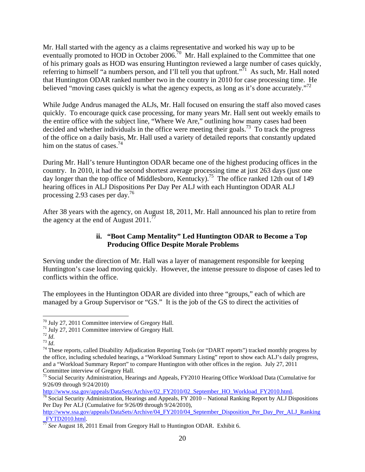Mr. Hall started with the agency as a claims representative and worked his way up to be eventually promoted to HOD in October 2006.<sup>70</sup> Mr. Hall explained to the Committee that one of his primary goals as HOD was ensuring Huntington reviewed a large number of cases quickly, referring to himself "a numbers person, and I'll tell you that upfront."<sup>71</sup> As such, Mr. Hall noted that Huntington ODAR ranked number two in the country in 2010 for case processing time. He believed "moving cases quickly is what the agency expects, as long as it's done accurately."<sup>72</sup>

While Judge Andrus managed the ALJs, Mr. Hall focused on ensuring the staff also moved cases quickly. To encourage quick case processing, for many years Mr. Hall sent out weekly emails to the entire office with the subject line, "Where We Are," outlining how many cases had been decided and whether individuals in the office were meeting their goals.<sup>73</sup> To track the progress of the office on a daily basis, Mr. Hall used a variety of detailed reports that constantly updated him on the status of cases. $^{74}$ 

During Mr. Hall's tenure Huntington ODAR became one of the highest producing offices in the country. In 2010, it had the second shortest average processing time at just 263 days (just one day longer than the top office of Middlesboro, Kentucky).<sup>75</sup> The office ranked 12th out of 149 hearing offices in ALJ Dispositions Per Day Per ALJ with each Huntington ODAR ALJ processing 2.93 cases per day.<sup>76</sup>

After 38 years with the agency, on August 18, 2011, Mr. Hall announced his plan to retire from the agency at the end of August  $2011$ .<sup>77</sup>

#### **ii. "Boot Camp Mentality" Led Huntington ODAR to Become a Top Producing Office Despite Morale Problems**

Serving under the direction of Mr. Hall was a layer of management responsible for keeping Huntington's case load moving quickly. However, the intense pressure to dispose of cases led to conflicts within the office.

The employees in the Huntington ODAR are divided into three "groups," each of which are managed by a Group Supervisor or "GS." It is the job of the GS to direct the activities of

 $\overline{a}$ 

<sup>70</sup> July 27, 2011 Committee interview of Gregory Hall.

<sup>&</sup>lt;sup>71</sup> July 27, 2011 Committee interview of Gregory Hall.<br><sup>72</sup> *Id.* 

<sup>&</sup>lt;sup>73</sup> *Id*. *Ta Id*. *Ta Id*. *74* These reports, called Disability Adjudication Reporting Tools (or "DART reports") tracked monthly progress by the office, including scheduled hearings, a "Workload Summary Listing" report to show each ALJ's daily progress, and a "Workload Summary Report" to compare Huntington with other offices in the region. July 27, 2011 Committee interview of Gregory Hall.

<sup>&</sup>lt;sup>75</sup> Social Security Administration, Hearings and Appeals, FY2010 Hearing Office Workload Data (Cumulative for 9/26/09 through 9/24/2010)<br>http://www.ssa.gov/appeals/DataSets/Archive/02 FY2010/02 September HO Workload FY2010.html.

 $\frac{76}{76}$  Social Security Administration, Hearings and Appeals, FY 2010 – National Ranking Report by ALJ Dispositions Per Day Per ALJ (Cumulative for 9/26/09 through 9/24/2010),

http://www.ssa.gov/appeals/DataSets/Archive/04\_FY2010/04\_September\_Disposition\_Per\_Day\_Per\_ALJ\_Ranking<br>FYTD2010.html.

\_FYTD2010.html. 77 *See* August 18, 2011 Email from Gregory Hall to Huntington ODAR. Exhibit 6.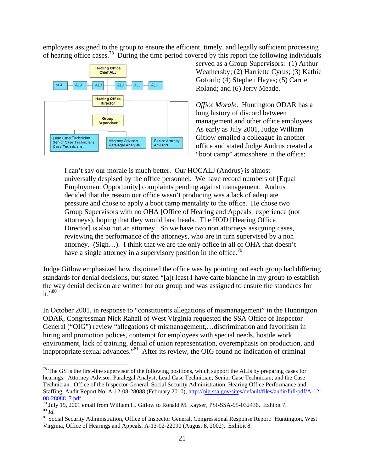employees assigned to the group to ensure the efficient, timely, and legally sufficient processing of hearing office cases.<sup>78</sup> During the time period covered by this report the following individuals



 $\overline{a}$ 

 $\overline{a}$ 

 $\overline{a}$ 

served as a Group Supervisors: (1) Arthur We eathersby; (2 2) Harriette C Cyrus; (3) K Kathie Goforth; (4) Stephen Hayes; (5) Carrie Roland; and (6) Jerry Meade. Goforth; (4) Stephen Hayes; (5) Carrie<br>
Roland; and (6) Jerry Meade.<br> *Office Morale*. Huntington ODAR has a

long history of discord between management and other office employees. As early as July 2001, Judge William Gitlow emailed a colleague in another office and stated Judge Andrus created a "boot camp" atmosphere in the office:

I can't say our morale is much better. Our HOCALJ (Andrus) is almost universally despised by the office personnel. We have record numbers of [Equal Employment Opportunity] complaints pending against management. Andrus decided that the reason our office wasn't producing was a lack of adequate pressure and chose to apply a boot camp mentality to the office. He chose two Group Supervisors with no OHA [Office of Hearing and Appeals] experience (not attorneys), hoping that they would bust heads. The HOD [Hearing Office Director] is also not an attorney. So we have two non attorneys assigning cases, reviewing the performance of the attorneys, who are in turn supervised by a non attorney. (Sigh...). I think that we are the only office in all of OHA that doesn't have a single attorney in a supervisory position in the office.<sup>79</sup>

Judge Gitlow emphasized how disjointed the office was by pointing out each group had differing standards for denial decisions, but stated "[a]t least I have carte blanche in my group to establish the way denial decision are written for our group and was assigned to ensure the standards for it."80

In October 2001, in response to "constituents allegations of mismanagement" in the Huntington ODAR, Congressman Nick Rahall of West Virginia requested the SSA Office of Inspector General ("OIG") review "allegations of mismanagement,...discrimination and favoritism in hiring and promotion polices, contempt for employees with special needs, hostile work environment, lack of training, denial of union representation, overemphasis on production, and inappropriate sexual advances."<sup>81</sup> After its review, the OIG found no indication of criminal

 $^{78}$  The GS is the first-line supervisor of the following positions, which support the ALJs by preparing cases for hearings: Attorney-Advisor; Paralegal Analyst; Lead Case Technician; Senior Case Technician; and the Case Technician. Office of the Inspector General, Social Security Administration, Hearing Office Performance and Staffing, Audit Report No. A-12-08-28088 (February 2010), http://oig.ssa.gov/sites/default/files/audit/full/pdf/A-12-08-28088 7.pdf.

<sup>08-28088</sup>\_7.pdf.<br><sup>79</sup> July 19, 2001 email from William H. Gitlow to Ronald M. Kayser, PSI-SSA-95-032436. Exhibit 7. <sup>80</sup> Id.<br><sup>81</sup> Social Security Administration, Office of Inspector General, Congressional Response Report: Huntington, West

Virginia, Office of Hearings and Appeals, A-13-02-22090 (August 8, 2002). Exhibit 8.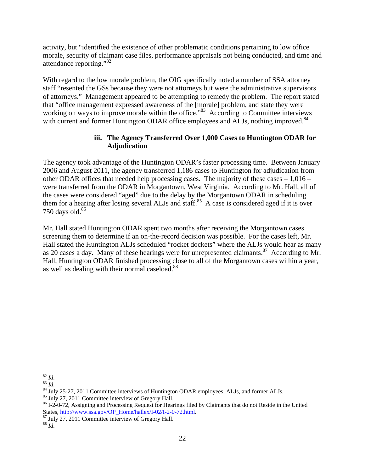activity, but "identified the existence of other problematic conditions pertaining to low office morale, security of claimant case files, performance appraisals not being conducted, and time and attendance reporting."<sup>82</sup>

With regard to the low morale problem, the OIG specifically noted a number of SSA attorney staff "resented the GSs because they were not attorneys but were the administrative supervisors of attorneys." Management appeared to be attempting to remedy the problem. The report stated that "office management expressed awareness of the [morale] problem, and state they were working on ways to improve morale within the office.<sup>83</sup> According to Committee interviews with current and former Huntington ODAR office employees and ALJs, nothing improved.<sup>84</sup>

#### **iii. The Agency Transferred Over 1,000 Cases to Huntington ODAR for Adjudication**

The agency took advantage of the Huntington ODAR's faster processing time. Between January 2006 and August 2011, the agency transferred 1,186 cases to Huntington for adjudication from other ODAR offices that needed help processing cases. The majority of these cases  $-1,016$  – were transferred from the ODAR in Morgantown, West Virginia. According to Mr. Hall, all of the cases were considered "aged" due to the delay by the Morgantown ODAR in scheduling them for a hearing after losing several ALJs and staff.<sup>85</sup> A case is considered aged if it is over 750 days old. $86$ 

Mr. Hall stated Huntington ODAR spent two months after receiving the Morgantown cases screening them to determine if an on-the-record decision was possible. For the cases left, Mr. Hall stated the Huntington ALJs scheduled "rocket dockets" where the ALJs would hear as many as 20 cases a day. Many of these hearings were for unrepresented claimants.<sup>87</sup> According to Mr. Hall, Huntington ODAR finished processing close to all of the Morgantown cases within a year, as well as dealing with their normal caseload.<sup>88</sup>

<sup>85</sup> July 27, 2011 Committee interview of Gregory Hall.

 $82$  Id.

<sup>83</sup> *Id.*<br><sup>84</sup> July 25-27, 2011 Committee interviews of Huntington ODAR employees, ALJs, and former ALJs.

<sup>&</sup>lt;sup>86</sup> I-2-0-72, Assigning and Processing Request for Hearings filed by Claimants that do not Reside in the United States, http://www.ssa.gov/OP\_Home/hallex/I-02/I-2-0-72.html.

<sup>&</sup>lt;sup>87</sup> July 27, 2011 Committee interview of Gregory Hall.

<sup>88</sup> *Id*.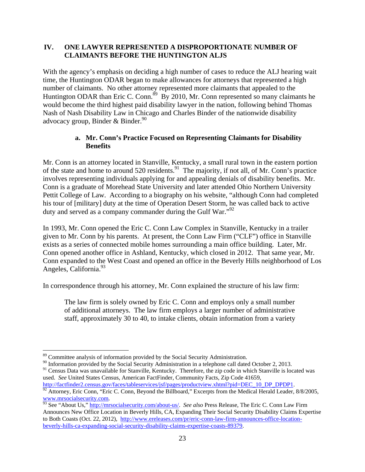#### **IV. ONE LAWYER REPRESENTED A DISPROPORTIONATE NUMBER OF CLAIMANTS BEFORE THE HUNTINGTON ALJS**

With the agency's emphasis on deciding a high number of cases to reduce the ALJ hearing wait time, the Huntington ODAR began to make allowances for attorneys that represented a high number of claimants. No other attorney represented more claimants that appealed to the Huntington ODAR than Eric C. Conn.<sup>89</sup> By 2010, Mr. Conn represented so many claimants he would become the third highest paid disability lawyer in the nation, following behind Thomas Nash of Nash Disability Law in Chicago and Charles Binder of the nationwide disability advocacy group, Binder & Binder.<sup>90</sup>

#### **a. Mr. Conn's Practice Focused on Representing Claimants for Disability Benefits**

Mr. Conn is an attorney located in Stanville, Kentucky, a small rural town in the eastern portion of the state and home to around 520 residents.<sup>91</sup> The majority, if not all, of Mr. Conn's practice involves representing individuals applying for and appealing denials of disability benefits. Mr. Conn is a graduate of Morehead State University and later attended Ohio Northern University Pettit College of Law. According to a biography on his website, "although Conn had completed his tour of [military] duty at the time of Operation Desert Storm, he was called back to active duty and served as a company commander during the Gulf War."<sup>92</sup>

In 1993, Mr. Conn opened the Eric C. Conn Law Complex in Stanville, Kentucky in a trailer given to Mr. Conn by his parents. At present, the Conn Law Firm ("CLF") office in Stanville exists as a series of connected mobile homes surrounding a main office building. Later, Mr. Conn opened another office in Ashland, Kentucky, which closed in 2012. That same year, Mr. Conn expanded to the West Coast and opened an office in the Beverly Hills neighborhood of Los Angeles, California.<sup>93</sup>

In correspondence through his attorney, Mr. Conn explained the structure of his law firm:

The law firm is solely owned by Eric C. Conn and employs only a small number of additional attorneys. The law firm employs a larger number of administrative staff, approximately 30 to 40, to intake clients, obtain information from a variety

1

<sup>91</sup> Census Data was unavailable for Stanville, Kentucky. Therefore, the zip code in which Stanville is located was used. *See* United States Census, American FactFinder, Community Facts, Zip Code 41659, http://factfinder2.census.gov/faces/tableservices/jsf/pages/productview.xhtml?pid=DEC 10 DP DPDP1.

 $\frac{92}{2}$  Attorney, Eric Conn, "Eric C. Conn, Beyond the Billboard," Excerpts from the Medical Herald Leader, 8/8/2005,

<sup>&</sup>lt;sup>89</sup> Committee analysis of information provided by the Social Security Administration.

<sup>&</sup>lt;sup>90</sup> Information provided by the Social Security Administration in a telephone call dated October 2, 2013.

www.mrsocialsecurity.com. 93 See "About Us," http://mrsocialsecurity.com/about-us/. *See also* Press Release, The Eric C. Conn Law Firm Announces New Office Location in Beverly Hills, CA, Expanding Their Social Security Disability Claims Expertise to Both Coasts (Oct. 22, 2012), http://www.ereleases.com/pr/eric-conn-law-firm-announces-office-locationbeverly-hills-ca-expanding-social-security-disability-claims-expertise-coasts-89379.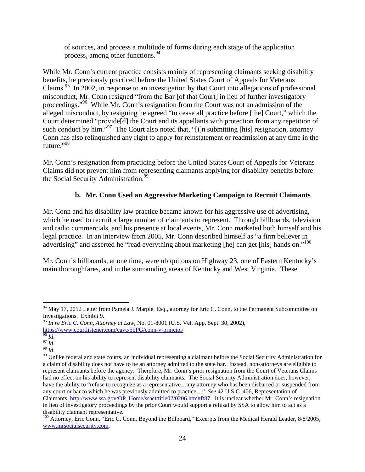of sources, and process a multitude of forms during each stage of the application process, among other functions.<sup>94</sup>

While Mr. Conn's current practice consists mainly of representing claimants seeking disability benefits, he previously practiced before the United States Court of Appeals for Veterans Claims.95 In 2002, in response to an investigation by that Court into allegations of professional misconduct, Mr. Conn resigned "from the Bar [of that Court] in lieu of further investigatory proceedings."<sup>96</sup> While Mr. Conn's resignation from the Court was not an admission of the alleged misconduct, by resigning he agreed "to cease all practice before [the] Court," which the Court determined "provide[d] the Court and its appellants with protection from any repetition of such conduct by him."<sup>97</sup> The Court also noted that, "[i]n submitting [his] resignation, attorney Conn has also relinquished any right to apply for reinstatement or readmission at any time in the future."<sup>98</sup>

Mr. Conn's resignation from practicing before the United States Court of Appeals for Veterans Claims did not prevent him from representing claimants applying for disability benefits before the Social Security Administration.<sup>99</sup>

#### **b. Mr. Conn Used an Aggressive Marketing Campaign to Recruit Claimants**

Mr. Conn and his disability law practice became known for his aggressive use of advertising, which he used to recruit a large number of claimants to represent. Through billboards, television and radio commercials, and his presence at local events, Mr. Conn marketed both himself and his legal practice. In an interview from 2005, Mr. Conn described himself as "a firm believer in advertising" and asserted he "read everything about marketing [he] can get [his] hands on."<sup>100</sup>

Mr. Conn's billboards, at one time, were ubiquitous on Highway 23, one of Eastern Kentucky's main thoroughfares, and in the surrounding areas of Kentucky and West Virginia. These

 $\overline{a}$ 

<sup>&</sup>lt;sup>94</sup> May 17, 2012 Letter from Pamela J. Marple, Esq., attorney for Eric C. Conn, to the Permanent Subcommittee on Investigations. Exhibit 9.

<sup>&</sup>lt;sup>95</sup> *In re Eric C. Conn, Attorney at Law, No.* 01-8001 (U.S. Vet. App. Sept. 30, 2002), https://www.courtlistener.com/cavc/5bPG/conn-v-principi/

hetter.com<br>
<sup>96</sup> *Id.* 98 *Id.* 98 *Id.* 98 *Id.* 98 *Id.* 98 *Id.* 99 Unlike federal and state courts, an individual representing a claimant before the Social Security Administration for a claim of disability does not have to be an attorney admitted to the state bar. Instead, non-attorneys are eligible to represent claimants before the agency. Therefore, Mr. Conn's prior resignation from the Court of Veterans Claims had no effect on his ability to represent disability claimants. The Social Security Administration does, however, have the ability to "refuse to recognize as a representative…any attorney who has been disbarred or suspended from any court or bar to which he was previously admitted to practice…" *See* 42 U.S.C. 406, Representation of Claimants, http://www.ssa.gov/OP\_Home/ssact/title02/0206.htm#ft87. It is unclear whether Mr. Conn's resignation in lieu of investigatory proceedings by the prior Court would support a refusal by SSA to allow him to act as a disability claimant representative.

<sup>&</sup>lt;sup>100</sup> Attorney, Eric Conn, "Eric C. Conn, Beyond the Billboard," Excerpts from the Medical Herald Leader, 8/8/2005, www.mrsocialsecurity.com.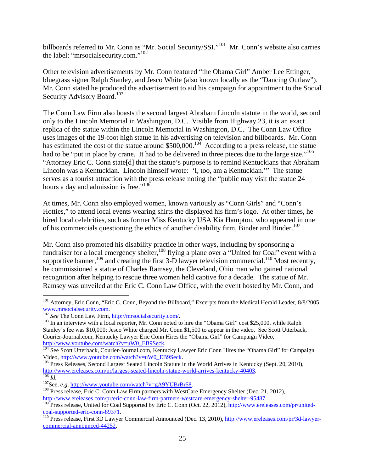billboards referred to Mr. Conn as "Mr. Social Security/SSI."<sup>101</sup> Mr. Conn's website also carries the label: "mrsocialsecurity.com."<sup>102</sup>

Other television advertisements by Mr. Conn featured "the Obama Girl" Amber Lee Ettinger, bluegrass signer Ralph Stanley, and Jesco White (also known locally as the "Dancing Outlaw"). Mr. Conn stated he produced the advertisement to aid his campaign for appointment to the Social Security Advisory Board.<sup>103</sup>

The Conn Law Firm also boasts the second largest Abraham Lincoln statute in the world, second only to the Lincoln Memorial in Washington, D.C. Visible from Highway 23, it is an exact replica of the statue within the Lincoln Memorial in Washington, D.C. The Conn Law Office uses images of the 19-foot high statue in his advertising on television and billboards. Mr. Conn has estimated the cost of the statue around \$500,000.<sup>104</sup> According to a press release, the statue had to be "put in place by crane. It had to be delivered in three pieces due to the large size."<sup>105</sup> "Attorney Eric C. Conn state[d] that the statue's purpose is to remind Kentuckians that Abraham Lincoln was a Kentuckian. Lincoln himself wrote: 'I, too, am a Kentuckian.'" The statue serves as a tourist attraction with the press release noting the "public may visit the statue 24 hours a day and admission is free."<sup>106</sup>

At times, Mr. Conn also employed women, known variously as "Conn Girls" and "Conn's Hotties," to attend local events wearing shirts the displayed his firm's logo. At other times, he hired local celebrities, such as former Miss Kentucky USA Kia Hampton, who appeared in one of his commercials questioning the ethics of another disability firm, Binder and Binder.<sup>107</sup>

Mr. Conn also promoted his disability practice in other ways, including by sponsoring a fundraiser for a local emergency shelter,<sup>108</sup> flying a plane over a "United for Coal" event with a supportive banner,<sup>109</sup> and creating the first 3-D lawyer television commercial.<sup>110</sup> Most recently, he commissioned a statue of Charles Ramsey, the Cleveland, Ohio man who gained national recognition after helping to rescue three women held captive for a decade. The statue of Mr. Ramsey was unveiled at the Eric C. Conn Law Office, with the event hosted by Mr. Conn, and

1

<sup>&</sup>lt;sup>101</sup> Attorney, Eric Conn, "Eric C. Conn, Beyond the Billboard," Excerpts from the Medical Herald Leader, 8/8/2005, www.mrsocialsecurity.com. 102 *See* The Conn Law Firm, http://mrsocialsecurity.com/. 103 In an interview with a local reporter, Mr. Conn noted to hire the "Obama Girl" cost \$25,000, while Ralph

Stanley's fee was \$10,000; Jesco White charged Mr. Conn \$1,500 to appear in the video. See Scott Utterback, Courier-Journal.com, Kentucky Lawyer Eric Conn Hires the "Obama Girl" for Campaign Video, http://www.youtube.com/watch?v=uW0\_EB9Seck.<br><sup>104</sup> See Scott Utterback, Courier-Journal.com, Kentucky Lawyer Eric Conn Hires the "Obama Girl" for Campaign

Video, http://www.youtube.com/watch?v=uW0\_EB9Seck.<br><sup>105</sup> Press Releases, Second Largest Seated Lincoln Statute in the World Arrives in Kentucky (Sept. 20, 2010),<br>http://www.ereleases.com/pr/largest-seated-lincoln-statue-wo

 $\frac{106}{106}$ Id.<br>  $\frac{107}{108}$ See, *e.g.* http://www.youtube.com/watch?v=gA9YUBrBr58.<br>  $\frac{108}{108}$  Press release, Eric C. Conn Law Firm partners with WestCare Emergency Shelter (Dec. 21, 2012),

http://www.ereleases.com/pr/eric-conn-law-firm-partners-westcare-emergency-shelter-95487.<br><sup>109</sup> Press release, United for Coal Supported by Eric C. Conn (Oct. 22, 2012), http://www.ereleases.com/pr/unitedcoal-supported-eric-conn-89371.<br><sup>110</sup> Press release, First 3D Lawyer Commercial Announced (Dec. 13, 2010), http://www.ereleases.com/pr/3d-lawyer-

commercial-announced-44252.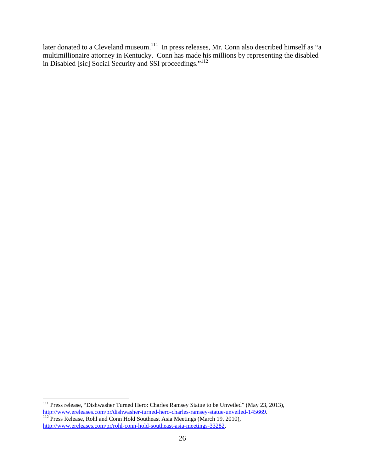later donated to a Cleveland museum.<sup>111</sup> In press releases, Mr. Conn also described himself as "a multimillionaire attorney in Kentucky. Conn has made his millions by representing the disabled in Disabled [sic] Social Security and SSI proceedings."<sup>112</sup>

 $\overline{a}$ 

<sup>&</sup>lt;sup>111</sup> Press release, "Dishwasher Turned Hero: Charles Ramsey Statue to be Unveiled" (May 23, 2013), http://www.ereleases.com/pr/dishwasher-turned-hero-charles-ramsey-statue-unveiled-145669.<br><sup>112</sup> Press Release, Rohl and Conn Hold Southeast Asia Meetings (March 19, 2010),

http://www.ereleases.com/pr/rohl-conn-hold-southeast-asia-meetings-33282.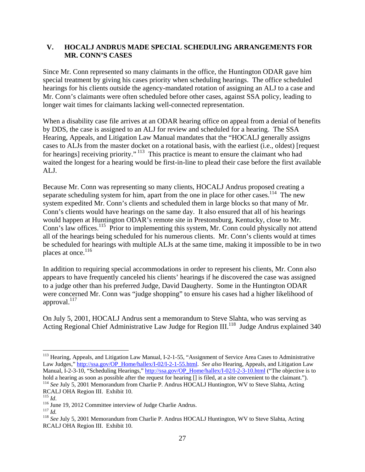#### **V. HOCALJ ANDRUS MADE SPECIAL SCHEDULING ARRANGEMENTS FOR MR. CONN'S CASES**

Since Mr. Conn represented so many claimants in the office, the Huntington ODAR gave him special treatment by giving his cases priority when scheduling hearings. The office scheduled hearings for his clients outside the agency-mandated rotation of assigning an ALJ to a case and Mr. Conn's claimants were often scheduled before other cases, against SSA policy, leading to longer wait times for claimants lacking well-connected representation.

When a disability case file arrives at an ODAR hearing office on appeal from a denial of benefits by DDS, the case is assigned to an ALJ for review and scheduled for a hearing. The SSA Hearing, Appeals, and Litigation Law Manual mandates that the "HOCALJ generally assigns cases to ALJs from the master docket on a rotational basis, with the earliest (i.e., oldest) [request for hearings] receiving priority."<sup>113</sup> This practice is meant to ensure the claimant who had waited the longest for a hearing would be first-in-line to plead their case before the first available ALJ.

Because Mr. Conn was representing so many clients, HOCALJ Andrus proposed creating a separate scheduling system for him, apart from the one in place for other cases.<sup>114</sup> The new system expedited Mr. Conn's clients and scheduled them in large blocks so that many of Mr. Conn's clients would have hearings on the same day. It also ensured that all of his hearings would happen at Huntington ODAR's remote site in Prestonsburg, Kentucky, close to Mr. Conn's law offices.<sup>115</sup> Prior to implementing this system, Mr. Conn could physically not attend all of the hearings being scheduled for his numerous clients. Mr. Conn's clients would at times be scheduled for hearings with multiple ALJs at the same time, making it impossible to be in two places at once.<sup>116</sup>

In addition to requiring special accommodations in order to represent his clients, Mr. Conn also appears to have frequently canceled his clients' hearings if he discovered the case was assigned to a judge other than his preferred Judge, David Daugherty. Some in the Huntington ODAR were concerned Mr. Conn was "judge shopping" to ensure his cases had a higher likelihood of approval. $^{117}$ 

On July 5, 2001, HOCALJ Andrus sent a memorandum to Steve Slahta, who was serving as Acting Regional Chief Administrative Law Judge for Region III.<sup>118</sup> Judge Andrus explained 340

 $\overline{a}$ 

<sup>&</sup>lt;sup>113</sup> Hearing, Appeals, and Litigation Law Manual, I-2-1-55, "Assignment of Service Area Cases to Administrative Law Judges," http://ssa.gov/OP\_Home/hallex/I-02/I-2-1-55.html. *See also* Hearing, Appeals, and Litigation Law Manual, I-2-3-10, "Scheduling Hearings," http://ssa.gov/OP\_Home/hallex/I-02/I-2-3-10.html ("The objective is to hold a hearing as soon as possible after the request for hearing [] is filed, at a site convenient to the claimant.").<br><sup>114</sup> See July 5, 2001 Memorandum from Charlie P. Andrus HOCALJ Huntington, WV to Steve Slahta, Acting RCALJ OHA Region III. Exhibit 10.<br><sup>115</sup> Id.

<sup>&</sup>lt;sup>116</sup> June 19, 2012 Committee interview of Judge Charlie Andrus.<br><sup>117</sup> *Id.*<br><sup>118</sup> *See* July 5, 2001 Memorandum from Charlie P. Andrus HOCALJ Huntington, WV to Steve Slahta, Acting RCALJ OHA Region III. Exhibit 10.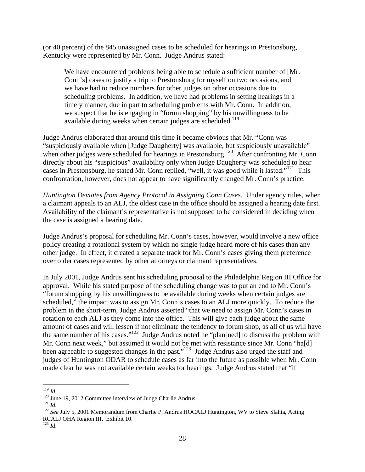(or 40 percent) of the 845 unassigned cases to be scheduled for hearings in Prestonsburg, Kentucky were represented by Mr. Conn. Judge Andrus stated:

We have encountered problems being able to schedule a sufficient number of [Mr. Conn's] cases to justify a trip to Prestonsburg for myself on two occasions, and we have had to reduce numbers for other judges on other occasions due to scheduling problems. In addition, we have had problems in setting hearings in a timely manner, due in part to scheduling problems with Mr. Conn. In addition, we suspect that he is engaging in "forum shopping" by his unwillingness to be available during weeks when certain judges are scheduled.<sup>119</sup>

Judge Andrus elaborated that around this time it became obvious that Mr. "Conn was "suspiciously available when [Judge Daugherty] was available, but suspiciously unavailable" when other judges were scheduled for hearings in Prestonsburg.<sup>120</sup> After confronting Mr. Conn directly about his "suspicious" availability only when Judge Daugherty was scheduled to hear cases in Prestonsburg, he stated Mr. Conn replied, "well, it was good while it lasted."121 This confrontation, however, does not appear to have significantly changed Mr. Conn's practice.

*Huntington Deviates from Agency Protocol in Assigning Conn Cases*. Under agency rules, when a claimant appeals to an ALJ, the oldest case in the office should be assigned a hearing date first. Availability of the claimant's representative is not supposed to be considered in deciding when the case is assigned a hearing date.

Judge Andrus's proposal for scheduling Mr. Conn's cases, however, would involve a new office policy creating a rotational system by which no single judge heard more of his cases than any other judge. In effect, it created a separate track for Mr. Conn's cases giving them preference over older cases represented by other attorneys or claimant representatives.

In July 2001, Judge Andrus sent his scheduling proposal to the Philadelphia Region III Office for approval. While his stated purpose of the scheduling change was to put an end to Mr. Conn's "forum shopping by his unwillingness to be available during weeks when certain judges are scheduled," the impact was to assign Mr. Conn's cases to an ALJ more quickly. To reduce the problem in the short-term, Judge Andrus asserted "that we need to assign Mr. Conn's cases in rotation to each ALJ as they come into the office. This will give each judge about the same amount of cases and will lessen if not eliminate the tendency to forum shop, as all of us will have the same number of his cases."<sup>122</sup> Judge Andrus noted he "plan[ned] to discuss the problem with Mr. Conn next week," but assumed it would not be met with resistance since Mr. Conn "ha[d] been agreeable to suggested changes in the past."<sup>123</sup> Judge Andrus also urged the staff and judges of Huntington ODAR to schedule cases as far into the future as possible when Mr. Conn made clear he was not available certain weeks for hearings. Judge Andrus stated that "if

 $^{119}$  *Id.* 

<sup>&</sup>lt;sup>120</sup> June 19, 2012 Committee interview of Judge Charlie Andrus.<br><sup>121</sup> *Id.* 122 *See* July 5, 2001 Memorandum from Charlie P. Andrus HOCALJ Huntington, WV to Steve Slahta, Acting RCALJ OHA Region III. Exhibit 10.

 $123$  *Id.*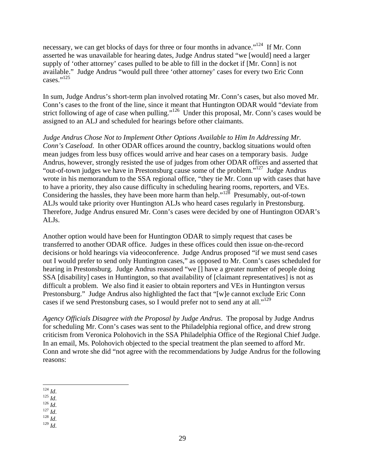necessary, we can get blocks of days for three or four months in advance."<sup>124</sup> If Mr. Conn asserted he was unavailable for hearing dates, Judge Andrus stated "we [would] need a larger supply of 'other attorney' cases pulled to be able to fill in the docket if [Mr. Conn] is not available." Judge Andrus "would pull three 'other attorney' cases for every two Eric Conn cases."<sup>125</sup>

In sum, Judge Andrus's short-term plan involved rotating Mr. Conn's cases, but also moved Mr. Conn's cases to the front of the line, since it meant that Huntington ODAR would "deviate from strict following of age of case when pulling."<sup>126</sup> Under this proposal, Mr. Conn's cases would be assigned to an ALJ and scheduled for hearings before other claimants.

*Judge Andrus Chose Not to Implement Other Options Available to Him In Addressing Mr. Conn's Caseload*. In other ODAR offices around the country, backlog situations would often mean judges from less busy offices would arrive and hear cases on a temporary basis. Judge Andrus, however, strongly resisted the use of judges from other ODAR offices and asserted that "out-of-town judges we have in Prestonsburg cause some of the problem."127 Judge Andrus wrote in his memorandum to the SSA regional office, "they tie Mr. Conn up with cases that have to have a priority, they also cause difficulty in scheduling hearing rooms, reporters, and VEs. Considering the hassles, they have been more harm than help."<sup>128</sup> Presumably, out-of-town ALJs would take priority over Huntington ALJs who heard cases regularly in Prestonsburg. Therefore, Judge Andrus ensured Mr. Conn's cases were decided by one of Huntington ODAR's ALJs.

Another option would have been for Huntington ODAR to simply request that cases be transferred to another ODAR office. Judges in these offices could then issue on-the-record decisions or hold hearings via videoconference. Judge Andrus proposed "if we must send cases out I would prefer to send only Huntington cases," as opposed to Mr. Conn's cases scheduled for hearing in Prestonsburg. Judge Andrus reasoned "we [] have a greater number of people doing SSA [disability] cases in Huntington, so that availability of [claimant representatives] is not as difficult a problem. We also find it easier to obtain reporters and VEs in Huntington versus Prestonsburg." Judge Andrus also highlighted the fact that "[w]e cannot exclude Eric Conn cases if we send Prestonsburg cases, so I would prefer not to send any at all."<sup>129</sup>

*Agency Officials Disagree with the Proposal by Judge Andrus*. The proposal by Judge Andrus for scheduling Mr. Conn's cases was sent to the Philadelphia regional office, and drew strong criticism from Veronica Polohovich in the SSA Philadelphia Office of the Regional Chief Judge. In an email, Ms. Polohovich objected to the special treatment the plan seemed to afford Mr. Conn and wrote she did "not agree with the recommendations by Judge Andrus for the following reasons:

- 
- 
- 
- 124 *Id*. 125 *Id*. 126 *Id*. 127 *Id*. 128 *Id*. 129 *Id*.

 $124$  *Id.*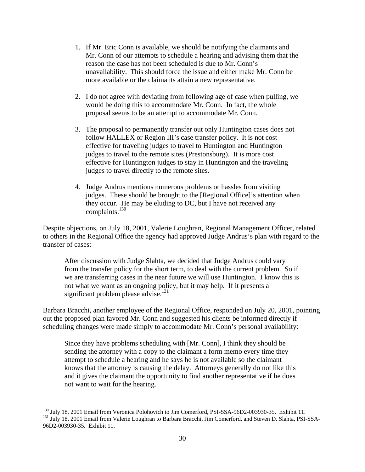- 1. If Mr. Eric Conn is available, we should be notifying the claimants and Mr. Conn of our attempts to schedule a hearing and advising them that the reason the case has not been scheduled is due to Mr. Conn's unavailability. This should force the issue and either make Mr. Conn be more available or the claimants attain a new representative.
- 2. I do not agree with deviating from following age of case when pulling, we would be doing this to accommodate Mr. Conn. In fact, the whole proposal seems to be an attempt to accommodate Mr. Conn.
- 3. The proposal to permanently transfer out only Huntington cases does not follow HALLEX or Region III's case transfer policy. It is not cost effective for traveling judges to travel to Huntington and Huntington judges to travel to the remote sites (Prestonsburg). It is more cost effective for Huntington judges to stay in Huntington and the traveling judges to travel directly to the remote sites.
- 4. Judge Andrus mentions numerous problems or hassles from visiting judges. These should be brought to the [Regional Office]'s attention when they occur. He may be eluding to DC, but I have not received any complaints.<sup>130</sup>

Despite objections, on July 18, 2001, Valerie Loughran, Regional Management Officer, related to others in the Regional Office the agency had approved Judge Andrus's plan with regard to the transfer of cases:

After discussion with Judge Slahta, we decided that Judge Andrus could vary from the transfer policy for the short term, to deal with the current problem. So if we are transferring cases in the near future we will use Huntington. I know this is not what we want as an ongoing policy, but it may help. If it presents a significant problem please advise. $131$ 

Barbara Bracchi, another employee of the Regional Office, responded on July 20, 2001, pointing out the proposed plan favored Mr. Conn and suggested his clients be informed directly if scheduling changes were made simply to accommodate Mr. Conn's personal availability:

Since they have problems scheduling with [Mr. Conn], I think they should be sending the attorney with a copy to the claimant a form memo every time they attempt to schedule a hearing and he says he is not available so the claimant knows that the attorney is causing the delay. Attorneys generally do not like this and it gives the claimant the opportunity to find another representative if he does not want to wait for the hearing.

1

<sup>&</sup>lt;sup>130</sup> July 18, 2001 Email from Veronica Polohovich to Jim Comerford, PSI-SSA-96D2-003930-35. Exhibit 11.<br><sup>131</sup> July 18, 2001 Email from Valerie Loughran to Barbara Bracchi, Jim Comerford, and Steven D. Slahta, PSI-SSA-96D2-003930-35. Exhibit 11.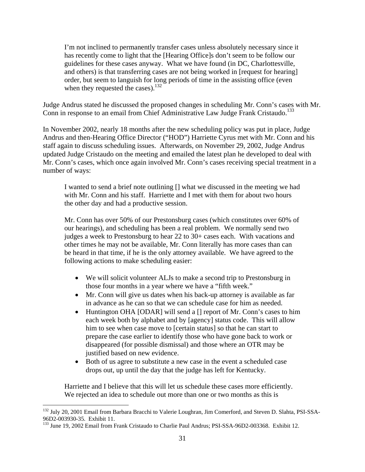I'm not inclined to permanently transfer cases unless absolutely necessary since it has recently come to light that the [Hearing Office]s don't seem to be follow our guidelines for these cases anyway. What we have found (in DC, Charlottesville, and others) is that transferring cases are not being worked in [request for hearing] order, but seem to languish for long periods of time in the assisting office (even when they requested the cases). $132$ 

Judge Andrus stated he discussed the proposed changes in scheduling Mr. Conn's cases with Mr. Conn in response to an email from Chief Administrative Law Judge Frank Cristaudo.<sup>133</sup>

In November 2002, nearly 18 months after the new scheduling policy was put in place, Judge Andrus and then-Hearing Office Director ("HOD") Harriette Cyrus met with Mr. Conn and his staff again to discuss scheduling issues. Afterwards, on November 29, 2002, Judge Andrus updated Judge Cristaudo on the meeting and emailed the latest plan he developed to deal with Mr. Conn's cases, which once again involved Mr. Conn's cases receiving special treatment in a number of ways:

I wanted to send a brief note outlining [] what we discussed in the meeting we had with Mr. Conn and his staff. Harriette and I met with them for about two hours the other day and had a productive session.

Mr. Conn has over 50% of our Prestonsburg cases (which constitutes over 60% of our hearings), and scheduling has been a real problem. We normally send two judges a week to Prestonsburg to hear 22 to 30+ cases each. With vacations and other times he may not be available, Mr. Conn literally has more cases than can be heard in that time, if he is the only attorney available. We have agreed to the following actions to make scheduling easier:

- We will solicit volunteer ALJs to make a second trip to Prestonsburg in those four months in a year where we have a "fifth week."
- Mr. Conn will give us dates when his back-up attorney is available as far in advance as he can so that we can schedule case for him as needed.
- Huntington OHA [ODAR] will send a [] report of Mr. Conn's cases to him each week both by alphabet and by [agency] status code. This will allow him to see when case move to [certain status] so that he can start to prepare the case earlier to identify those who have gone back to work or disappeared (for possible dismissal) and those where an OTR may be justified based on new evidence.
- Both of us agree to substitute a new case in the event a scheduled case drops out, up until the day that the judge has left for Kentucky.

Harriette and I believe that this will let us schedule these cases more efficiently. We rejected an idea to schedule out more than one or two months as this is

1

<sup>&</sup>lt;sup>132</sup> July 20, 2001 Email from Barbara Bracchi to Valerie Loughran, Jim Comerford, and Steven D. Slahta, PSI-SSA-96D2-003930-35. Exhibit 11.

<sup>&</sup>lt;sup>133</sup> June 19, 2002 Email from Frank Cristaudo to Charlie Paul Andrus; PSI-SSA-96D2-003368. Exhibit 12.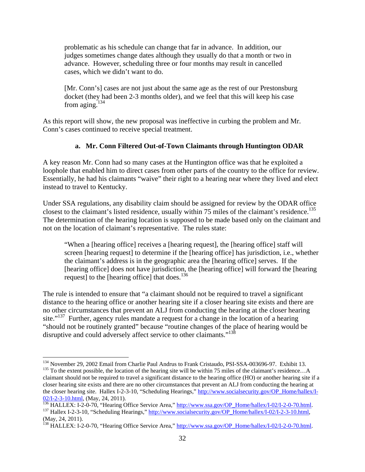problematic as his schedule can change that far in advance. In addition, our judges sometimes change dates although they usually do that a month or two in advance. However, scheduling three or four months may result in cancelled cases, which we didn't want to do.

[Mr. Conn's] cases are not just about the same age as the rest of our Prestonsburg docket (they had been 2-3 months older), and we feel that this will keep his case from aging. $134$ 

As this report will show, the new proposal was ineffective in curbing the problem and Mr. Conn's cases continued to receive special treatment.

### **a. Mr. Conn Filtered Out-of-Town Claimants through Huntington ODAR**

A key reason Mr. Conn had so many cases at the Huntington office was that he exploited a loophole that enabled him to direct cases from other parts of the country to the office for review. Essentially, he had his claimants "waive" their right to a hearing near where they lived and elect instead to travel to Kentucky.

Under SSA regulations, any disability claim should be assigned for review by the ODAR office closest to the claimant's listed residence, usually within 75 miles of the claimant's residence.<sup>135</sup> The determination of the hearing location is supposed to be made based only on the claimant and not on the location of claimant's representative. The rules state:

"When a [hearing office] receives a [hearing request], the [hearing office] staff will screen [hearing request] to determine if the [hearing office] has jurisdiction, i.e., whether the claimant's address is in the geographic area the [hearing office] serves. If the [hearing office] does not have jurisdiction, the [hearing office] will forward the [hearing request] to the [hearing office] that does. $136$ 

The rule is intended to ensure that "a claimant should not be required to travel a significant distance to the hearing office or another hearing site if a closer hearing site exists and there are no other circumstances that prevent an ALJ from conducting the hearing at the closer hearing site."<sup>137</sup> Further, agency rules mandate a request for a change in the location of a hearing "should not be routinely granted" because "routine changes of the place of hearing would be disruptive and could adversely affect service to other claimants."<sup>138</sup>

<sup>&</sup>lt;sup>134</sup> November 29, 2002 Email from Charlie Paul Andrus to Frank Cristaudo, PSI-SSA-003696-97. Exhibit 13.<br><sup>135</sup> To the extent possible, the location of the hearing site will be within 75 miles of the claimant's residence.

claimant should not be required to travel a significant distance to the hearing office (HO) or another hearing site if a closer hearing site exists and there are no other circumstances that prevent an ALJ from conducting the hearing at the closer hearing site. Hallex I-2-3-10, "Scheduling Hearings," http://www.socialsecurity.gov/OP\_Home/hallex/I-

 $\underbrace{02/I-2-3-10.html}_{136}$ , (May, 24, 2011).<br>
<sup>136</sup> HALLEX: I-2-0-70, "Hearing Office Service Area," http://www.ssa.gov/OP Home/hallex/I-02/I-2-0-70.html<br>
<sup>137</sup> Hallex I-2-3-10, "Scheduling Hearings," http://www.socialsecurit (May, 24, 2011).

<sup>&</sup>lt;sup>138</sup> HALLEX: I-2-0-70, "Hearing Office Service Area," http://www.ssa.gov/OP\_Home/hallex/I-02/I-2-0-70.html.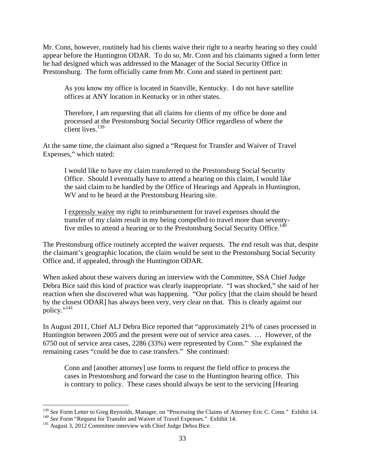Mr. Conn, however, routinely had his clients waive their right to a nearby hearing so they could appear before the Huntington ODAR. To do so, Mr. Conn and his claimants signed a form letter he had designed which was addressed to the Manager of the Social Security Office in Prestonsburg. The form officially came from Mr. Conn and stated in pertinent part:

As you know my office is located in Stanville, Kentucky. I do not have satellite offices at ANY location in Kentucky or in other states.

Therefore, I am requesting that all claims for clients of my office be done and processed at the Prestonsburg Social Security Office regardless of where the client lives.<sup>139</sup>

At the same time, the claimant also signed a "Request for Transfer and Waiver of Travel Expenses," which stated:

I would like to have my claim transferred to the Prestonsburg Social Security Office. Should I eventually have to attend a hearing on this claim, I would like the said claim to be handled by the Office of Hearings and Appeals in Huntington, WV and to be heard at the Prestonsburg Hearing site.

I expressly waive my right to reimbursement for travel expenses should the transfer of my claim result in my being compelled to travel more than seventyfive miles to attend a hearing or to the Prestonsburg Social Security Office.<sup>140</sup>

The Prestonsburg office routinely accepted the waiver requests. The end result was that, despite the claimant's geographic location, the claim would be sent to the Prestonsburg Social Security Office and, if appealed, through the Huntington ODAR.

When asked about these waivers during an interview with the Committee, SSA Chief Judge Debra Bice said this kind of practice was clearly inappropriate. "I was shocked," she said of her reaction when she discovered what was happening. "Our policy [that the claim should be heard by the closest ODAR] has always been very, very clear on that. This is clearly against our policy."<sup>141</sup>

In August 2011, Chief ALJ Debra Bice reported that "approximately 21% of cases processed in Huntington between 2005 and the present were out of service area cases. … However, of the 6750 out of service area cases, 2286 (33%) were represented by Conn." She explained the remaining cases "could be due to case transfers." She continued:

Conn and [another attorney] use forms to request the field office to process the cases in Prestonsburg and forward the case to the Huntington hearing office. This is contrary to policy. These cases should always be sent to the servicing [Hearing

<sup>&</sup>lt;sup>139</sup> See Form Letter to Greg Reynolds, Manager, on "Processing the Claims of Attorney Eric C. Conn." Exhibit 14.<br><sup>140</sup> See Form "Request for Transfer and Waiver of Travel Expenses." Exhibit 14.<br><sup>141</sup> August 3, 2012 Commi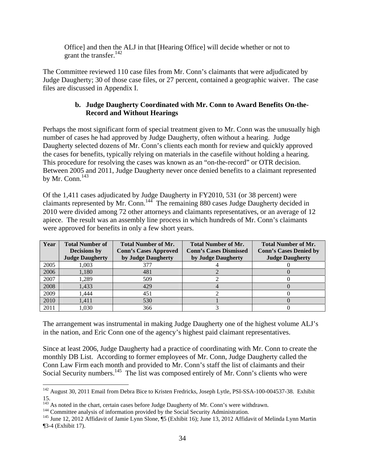Office] and then the ALJ in that [Hearing Office] will decide whether or not to grant the transfer. $^{142}$ 

The Committee reviewed 110 case files from Mr. Conn's claimants that were adjudicated by Judge Daugherty; 30 of those case files, or 27 percent, contained a geographic waiver. The case files are discussed in Appendix I.

## **b. Judge Daugherty Coordinated with Mr. Conn to Award Benefits On-the-Record and Without Hearings**

Perhaps the most significant form of special treatment given to Mr. Conn was the unusually high number of cases he had approved by Judge Daugherty, often without a hearing. Judge Daugherty selected dozens of Mr. Conn's clients each month for review and quickly approved the cases for benefits, typically relying on materials in the casefile without holding a hearing. This procedure for resolving the cases was known as an "on-the-record" or OTR decision. Between 2005 and 2011, Judge Daugherty never once denied benefits to a claimant represented by Mr. Conn. $^{143}$ 

Of the 1,411 cases adjudicated by Judge Daugherty in FY2010, 531 (or 38 percent) were claimants represented by Mr. Conn.<sup>144</sup> The remaining 880 cases Judge Daugherty decided in 2010 were divided among 72 other attorneys and claimants representatives, or an average of 12 apiece. The result was an assembly line process in which hundreds of Mr. Conn's claimants were approved for benefits in only a few short years.

| Year | <b>Total Number of</b><br><b>Decisions</b> by<br><b>Judge Daugherty</b> | <b>Total Number of Mr.</b><br><b>Conn's Cases Approved</b><br>by Judge Daugherty | <b>Total Number of Mr.</b><br><b>Conn's Cases Dismissed</b><br>by Judge Daugherty | <b>Total Number of Mr.</b><br><b>Conn's Cases Denied by</b><br><b>Judge Daugherty</b> |
|------|-------------------------------------------------------------------------|----------------------------------------------------------------------------------|-----------------------------------------------------------------------------------|---------------------------------------------------------------------------------------|
| 2005 | 1.003                                                                   | 377                                                                              |                                                                                   |                                                                                       |
| 2006 | 1,180                                                                   | 481                                                                              |                                                                                   |                                                                                       |
| 2007 | .289                                                                    | 509                                                                              |                                                                                   |                                                                                       |
| 2008 | 1,433                                                                   | 429                                                                              |                                                                                   |                                                                                       |
| 2009 | .444                                                                    | 451                                                                              |                                                                                   |                                                                                       |
| 2010 | 1,411                                                                   | 530                                                                              |                                                                                   |                                                                                       |
| 2011 | 1.030                                                                   | 366                                                                              |                                                                                   |                                                                                       |

The arrangement was instrumental in making Judge Daugherty one of the highest volume ALJ's in the nation, and Eric Conn one of the agency's highest paid claimant representatives.

Since at least 2006, Judge Daugherty had a practice of coordinating with Mr. Conn to create the monthly DB List. According to former employees of Mr. Conn, Judge Daugherty called the Conn Law Firm each month and provided to Mr. Conn's staff the list of claimants and their Social Security numbers.<sup>145</sup> The list was composed entirely of Mr. Conn's clients who were

 $\overline{a}$ <sup>142</sup> August 30, 2011 Email from Debra Bice to Kristen Fredricks, Joseph Lytle, PSI-SSA-100-004537-38. Exhibit 15.

<sup>&</sup>lt;sup>143</sup> As noted in the chart, certain cases before Judge Daugherty of Mr. Conn's were withdrawn.<br><sup>144</sup> Committee analysis of information provided by the Social Security Administration.<br><sup>145</sup> June 12, 2012 Affidavit of Jamie ¶3-4 (Exhibit 17).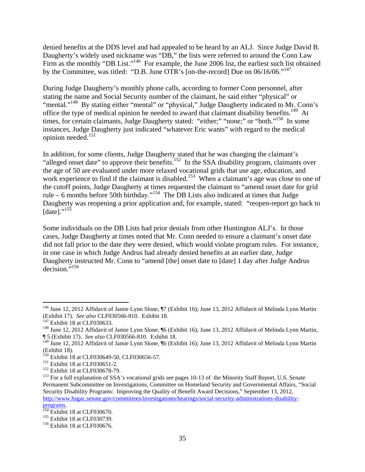denied benefits at the DDS level and had appealed to be heard by an ALJ. Since Judge David B. Daugherty's widely used nickname was "DB," the lists were referred to around the Conn Law Firm as the monthly "DB List."<sup>146</sup> For example, the June 2006 list, the earliest such list obtained by the Committee, was titled: "D.B. June OTR's [on-the-record] Due on 06/16/06."147

During Judge Daugherty's monthly phone calls, according to former Conn personnel, after stating the name and Social Security number of the claimant, he said either "physical" or "mental."<sup>148</sup> By stating either "mental" or "physical," Judge Daugherty indicated to Mr. Conn's office the type of medical opinion he needed to award that claimant disability benefits.<sup>149</sup> At times, for certain claimants, Judge Daugherty stated: "either;" "none;" or "both."<sup>150</sup> In some instances, Judge Daugherty just indicated "whatever Eric wants" with regard to the medical opinion needed.<sup>151</sup>

In addition, for some clients, Judge Daugherty stated that he was changing the claimant's "alleged onset date" to approve their benefits.<sup>152</sup> In the SSA disability program, claimants over the age of 50 are evaluated under more relaxed vocational grids that use age, education, and work experience to find if the claimant is disabled.<sup>153</sup> When a claimant's age was close to one of the cutoff points, Judge Daugherty at times requested the claimant to "amend onset date for grid rule – 6 months before 50th birthday."154 The DB Lists also indicated at times that Judge Daugherty was reopening a prior application and, for example, stated: "reopen-report go back to  $[date]."^{155}$ 

Some individuals on the DB Lists had prior denials from other Huntington ALJ's. In those cases, Judge Daugherty at times noted that Mr. Conn needed to ensure a claimant's onset date did not fall prior to the date they were denied, which would violate program rules. For instance, in one case in which Judge Andrus had already denied benefits at an earlier date, Judge Daugherty instructed Mr. Conn to "amend [the] onset date to [date] 1 day after Judge Andrus decision."156

<sup>&</sup>lt;sup>146</sup> June 12, 2012 Affidavit of Jamie Lynn Slone, ¶7 (Exhibit 16); June 13, 2012 Affidavit of Melinda Lynn Martin (Exhibit 17). *See also* CLF030566-810. Exhibit 18. 147 Exhibit 18 at CLF030633. 148 June 12, 2012 Affidavit of Jamie Lynn Slone, ¶6 (Exhibit 16); June 13, 2012 Affidavit of Melinda Lynn Martin,

<sup>¶ 5 (</sup>Exhibit 17). *See also* CLF030566-810. Exhibit 18.

<sup>&</sup>lt;sup>149</sup> June 12, 2012 Affidavit of Jamie Lynn Slone, ¶6 (Exhibit 16); June 13, 2012 Affidavit of Melinda Lynn Martin (Exhibit 18).<br><sup>150</sup> Exhibit 18 at CLF030649-50, CLF030656-57.

<sup>&</sup>lt;sup>151</sup> Exhibit 18 at CLF030651-2.<br><sup>152</sup> Exhibit 18 at CLF030678-79.<br><sup>153</sup> For a full explanation of SSA's vocational grids see pages 10-13 of the Minority Staff Report, U.S. Senate Permanent Subcommittee on Investigations, Committee on Homeland Security and Governmental Affairs, "Social Security Disability Programs: Improving the Quality of Benefit Award Decisions," September 13, 2012, http://www.hsgac.senate.gov/committees/investigations/hearings/social-security-administrations-disability-

 $p_{154}^{154}$  Exhibit 18 at CLF030670.<br>  $p_{155}^{155}$  Exhibit 18 at CLF030739.<br>  $p_{156}^{156}$  Exhibit 18 at CLF030676.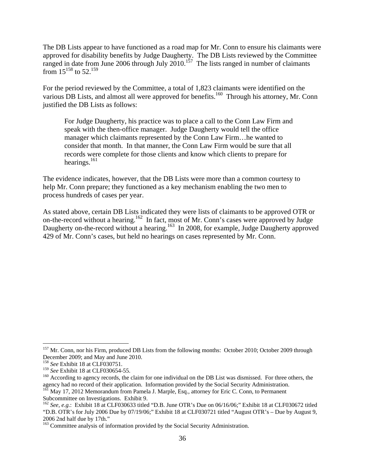The DB Lists appear to have functioned as a road map for Mr. Conn to ensure his claimants were approved for disability benefits by Judge Daugherty. The DB Lists reviewed by the Committee ranged in date from June 2006 through July  $2010$ .<sup>157</sup> The lists ranged in number of claimants from  $15^{158}$  to 52.<sup>159</sup>

For the period reviewed by the Committee, a total of 1,823 claimants were identified on the various DB Lists, and almost all were approved for benefits.<sup>160</sup> Through his attorney, Mr. Conn justified the DB Lists as follows:

For Judge Daugherty, his practice was to place a call to the Conn Law Firm and speak with the then-office manager. Judge Daugherty would tell the office manager which claimants represented by the Conn Law Firm…he wanted to consider that month. In that manner, the Conn Law Firm would be sure that all records were complete for those clients and know which clients to prepare for hearings. $^{161}$ 

The evidence indicates, however, that the DB Lists were more than a common courtesy to help Mr. Conn prepare; they functioned as a key mechanism enabling the two men to process hundreds of cases per year.

As stated above, certain DB Lists indicated they were lists of claimants to be approved OTR or on-the-record without a hearing.162 In fact, most of Mr. Conn's cases were approved by Judge Daugherty on-the-record without a hearing.<sup>163</sup> In 2008, for example, Judge Daugherty approved 429 of Mr. Conn's cases, but held no hearings on cases represented by Mr. Conn.

<sup>&</sup>lt;sup>157</sup> Mr. Conn, nor his Firm, produced DB Lists from the following months: October 2010; October 2009 through December 2009; and May and June 2010.

<sup>&</sup>lt;sup>158</sup> *See* Exhibit 18 at CLF030751.<br><sup>159</sup> *See* Exhibit 18 at CLF030654-55.

<sup>&</sup>lt;sup>160</sup> According to agency records, the claim for one individual on the DB List was dismissed. For three others, the agency had no record of their application. Information provided by the Social Security Administration.

<sup>&</sup>lt;sup>161</sup> May 17, 2012 Memorandum from Pamela J. Marple, Esq., attorney for Eric C. Conn, to Permanent Subcommittee on Investigations. Exhibit 9.

<sup>162</sup> *See, e.g.*: Exhibit 18 at CLF030633 titled "D.B. June OTR's Due on 06/16/06;" Exhibit 18 at CLF030672 titled "D.B. OTR's for July 2006 Due by 07/19/06;" Exhibit 18 at CLF030721 titled "August OTR's – Due by August 9, 2006 2nd half due by 17th."

<sup>&</sup>lt;sup>163</sup> Committee analysis of information provided by the Social Security Administration.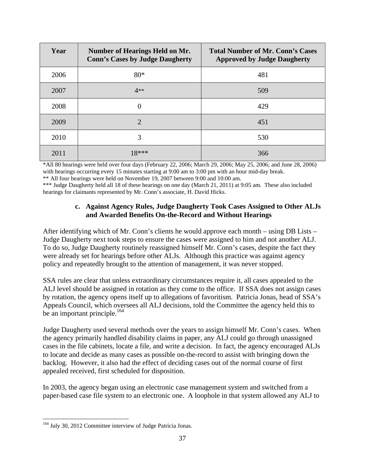| Year | <b>Number of Hearings Held on Mr.</b><br><b>Conn's Cases by Judge Daugherty</b> | <b>Total Number of Mr. Conn's Cases</b><br><b>Approved by Judge Daugherty</b> |
|------|---------------------------------------------------------------------------------|-------------------------------------------------------------------------------|
| 2006 | $80*$                                                                           | 481                                                                           |
| 2007 | $4**$                                                                           | 509                                                                           |
| 2008 | $\theta$                                                                        | 429                                                                           |
| 2009 | $\overline{2}$                                                                  | 451                                                                           |
| 2010 | 3                                                                               | 530                                                                           |
| 2011 | $18***$                                                                         | 366                                                                           |

\*All 80 hearings were held over four days (February 22, 2006; March 29, 2006; May 25, 2006; and June 28, 2006) with hearings occurring every 15 minutes starting at 9:00 am to 3:00 pm with an hour mid-day break.

\*\* All four hearings were held on November 19, 2007 between 9:00 and 10:00 am.

\*\*\* Judge Daugherty held all 18 of these hearings on one day (March 21, 2011) at 9:05 am. These also included hearings for claimants represented by Mr. Conn's associate, H. David Hicks.

## **c. Against Agency Rules, Judge Daugherty Took Cases Assigned to Other ALJs and Awarded Benefits On-the-Record and Without Hearings**

After identifying which of Mr. Conn's clients he would approve each month – using DB Lists – Judge Daugherty next took steps to ensure the cases were assigned to him and not another ALJ. To do so, Judge Daugherty routinely reassigned himself Mr. Conn's cases, despite the fact they were already set for hearings before other ALJs. Although this practice was against agency policy and repeatedly brought to the attention of management, it was never stopped.

SSA rules are clear that unless extraordinary circumstances require it, all cases appealed to the ALJ level should be assigned in rotation as they come to the office. If SSA does not assign cases by rotation, the agency opens itself up to allegations of favoritism. Patricia Jonas, head of SSA's Appeals Council, which oversees all ALJ decisions, told the Committee the agency held this to be an important principle.<sup>164</sup>

Judge Daugherty used several methods over the years to assign himself Mr. Conn's cases. When the agency primarily handled disability claims in paper, any ALJ could go through unassigned cases in the file cabinets, locate a file, and write a decision. In fact, the agency encouraged ALJs to locate and decide as many cases as possible on-the-record to assist with bringing down the backlog. However, it also had the effect of deciding cases out of the normal course of first appealed received, first scheduled for disposition.

In 2003, the agency began using an electronic case management system and switched from a paper-based case file system to an electronic one. A loophole in that system allowed any ALJ to

 $\overline{a}$ <sup>164</sup> July 30, 2012 Committee interview of Judge Patricia Jonas.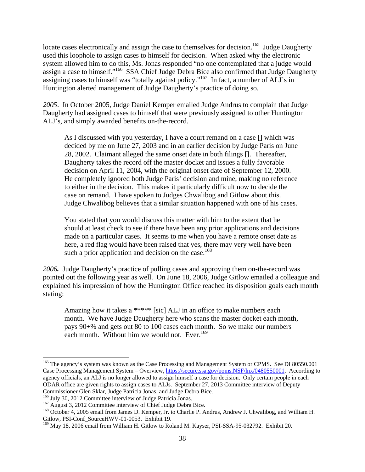locate cases electronically and assign the case to themselves for decision.<sup>165</sup> Judge Daugherty used this loophole to assign cases to himself for decision. When asked why the electronic system allowed him to do this, Ms. Jonas responded "no one contemplated that a judge would assign a case to himself."<sup>166</sup> SSA Chief Judge Debra Bice also confirmed that Judge Daugherty assigning cases to himself was "totally against policy."<sup>167</sup> In fact, a number of ALJ's in Huntington alerted management of Judge Daugherty's practice of doing so.

*2005*. In October 2005, Judge Daniel Kemper emailed Judge Andrus to complain that Judge Daugherty had assigned cases to himself that were previously assigned to other Huntington ALJ's, and simply awarded benefits on-the-record.

As I discussed with you yesterday, I have a court remand on a case [] which was decided by me on June 27, 2003 and in an earlier decision by Judge Paris on June 28, 2002. Claimant alleged the same onset date in both filings []. Thereafter, Daugherty takes the record off the master docket and issues a fully favorable decision on April 11, 2004, with the original onset date of September 12, 2000. He completely ignored both Judge Paris' decision and mine, making no reference to either in the decision. This makes it particularly difficult now to decide the case on remand. I have spoken to Judges Chwalibog and Gitlow about this. Judge Chwalibog believes that a similar situation happened with one of his cases.

You stated that you would discuss this matter with him to the extent that he should at least check to see if there have been any prior applications and decisions made on a particular cases. It seems to me when you have a remote onset date as here, a red flag would have been raised that yes, there may very well have been such a prior application and decision on the case.<sup>168</sup>

*2006.* Judge Daugherty's practice of pulling cases and approving them on-the-record was pointed out the following year as well. On June 18, 2006, Judge Gitlow emailed a colleague and explained his impression of how the Huntington Office reached its disposition goals each month stating:

Amazing how it takes a \*\*\*\*\* [sic] ALJ in an office to make numbers each month. We have Judge Daugherty here who scans the master docket each month, pays 90+% and gets out 80 to 100 cases each month. So we make our numbers each month. Without him we would not. Ever.<sup>169</sup>

<sup>&</sup>lt;sup>165</sup> The agency's system was known as the Case Processing and Management System or CPMS. See DI 80550.001 Case Processing Management System – Overview, https://secure.ssa.gov/poms.NSF/lnx/0480550001. According to agency officials, an ALJ is no longer allowed to assign himself a case for decision. Only certain people in each ODAR office are given rights to assign cases to ALJs. September 27, 2013 Committee interview of Deputy Commissioner Glen Sklar, Judge Patricia Jonas, and Judge Debra Bice.

<sup>&</sup>lt;sup>167</sup> August 3, 2012 Committee interview of Chief Judge Debra Bice.<br><sup>168</sup> October 4, 2005 email from James D. Kemper, Jr. to Charlie P. Andrus, Andrew J. Chwalibog, and William H. Gitlow, PSI-Conf\_SourceHWV-01-0053. Exhibit 19.

<sup>&</sup>lt;sup>169</sup> May 18, 2006 email from William H. Gitlow to Roland M. Kayser, PSI-SSA-95-032792. Exhibit 20.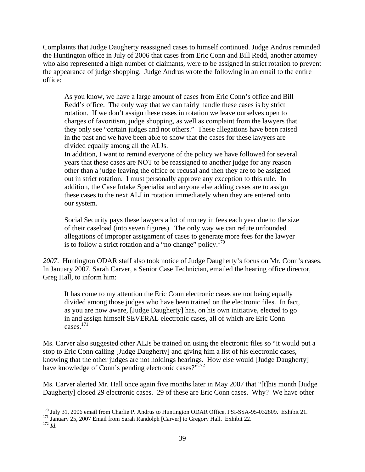Complaints that Judge Daugherty reassigned cases to himself continued. Judge Andrus reminded the Huntington office in July of 2006 that cases from Eric Conn and Bill Redd, another attorney who also represented a high number of claimants, were to be assigned in strict rotation to prevent the appearance of judge shopping. Judge Andrus wrote the following in an email to the entire office:

As you know, we have a large amount of cases from Eric Conn's office and Bill Redd's office. The only way that we can fairly handle these cases is by strict rotation. If we don't assign these cases in rotation we leave ourselves open to charges of favoritism, judge shopping, as well as complaint from the lawyers that they only see "certain judges and not others." These allegations have been raised in the past and we have been able to show that the cases for these lawyers are divided equally among all the ALJs.

In addition, I want to remind everyone of the policy we have followed for several years that these cases are NOT to be reassigned to another judge for any reason other than a judge leaving the office or recusal and then they are to be assigned out in strict rotation. I must personally approve any exception to this rule. In addition, the Case Intake Specialist and anyone else adding cases are to assign these cases to the next ALJ in rotation immediately when they are entered onto our system.

Social Security pays these lawyers a lot of money in fees each year due to the size of their caseload (into seven figures). The only way we can refute unfounded allegations of improper assignment of cases to generate more fees for the lawyer is to follow a strict rotation and a "no change" policy.<sup>170</sup>

*2007*. Huntington ODAR staff also took notice of Judge Daugherty's focus on Mr. Conn's cases. In January 2007, Sarah Carver, a Senior Case Technician, emailed the hearing office director, Greg Hall, to inform him:

It has come to my attention the Eric Conn electronic cases are not being equally divided among those judges who have been trained on the electronic files. In fact, as you are now aware, [Judge Daugherty] has, on his own initiative, elected to go in and assign himself SEVERAL electronic cases, all of which are Eric Conn cases.171

Ms. Carver also suggested other ALJs be trained on using the electronic files so "it would put a stop to Eric Conn calling [Judge Daugherty] and giving him a list of his electronic cases, knowing that the other judges are not holdings hearings. How else would [Judge Daugherty] have knowledge of Conn's pending electronic cases?"<sup>172</sup>

Ms. Carver alerted Mr. Hall once again five months later in May 2007 that "[t]his month [Judge Daugherty] closed 29 electronic cases. 29 of these are Eric Conn cases. Why? We have other

 $\overline{a}$ <sup>170</sup> July 31, 2006 email from Charlie P. Andrus to Huntington ODAR Office, PSI-SSA-95-032809. Exhibit 21.<br><sup>171</sup> January 25, 2007 Email from Sarah Randolph [Carver] to Gregory Hall. Exhibit 22.<br><sup>172</sup> *Id*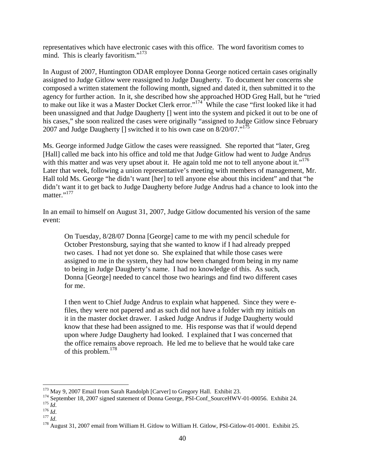representatives which have electronic cases with this office. The word favoritism comes to mind. This is clearly favoritism."<sup>173</sup>

In August of 2007, Huntington ODAR employee Donna George noticed certain cases originally assigned to Judge Gitlow were reassigned to Judge Daugherty. To document her concerns she composed a written statement the following month, signed and dated it, then submitted it to the agency for further action. In it, she described how she approached HOD Greg Hall, but he "tried to make out like it was a Master Docket Clerk error."<sup>174</sup> While the case "first looked like it had been unassigned and that Judge Daugherty [] went into the system and picked it out to be one of his cases," she soon realized the cases were originally "assigned to Judge Gitlow since February 2007 and Judge Daugherty  $[$ ] switched it to his own case on 8/20/07."<sup>175</sup>

Ms. George informed Judge Gitlow the cases were reassigned. She reported that "later, Greg [Hall] called me back into his office and told me that Judge Gitlow had went to Judge Andrus with this matter and was very upset about it. He again told me not to tell anyone about it."<sup>176</sup> Later that week, following a union representative's meeting with members of management, Mr. Hall told Ms. George "he didn't want [her] to tell anyone else about this incident" and that "he didn't want it to get back to Judge Daugherty before Judge Andrus had a chance to look into the matter."<sup>177</sup>

In an email to himself on August 31, 2007, Judge Gitlow documented his version of the same event:

On Tuesday, 8/28/07 Donna [George] came to me with my pencil schedule for October Prestonsburg, saying that she wanted to know if I had already prepped two cases. I had not yet done so. She explained that while those cases were assigned to me in the system, they had now been changed from being in my name to being in Judge Daugherty's name. I had no knowledge of this. As such, Donna [George] needed to cancel those two hearings and find two different cases for me.

I then went to Chief Judge Andrus to explain what happened. Since they were efiles, they were not papered and as such did not have a folder with my initials on it in the master docket drawer. I asked Judge Andrus if Judge Daugherty would know that these had been assigned to me. His response was that if would depend upon where Judge Daugherty had looked. I explained that I was concerned that the office remains above reproach. He led me to believe that he would take care of this problem.<sup>178</sup>

<sup>&</sup>lt;sup>173</sup> May 9, 2007 Email from Sarah Randolph [Carver] to Gregory Hall. Exhibit 23.

<sup>&</sup>lt;sup>174</sup> September 18, 2007 signed statement of Donna George, PSI-Conf\_SourceHWV-01-00056. Exhibit 24.<br><sup>175</sup> *Id.*<br><sup>176</sup> *Id.*<br><sup>176</sup> *Id.*<br><sup>176</sup> *Id.*<br><sup>176</sup> *Id.*<br><sup>176</sup> *Id.*<br><sup>176</sup> August 31, 2007 email from William H. Gitlo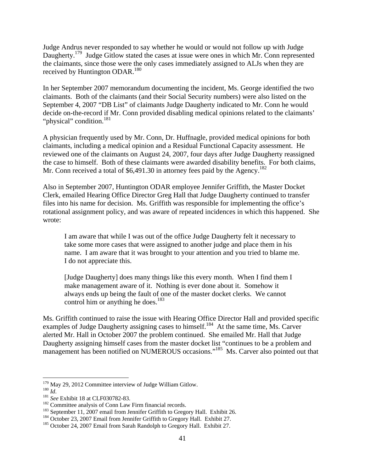Judge Andrus never responded to say whether he would or would not follow up with Judge Daugherty.<sup>179</sup> Judge Gitlow stated the cases at issue were ones in which Mr. Conn represented the claimants, since those were the only cases immediately assigned to ALJs when they are received by Huntington ODAR.<sup>180</sup>

In her September 2007 memorandum documenting the incident, Ms. George identified the two claimants. Both of the claimants (and their Social Security numbers) were also listed on the September 4, 2007 "DB List" of claimants Judge Daugherty indicated to Mr. Conn he would decide on-the-record if Mr. Conn provided disabling medical opinions related to the claimants' "physical" condition.<sup>181</sup>

A physician frequently used by Mr. Conn, Dr. Huffnagle, provided medical opinions for both claimants, including a medical opinion and a Residual Functional Capacity assessment. He reviewed one of the claimants on August 24, 2007, four days after Judge Daugherty reassigned the case to himself. Both of these claimants were awarded disability benefits. For both claims, Mr. Conn received a total of \$6,491.30 in attorney fees paid by the Agency.<sup>182</sup>

Also in September 2007, Huntington ODAR employee Jennifer Griffith, the Master Docket Clerk, emailed Hearing Office Director Greg Hall that Judge Daugherty continued to transfer files into his name for decision. Ms. Griffith was responsible for implementing the office's rotational assignment policy, and was aware of repeated incidences in which this happened. She wrote:

I am aware that while I was out of the office Judge Daugherty felt it necessary to take some more cases that were assigned to another judge and place them in his name. I am aware that it was brought to your attention and you tried to blame me. I do not appreciate this.

[Judge Daugherty] does many things like this every month. When I find them I make management aware of it. Nothing is ever done about it. Somehow it always ends up being the fault of one of the master docket clerks. We cannot control him or anything he does.<sup>183</sup>

Ms. Griffith continued to raise the issue with Hearing Office Director Hall and provided specific examples of Judge Daugherty assigning cases to himself.<sup>184</sup> At the same time, Ms. Carver alerted Mr. Hall in October 2007 the problem continued. She emailed Mr. Hall that Judge Daugherty assigning himself cases from the master docket list "continues to be a problem and management has been notified on NUMEROUS occasions."<sup>185</sup> Ms. Carver also pointed out that

<sup>&</sup>lt;sup>179</sup> May 29, 2012 Committee interview of Judge William Gitlow.

<sup>&</sup>lt;sup>181</sup> *Ist*<br>
<sup>181</sup> *See* Exhibit 18 at CLF030782-83.<br>
<sup>182</sup> Committee analysis of Conn Law Firm financial records.<br>
<sup>182</sup> Committee analysis of Conn Law Firm financial records.<br>
<sup>183</sup> September 11, 2007 email from Jennife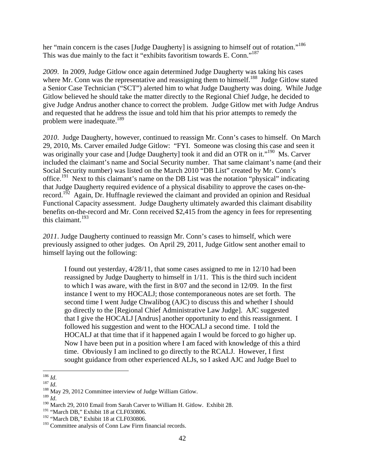her "main concern is the cases [Judge Daugherty] is assigning to himself out of rotation."<sup>186</sup> This was due mainly to the fact it "exhibits favoritism towards E. Conn."<sup>187</sup>

*2009*. In 2009, Judge Gitlow once again determined Judge Daugherty was taking his cases where Mr. Conn was the representative and reassigning them to himself.<sup>188</sup> Judge Gitlow stated a Senior Case Technician ("SCT") alerted him to what Judge Daugherty was doing. While Judge Gitlow believed he should take the matter directly to the Regional Chief Judge, he decided to give Judge Andrus another chance to correct the problem. Judge Gitlow met with Judge Andrus and requested that he address the issue and told him that his prior attempts to remedy the problem were inadequate.<sup>189</sup>

*2010*. Judge Daugherty, however, continued to reassign Mr. Conn's cases to himself. On March 29, 2010, Ms. Carver emailed Judge Gitlow: "FYI. Someone was closing this case and seen it was originally your case and [Judge Daugherty] took it and did an OTR on it."<sup>190</sup> Ms. Carver included the claimant's name and Social Security number. That same claimant's name (and their Social Security number) was listed on the March 2010 "DB List" created by Mr. Conn's office.<sup>191</sup> Next to this claimant's name on the DB List was the notation "physical" indicating that Judge Daugherty required evidence of a physical disability to approve the cases on-therecord.<sup>192</sup> Again, Dr. Huffnagle reviewed the claimant and provided an opinion and Residual Functional Capacity assessment. Judge Daugherty ultimately awarded this claimant disability benefits on-the-record and Mr. Conn received \$2,415 from the agency in fees for representing this claimant. $193$ 

*2011*. Judge Daugherty continued to reassign Mr. Conn's cases to himself, which were previously assigned to other judges. On April 29, 2011, Judge Gitlow sent another email to himself laying out the following:

I found out yesterday, 4/28/11, that some cases assigned to me in 12/10 had been reassigned by Judge Daugherty to himself in 1/11. This is the third such incident to which I was aware, with the first in 8/07 and the second in 12/09. In the first instance I went to my HOCALJ; those contemporaneous notes are set forth. The second time I went Judge Chwalibog (AJC) to discuss this and whether I should go directly to the [Regional Chief Administrative Law Judge]. AJC suggested that I give the HOCALJ [Andrus] another opportunity to end this reassignment. I followed his suggestion and went to the HOCALJ a second time. I told the HOCALJ at that time that if it happened again I would be forced to go higher up. Now I have been put in a position where I am faced with knowledge of this a third time. Obviously I am inclined to go directly to the RCALJ. However, I first sought guidance from other experienced ALJs, so I asked AJC and Judge Buel to

 $^{186}\,Id.$ 

<sup>187</sup> *Id.*<br><sup>187</sup> *Id.* 188 May 29, 2012 Committee interview of Judge William Gitlow.<br><sup>189</sup> *Id* 

<sup>&</sup>lt;sup>190</sup> March 29, 2010 Email from Sarah Carver to William H. Gitlow. Exhibit 28.

<sup>&</sup>lt;sup>191</sup> "March DB," Exhibit 18 at CLF030806.

<sup>&</sup>lt;sup>192</sup> "March DB," Exhibit 18 at CLF030806.

<sup>&</sup>lt;sup>193</sup> Committee analysis of Conn Law Firm financial records.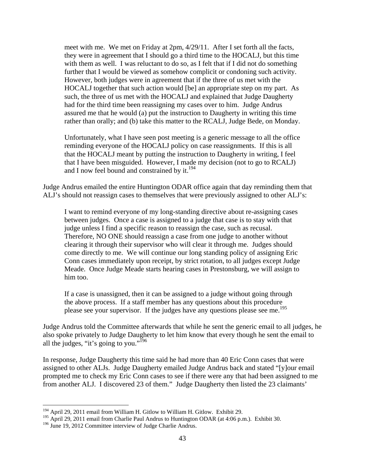meet with me. We met on Friday at 2pm, 4/29/11. After I set forth all the facts, they were in agreement that I should go a third time to the HOCALJ, but this time with them as well. I was reluctant to do so, as I felt that if I did not do something further that I would be viewed as somehow complicit or condoning such activity. However, both judges were in agreement that if the three of us met with the HOCALJ together that such action would [be] an appropriate step on my part. As such, the three of us met with the HOCALJ and explained that Judge Daugherty had for the third time been reassigning my cases over to him. Judge Andrus assured me that he would (a) put the instruction to Daugherty in writing this time rather than orally; and (b) take this matter to the RCALJ, Judge Bede, on Monday.

Unfortunately, what I have seen post meeting is a generic message to all the office reminding everyone of the HOCALJ policy on case reassignments. If this is all that the HOCALJ meant by putting the instruction to Daugherty in writing, I feel that I have been misguided. However, I made my decision (not to go to RCALJ) and I now feel bound and constrained by it.<sup>194</sup>

Judge Andrus emailed the entire Huntington ODAR office again that day reminding them that ALJ's should not reassign cases to themselves that were previously assigned to other ALJ's:

I want to remind everyone of my long-standing directive about re-assigning cases between judges. Once a case is assigned to a judge that case is to stay with that judge unless I find a specific reason to reassign the case, such as recusal. Therefore, NO ONE should reassign a case from one judge to another without clearing it through their supervisor who will clear it through me. Judges should come directly to me. We will continue our long standing policy of assigning Eric Conn cases immediately upon receipt, by strict rotation, to all judges except Judge Meade. Once Judge Meade starts hearing cases in Prestonsburg, we will assign to him too.

If a case is unassigned, then it can be assigned to a judge without going through the above process. If a staff member has any questions about this procedure please see your supervisor. If the judges have any questions please see me.<sup>195</sup>

Judge Andrus told the Committee afterwards that while he sent the generic email to all judges, he also spoke privately to Judge Daugherty to let him know that every though he sent the email to all the judges, "it's going to you."<sup>196</sup>

In response, Judge Daugherty this time said he had more than 40 Eric Conn cases that were assigned to other ALJs. Judge Daugherty emailed Judge Andrus back and stated "[y]our email prompted me to check my Eric Conn cases to see if there were any that had been assigned to me from another ALJ. I discovered 23 of them." Judge Daugherty then listed the 23 claimants'

<sup>&</sup>lt;sup>194</sup> April 29, 2011 email from William H. Gitlow to William H. Gitlow. Exhibit 29.

<sup>&</sup>lt;sup>195</sup> April 29, 2011 email from Charlie Paul Andrus to Huntington ODAR (at 4:06 p.m.). Exhibit 30.

<sup>&</sup>lt;sup>196</sup> June 19, 2012 Committee interview of Judge Charlie Andrus.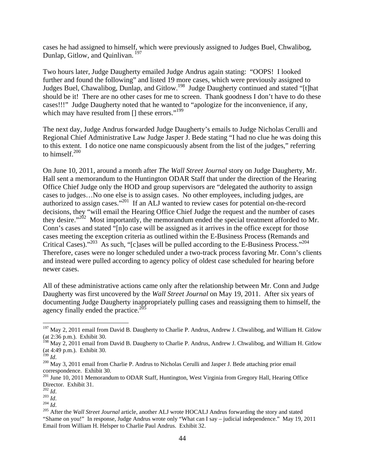cases he had assigned to himself, which were previously assigned to Judges Buel, Chwalibog, Dunlap, Gitlow, and Quinlivan.<sup>197</sup>

Two hours later, Judge Daugherty emailed Judge Andrus again stating: "OOPS! I looked further and found the following" and listed 19 more cases, which were previously assigned to Judges Buel, Chawalibog, Dunlap, and Gitlow.198 Judge Daugherty continued and stated "[t]hat should be it! There are no other cases for me to screen. Thank goodness I don't have to do these cases!!!" Judge Daugherty noted that he wanted to "apologize for the inconvenience, if any, which may have resulted from  $\left[\right]$  these errors."<sup>199</sup>

The next day, Judge Andrus forwarded Judge Daugherty's emails to Judge Nicholas Cerulli and Regional Chief Administrative Law Judge Jasper J. Bede stating "I had no clue he was doing this to this extent. I do notice one name conspicuously absent from the list of the judges," referring to himself.<sup>200</sup>

On June 10, 2011, around a month after *The Wall Street Journal* story on Judge Daugherty, Mr. Hall sent a memorandum to the Huntington ODAR Staff that under the direction of the Hearing Office Chief Judge only the HOD and group supervisors are "delegated the authority to assign cases to judges…No one else is to assign cases. No other employees, including judges, are authorized to assign cases."201 If an ALJ wanted to review cases for potential on-the-record decisions, they "will email the Hearing Office Chief Judge the request and the number of cases they desire."<sup>202</sup> Most importantly, the memorandum ended the special treatment afforded to Mr. Conn's cases and stated "[n]o case will be assigned as it arrives in the office except for those cases meeting the exception criteria as outlined within the E-Business Process (Remands and Critical Cases)."<sup>203</sup> As such, "[c]ases will be pulled according to the E-Business Process."<sup>204</sup> Therefore, cases were no longer scheduled under a two-track process favoring Mr. Conn's clients and instead were pulled according to agency policy of oldest case scheduled for hearing before newer cases.

All of these administrative actions came only after the relationship between Mr. Conn and Judge Daugherty was first uncovered by the *Wall Street Journal* on May 19, 2011. After six years of documenting Judge Daugherty inappropriately pulling cases and reassigning them to himself, the agency finally ended the practice.<sup>20</sup>

<sup>&</sup>lt;sup>197</sup> May 2, 2011 email from David B. Daugherty to Charlie P. Andrus, Andrew J. Chwalibog, and William H. Gitlow (at 2:36 p.m.). Exhibit 30.

<sup>&</sup>lt;sup>198</sup> May 2, 2011 email from David B. Daugherty to Charlie P. Andrus, Andrew J. Chwalibog, and William H. Gitlow (at 4:49 p.m.). Exhibit 30.

<sup>&</sup>lt;sup>200</sup> May 3, 2011 email from Charlie P. Andrus to Nicholas Cerulli and Jasper J. Bede attaching prior email correspondence. Exhibit 30.<br><sup>201</sup> June 10, 2011 Memorandum to ODAR Staff, Huntington, West Virginia from Gregory Hall, Hearing Office

Director. Exhibit 31.<br> $^{202}$  *Id.* 

<sup>202</sup> *Id*. 203 *Id*. 204 *Id*. 205 After the *Wall Street Journal* article, another ALJ wrote HOCALJ Andrus forwarding the story and stated "Shame on you!" In response, Judge Andrus wrote only "What can I say – judicial independence." May 19, 2011 Email from William H. Helsper to Charlie Paul Andrus. Exhibit 32.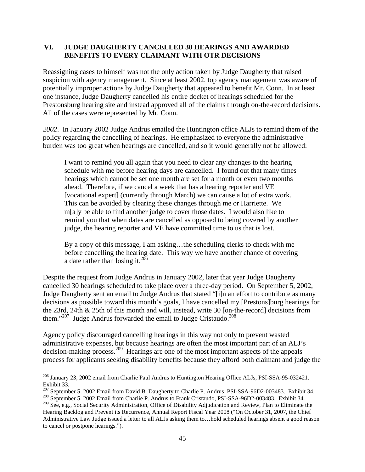### **VI. JUDGE DAUGHERTY CANCELLED 30 HEARINGS AND AWARDED BENEFITS TO EVERY CLAIMANT WITH OTR DECISIONS**

Reassigning cases to himself was not the only action taken by Judge Daugherty that raised suspicion with agency management. Since at least 2002, top agency management was aware of potentially improper actions by Judge Daugherty that appeared to benefit Mr. Conn. In at least one instance, Judge Daugherty cancelled his entire docket of hearings scheduled for the Prestonsburg hearing site and instead approved all of the claims through on-the-record decisions. All of the cases were represented by Mr. Conn.

*2002*. In January 2002 Judge Andrus emailed the Huntington office ALJs to remind them of the policy regarding the cancelling of hearings. He emphasized to everyone the administrative burden was too great when hearings are cancelled, and so it would generally not be allowed:

I want to remind you all again that you need to clear any changes to the hearing schedule with me before hearing days are cancelled. I found out that many times hearings which cannot be set one month are set for a month or even two months ahead. Therefore, if we cancel a week that has a hearing reporter and VE [vocational expert] (currently through March) we can cause a lot of extra work. This can be avoided by clearing these changes through me or Harriette. We m[a]y be able to find another judge to cover those dates. I would also like to remind you that when dates are cancelled as opposed to being covered by another judge, the hearing reporter and VE have committed time to us that is lost.

By a copy of this message, I am asking…the scheduling clerks to check with me before cancelling the hearing date. This way we have another chance of covering a date rather than losing it.<sup>206</sup>

Despite the request from Judge Andrus in January 2002, later that year Judge Daugherty cancelled 30 hearings scheduled to take place over a three-day period. On September 5, 2002, Judge Daugherty sent an email to Judge Andrus that stated "[i]n an effort to contribute as many decisions as possible toward this month's goals, I have cancelled my [Prestons]burg hearings for the 23rd, 24th & 25th of this month and will, instead, write 30 [on-the-record] decisions from them." $207$  Judge Andrus forwarded the email to Judge Cristaudo.<sup>208</sup>

Agency policy discouraged cancelling hearings in this way not only to prevent wasted administrative expenses, but because hearings are often the most important part of an ALJ's decision-making process.209 Hearings are one of the most important aspects of the appeals process for applicants seeking disability benefits because they afford both claimant and judge the

1

<sup>&</sup>lt;sup>206</sup> January 23, 2002 email from Charlie Paul Andrus to Huntington Hearing Office ALJs, PSI-SSA-95-032421. Exhibit 33.<br><sup>207</sup> September 5, 2002 Email from David B. Daugherty to Charlie P. Andrus, PSI-SSA-96D2-003483. Exhibit 34.

<sup>&</sup>lt;sup>208</sup> September 5, 2002 Email from Charlie P. Andrus to Frank Cristaudo, PSI-SSA-96D2-003483. Exhibit 34.

<sup>&</sup>lt;sup>209</sup> See, e.g., Social Security Administration, Office of Disability Adjudication and Review, Plan to Eliminate the Hearing Backlog and Prevent its Recurrence, Annual Report Fiscal Year 2008 ("On October 31, 2007, the Chief Administrative Law Judge issued a letter to all ALJs asking them to…hold scheduled hearings absent a good reason to cancel or postpone hearings.").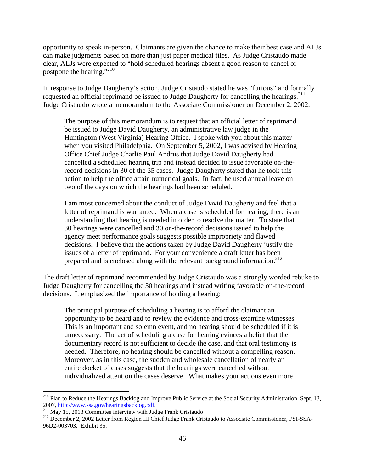opportunity to speak in-person. Claimants are given the chance to make their best case and ALJs can make judgments based on more than just paper medical files. As Judge Cristaudo made clear, ALJs were expected to "hold scheduled hearings absent a good reason to cancel or postpone the hearing."<sup>210</sup>

In response to Judge Daugherty's action, Judge Cristaudo stated he was "furious" and formally requested an official reprimand be issued to Judge Daugherty for cancelling the hearings.<sup>211</sup> Judge Cristaudo wrote a memorandum to the Associate Commissioner on December 2, 2002:

The purpose of this memorandum is to request that an official letter of reprimand be issued to Judge David Daugherty, an administrative law judge in the Huntington (West Virginia) Hearing Office. I spoke with you about this matter when you visited Philadelphia. On September 5, 2002, I was advised by Hearing Office Chief Judge Charlie Paul Andrus that Judge David Daugherty had cancelled a scheduled hearing trip and instead decided to issue favorable on-therecord decisions in 30 of the 35 cases. Judge Daugherty stated that he took this action to help the office attain numerical goals. In fact, he used annual leave on two of the days on which the hearings had been scheduled.

I am most concerned about the conduct of Judge David Daugherty and feel that a letter of reprimand is warranted. When a case is scheduled for hearing, there is an understanding that hearing is needed in order to resolve the matter. To state that 30 hearings were cancelled and 30 on-the-record decisions issued to help the agency meet performance goals suggests possible impropriety and flawed decisions. I believe that the actions taken by Judge David Daugherty justify the issues of a letter of reprimand. For your convenience a draft letter has been prepared and is enclosed along with the relevant background information.<sup>212</sup>

The draft letter of reprimand recommended by Judge Cristaudo was a strongly worded rebuke to Judge Daugherty for cancelling the 30 hearings and instead writing favorable on-the-record decisions. It emphasized the importance of holding a hearing:

The principal purpose of scheduling a hearing is to afford the claimant an opportunity to be heard and to review the evidence and cross-examine witnesses. This is an important and solemn event, and no hearing should be scheduled if it is unnecessary. The act of scheduling a case for hearing evinces a belief that the documentary record is not sufficient to decide the case, and that oral testimony is needed. Therefore, no hearing should be cancelled without a compelling reason. Moreover, as in this case, the sudden and wholesale cancellation of nearly an entire docket of cases suggests that the hearings were cancelled without individualized attention the cases deserve. What makes your actions even more

1

<sup>&</sup>lt;sup>210</sup> Plan to Reduce the Hearings Backlog and Improve Public Service at the Social Security Administration, Sept. 13, 2007, http://www.ssa.gov/hearingsbacklog.pdf.<br><sup>211</sup> May 15, 2013 Committee interview with Judge Frank Cristaudo 212 December 2, 2002 Letter from Region III Chief Judge Frank Cristaudo to Associate Commissioner, PSI-SSA-

<sup>96</sup>D2-003703. Exhibit 35.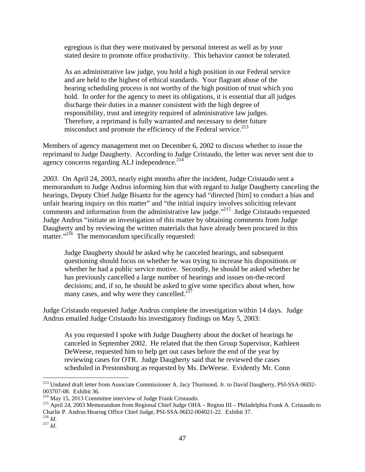egregious is that they were motivated by personal interest as well as by your stated desire to promote office productivity. This behavior cannot be tolerated.

As an administrative law judge, you hold a high position in our Federal service and are held to the highest of ethical standards. Your flagrant abuse of the hearing scheduling process is not worthy of the high position of trust which you hold. In order for the agency to meet its obligations, it is essential that all judges discharge their duties in a manner consistent with the high degree of responsibility, trust and integrity required of administrative law judges. Therefore, a reprimand is fully warranted and necessary to deter future misconduct and promote the efficiency of the Federal service.<sup>213</sup>

Members of agency management met on December 6, 2002 to discuss whether to issue the reprimand to Judge Daugherty. According to Judge Cristaudo, the letter was never sent due to agency concerns regarding ALJ independence. $2^{14}$ 

*2003*. On April 24, 2003, nearly eight months after the incident, Judge Cristaudo sent a memorandum to Judge Andrus informing him that with regard to Judge Daugherty canceling the hearings, Deputy Chief Judge Bisantz for the agency had "directed [him] to conduct a bias and unfair hearing inquiry on this matter" and "the initial inquiry involves soliciting relevant comments and information from the administrative law judge."215 Judge Cristaudo requested Judge Andrus "initiate an investigation of this matter by obtaining comments from Judge Daugherty and by reviewing the written materials that have already been procured in this matter."<sup>216</sup> The memorandum specifically requested:

Judge Daugherty should be asked why he canceled hearings, and subsequent questioning should focus on whether he was trying to increase his dispositions or whether he had a public service motive. Secondly, he should be asked whether he has previously cancelled a large number of hearings and issues on-the-record decisions; and, if so, he should be asked to give some specifics about when, how many cases, and why were they cancelled.<sup>217</sup>

Judge Cristaudo requested Judge Andrus complete the investigation within 14 days. Judge Andrus emailed Judge Cristaudo his investigatory findings on May 5, 2003:

As you requested I spoke with Judge Daugherty about the docket of hearings he canceled in September 2002. He related that the then Group Supervisor, Kathleen DeWeese, requested him to help get out cases before the end of the year by reviewing cases for OTR. Judge Daugherty said that he reviewed the cases scheduled in Prestonsburg as requested by Ms. DeWeese. Evidently Mr. Conn

<sup>&</sup>lt;sup>213</sup> Undated draft letter from Associate Commissioner A. Jacy Thurmond, Jr. to David Daugherty, PSI-SSA-96D2-003707-08. Exhibit 36.<br><sup>214</sup> May 15, 2013 Committee interview of Judge Frank Cristaudo.

<sup>&</sup>lt;sup>215</sup> April 24, 2003 Memorandum from Regional Chief Judge OHA – Region III – Philadelphia Frank A. Cristaudo to Charlie P. Andrus Hearing Office Chief Judge, PSI-SSA-96D2-004021-22. Exhibit 37.<br><sup>216</sup> Id.

 $^{217}$   $^{141}$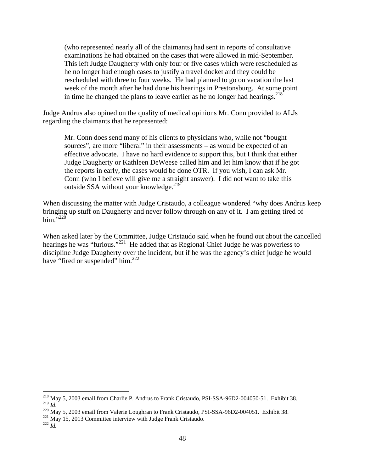(who represented nearly all of the claimants) had sent in reports of consultative examinations he had obtained on the cases that were allowed in mid-September. This left Judge Daugherty with only four or five cases which were rescheduled as he no longer had enough cases to justify a travel docket and they could be rescheduled with three to four weeks. He had planned to go on vacation the last week of the month after he had done his hearings in Prestonsburg. At some point in time he changed the plans to leave earlier as he no longer had hearings.<sup>218</sup>

Judge Andrus also opined on the quality of medical opinions Mr. Conn provided to ALJs regarding the claimants that he represented:

Mr. Conn does send many of his clients to physicians who, while not "bought sources", are more "liberal" in their assessments – as would be expected of an effective advocate. I have no hard evidence to support this, but I think that either Judge Daugherty or Kathleen DeWeese called him and let him know that if he got the reports in early, the cases would be done OTR. If you wish, I can ask Mr. Conn (who I believe will give me a straight answer). I did not want to take this outside SSA without your knowledge.<sup>219</sup>

When discussing the matter with Judge Cristaudo, a colleague wondered "why does Andrus keep bringing up stuff on Daugherty and never follow through on any of it. I am getting tired of him. $\cdots$ <sup>7,220</sup>

When asked later by the Committee, Judge Cristaudo said when he found out about the cancelled hearings he was "furious."<sup>221</sup> He added that as Regional Chief Judge he was powerless to discipline Judge Daugherty over the incident, but if he was the agency's chief judge he would have "fired or suspended" him. $^{222}$ 

<sup>&</sup>lt;sup>218</sup> May 5, 2003 email from Charlie P. Andrus to Frank Cristaudo, PSI-SSA-96D2-004050-51. Exhibit 38. <sup>219</sup> *Id.* 220 May 5, 2002 email from Valerie Loughran to Frank Cristaudo, PSI-SSA-96D2-004051. Exhibit 38. <sup>221</sup> May 15, 2013 Committee interview with Judge Frank Cristaudo.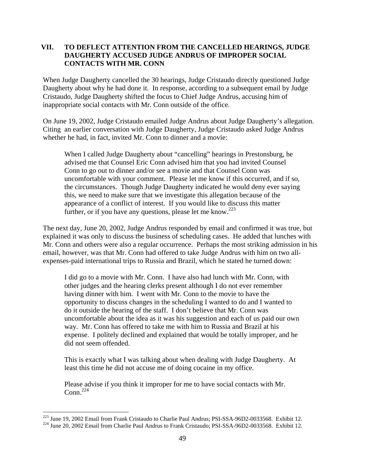## **VII. TO DEFLECT ATTENTION FROM THE CANCELLED HEARINGS, JUDGE DAUGHERTY ACCUSED JUDGE ANDRUS OF IMPROPER SOCIAL CONTACTS WITH MR. CONN**

When Judge Daugherty cancelled the 30 hearings, Judge Cristaudo directly questioned Judge Daugherty about why he had done it. In response, according to a subsequent email by Judge Cristaudo, Judge Daugherty shifted the focus to Chief Judge Andrus, accusing him of inappropriate social contacts with Mr. Conn outside of the office.

On June 19, 2002, Judge Cristaudo emailed Judge Andrus about Judge Daugherty's allegation. Citing an earlier conversation with Judge Daugherty, Judge Cristaudo asked Judge Andrus whether he had, in fact, invited Mr. Conn to dinner and a movie:

When I called Judge Daugherty about "cancelling" hearings in Prestonsburg, he advised me that Counsel Eric Conn advised him that you had invited Counsel Conn to go out to dinner and/or see a movie and that Counsel Conn was uncomfortable with your comment. Please let me know if this occurred, and if so, the circumstances. Though Judge Daugherty indicated he would deny ever saying this, we need to make sure that we investigate this allegation because of the appearance of a conflict of interest. If you would like to discuss this matter further, or if you have any questions, please let me know.<sup>223</sup>

The next day, June 20, 2002, Judge Andrus responded by email and confirmed it was true, but explained it was only to discuss the business of scheduling cases. He added that lunches with Mr. Conn and others were also a regular occurrence. Perhaps the most striking admission in his email, however, was that Mr. Conn had offered to take Judge Andrus with him on two allexpenses-paid international trips to Russia and Brazil, which he stated he turned down:

I did go to a movie with Mr. Conn. I have also had lunch with Mr. Conn, with other judges and the hearing clerks present although I do not ever remember having dinner with him. I went with Mr. Conn to the movie to have the opportunity to discuss changes in the scheduling I wanted to do and I wanted to do it outside the hearing of the staff. I don't believe that Mr. Conn was uncomfortable about the idea as it was his suggestion and each of us paid our own way. Mr. Conn has offered to take me with him to Russia and Brazil at his expense. I politely declined and explained that would be totally improper, and he did not seem offended.

This is exactly what I was talking about when dealing with Judge Daugherty. At least this time he did not accuse me of doing cocaine in my office.

Please advise if you think it improper for me to have social contacts with Mr. Conn $^{224}$ 

<sup>&</sup>lt;sup>223</sup> June 19, 2002 Email from Frank Cristaudo to Charlie Paul Andrus; PSI-SSA-96D2-0033568. Exhibit 12.

<sup>&</sup>lt;sup>224</sup> June 20, 2002 Email from Charlie Paul Andrus to Frank Cristaudo; PSI-SSA-96D2-0033568. Exhibit 12.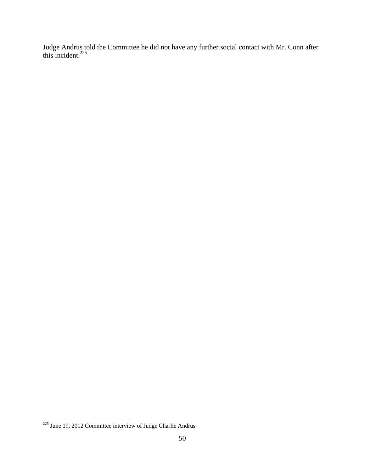Judge Andrus told the Committee he did not have any further social contact with Mr. Conn after this incident. $^{225}$ 

<u>.</u>

 $225$  June 19, 2012 Committee interview of Judge Charlie Andrus.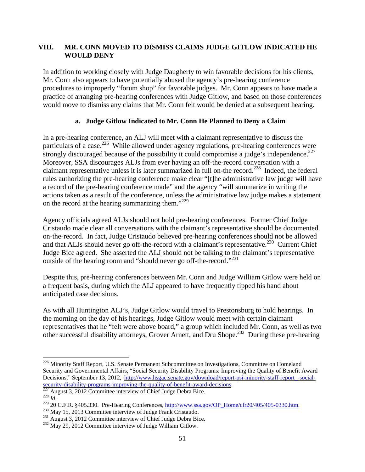## **VIII. MR. CONN MOVED TO DISMISS CLAIMS JUDGE GITLOW INDICATED HE WOULD DENY**

In addition to working closely with Judge Daugherty to win favorable decisions for his clients, Mr. Conn also appears to have potentially abused the agency's pre-hearing conference procedures to improperly "forum shop" for favorable judges. Mr. Conn appears to have made a practice of arranging pre-hearing conferences with Judge Gitlow, and based on those conferences would move to dismiss any claims that Mr. Conn felt would be denied at a subsequent hearing.

# **a. Judge Gitlow Indicated to Mr. Conn He Planned to Deny a Claim**

In a pre-hearing conference, an ALJ will meet with a claimant representative to discuss the particulars of a case.<sup>226</sup> While allowed under agency regulations, pre-hearing conferences were strongly discouraged because of the possibility it could compromise a judge's independence.<sup>227</sup> Moreover, SSA discourages ALJs from ever having an off-the-record conversation with a claimant representative unless it is later summarized in full on-the record.228 Indeed, the federal rules authorizing the pre-hearing conference make clear "[t]he administrative law judge will have a record of the pre-hearing conference made" and the agency "will summarize in writing the actions taken as a result of the conference, unless the administrative law judge makes a statement on the record at the hearing summarizing them."<sup>229</sup>

Agency officials agreed ALJs should not hold pre-hearing conferences. Former Chief Judge Cristaudo made clear all conversations with the claimant's representative should be documented on-the-record. In fact, Judge Cristaudo believed pre-hearing conferences should not be allowed and that ALJs should never go off-the-record with a claimant's representative.<sup>230</sup> Current Chief Judge Bice agreed. She asserted the ALJ should not be talking to the claimant's representative outside of the hearing room and "should never go off-the-record."<sup>231</sup>

Despite this, pre-hearing conferences between Mr. Conn and Judge William Gitlow were held on a frequent basis, during which the ALJ appeared to have frequently tipped his hand about anticipated case decisions.

As with all Huntington ALJ's, Judge Gitlow would travel to Prestonsburg to hold hearings. In the morning on the day of his hearings, Judge Gitlow would meet with certain claimant representatives that he "felt were above board," a group which included Mr. Conn, as well as two other successful disability attorneys, Grover Arnett, and Dru Shope.232 During these pre-hearing

 $\overline{a}$ <sup>226</sup> Minority Staff Report, U.S. Senate Permanent Subcommittee on Investigations, Committee on Homeland Security and Governmental Affairs, "Social Security Disability Programs: Improving the Quality of Benefit Award Decisions," September 13, 2012, http://www.hsgac.senate.gov/download/report-psi-minority-staff-report\_-social-<br>security-disability-programs-improving-the-quality-of-benefit-award-decisions.<br> $\frac{227 \text{ A} \text{cos} \times (227 \text{ A})}{227$ 

<sup>&</sup>lt;sup>227</sup> August 3, 2012 Committee interview of Chief Judge Debra Bice.<br><sup>228</sup> *Id.*<br><sup>229</sup> 20 C.F.R. §405.330. Pre-Hearing Conferences, http://www.ssa.gov/OP\_Home/cfr20/405/405-0330.htm.<br><sup>230</sup> May 15, 2013 Committee interview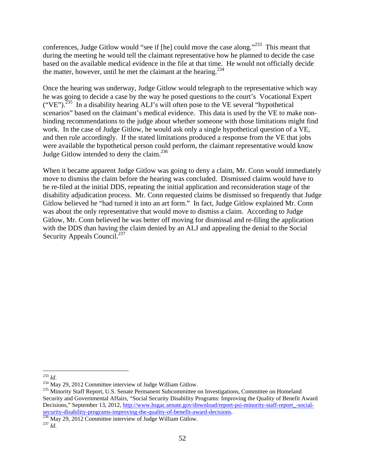conferences, Judge Gitlow would "see if [he] could move the case along."<sup>233</sup> This meant that during the meeting he would tell the claimant representative how he planned to decide the case based on the available medical evidence in the file at that time. He would not officially decide the matter, however, until he met the claimant at the hearing.<sup>234</sup>

Once the hearing was underway, Judge Gitlow would telegraph to the representative which way he was going to decide a case by the way he posed questions to the court's Vocational Expert  $("VE")$ .<sup>235</sup> In a disability hearing ALJ's will often pose to the VE several "hypothetical" scenarios" based on the claimant's medical evidence. This data is used by the VE to make nonbinding recommendations to the judge about whether someone with those limitations might find work. In the case of Judge Gitlow, he would ask only a single hypothetical question of a VE, and then rule accordingly. If the stated limitations produced a response from the VE that jobs were available the hypothetical person could perform, the claimant representative would know Judge Gitlow intended to deny the claim.<sup>236</sup>

When it became apparent Judge Gitlow was going to deny a claim, Mr. Conn would immediately move to dismiss the claim before the hearing was concluded. Dismissed claims would have to be re-filed at the initial DDS, repeating the initial application and reconsideration stage of the disability adjudication process. Mr. Conn requested claims be dismissed so frequently that Judge Gitlow believed he "had turned it into an art form." In fact, Judge Gitlow explained Mr. Conn was about the only representative that would move to dismiss a claim. According to Judge Gitlow, Mr. Conn believed he was better off moving for dismissal and re-filing the application with the DDS than having the claim denied by an ALJ and appealing the denial to the Social Security Appeals Council.<sup>237</sup>

 $^{233}$  *Id.* 

<sup>&</sup>lt;sup>234</sup> May 29, 2012 Committee interview of Judge William Gitlow.<br><sup>235</sup> Minority Staff Report, U.S. Senate Permanent Subcommittee on Investigations, Committee on Homeland Security and Governmental Affairs, "Social Security Disability Programs: Improving the Quality of Benefit Award Decisions," September 13, 2012, http://www.hsgac.senate.gov/download/report-psi-minority-staff-report\_-socialsecurity-disability-programs-improving-the-quality-of-benefit-award-decisions.<br><sup>236</sup> May 29, 2012 Committee interview of Judge William Gitlow.<br><sup>237</sup> *Id*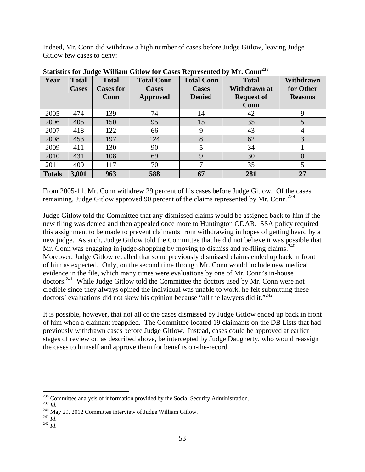Indeed, Mr. Conn did withdraw a high number of cases before Judge Gitlow, leaving Judge Gitlow few cases to deny:

| Year          | <b>Total</b> | <b>Total</b>     | <b>Total Conn</b> | <b>Total Conn</b> | <b>Total</b>      | Withdrawn      |
|---------------|--------------|------------------|-------------------|-------------------|-------------------|----------------|
|               | <b>Cases</b> | <b>Cases for</b> | <b>Cases</b>      | <b>Cases</b>      | Withdrawn at      | for Other      |
|               |              | Conn             | <b>Approved</b>   | <b>Denied</b>     | <b>Request of</b> | <b>Reasons</b> |
|               |              |                  |                   |                   | Conn              |                |
| 2005          | 474          | 139              | 74                | 14                | 42                | 9              |
| 2006          | 405          | 150              | 95                | 15                | 35                | 5              |
| 2007          | 418          | 122              | 66                | 9                 | 43                | 4              |
| 2008          | 453          | 197              | 124               | 8                 | 62                | 3              |
| 2009          | 411          | 130              | 90                | 5                 | 34                |                |
| 2010          | 431          | 108              | 69                | 9                 | 30                | $\theta$       |
| 2011          | 409          | 117              | 70                | 7                 | 35                | 5              |
| <b>Totals</b> | 3,001        | 963              | 588               | 67                | 281               | 27             |

**Statistics for Judge William Gitlow for Cases Represented by Mr. Conn238**

From 2005-11, Mr. Conn withdrew 29 percent of his cases before Judge Gitlow. Of the cases remaining, Judge Gitlow approved 90 percent of the claims represented by Mr. Conn.<sup>239</sup>

Judge Gitlow told the Committee that any dismissed claims would be assigned back to him if the new filing was denied and then appealed once more to Huntington ODAR. SSA policy required this assignment to be made to prevent claimants from withdrawing in hopes of getting heard by a new judge. As such, Judge Gitlow told the Committee that he did not believe it was possible that Mr. Conn was engaging in judge-shopping by moving to dismiss and re-filing claims.<sup>240</sup> Moreover, Judge Gitlow recalled that some previously dismissed claims ended up back in front of him as expected. Only, on the second time through Mr. Conn would include new medical evidence in the file, which many times were evaluations by one of Mr. Conn's in-house doctors.241 While Judge Gitlow told the Committee the doctors used by Mr. Conn were not credible since they always opined the individual was unable to work, he felt submitting these doctors' evaluations did not skew his opinion because "all the lawyers did it."<sup>242</sup>

It is possible, however, that not all of the cases dismissed by Judge Gitlow ended up back in front of him when a claimant reapplied. The Committee located 19 claimants on the DB Lists that had previously withdrawn cases before Judge Gitlow. Instead, cases could be approved at earlier stages of review or, as described above, be intercepted by Judge Daugherty, who would reassign the cases to himself and approve them for benefits on-the-record.

 $\overline{a}$ <sup>238</sup> Committee analysis of information provided by the Social Security Administration.

<sup>239</sup> *Id.* 240 May 29, 2012 Committee interview of Judge William Gitlow. 241 *Id*. 242 *Id*.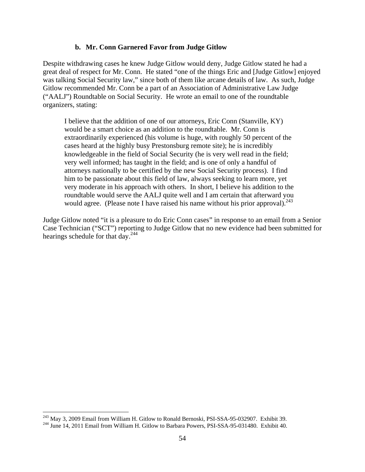#### **b. Mr. Conn Garnered Favor from Judge Gitlow**

Despite withdrawing cases he knew Judge Gitlow would deny, Judge Gitlow stated he had a great deal of respect for Mr. Conn. He stated "one of the things Eric and [Judge Gitlow] enjoyed was talking Social Security law," since both of them like arcane details of law. As such, Judge Gitlow recommended Mr. Conn be a part of an Association of Administrative Law Judge ("AALJ") Roundtable on Social Security. He wrote an email to one of the roundtable organizers, stating:

I believe that the addition of one of our attorneys, Eric Conn (Stanville, KY) would be a smart choice as an addition to the roundtable. Mr. Conn is extraordinarily experienced (his volume is huge, with roughly 50 percent of the cases heard at the highly busy Prestonsburg remote site); he is incredibly knowledgeable in the field of Social Security (he is very well read in the field; very well informed; has taught in the field; and is one of only a handful of attorneys nationally to be certified by the new Social Security process). I find him to be passionate about this field of law, always seeking to learn more, yet very moderate in his approach with others. In short, I believe his addition to the roundtable would serve the AALJ quite well and I am certain that afterward you would agree. (Please note I have raised his name without his prior approval).  $243$ 

Judge Gitlow noted "it is a pleasure to do Eric Conn cases" in response to an email from a Senior Case Technician ("SCT") reporting to Judge Gitlow that no new evidence had been submitted for hearings schedule for that day.<sup>244</sup>

<sup>&</sup>lt;sup>243</sup> May 3, 2009 Email from William H. Gitlow to Ronald Bernoski, PSI-SSA-95-032907. Exhibit 39.

 $244$  June 14, 2011 Email from William H. Gitlow to Barbara Powers, PSI-SSA-95-031480. Exhibit 40.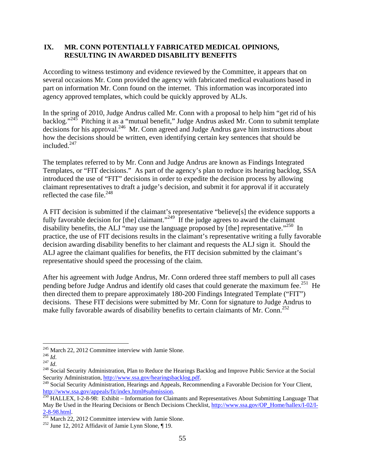### **IX. MR. CONN POTENTIALLY FABRICATED MEDICAL OPINIONS, RESULTING IN AWARDED DISABILITY BENEFITS**

According to witness testimony and evidence reviewed by the Committee, it appears that on several occasions Mr. Conn provided the agency with fabricated medical evaluations based in part on information Mr. Conn found on the internet. This information was incorporated into agency approved templates, which could be quickly approved by ALJs.

In the spring of 2010, Judge Andrus called Mr. Conn with a proposal to help him "get rid of his backlog."245 Pitching it as a "mutual benefit," Judge Andrus asked Mr. Conn to submit template decisions for his approval.246 Mr. Conn agreed and Judge Andrus gave him instructions about how the decisions should be written, even identifying certain key sentences that should be included. $247$ 

The templates referred to by Mr. Conn and Judge Andrus are known as Findings Integrated Templates, or "FIT decisions." As part of the agency's plan to reduce its hearing backlog, SSA introduced the use of "FIT" decisions in order to expedite the decision process by allowing claimant representatives to draft a judge's decision, and submit it for approval if it accurately reflected the case file. $^{248}$ 

A FIT decision is submitted if the claimant's representative "believe[s] the evidence supports a fully favorable decision for [the] claimant."<sup>249</sup> If the judge agrees to award the claimant disability benefits, the ALJ "may use the language proposed by [the] representative."<sup>250</sup> In practice, the use of FIT decisions results in the claimant's representative writing a fully favorable decision awarding disability benefits to her claimant and requests the ALJ sign it. Should the ALJ agree the claimant qualifies for benefits, the FIT decision submitted by the claimant's representative should speed the processing of the claim.

After his agreement with Judge Andrus, Mr. Conn ordered three staff members to pull all cases pending before Judge Andrus and identify old cases that could generate the maximum fee.<sup>251</sup> He then directed them to prepare approximately 180-200 Findings Integrated Template ("FIT") decisions. These FIT decisions were submitted by Mr. Conn for signature to Judge Andrus to make fully favorable awards of disability benefits to certain claimants of Mr. Conn.<sup>252</sup>

<sup>&</sup>lt;sup>245</sup> March 22, 2012 Committee interview with Jamie Slone.

<sup>&</sup>lt;sup>246</sup> *Id.*<br><sup>247</sup> *Id.* <sup>247</sup> *Id.* 248 Social Security Administration, Plan to Reduce the Hearings Backlog and Improve Public Service at the Social Security Administration, http://www.ssa.gov/hearingsbacklog.pdf.

<sup>&</sup>lt;sup>249</sup> Social Security Administration, Hearings and Appeals, Recommending a Favorable Decision for Your Client, http://www.ssa.gov/appeals/fit/index.html#submission.

 $\frac{250}{250}$  HALLEX, I-2-8-98: Exhibit – Information for Claimants and Representatives About Submitting Language That May Be Used in the Hearing Decisions or Bench Decisions Checklist, http://www.ssa.gov/OP\_Home/hallex/I-02/I-<br>2-8-98.html.

 $\frac{251 \text{ March } 22}{251 \text{ March } 22,}$  2012 Committee interview with Jamie Slone. <sup>252</sup> June 12, 2012 Affidavit of Jamie Lynn Slone, ¶ 19.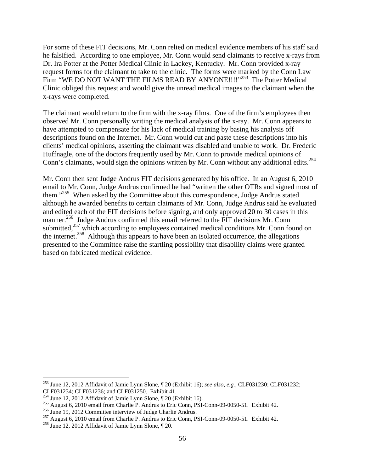For some of these FIT decisions, Mr. Conn relied on medical evidence members of his staff said he falsified. According to one employee, Mr. Conn would send claimants to receive x-rays from Dr. Ira Potter at the Potter Medical Clinic in Lackey, Kentucky. Mr. Conn provided x-ray request forms for the claimant to take to the clinic. The forms were marked by the Conn Law Firm "WE DO NOT WANT THE FILMS READ BY ANYONE!!!!"<sup>253</sup> The Potter Medical Clinic obliged this request and would give the unread medical images to the claimant when the x-rays were completed.

The claimant would return to the firm with the x-ray films. One of the firm's employees then observed Mr. Conn personally writing the medical analysis of the x-ray. Mr. Conn appears to have attempted to compensate for his lack of medical training by basing his analysis off descriptions found on the Internet. Mr. Conn would cut and paste these descriptions into his clients' medical opinions, asserting the claimant was disabled and unable to work. Dr. Frederic Huffnagle, one of the doctors frequently used by Mr. Conn to provide medical opinions of Conn's claimants, would sign the opinions written by Mr. Conn without any additional edits.<sup>254</sup>

Mr. Conn then sent Judge Andrus FIT decisions generated by his office. In an August 6, 2010 email to Mr. Conn, Judge Andrus confirmed he had "written the other OTRs and signed most of them."<sup>255</sup> When asked by the Committee about this correspondence, Judge Andrus stated although he awarded benefits to certain claimants of Mr. Conn, Judge Andrus said he evaluated and edited each of the FIT decisions before signing, and only approved 20 to 30 cases in this manner.<sup>256</sup> Judge Andrus confirmed this email referred to the FIT decisions Mr. Conn submitted, $257$  which according to employees contained medical conditions Mr. Conn found on the internet.<sup>258</sup> Although this appears to have been an isolated occurrence, the allegations presented to the Committee raise the startling possibility that disability claims were granted based on fabricated medical evidence.

<sup>253</sup> June 12, 2012 Affidavit of Jamie Lynn Slone, ¶ 20 (Exhibit 16); *see also, e.g.,* CLF031230; CLF031232;

CLF031234; CLF031236; and CLF031250. Exhibit 41.<br><sup>254</sup> June 12, 2012 Affidavit of Jamie Lynn Slone, ¶ 20 (Exhibit 16).

<sup>&</sup>lt;sup>255</sup> August 6, 2010 email from Charlie P. Andrus to Eric Conn, PSI-Conn-09-0050-51. Exhibit 42.<br><sup>256</sup> June 19, 2012 Committee interview of Judge Charlie Andrus.<br><sup>257</sup> August 6, 2010 email from Charlie P. Andrus to Eric C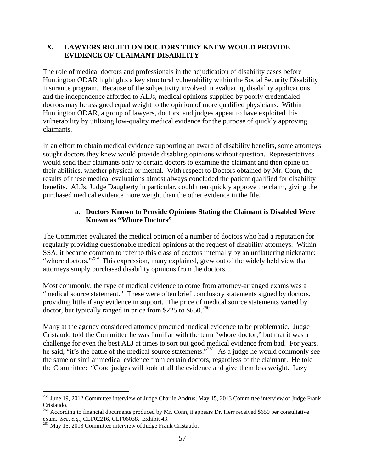### **X. LAWYERS RELIED ON DOCTORS THEY KNEW WOULD PROVIDE EVIDENCE OF CLAIMANT DISABILITY**

The role of medical doctors and professionals in the adjudication of disability cases before Huntington ODAR highlights a key structural vulnerability within the Social Security Disability Insurance program. Because of the subjectivity involved in evaluating disability applications and the independence afforded to ALJs, medical opinions supplied by poorly credentialed doctors may be assigned equal weight to the opinion of more qualified physicians. Within Huntington ODAR, a group of lawyers, doctors, and judges appear to have exploited this vulnerability by utilizing low-quality medical evidence for the purpose of quickly approving claimants.

In an effort to obtain medical evidence supporting an award of disability benefits, some attorneys sought doctors they knew would provide disabling opinions without question. Representatives would send their claimants only to certain doctors to examine the claimant and then opine on their abilities, whether physical or mental. With respect to Doctors obtained by Mr. Conn, the results of these medical evaluations almost always concluded the patient qualified for disability benefits. ALJs, Judge Daugherty in particular, could then quickly approve the claim, giving the purchased medical evidence more weight than the other evidence in the file.

### **a. Doctors Known to Provide Opinions Stating the Claimant is Disabled Were Known as "Whore Doctors"**

The Committee evaluated the medical opinion of a number of doctors who had a reputation for regularly providing questionable medical opinions at the request of disability attorneys. Within SSA, it became common to refer to this class of doctors internally by an unflattering nickname: "whore doctors."<sup>259</sup> This expression, many explained, grew out of the widely held view that attorneys simply purchased disability opinions from the doctors.

Most commonly, the type of medical evidence to come from attorney-arranged exams was a "medical source statement." These were often brief conclusory statements signed by doctors, providing little if any evidence in support. The price of medical source statements varied by doctor, but typically ranged in price from \$225 to  $$650.<sup>260</sup>$ 

Many at the agency considered attorney procured medical evidence to be problematic. Judge Cristaudo told the Committee he was familiar with the term "whore doctor," but that it was a challenge for even the best ALJ at times to sort out good medical evidence from bad. For years, he said, "it's the battle of the medical source statements."<sup>261</sup> As a judge he would commonly see the same or similar medical evidence from certain doctors, regardless of the claimant. He told the Committee: "Good judges will look at all the evidence and give them less weight. Lazy

<sup>&</sup>lt;sup>259</sup> June 19, 2012 Committee interview of Judge Charlie Andrus; May 15, 2013 Committee interview of Judge Frank Cristaudo.

 $^{260}$  According to financial documents produced by Mr. Conn, it appears Dr. Herr received \$650 per consultative exam. *See, e.g., CLF02216, CLF06038. Exhibit 43.* <sup>261</sup> May 15, 2013 Committee interview of Judge Frank Cristaudo.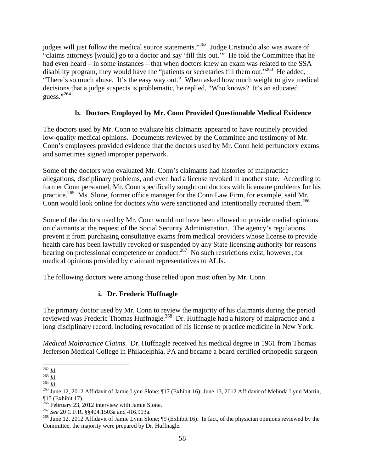judges will just follow the medical source statements."<sup>262</sup> Judge Cristaudo also was aware of "claims attorneys [would] go to a doctor and say 'fill this out.'" He told the Committee that he had even heard – in some instances – that when doctors knew an exam was related to the SSA disability program, they would have the "patients or secretaries fill them out."<sup>263</sup> He added, "There's so much abuse. It's the easy way out." When asked how much weight to give medical decisions that a judge suspects is problematic, he replied, "Who knows? It's an educated  $_{\text{guess}}$ .  $^{,264}$ 

# **b. Doctors Employed by Mr. Conn Provided Questionable Medical Evidence**

The doctors used by Mr. Conn to evaluate his claimants appeared to have routinely provided low-quality medical opinions. Documents reviewed by the Committee and testimony of Mr. Conn's employees provided evidence that the doctors used by Mr. Conn held perfunctory exams and sometimes signed improper paperwork.

Some of the doctors who evaluated Mr. Conn's claimants had histories of malpractice allegations, disciplinary problems, and even had a license revoked in another state. According to former Conn personnel, Mr. Conn specifically sought out doctors with licensure problems for his practice.<sup>265</sup> Ms. Slone, former office manager for the Conn Law Firm, for example, said Mr. Conn would look online for doctors who were sanctioned and intentionally recruited them.<sup>266</sup>

Some of the doctors used by Mr. Conn would not have been allowed to provide medial opinions on claimants at the request of the Social Security Administration. The agency's regulations prevent it from purchasing consultative exams from medical providers whose license to provide health care has been lawfully revoked or suspended by any State licensing authority for reasons bearing on professional competence or conduct.<sup>267</sup> No such restrictions exist, however, for medical opinions provided by claimant representatives to ALJs.

The following doctors were among those relied upon most often by Mr. Conn.

# **i. Dr. Frederic Huffnagle**

The primary doctor used by Mr. Conn to review the majority of his claimants during the period reviewed was Frederic Thomas Huffnagle.<sup>268</sup> Dr. Huffnagle had a history of malpractice and a long disciplinary record, including revocation of his license to practice medicine in New York.

*Medical Malpractice Claims*. Dr. Huffnagle received his medical degree in 1961 from Thomas Jefferson Medical College in Philadelphia, PA and became a board certified orthopedic surgeon

 $^{262}$  *Id.* 

<sup>263</sup> *Id.*<br><sup>264</sup> *Id.*<br><sup>264</sup> *Id.* 2012 Affidavit of Jamie Lynn Slone; ¶17 (Exhibit 16); June 13, 2012 Affidavit of Melinda Lynn Martin,  $\frac{15}{266}$  (Exhibit 17).<br>
<sup>266</sup> February 23, 2012 interview with Jamie Slone.

<sup>&</sup>lt;sup>267</sup> See 20 C.F.R. §§404.1503a and 416.903a.<br><sup>268</sup> June 12, 2012 Affidavit of Jamie Lynn Slone; ¶9 (Exhibit 16). In fact, of the physician opinions reviewed by the Committee, the majority were prepared by Dr. Huffnagle.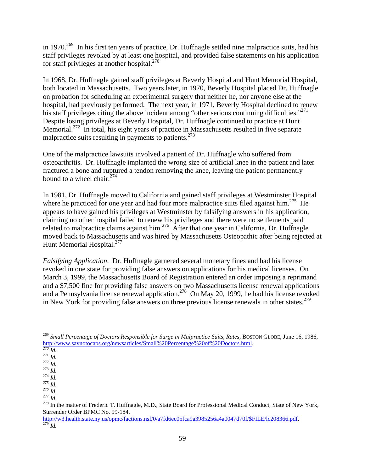in 1970.<sup>269</sup> In his first ten years of practice, Dr. Huffnagle settled nine malpractice suits, had his staff privileges revoked by at least one hospital, and provided false statements on his application for staff privileges at another hospital.<sup>270</sup>

In 1968, Dr. Huffnagle gained staff privileges at Beverly Hospital and Hunt Memorial Hospital, both located in Massachusetts. Two years later, in 1970, Beverly Hospital placed Dr. Huffnagle on probation for scheduling an experimental surgery that neither he, nor anyone else at the hospital, had previously performed. The next year, in 1971, Beverly Hospital declined to renew his staff privileges citing the above incident among "other serious continuing difficulties."<sup>271</sup> Despite losing privileges at Beverly Hospital, Dr. Huffnagle continued to practice at Hunt Memorial.<sup>272</sup> In total, his eight years of practice in Massachusetts resulted in five separate malpractice suits resulting in payments to patients.<sup>273</sup>

One of the malpractice lawsuits involved a patient of Dr. Huffnagle who suffered from osteoarthritis. Dr. Huffnagle implanted the wrong size of artificial knee in the patient and later fractured a bone and ruptured a tendon removing the knee, leaving the patient permanently bound to a wheel chair. $274$ 

In 1981, Dr. Huffnagle moved to California and gained staff privileges at Westminster Hospital where he practiced for one year and had four more malpractice suits filed against him.<sup>275</sup> He appears to have gained his privileges at Westminster by falsifying answers in his application, claiming no other hospital failed to renew his privileges and there were no settlements paid related to malpractice claims against him.<sup>276</sup> After that one year in California, Dr. Huffnagle moved back to Massachusetts and was hired by Massachusetts Osteopathic after being rejected at Hunt Memorial Hospital.<sup>277</sup>

*Falsifying Application*. Dr. Huffnagle garnered several monetary fines and had his license revoked in one state for providing false answers on applications for his medical licenses. On March 3, 1999, the Massachusetts Board of Registration entered an order imposing a reprimand and a \$7,500 fine for providing false answers on two Massachusetts license renewal applications and a Pennsylvania license renewal application.<sup>278</sup> On May 20, 1999, he had his license revoked in New York for providing false answers on three previous license renewals in other states.<sup>279</sup>

1

<sup>&</sup>lt;sup>269</sup> Small Percentage of Doctors Responsible for Surge in Malpractice Suits, Rates, BOSTON GLOBE, June 16, 1986, 177 *Id.*<br>279 *Id.*<br>271 *Id.*<br>271 *Id.*<br>272 *Id.*<br>274 *Id.*<br>275 *Id.*<br>275 *Id.*<br>276 *Id.*<br>276 *Id.* 

Surrender Order BPMC No. 99-184,

http://w3.health.state.ny.us/opmc/factions.nsf/0/a7fd6ec05fca9a3985256a4a0047d70f/\$FILE/lc208366.pdf. 279 *Id.*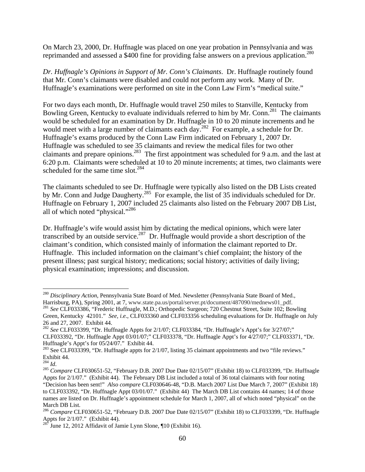On March 23, 2000, Dr. Huffnagle was placed on one year probation in Pennsylvania and was reprimanded and assessed a \$400 fine for providing false answers on a previous application.<sup>280</sup>

*Dr. Huffnagle's Opinions in Support of Mr. Conn's Claimants*. Dr. Huffnagle routinely found that Mr. Conn's claimants were disabled and could not perform any work. Many of Dr. Huffnagle's examinations were performed on site in the Conn Law Firm's "medical suite."

For two days each month, Dr. Huffnagle would travel 250 miles to Stanville, Kentucky from Bowling Green, Kentucky to evaluate individuals referred to him by Mr. Conn.<sup>281</sup> The claimants would be scheduled for an examination by Dr. Huffnagle in 10 to 20 minute increments and he would meet with a large number of claimants each day.<sup>282</sup> For example, a schedule for Dr. Huffnagle's exams produced by the Conn Law Firm indicated on February 1, 2007 Dr. Huffnagle was scheduled to see 35 claimants and review the medical files for two other claimants and prepare opinions.283 The first appointment was scheduled for 9 a.m. and the last at 6:20 p.m. Claimants were scheduled at 10 to 20 minute increments; at times, two claimants were scheduled for the same time slot. $284$ 

The claimants scheduled to see Dr. Huffnagle were typically also listed on the DB Lists created by Mr. Conn and Judge Daugherty.<sup>285</sup> For example, the list of 35 individuals scheduled for Dr. Huffnagle on February 1, 2007 included 25 claimants also listed on the February 2007 DB List, all of which noted "physical."286

Dr. Huffnagle's wife would assist him by dictating the medical opinions, which were later transcribed by an outside service.<sup>287</sup> Dr. Huffnagle would provide a short description of the claimant's condition, which consisted mainly of information the claimant reported to Dr. Huffnagle. This included information on the claimant's chief complaint; the history of the present illness; past surgical history; medications; social history; activities of daily living; physical examination; impressions; and discussion.

<sup>280</sup> *Disciplinary Action*, Pennsylvania State Board of Med. Newsletter (Pennsylvania State Board of Med., Harrisburg, PA), Spring 2001, at 7, www.state.pa.us/portal/server.pt/document/487090/mednews01\_pdf.<br><sup>281</sup> *See* CLF033386, "Frederic Huffnagle, M.D.; Orthopedic Surgeon; 720 Chestnut Street, Suite 102; Bowling

Green, Kentucky 42101." *See, i.e*., CLF033360 and CLF033356 scheduling evaluations for Dr. Huffnagle on July 26 and 27, 2007. Exhibit 44.

<sup>282</sup> *See* CLF033399, "Dr. Huffnagle Appts for 2/1/07; CLF033384, "Dr. Huffnagle's Appt's for 3/27/07;" CLF033392, "Dr. Huffnagle Appt 03/01/07;" CLF033378, "Dr. Huffnagle Appt's for 4/27/07;" CLF033371, "Dr. Huffnagle's Appt's for 05/24/07." Exhibit 44.

<sup>&</sup>lt;sup>283</sup> See CLF033399, "Dr. Huffnagle appts for 2/1/07, listing 35 claimant appointments and two "file reviews." Exhibit 44.<br> $^{284}$  *Id.* 

<sup>&</sup>lt;sup>285</sup> *Compare* CLF030651-52, "February D.B. 2007 Due Date 02/15/07" (Exhibit 18) to CLF033399, "Dr. Huffnagle Appts for 2/1/07." (Exhibit 44). The February DB List included a total of 36 total claimants with four noting "Decision has been sent!" *Also compare* CLF030646-48, "D.B. March 2007 List Due March 7, 2007" (Exhibit 18) to CLF033392, "Dr. Huffnagle Appt 03/01/07." (Exhibit 44) The March DB List contains 44 names; 14 of those names are listed on Dr. Huffnagle's appointment schedule for March 1, 2007, all of which noted "physical" on the March DB List.

<sup>286</sup> *Compare* CLF030651-52, "February D.B. 2007 Due Date 02/15/07" (Exhibit 18) to CLF033399, "Dr. Huffnagle Appts for  $2/1/07$ ." (Exhibit 44).

June 12, 2012 Affidavit of Jamie Lynn Slone, ¶10 (Exhibit 16).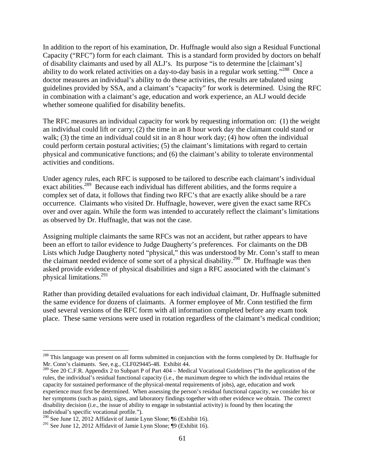In addition to the report of his examination, Dr. Huffnagle would also sign a Residual Functional Capacity ("RFC") form for each claimant. This is a standard form provided by doctors on behalf of disability claimants and used by all ALJ's. Its purpose "is to determine the [claimant's] ability to do work related activities on a day-to-day basis in a regular work setting."<sup>288</sup> Once a doctor measures an individual's ability to do these activities, the results are tabulated using guidelines provided by SSA, and a claimant's "capacity" for work is determined. Using the RFC in combination with a claimant's age, education and work experience, an ALJ would decide whether someone qualified for disability benefits.

The RFC measures an individual capacity for work by requesting information on: (1) the weight an individual could lift or carry; (2) the time in an 8 hour work day the claimant could stand or walk; (3) the time an individual could sit in an 8 hour work day; (4) how often the individual could perform certain postural activities; (5) the claimant's limitations with regard to certain physical and communicative functions; and (6) the claimant's ability to tolerate environmental activities and conditions.

Under agency rules, each RFC is supposed to be tailored to describe each claimant's individual exact abilities.<sup>289</sup> Because each individual has different abilities, and the forms require a complex set of data, it follows that finding two RFC's that are exactly alike should be a rare occurrence. Claimants who visited Dr. Huffnagle, however, were given the exact same RFCs over and over again. While the form was intended to accurately reflect the claimant's limitations as observed by Dr. Huffnagle, that was not the case.

Assigning multiple claimants the same RFCs was not an accident, but rather appears to have been an effort to tailor evidence to Judge Daugherty's preferences. For claimants on the DB Lists which Judge Daugherty noted "physical," this was understood by Mr. Conn's staff to mean the claimant needed evidence of some sort of a physical disability.<sup>290</sup> Dr. Huffnagle was then asked provide evidence of physical disabilities and sign a RFC associated with the claimant's physical limitations.291

Rather than providing detailed evaluations for each individual claimant, Dr. Huffnagle submitted the same evidence for dozens of claimants. A former employee of Mr. Conn testified the firm used several versions of the RFC form with all information completed before any exam took place. These same versions were used in rotation regardless of the claimant's medical condition;

<sup>&</sup>lt;sup>288</sup> This language was present on all forms submitted in conjunction with the forms completed by Dr. Huffnagle for Mr. Conn's claimants. See, e.g., CLF029445-48. Exhibit 44.

<sup>&</sup>lt;sup>289</sup> See 20 C.F.R. Appendix 2 to Subpart P of Part  $404$  – Medical Vocational Guidelines ("In the application of the rules, the individual's residual functional capacity (i.e., the maximum degree to which the individual retains the capacity for sustained performance of the physical-mental requirements of jobs), age, education and work experience must first be determined. When assessing the person's residual functional capacity, we consider his or her symptoms (such as pain), signs, and laboratory findings together with other evidence we obtain. The correct disability decision (i.e., the issue of ability to engage in substantial activity) is found by then locating the individual's specific vocational profile.").

<sup>&</sup>lt;sup>290</sup> See June 12, 2012 Affidavit of Jamie Lynn Slone; ¶6 (Exhibit 16).

<sup>&</sup>lt;sup>291</sup> See June 12, 2012 Affidavit of Jamie Lynn Slone;  $\sqrt[6]{9}$  (Exhibit 16).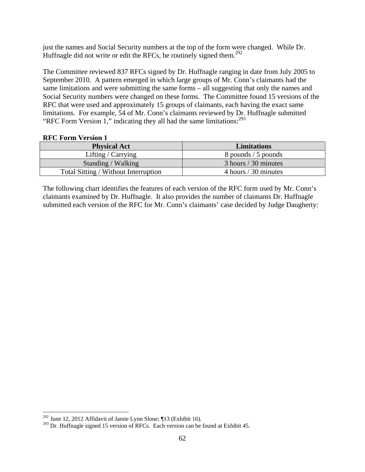just the names and Social Security numbers at the top of the form were changed. While Dr. Huffnagle did not write or edit the RFCs, he routinely signed them.<sup>292</sup>

The Committee reviewed 837 RFCs signed by Dr. Huffnagle ranging in date from July 2005 to September 2010. A pattern emerged in which large groups of Mr. Conn's claimants had the same limitations and were submitting the same forms – all suggesting that only the names and Social Security numbers were changed on these forms. The Committee found 15 versions of the RFC that were used and approximately 15 groups of claimants, each having the exact same limitations. For example, 54 of Mr. Conn's claimants reviewed by Dr. Huffnagle submitted "RFC Form Version 1," indicating they all had the same limitations: $^{293}$ 

### **RFC Form Version 1**

| <b>Physical Act</b>                  | <b>Limitations</b>   |
|--------------------------------------|----------------------|
| Lifting / $Carrying$                 | 8 pounds / 5 pounds  |
| Standing / Walking                   | 3 hours / 30 minutes |
| Total Sitting / Without Interruption | 4 hours / 30 minutes |

The following chart identifies the features of each version of the RFC form used by Mr. Conn's claimants examined by Dr. Huffnagle. It also provides the number of claimants Dr. Huffnagle submitted each version of the RFC for Mr. Conn's claimants' case decided by Judge Daugherty:

<sup>&</sup>lt;sup>292</sup> June 12, 2012 Affidavit of Jamie Lynn Slone;  $\P$ 13 (Exhibit 16).

<sup>&</sup>lt;sup>293</sup> Dr. Huffnagle signed 15 version of RFCs. Each version can be found at Exhibit 45.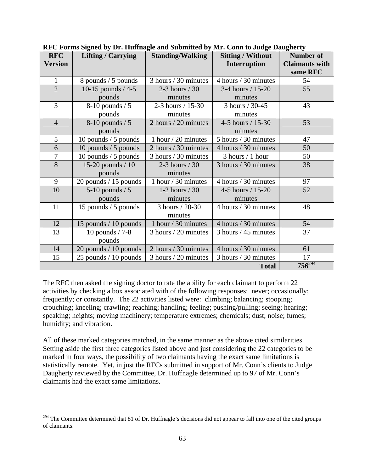| <b>RFC</b>     | ru o'r ormo orgaeu o'y Dri rhunnagie anu ouonniecu o'y niri conn eo ouuge Duagnerey<br><b>Lifting / Carrying</b> | <b>Standing/Walking</b> | <b>Sitting / Without</b> | <b>Number of</b>      |
|----------------|------------------------------------------------------------------------------------------------------------------|-------------------------|--------------------------|-----------------------|
| <b>Version</b> |                                                                                                                  |                         | Interruption             | <b>Claimants with</b> |
|                |                                                                                                                  |                         |                          | same RFC              |
| $\mathbf{1}$   | 8 pounds / 5 pounds                                                                                              | 3 hours / 30 minutes    | 4 hours / 30 minutes     | 54                    |
| $\overline{2}$ | 10-15 pounds $/4-5$                                                                                              | 2-3 hours $/30$         | 3-4 hours / 15-20        | 55                    |
|                | pounds                                                                                                           | minutes                 | minutes                  |                       |
| 3              | $8-10$ pounds / 5                                                                                                | 2-3 hours / 15-30       | 3 hours / 30-45          | 43                    |
|                | pounds                                                                                                           | minutes                 | minutes                  |                       |
| $\overline{4}$ | $8-10$ pounds / 5                                                                                                | 2 hours / 20 minutes    | 4-5 hours $/ 15 - 30$    | 53                    |
|                | pounds                                                                                                           |                         | minutes                  |                       |
| 5              | 10 pounds / 5 pounds                                                                                             | 1 hour $/$ 20 minutes   | 5 hours / 30 minutes     | 47                    |
| 6              | 10 pounds $/$ 5 pounds                                                                                           | 2 hours / 30 minutes    | 4 hours / 30 minutes     | 50                    |
| 7              | 10 pounds / 5 pounds                                                                                             | 3 hours / 30 minutes    | $3$ hours $/1$ hour      | 50                    |
| 8              | 15-20 pounds $/ 10$                                                                                              | 2-3 hours $/30$         | 3 hours / 30 minutes     | 38                    |
|                | pounds                                                                                                           | minutes                 |                          |                       |
| 9              | 20 pounds / 15 pounds                                                                                            | 1 hour / 30 minutes     | 4 hours / 30 minutes     | 97                    |
| 10             | $5-10$ pounds / 5                                                                                                | 1-2 hours $/30$         | 4-5 hours / 15-20        | 52                    |
|                | pounds                                                                                                           | minutes                 | minutes                  |                       |
| 11             | 15 pounds / 5 pounds                                                                                             | 3 hours / 20-30         | 4 hours / 30 minutes     | 48                    |
|                |                                                                                                                  | minutes                 |                          |                       |
| 12             | 15 pounds / 10 pounds                                                                                            | 1 hour / 30 minutes     | 4 hours / 30 minutes     | 54                    |
| 13             | 10 pounds $/ 7-8$                                                                                                | 3 hours / 20 minutes    | 3 hours / 45 minutes     | 37                    |
|                | pounds                                                                                                           |                         |                          |                       |
| 14             | 20 pounds / 10 pounds                                                                                            | 2 hours / 30 minutes    | 4 hours / 30 minutes     | 61                    |
| 15             | 25 pounds $/10$ pounds                                                                                           | 3 hours / 20 minutes    | 3 hours / 30 minutes     | 17                    |
|                | $756^{294}$                                                                                                      |                         |                          |                       |

**RFC Forms Signed by Dr. Huffnagle and Submitted by Mr. Conn to Judge Daugherty** 

The RFC then asked the signing doctor to rate the ability for each claimant to perform 22 activities by checking a box associated with of the following responses: never; occasionally; frequently; or constantly. The 22 activities listed were: climbing; balancing; stooping; crouching; kneeling; crawling; reaching; handling; feeling; pushing/pulling; seeing; hearing; speaking; heights; moving machinery; temperature extremes; chemicals; dust; noise; fumes; humidity; and vibration.

All of these marked categories matched, in the same manner as the above cited similarities. Setting aside the first three categories listed above and just considering the 22 categories to be marked in four ways, the possibility of two claimants having the exact same limitations is statistically remote. Yet, in just the RFCs submitted in support of Mr. Conn's clients to Judge Daugherty reviewed by the Committee, Dr. Huffnagle determined up to 97 of Mr. Conn's claimants had the exact same limitations.

 $294$  The Committee determined that 81 of Dr. Huffnagle's decisions did not appear to fall into one of the cited groups of claimants.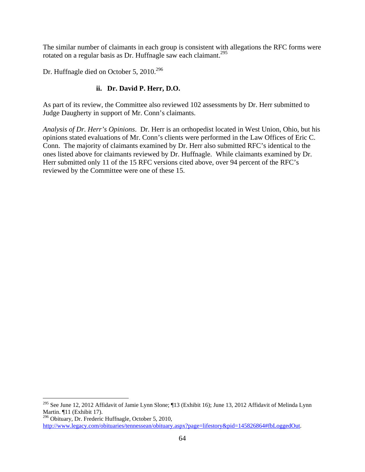The similar number of claimants in each group is consistent with allegations the RFC forms were rotated on a regular basis as Dr. Huffnagle saw each claimant.<sup>295</sup>

Dr. Huffnagle died on October 5, 2010.<sup>296</sup>

 $\overline{a}$ 

# **ii. Dr. David P. Herr, D.O.**

As part of its review, the Committee also reviewed 102 assessments by Dr. Herr submitted to Judge Daugherty in support of Mr. Conn's claimants.

*Analysis of Dr. Herr's Opinions*. Dr. Herr is an orthopedist located in West Union, Ohio, but his opinions stated evaluations of Mr. Conn's clients were performed in the Law Offices of Eric C. Conn. The majority of claimants examined by Dr. Herr also submitted RFC's identical to the ones listed above for claimants reviewed by Dr. Huffnagle. While claimants examined by Dr. Herr submitted only 11 of the 15 RFC versions cited above, over 94 percent of the RFC's reviewed by the Committee were one of these 15.

<sup>&</sup>lt;sup>295</sup> See June 12, 2012 Affidavit of Jamie Lynn Slone; ¶13 (Exhibit 16); June 13, 2012 Affidavit of Melinda Lynn Martin. ¶11 (Exhibit 17).

<sup>296</sup> Obituary, Dr. Frederic Huffnagle, October 5, 2010, http://www.legacy.com/obituaries/tennessean/obituary.aspx?page=lifestory&pid=145826864#fbLoggedOut.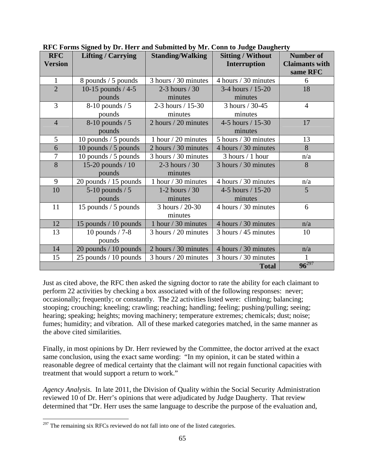| $\mathbf{r}$ computed by $\mathbf{r}$ and $\mathbf{r}$ and $\mathbf{r}$ and $\mathbf{r}$ and $\mathbf{r}$ computed by $\mathbf{r}$<br><b>RFC</b> |                           |                         |                          | Number of             |
|--------------------------------------------------------------------------------------------------------------------------------------------------|---------------------------|-------------------------|--------------------------|-----------------------|
|                                                                                                                                                  | <b>Lifting / Carrying</b> | <b>Standing/Walking</b> | <b>Sitting / Without</b> |                       |
| <b>Version</b>                                                                                                                                   |                           |                         | Interruption             | <b>Claimants with</b> |
|                                                                                                                                                  |                           |                         |                          | same RFC              |
| $\mathbf{1}$                                                                                                                                     | 8 pounds / 5 pounds       | 3 hours / 30 minutes    | 4 hours / 30 minutes     | 6                     |
| $\overline{2}$                                                                                                                                   | 10-15 pounds $/4-5$       | 2-3 hours $/30$         | 3-4 hours / 15-20        | 18                    |
|                                                                                                                                                  | pounds                    | minutes                 | minutes                  |                       |
| 3                                                                                                                                                | $8-10$ pounds / 5         | 2-3 hours / 15-30       | 3 hours / 30-45          | $\overline{4}$        |
|                                                                                                                                                  | pounds                    | minutes                 | minutes                  |                       |
| $\overline{4}$                                                                                                                                   | $8-10$ pounds / 5         | 2 hours / 20 minutes    | 4-5 hours $/ 15 - 30$    | 17                    |
|                                                                                                                                                  | pounds                    |                         | minutes                  |                       |
| 5                                                                                                                                                | 10 pounds / 5 pounds      | 1 hour / 20 minutes     | 5 hours / 30 minutes     | 13                    |
| 6                                                                                                                                                | 10 pounds $/5$ pounds     | 2 hours / 30 minutes    | 4 hours / 30 minutes     | 8                     |
| $\overline{7}$                                                                                                                                   | 10 pounds / 5 pounds      | 3 hours / 30 minutes    | $3$ hours $/1$ hour      | n/a                   |
| 8                                                                                                                                                | 15-20 pounds $/ 10$       | 2-3 hours $/30$         | 3 hours / 30 minutes     | 8                     |
|                                                                                                                                                  | pounds                    | minutes                 |                          |                       |
| 9                                                                                                                                                | 20 pounds / 15 pounds     | 1 hour / 30 minutes     | 4 hours / 30 minutes     | n/a                   |
| 10                                                                                                                                               | $5-10$ pounds / 5         | 1-2 hours $/30$         | 4-5 hours / 15-20        | 5                     |
|                                                                                                                                                  | pounds                    | minutes                 | minutes                  |                       |
| 11                                                                                                                                               | 15 pounds / 5 pounds      | 3 hours / 20-30         | 4 hours / 30 minutes     | 6                     |
|                                                                                                                                                  |                           | minutes                 |                          |                       |
| 12                                                                                                                                               | 15 pounds / 10 pounds     | 1 hour / 30 minutes     | 4 hours / 30 minutes     | n/a                   |
| 13                                                                                                                                               | 10 pounds $/ 7-8$         | 3 hours / 20 minutes    | $3$ hours / 45 minutes   | 10                    |
|                                                                                                                                                  | pounds                    |                         |                          |                       |
| 14                                                                                                                                               | 20 pounds / 10 pounds     | 2 hours / 30 minutes    | 4 hours / 30 minutes     | n/a                   |
| 15                                                                                                                                               | 25 pounds $/10$ pounds    | 3 hours / 20 minutes    | 3 hours / 30 minutes     | $\mathbf{1}$          |
|                                                                                                                                                  | $96^{297}$                |                         |                          |                       |

**RFC Forms Signed by Dr. Herr and Submitted by Mr. Conn to Judge Daugherty** 

Just as cited above, the RFC then asked the signing doctor to rate the ability for each claimant to perform 22 activities by checking a box associated with of the following responses: never; occasionally; frequently; or constantly. The 22 activities listed were: climbing; balancing; stooping; crouching; kneeling; crawling; reaching; handling; feeling; pushing/pulling; seeing; hearing; speaking; heights; moving machinery; temperature extremes; chemicals; dust; noise; fumes; humidity; and vibration. All of these marked categories matched, in the same manner as the above cited similarities.

Finally, in most opinions by Dr. Herr reviewed by the Committee, the doctor arrived at the exact same conclusion, using the exact same wording: "In my opinion, it can be stated within a reasonable degree of medical certainty that the claimant will not regain functional capacities with treatment that would support a return to work."

*Agency Analysis*. In late 2011, the Division of Quality within the Social Security Administration reviewed 10 of Dr. Herr's opinions that were adjudicated by Judge Daugherty. That review determined that "Dr. Herr uses the same language to describe the purpose of the evaluation and,

 $^{297}$  The remaining six RFCs reviewed do not fall into one of the listed categories.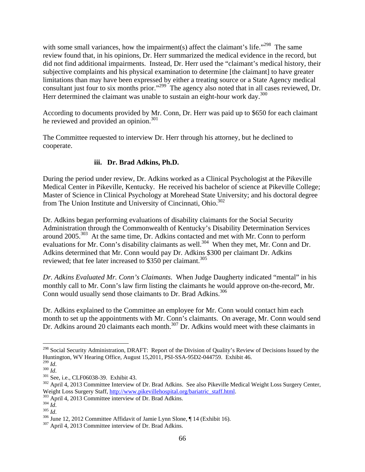with some small variances, how the impairment(s) affect the claimant's life."<sup>298</sup> The same review found that, in his opinions, Dr. Herr summarized the medical evidence in the record, but did not find additional impairments. Instead, Dr. Herr used the "claimant's medical history, their subjective complaints and his physical examination to determine [the claimant] to have greater limitations than may have been expressed by either a treating source or a State Agency medical consultant just four to six months prior."<sup>299</sup> The agency also noted that in all cases reviewed, Dr. Herr determined the claimant was unable to sustain an eight-hour work day.<sup>300</sup>

According to documents provided by Mr. Conn, Dr. Herr was paid up to \$650 for each claimant he reviewed and provided an opinion.<sup>301</sup>

The Committee requested to interview Dr. Herr through his attorney, but he declined to cooperate.

# **iii. Dr. Brad Adkins, Ph.D.**

During the period under review, Dr. Adkins worked as a Clinical Psychologist at the Pikeville Medical Center in Pikeville, Kentucky. He received his bachelor of science at Pikeville College; Master of Science in Clinical Psychology at Morehead State University; and his doctoral degree from The Union Institute and University of Cincinnati, Ohio.<sup>302</sup>

Dr. Adkins began performing evaluations of disability claimants for the Social Security Administration through the Commonwealth of Kentucky's Disability Determination Services around 2005.303 At the same time, Dr. Adkins contacted and met with Mr. Conn to perform evaluations for Mr. Conn's disability claimants as well.<sup>304</sup> When they met, Mr. Conn and Dr. Adkins determined that Mr. Conn would pay Dr. Adkins \$300 per claimant Dr. Adkins reviewed; that fee later increased to \$350 per claimant.<sup>305</sup>

*Dr. Adkins Evaluated Mr. Conn's Claimants*. When Judge Daugherty indicated "mental" in his monthly call to Mr. Conn's law firm listing the claimants he would approve on-the-record, Mr. Conn would usually send those claimants to Dr. Brad Adkins.<sup>306</sup>

Dr. Adkins explained to the Committee an employee for Mr. Conn would contact him each month to set up the appointments with Mr. Conn's claimants. On average, Mr. Conn would send Dr. Adkins around 20 claimants each month.<sup>307</sup> Dr. Adkins would meet with these claimants in

<sup>&</sup>lt;sup>298</sup> Social Security Administration, DRAFT: Report of the Division of Quality's Review of Decisions Issued by the Huntington, WV Hearing Office, August 15,2011, PSI-SSA-95D2-044759. Exhibit 46.<br><sup>299</sup> Id.

<sup>&</sup>lt;sup>299</sup> *Id.*<br><sup>300</sup> *Id.*<br><sup>301</sup> See, i.e., CLF06038-39. Exhibit 43.<br><sup>302</sup> April 4, 2013 Committee Interview of Dr. Brad Adkins. See also Pikeville Medical Weight Loss Surgery Center,<br>Weight Loss Surgery Staff, http://www.pik

<sup>&</sup>lt;sup>303</sup> April 4, 2013 Committee interview of Dr. Brad Adkins.<br><sup>304</sup> *Id.*<br><sup>305</sup> *Id.*<br><sup>306</sup> June 12, 2012 Committee Affidavit of Jamie Lynn Slone, ¶ 14 (Exhibit 16).<br><sup>307</sup> April 4, 2013 Committee interview of Dr. Brad Adkin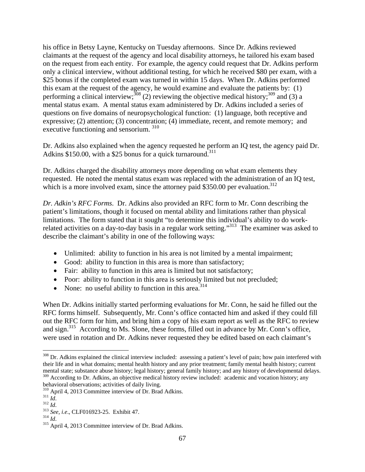his office in Betsy Layne, Kentucky on Tuesday afternoons. Since Dr. Adkins reviewed claimants at the request of the agency and local disability attorneys, he tailored his exam based on the request from each entity. For example, the agency could request that Dr. Adkins perform only a clinical interview, without additional testing, for which he received \$80 per exam, with a \$25 bonus if the completed exam was turned in within 15 days. When Dr. Adkins performed this exam at the request of the agency, he would examine and evaluate the patients by: (1) performing a clinical interview;  $308$  (2) reviewing the objective medical history;  $309$  and (3) a mental status exam. A mental status exam administered by Dr. Adkins included a series of questions on five domains of neuropsychological function: (1) language, both receptive and expressive; (2) attention; (3) concentration; (4) immediate, recent, and remote memory; and executive functioning and sensorium. 310

Dr. Adkins also explained when the agency requested he perform an IQ test, the agency paid Dr. Adkins \$150.00, with a \$25 bonus for a quick turnaround.<sup>311</sup>

Dr. Adkins charged the disability attorneys more depending on what exam elements they requested. He noted the mental status exam was replaced with the administration of an IQ test, which is a more involved exam, since the attorney paid  $$350.00$  per evaluation.<sup>312</sup>

*Dr. Adkin's RFC Forms*. Dr. Adkins also provided an RFC form to Mr. Conn describing the patient's limitations, though it focused on mental ability and limitations rather than physical limitations. The form stated that it sought "to determine this individual's ability to do workrelated activities on a day-to-day basis in a regular work setting."<sup>313</sup> The examiner was asked to describe the claimant's ability in one of the following ways:

- Unlimited: ability to function in his area is not limited by a mental impairment;
- Good: ability to function in this area is more than satisfactory;
- Fair: ability to function in this area is limited but not satisfactory;
- Poor: ability to function in this area is seriously limited but not precluded;
- None: no useful ability to function in this area.<sup>314</sup>

When Dr. Adkins initially started performing evaluations for Mr. Conn, he said he filled out the RFC forms himself. Subsequently, Mr. Conn's office contacted him and asked if they could fill out the RFC form for him, and bring him a copy of his exam report as well as the RFC to review and sign.<sup>315</sup> According to Ms. Slone, these forms, filled out in advance by Mr. Conn's office, were used in rotation and Dr. Adkins never requested they be edited based on each claimant's

<sup>&</sup>lt;sup>308</sup> Dr. Adkins explained the clinical interview included: assessing a patient's level of pain; how pain interfered with their life and in what domains; mental health history and any prior treatment; family mental health history; current mental state; substance abuse history; legal history; general family history; and any history of developmental delays. <sup>309</sup> According to Dr. Adkins, an objective medical history review included: academic and vocation history; any

behavioral observations; activities of daily living.<br><sup>310</sup> April 4, 2013 Committee interview of Dr. Brad Adkins.

<sup>&</sup>lt;sup>311</sup> *Id.* <sup>312</sup> *Id.* <sup>313</sup> *See, i.e.*, CLF016923-25. Exhibit 47. <sup>314</sup> *Id.* <sup>315</sup> April 4, 2013 Committee interview of Dr. Brad Adkins.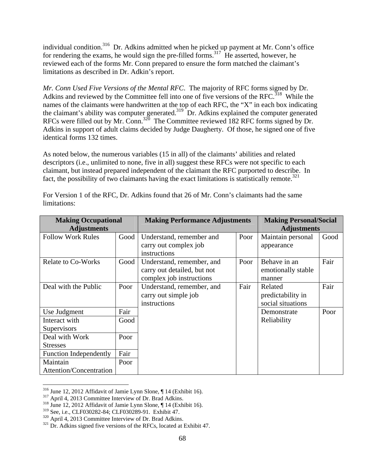individual condition.<sup>316</sup> Dr. Adkins admitted when he picked up payment at Mr. Conn's office for rendering the exams, he would sign the pre-filled forms.<sup>317</sup> He asserted, however, he reviewed each of the forms Mr. Conn prepared to ensure the form matched the claimant's limitations as described in Dr. Adkin's report.

*Mr. Conn Used Five Versions of the Mental RFC*. The majority of RFC forms signed by Dr. Adkins and reviewed by the Committee fell into one of five versions of the RFC.<sup>318</sup> While the names of the claimants were handwritten at the top of each RFC, the "X" in each box indicating the claimant's ability was computer generated.<sup>319</sup> Dr. Adkins explained the computer generated RFCs were filled out by Mr. Conn.<sup>320</sup> The Committee reviewed 182 RFC forms signed by Dr. Adkins in support of adult claims decided by Judge Daugherty. Of those, he signed one of five identical forms 132 times.

As noted below, the numerous variables (15 in all) of the claimants' abilities and related descriptors (i.e., unlimited to none, five in all) suggest these RFCs were not specific to each claimant, but instead prepared independent of the claimant the RFC purported to describe. In fact, the possibility of two claimants having the exact limitations is statistically remote.<sup>321</sup>

| <b>Making Occupational</b><br><b>Adjustments</b> |      | <b>Making Performance Adjustments</b>                                                |      | <b>Making Personal/Social</b><br><b>Adjustments</b> |      |
|--------------------------------------------------|------|--------------------------------------------------------------------------------------|------|-----------------------------------------------------|------|
| <b>Follow Work Rules</b>                         | Good | Understand, remember and<br>carry out complex job<br>instructions                    | Poor | Maintain personal<br>appearance                     | Good |
| <b>Relate to Co-Works</b>                        | Good | Understand, remember, and<br>carry out detailed, but not<br>complex job instructions | Poor | Behave in an<br>emotionally stable<br>manner        | Fair |
| Deal with the Public                             | Poor | Understand, remember, and<br>carry out simple job<br>instructions                    | Fair | Related<br>predictability in<br>social situations   | Fair |
| Use Judgment                                     | Fair |                                                                                      |      | Demonstrate                                         | Poor |
| Interact with                                    | Good |                                                                                      |      | Reliability                                         |      |
| Supervisors                                      |      |                                                                                      |      |                                                     |      |
| Deal with Work                                   | Poor |                                                                                      |      |                                                     |      |
| <b>Stresses</b>                                  |      |                                                                                      |      |                                                     |      |
| <b>Function Independently</b>                    | Fair |                                                                                      |      |                                                     |      |
| Maintain                                         | Poor |                                                                                      |      |                                                     |      |
| <b>Attention/Concentration</b>                   |      |                                                                                      |      |                                                     |      |

For Version 1 of the RFC, Dr. Adkins found that 26 of Mr. Conn's claimants had the same limitations:

<sup>&</sup>lt;sup>316</sup> June 12, 2012 Affidavit of Jamie Lynn Slone, ¶ 14 (Exhibit 16).

<sup>&</sup>lt;sup>317</sup> April 4, 2013 Committee Interview of Dr. Brad Adkins.<br><sup>318</sup> June 12, 2012 Affidavit of Jamie Lynn Slone, ¶ 14 (Exhibit 16).<br><sup>319</sup> See, i.e., CLF030282-84; CLF030289-91. Exhibit 47.

 $320$  April 4, 2013 Committee Interview of Dr. Brad Adkins.<br> $321$  Dr. Adkins signed five versions of the RFCs, located at Exhibit 47.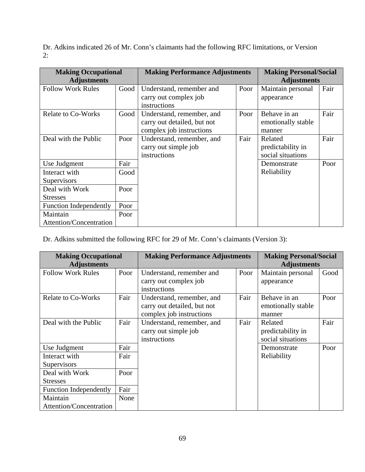Dr. Adkins indicated 26 of Mr. Conn's claimants had the following RFC limitations, or Version 2:

| <b>Making Occupational</b><br><b>Adjustments</b> |      | <b>Making Performance Adjustments</b>                                                |      | <b>Making Personal/Social</b><br><b>Adjustments</b> |      |
|--------------------------------------------------|------|--------------------------------------------------------------------------------------|------|-----------------------------------------------------|------|
| <b>Follow Work Rules</b>                         | Good | Understand, remember and<br>carry out complex job<br>instructions                    | Poor | Maintain personal<br>appearance                     | Fair |
| <b>Relate to Co-Works</b>                        | Good | Understand, remember, and<br>carry out detailed, but not<br>complex job instructions | Poor | Behave in an<br>emotionally stable<br>manner        | Fair |
| Deal with the Public                             | Poor | Understand, remember, and<br>carry out simple job<br>instructions                    | Fair | Related<br>predictability in<br>social situations   | Fair |
| Use Judgment                                     | Fair |                                                                                      |      | Demonstrate                                         | Poor |
| Interact with                                    | Good |                                                                                      |      | Reliability                                         |      |
| Supervisors                                      |      |                                                                                      |      |                                                     |      |
| Deal with Work                                   | Poor |                                                                                      |      |                                                     |      |
| <b>Stresses</b>                                  |      |                                                                                      |      |                                                     |      |
| <b>Function Independently</b>                    | Poor |                                                                                      |      |                                                     |      |
| Maintain                                         | Poor |                                                                                      |      |                                                     |      |
| Attention/Concentration                          |      |                                                                                      |      |                                                     |      |

Dr. Adkins submitted the following RFC for 29 of Mr. Conn's claimants (Version 3):

| <b>Making Occupational</b>    |      | <b>Making Performance Adjustments</b>                                                |      | <b>Making Personal/Social</b>                     |      |
|-------------------------------|------|--------------------------------------------------------------------------------------|------|---------------------------------------------------|------|
| <b>Adjustments</b>            |      |                                                                                      |      | <b>Adjustments</b>                                |      |
| <b>Follow Work Rules</b>      | Poor | Understand, remember and<br>carry out complex job<br>instructions                    | Poor | Maintain personal<br>appearance                   | Good |
| <b>Relate to Co-Works</b>     | Fair | Understand, remember, and<br>carry out detailed, but not<br>complex job instructions | Fair | Behave in an<br>emotionally stable<br>manner      | Poor |
| Deal with the Public          | Fair | Understand, remember, and<br>carry out simple job<br>instructions                    | Fair | Related<br>predictability in<br>social situations | Fair |
| Use Judgment                  | Fair |                                                                                      |      | Demonstrate                                       | Poor |
| Interact with                 | Fair |                                                                                      |      | Reliability                                       |      |
| Supervisors                   |      |                                                                                      |      |                                                   |      |
| Deal with Work                | Poor |                                                                                      |      |                                                   |      |
| <b>Stresses</b>               |      |                                                                                      |      |                                                   |      |
| <b>Function Independently</b> | Fair |                                                                                      |      |                                                   |      |
| Maintain                      | None |                                                                                      |      |                                                   |      |
| Attention/Concentration       |      |                                                                                      |      |                                                   |      |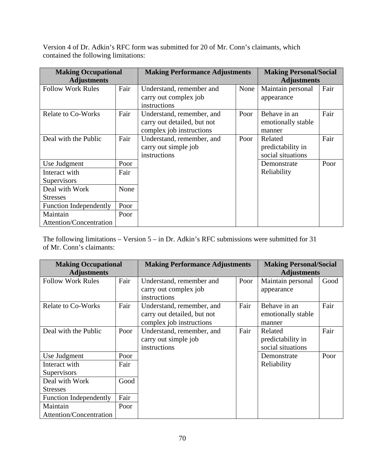Version 4 of Dr. Adkin's RFC form was submitted for 20 of Mr. Conn's claimants, which contained the following limitations:

| <b>Making Occupational</b><br><b>Adjustments</b> |      | <b>Making Performance Adjustments</b>                                                |      | <b>Making Personal/Social</b><br><b>Adjustments</b> |      |
|--------------------------------------------------|------|--------------------------------------------------------------------------------------|------|-----------------------------------------------------|------|
| <b>Follow Work Rules</b>                         | Fair | Understand, remember and<br>carry out complex job<br>instructions                    | None | Maintain personal<br>appearance                     | Fair |
| <b>Relate to Co-Works</b>                        | Fair | Understand, remember, and<br>carry out detailed, but not<br>complex job instructions | Poor | Behave in an<br>emotionally stable<br>manner        | Fair |
| Deal with the Public                             | Fair | Understand, remember, and<br>carry out simple job<br>instructions                    | Poor | Related<br>predictability in<br>social situations   | Fair |
| Use Judgment                                     | Poor |                                                                                      |      | Demonstrate                                         | Poor |
| Interact with                                    | Fair |                                                                                      |      | Reliability                                         |      |
| Supervisors                                      |      |                                                                                      |      |                                                     |      |
| Deal with Work                                   | None |                                                                                      |      |                                                     |      |
| <b>Stresses</b>                                  |      |                                                                                      |      |                                                     |      |
| <b>Function Independently</b>                    | Poor |                                                                                      |      |                                                     |      |
| Maintain                                         | Poor |                                                                                      |      |                                                     |      |
| <b>Attention/Concentration</b>                   |      |                                                                                      |      |                                                     |      |

The following limitations – Version 5 – in Dr. Adkin's RFC submissions were submitted for 31 of Mr. Conn's claimants:

| <b>Making Occupational</b>    |      | <b>Making Performance Adjustments</b>                                                |      | <b>Making Personal/Social</b>                     |      |
|-------------------------------|------|--------------------------------------------------------------------------------------|------|---------------------------------------------------|------|
| <b>Adjustments</b>            |      |                                                                                      |      | <b>Adjustments</b>                                |      |
| <b>Follow Work Rules</b>      | Fair | Understand, remember and<br>carry out complex job<br>instructions                    | Poor | Maintain personal<br>appearance                   | Good |
| <b>Relate to Co-Works</b>     | Fair | Understand, remember, and<br>carry out detailed, but not<br>complex job instructions | Fair | Behave in an<br>emotionally stable<br>manner      | Fair |
| Deal with the Public          | Poor | Understand, remember, and<br>carry out simple job<br>instructions                    | Fair | Related<br>predictability in<br>social situations | Fair |
| Use Judgment                  | Poor |                                                                                      |      | Demonstrate                                       | Poor |
| Interact with                 | Fair |                                                                                      |      | Reliability                                       |      |
| Supervisors                   |      |                                                                                      |      |                                                   |      |
| Deal with Work                | Good |                                                                                      |      |                                                   |      |
| <b>Stresses</b>               |      |                                                                                      |      |                                                   |      |
| <b>Function Independently</b> | Fair |                                                                                      |      |                                                   |      |
| Maintain                      | Poor |                                                                                      |      |                                                   |      |
| Attention/Concentration       |      |                                                                                      |      |                                                   |      |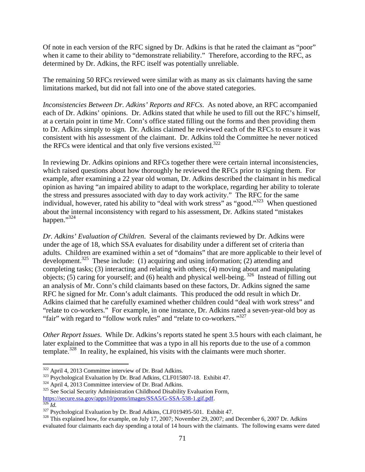Of note in each version of the RFC signed by Dr. Adkins is that he rated the claimant as "poor" when it came to their ability to "demonstrate reliability." Therefore, according to the RFC, as determined by Dr. Adkins, the RFC itself was potentially unreliable.

The remaining 50 RFCs reviewed were similar with as many as six claimants having the same limitations marked, but did not fall into one of the above stated categories.

*Inconsistencies Between Dr. Adkins' Reports and RFCs*. As noted above, an RFC accompanied each of Dr. Adkins' opinions. Dr. Adkins stated that while he used to fill out the RFC's himself, at a certain point in time Mr. Conn's office stated filling out the forms and then providing them to Dr. Adkins simply to sign. Dr. Adkins claimed he reviewed each of the RFCs to ensure it was consistent with his assessment of the claimant. Dr. Adkins told the Committee he never noticed the RFCs were identical and that only five versions existed.<sup>322</sup>

In reviewing Dr. Adkins opinions and RFCs together there were certain internal inconsistencies, which raised questions about how thoroughly he reviewed the RFCs prior to signing them. For example, after examining a 22 year old woman, Dr. Adkins described the claimant in his medical opinion as having "an impaired ability to adapt to the workplace, regarding her ability to tolerate the stress and pressures associated with day to day work activity." The RFC for the same individual, however, rated his ability to "deal with work stress" as "good."323 When questioned about the internal inconsistency with regard to his assessment, Dr. Adkins stated "mistakes happen."<sup>324</sup>

*Dr. Adkins' Evaluation of Children*. Several of the claimants reviewed by Dr. Adkins were under the age of 18, which SSA evaluates for disability under a different set of criteria than adults. Children are examined within a set of "domains" that are more applicable to their level of development.<sup>325</sup> These include: (1) acquiring and using information; (2) attending and completing tasks; (3) interacting and relating with others; (4) moving about and manipulating objects; (5) caring for yourself; and (6) health and physical well-being. 326 Instead of filling out an analysis of Mr. Conn's child claimants based on these factors, Dr. Adkins signed the same RFC he signed for Mr. Conn's adult claimants. This produced the odd result in which Dr. Adkins claimed that he carefully examined whether children could "deal with work stress" and "relate to co-workers." For example, in one instance, Dr. Adkins rated a seven-year-old boy as "fair" with regard to "follow work rules" and "relate to co-workers."<sup>327</sup>

*Other Report Issues*. While Dr. Adkins's reports stated he spent 3.5 hours with each claimant, he later explained to the Committee that was a typo in all his reports due to the use of a common template.<sup>328</sup> In reality, he explained, his visits with the claimants were much shorter.

 $\overline{a}$ 

https://secure.ssa.gov/apps10/poms/images/SSA5/G-SSA-538-1.gif.pdf.<br>
<sup>327</sup> Psychological Evaluation by Dr. Brad Adkins, CLF019495-501. Exhibit 47.<br>
<sup>328</sup> This explained how, for example, on July 17, 2007; November 29, 200

<sup>&</sup>lt;sup>322</sup> April 4, 2013 Committee interview of Dr. Brad Adkins.<br><sup>323</sup> Psychological Evaluation by Dr. Brad Adkins, CLF015807-18. Exhibit 47.<br><sup>324</sup> April 4, 2013 Committee interview of Dr. Brad Adkins.<br><sup>325</sup> See Social Securit

evaluated four claimants each day spending a total of 14 hours with the claimants. The following exams were dated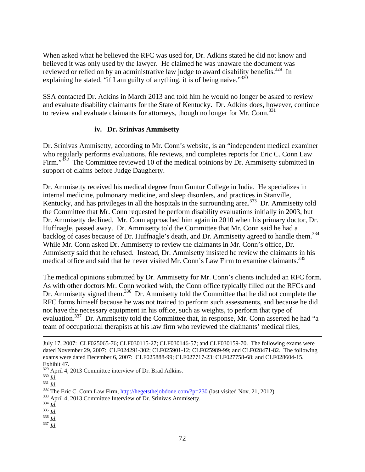When asked what he believed the RFC was used for, Dr. Adkins stated he did not know and believed it was only used by the lawyer. He claimed he was unaware the document was reviewed or relied on by an administrative law judge to award disability benefits.<sup>329</sup> In explaining he stated, "if I am guilty of anything, it is of being naïve."<sup>330</sup>

SSA contacted Dr. Adkins in March 2013 and told him he would no longer be asked to review and evaluate disability claimants for the State of Kentucky. Dr. Adkins does, however, continue to review and evaluate claimants for attorneys, though no longer for Mr. Conn.<sup>331</sup>

#### **iv. Dr. Srinivas Ammisetty**

Dr. Srinivas Ammisetty, according to Mr. Conn's website, is an "independent medical examiner who regularly performs evaluations, file reviews, and completes reports for Eric C. Conn Law Firm."<sup>332</sup> The Committee reviewed 10 of the medical opinions by Dr. Ammisetty submitted in support of claims before Judge Daugherty.

Dr. Ammisetty received his medical degree from Guntur College in India. He specializes in internal medicine, pulmonary medicine, and sleep disorders, and practices in Stanville, Kentucky, and has privileges in all the hospitals in the surrounding area.<sup>333</sup> Dr. Ammisetty told the Committee that Mr. Conn requested he perform disability evaluations initially in 2003, but Dr. Ammisetty declined. Mr. Conn approached him again in 2010 when his primary doctor, Dr. Huffnagle, passed away. Dr. Ammisetty told the Committee that Mr. Conn said he had a backlog of cases because of Dr. Huffnagle's death, and Dr. Ammisetty agreed to handle them.<sup>334</sup> While Mr. Conn asked Dr. Ammisetty to review the claimants in Mr. Conn's office, Dr. Ammisetty said that he refused. Instead, Dr. Ammisetty insisted he review the claimants in his medical office and said that he never visited Mr. Conn's Law Firm to examine claimants.<sup>335</sup>

The medical opinions submitted by Dr. Ammisetty for Mr. Conn's clients included an RFC form. As with other doctors Mr. Conn worked with, the Conn office typically filled out the RFCs and Dr. Ammisetty signed them.<sup>336</sup> Dr. Ammisetty told the Committee that he did not complete the RFC forms himself because he was not trained to perform such assessments, and because he did not have the necessary equipment in his office, such as weights, to perform that type of evaluation.337 Dr. Ammisetty told the Committee that, in response, Mr. Conn asserted he had "a team of occupational therapists at his law firm who reviewed the claimants' medical files,

July 17, 2007: CLF025065-76; CLF030115-27; CLF030146-57; and CLF030159-70. The following exams were dated November 29, 2007: CLF024291-302; CLF025901-12; CLF025989-99; and CLF028471-82. The following exams were dated December 6, 2007: CLF025888-99; CLF027717-23; CLF027758-68; and CLF028604-15. Exhibit 47.<br><sup>329</sup> April 4, 2013 Committee interview of Dr. Brad Adkins.

<sup>&</sup>lt;sup>330</sup> *Id.*<br><sup>331</sup> *Id.*<br><sup>332</sup> The Eric C. Conn Law Firm, <u>http://hegetsthejobdone.com/?p=230</u> (last visited Nov. 21, 2012).<br><sup>333</sup> April 4, 2013 Committee Interview of Dr. Srinivas Ammisetty.<br><sup>334</sup> *Id.*<br><sup>334</sup> *Id.*<br><sup>336</sup>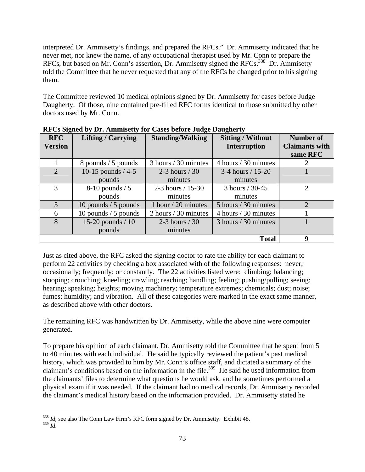interpreted Dr. Ammisetty's findings, and prepared the RFCs." Dr. Ammisetty indicated that he never met, nor knew the name, of any occupational therapist used by Mr. Conn to prepare the RFCs, but based on Mr. Conn's assertion, Dr. Ammisetty signed the RFCs.<sup>338</sup> Dr. Ammisetty told the Committee that he never requested that any of the RFCs be changed prior to his signing them.

The Committee reviewed 10 medical opinions signed by Dr. Ammisetty for cases before Judge Daugherty. Of those, nine contained pre-filled RFC forms identical to those submitted by other doctors used by Mr. Conn.

| <b>RFC</b>     | <b>Lifting / Carrying</b> | <b>Standing/Walking</b> | <b>Sitting / Without</b> | Number of             |
|----------------|---------------------------|-------------------------|--------------------------|-----------------------|
| <b>Version</b> |                           |                         | <b>Interruption</b>      | <b>Claimants with</b> |
|                |                           |                         |                          | same RFC              |
|                | 8 pounds / 5 pounds       | 3 hours / 30 minutes    | 4 hours / 30 minutes     | 2                     |
| $\overline{2}$ | 10-15 pounds $/4$ -5      | 2-3 hours $/30$         | 3-4 hours $/ 15 - 20$    |                       |
|                | pounds                    | minutes                 | minutes                  |                       |
| 3              | $8-10$ pounds / 5         | 2-3 hours $/ 15 - 30$   | 3 hours / 30-45          | $\overline{2}$        |
|                | pounds                    | minutes                 | minutes                  |                       |
| 5              | 10 pounds $/$ 5 pounds    | 1 hour $/$ 20 minutes   | 5 hours / 30 minutes     | $\overline{2}$        |
| 6              | 10 pounds $/5$ pounds     | 2 hours / 30 minutes    | 4 hours / 30 minutes     |                       |
| 8              | 15-20 pounds $/ 10$       | 2-3 hours $/30$         | 3 hours / 30 minutes     |                       |
|                | pounds                    | minutes                 |                          |                       |
|                |                           |                         | <b>Total</b>             | 9                     |

**RFCs Signed by Dr. Ammisetty for Cases before Judge Daugherty** 

Just as cited above, the RFC asked the signing doctor to rate the ability for each claimant to perform 22 activities by checking a box associated with of the following responses: never; occasionally; frequently; or constantly. The 22 activities listed were: climbing; balancing; stooping; crouching; kneeling; crawling; reaching; handling; feeling; pushing/pulling; seeing; hearing; speaking; heights; moving machinery; temperature extremes; chemicals; dust; noise; fumes; humidity; and vibration. All of these categories were marked in the exact same manner, as described above with other doctors.

The remaining RFC was handwritten by Dr. Ammisetty, while the above nine were computer generated.

To prepare his opinion of each claimant, Dr. Ammisetty told the Committee that he spent from 5 to 40 minutes with each individual. He said he typically reviewed the patient's past medical history, which was provided to him by Mr. Conn's office staff, and dictated a summary of the claimant's conditions based on the information in the file.<sup>339</sup> He said he used information from the claimants' files to determine what questions he would ask, and he sometimes performed a physical exam if it was needed. If the claimant had no medical records, Dr. Ammisetty recorded the claimant's medical history based on the information provided. Dr. Ammisetty stated he

 $\overline{a}$ <sup>338</sup> *Id*; see also The Conn Law Firm's RFC form signed by Dr. Ammisetty. Exhibit 48. <sup>339</sup> *Id*.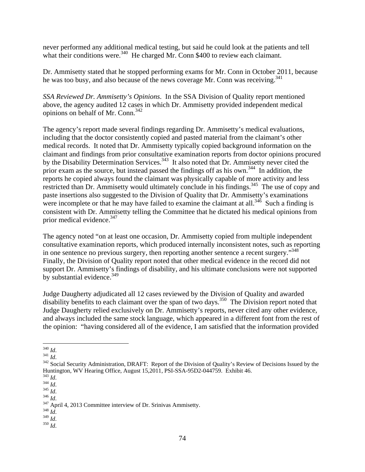never performed any additional medical testing, but said he could look at the patients and tell what their conditions were. $340$  He charged Mr. Conn \$400 to review each claimant.

Dr. Ammisetty stated that he stopped performing exams for Mr. Conn in October 2011, because he was too busy, and also because of the news coverage Mr. Conn was receiving.<sup>341</sup>

*SSA Reviewed Dr. Ammisetty's Opinions*. In the SSA Division of Quality report mentioned above, the agency audited 12 cases in which Dr. Ammisetty provided independent medical opinions on behalf of Mr. Conn.342

The agency's report made several findings regarding Dr. Ammisetty's medical evaluations, including that the doctor consistently copied and pasted material from the claimant's other medical records. It noted that Dr. Ammisetty typically copied background information on the claimant and findings from prior consultative examination reports from doctor opinions procured by the Disability Determination Services.<sup>343</sup> It also noted that Dr. Ammisetty never cited the prior exam as the source, but instead passed the findings off as his own.<sup>344</sup> In addition, the reports he copied always found the claimant was physically capable of more activity and less restricted than Dr. Ammisetty would ultimately conclude in his findings.<sup>345</sup> The use of copy and paste insertions also suggested to the Division of Quality that Dr. Ammisetty's examinations were incomplete or that he may have failed to examine the claimant at all.<sup>346</sup> Such a finding is consistent with Dr. Ammisetty telling the Committee that he dictated his medical opinions from prior medical evidence.<sup>347</sup>

The agency noted "on at least one occasion, Dr. Ammisetty copied from multiple independent consultative examination reports, which produced internally inconsistent notes, such as reporting in one sentence no previous surgery, then reporting another sentence a recent surgery."<sup>348</sup> Finally, the Division of Quality report noted that other medical evidence in the record did not support Dr. Ammisetty's findings of disability, and his ultimate conclusions were not supported by substantial evidence. $349$ 

Judge Daugherty adjudicated all 12 cases reviewed by the Division of Quality and awarded disability benefits to each claimant over the span of two days.<sup>350</sup> The Division report noted that Judge Daugherty relied exclusively on Dr. Ammisetty's reports, never cited any other evidence, and always included the same stock language, which appeared in a different font from the rest of the opinion: "having considered all of the evidence, I am satisfied that the information provided

74

 $340$   $Id.$ 

<sup>&</sup>lt;sup>341</sup> *Id.*<br><sup>341</sup> Social Security Administration, DRAFT: Report of the Division of Quality's Review of Decisions Issued by the Huntington, WV Hearing Office, August 15,2011, PSI-SSA-95D2-044759. Exhibit 46.<br><sup>343</sup> Id.

<sup>343</sup> *Id*. 344 *Id*. <sup>345</sup> *Id*. 346 *Id*. 347 April 4, 2013 Committee interview of Dr. Srinivas Ammisetty. 348 *Id*. 349 *Id*. <sup>350</sup> *Id*.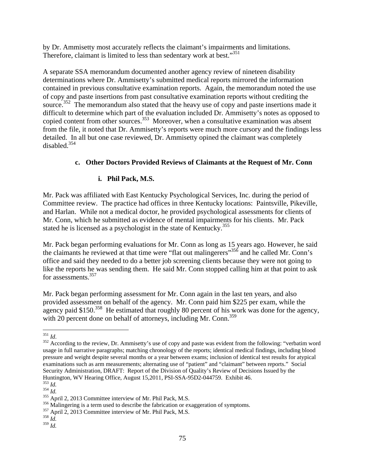by Dr. Ammisetty most accurately reflects the claimant's impairments and limitations. Therefore, claimant is limited to less than sedentary work at best."<sup>351</sup>

A separate SSA memorandum documented another agency review of nineteen disability determinations where Dr. Ammisetty's submitted medical reports mirrored the information contained in previous consultative examination reports. Again, the memorandum noted the use of copy and paste insertions from past consultative examination reports without crediting the source.<sup>352</sup> The memorandum also stated that the heavy use of copy and paste insertions made it difficult to determine which part of the evaluation included Dr. Ammisetty's notes as opposed to copied content from other sources.<sup>353</sup> Moreover, when a consultative examination was absent from the file, it noted that Dr. Ammisetty's reports were much more cursory and the findings less detailed. In all but one case reviewed, Dr. Ammisetty opined the claimant was completely disabled.354

# **c. Other Doctors Provided Reviews of Claimants at the Request of Mr. Conn**

# **i. Phil Pack, M.S.**

Mr. Pack was affiliated with East Kentucky Psychological Services, Inc. during the period of Committee review. The practice had offices in three Kentucky locations: Paintsville, Pikeville, and Harlan. While not a medical doctor, he provided psychological assessments for clients of Mr. Conn, which he submitted as evidence of mental impairments for his clients. Mr. Pack stated he is licensed as a psychologist in the state of Kentucky.<sup>355</sup>

Mr. Pack began performing evaluations for Mr. Conn as long as 15 years ago. However, he said the claimants he reviewed at that time were "flat out malingerers"356 and he called Mr. Conn's office and said they needed to do a better job screening clients because they were not going to like the reports he was sending them. He said Mr. Conn stopped calling him at that point to ask for assessments.357

Mr. Pack began performing assessment for Mr. Conn again in the last ten years, and also provided assessment on behalf of the agency. Mr. Conn paid him \$225 per exam, while the agency paid \$150.<sup>358</sup> He estimated that roughly 80 percent of his work was done for the agency, with 20 percent done on behalf of attorneys, including Mr. Conn.<sup>359</sup>

 $351$  *Id.* 

<sup>&</sup>lt;sup>352</sup> According to the review, Dr. Ammisetty's use of copy and paste was evident from the following: "verbatim word usage in full narrative paragraphs; matching chronology of the reports; identical medical findings, including blood pressure and weight despite several months or a year between exams; inclusion of identical test results for atypical examinations such as arm measurements; alternating use of "patient" and "claimant" between reports." Social Security Administration, DRAFT: Report of the Division of Quality's Review of Decisions Issued by the Huntington, WV Hearing Office, August 15,2011, PSI-SSA-95D2-044759. Exhibit 46.<br>  $^{353}$  Id.<br>  $^{354}$  Id.

<sup>&</sup>lt;sup>355</sup> April 2, 2013 Committee interview of Mr. Phil Pack, M.S.<br><sup>356</sup> Malingering is a term used to describe the fabrication or exaggeration of symptoms.<br><sup>357</sup> April 2, 2013 Committee interview of Mr. Phil Pack, M.S.<br><sup>358</sup>

<sup>359</sup> *Id.*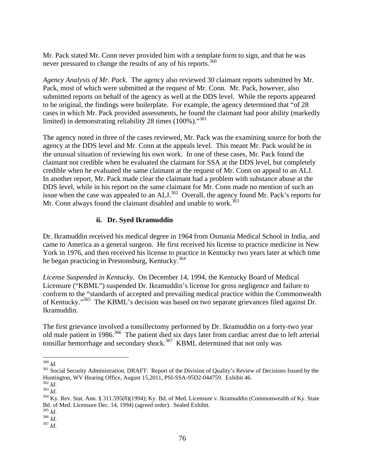Mr. Pack stated Mr. Conn never provided him with a template form to sign, and that he was never pressured to change the results of any of his reports.<sup>360</sup>

*Agency Analysis of Mr. Pack*. The agency also reviewed 30 claimant reports submitted by Mr. Pack, most of which were submitted at the request of Mr. Conn. Mr. Pack, however, also submitted reports on behalf of the agency as well at the DDS level. While the reports appeared to be original, the findings were boilerplate. For example, the agency determined that "of 28 cases in which Mr. Pack provided assessments, he found the claimant had poor ability (markedly limited) in demonstrating reliability 28 times (100%)."361

The agency noted in three of the cases reviewed, Mr. Pack was the examining source for both the agency at the DDS level and Mr. Conn at the appeals level. This meant Mr. Pack would be in the unusual situation of reviewing his own work. In one of these cases, Mr. Pack found the claimant not credible when he evaluated the claimant for SSA at the DDS level, but completely credible when he evaluated the same claimant at the request of Mr. Conn on appeal to an ALJ. In another report, Mr. Pack made clear the claimant had a problem with substance abuse at the DDS level, while in his report on the same claimant for Mr. Conn made no mention of such an issue when the case was appealed to an ALJ.<sup>362</sup> Overall, the agency found Mr. Pack's reports for Mr. Conn always found the claimant disabled and unable to work.<sup>363</sup>

## **ii. Dr. Syed Ikramuddin**

Dr. Ikramuddin received his medical degree in 1964 from Osmania Medical School in India, and came to America as a general surgeon. He first received his license to practice medicine in New York in 1976, and then received his license to practice in Kentucky two years later at which time he began practicing in Prestonsburg, Kentucky.<sup>364</sup>

*License Suspended in Kentucky*. On December 14, 1994, the Kentucky Board of Medical Licensure ("KBML") suspended Dr. Ikramuddin's license for gross negligence and failure to conform to the "standards of accepted and prevailing medical practice within the Commonwealth of Kentucky."365 The KBML's decision was based on two separate grievances filed against Dr. Ikramuddin.

The first grievance involved a tonsillectomy performed by Dr. Ikramuddin on a forty-two year old male patient in 1986.<sup>366</sup> The patient died six days later from cardiac arrest due to left arterial tonsillar hemorrhage and secondary shock.<sup>367</sup> KBML determined that not only was

 $360$  *Id.* 

<sup>&</sup>lt;sup>361</sup> Social Security Administration, DRAFT: Report of the Division of Quality's Review of Decisions Issued by the Huntington, WV Hearing Office, August 15,2011, PSI-SSA-95D2-044759. Exhibit 46.<br><sup>362</sup> Id.<br><sup>363</sup> Id.

<sup>&</sup>lt;sup>364</sup> Ky. Rev. Stat. Ann. § 311.595(8)(1994); Ky. Bd. of Med. Licensure v. Ikramuddin (Commonwealth of Ky. State Bd. of Med. Licensure Dec. 14, 1994) (agreed order). Sealed Exhibit.  $^{365}$  Id.

<sup>365</sup> *Id*. 366 *Id*. 367 *Id*.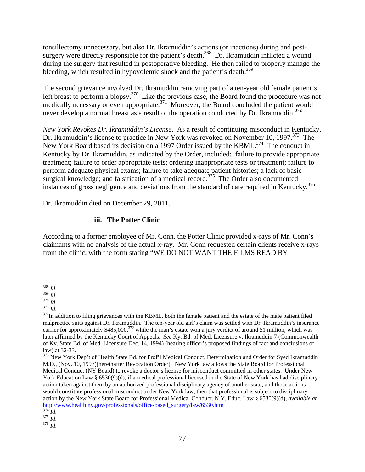tonsillectomy unnecessary, but also Dr. Ikramuddin's actions (or inactions) during and postsurgery were directly responsible for the patient's death.<sup>368</sup> Dr. Ikramuddin inflicted a wound during the surgery that resulted in postoperative bleeding. He then failed to properly manage the bleeding, which resulted in hypovolemic shock and the patient's death.<sup>369</sup>

The second grievance involved Dr. Ikramuddin removing part of a ten-year old female patient's left breast to perform a biopsy.<sup>370</sup> Like the previous case, the Board found the procedure was not medically necessary or even appropriate.<sup>371</sup> Moreover, the Board concluded the patient would never develop a normal breast as a result of the operation conducted by Dr. Ikramuddin. $372$ 

*New York Revokes Dr. Ikramuddin's License*. As a result of continuing misconduct in Kentucky, Dr. Ikramuddin's license to practice in New York was revoked on November 10, 1997.<sup>373</sup> The New York Board based its decision on a 1997 Order issued by the KBML.<sup>374</sup> The conduct in Kentucky by Dr. Ikramuddin, as indicated by the Order, included: failure to provide appropriate treatment; failure to order appropriate tests; ordering inappropriate tests or treatment; failure to perform adequate physical exams; failure to take adequate patient histories; a lack of basic surgical knowledge; and falsification of a medical record.<sup>375</sup> The Order also documented instances of gross negligence and deviations from the standard of care required in Kentucky.<sup>376</sup>

Dr. Ikramuddin died on December 29, 2011.

## **iii. The Potter Clinic**

According to a former employee of Mr. Conn, the Potter Clinic provided x-rays of Mr. Conn's claimants with no analysis of the actual x-ray. Mr. Conn requested certain clients receive x-rays from the clinic, with the form stating "WE DO NOT WANT THE FILMS READ BY

 $^{368}\,Id.$ 

<sup>&</sup>lt;sup>369</sup> *Id.*<br><sup>370</sup> *Id.*<br><sup>371</sup> *Id.* 371 *Id.* 371 *Id.* 371 *Id.* 372 In addition to filing grievances with the KBML, both the female patient and the estate of the male patient filed malpractice suits against Dr. Ikramuddin. The ten-year old girl's claim was settled with Dr. Ikramuddin's insurance carrier for approximately \$485,000,<sup>372</sup> while the man's estate won a jury verdict of around \$1 million, which was later affirmed by the Kentucky Court of Appeals. *See* Ky. Bd. of Med. Licensure v. Ikramuddin 7 (Commonwealth of Ky. State Bd. of Med. Licensure Dec. 14, 1994) (hearing officer's proposed findings of fact and conclusions of law) at 32-33.

<sup>&</sup>lt;sup>373</sup> New York Dep't of Health State Bd. for Prof'l Medical Conduct, Determination and Order for Syed Ikramuddin M.D., (Nov. 10, 1997)[hereinafter Revocation Order]. New York law allows the State Board for Professional Medical Conduct (NY Board) to revoke a doctor's license for misconduct committed in other states. Under New York Education Law § 6530(9)(d), if a medical professional licensed in the State of New York has had disciplinary action taken against them by an authorized professional disciplinary agency of another state, and those actions would constitute professional misconduct under New York law, then that professional is subject to disciplinary action by the New York State Board for Professional Medical Conduct. N.Y. Educ. Law § 6530(9)(d), *available at* http://www.health.ny.gov/professionals/office-based\_surgery/law/6530.htm 374 *Id*. 375 *Id*. 376 *Id*.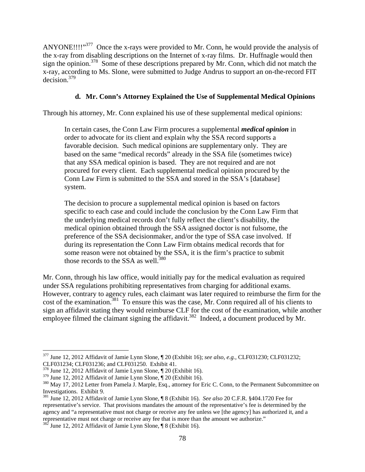ANYONE!!!!"<sup>377</sup> Once the x-rays were provided to Mr. Conn, he would provide the analysis of the x-ray from disabling descriptions on the Internet of x-ray films. Dr. Huffnagle would then sign the opinion.<sup>378</sup> Some of these descriptions prepared by Mr. Conn, which did not match the x-ray, according to Ms. Slone, were submitted to Judge Andrus to support an on-the-record FIT decision.379

### **d. Mr. Conn's Attorney Explained the Use of Supplemental Medical Opinions**

Through his attorney, Mr. Conn explained his use of these supplemental medical opinions:

In certain cases, the Conn Law Firm procures a supplemental *medical opinion* in order to advocate for its client and explain why the SSA record supports a favorable decision. Such medical opinions are supplementary only. They are based on the same "medical records" already in the SSA file (sometimes twice) that any SSA medical opinion is based. They are not required and are not procured for every client. Each supplemental medical opinion procured by the Conn Law Firm is submitted to the SSA and stored in the SSA's [database] system.

The decision to procure a supplemental medical opinion is based on factors specific to each case and could include the conclusion by the Conn Law Firm that the underlying medical records don't fully reflect the client's disability, the medical opinion obtained through the SSA assigned doctor is not fulsome, the preference of the SSA decisionmaker, and/or the type of SSA case involved. If during its representation the Conn Law Firm obtains medical records that for some reason were not obtained by the SSA, it is the firm's practice to submit those records to the SSA as well.<sup>380</sup>

Mr. Conn, through his law office, would initially pay for the medical evaluation as required under SSA regulations prohibiting representatives from charging for additional exams. However, contrary to agency rules, each claimant was later required to reimburse the firm for the cost of the examination.<sup>381</sup> To ensure this was the case, Mr. Conn required all of his clients to sign an affidavit stating they would reimburse CLF for the cost of the examination, while another employee filmed the claimant signing the affidavit.<sup>382</sup> Indeed, a document produced by Mr.

<sup>377</sup> June 12, 2012 Affidavit of Jamie Lynn Slone, ¶ 20 (Exhibit 16); *see also, e.g.,* CLF031230; CLF031232; CLF031234; CLF031236; and CLF031250. Exhibit 41.

<sup>&</sup>lt;sup>378</sup> June 12, 2012 Affidavit of Jamie Lynn Slone,  $\sqrt{\ }$  20 (Exhibit 16).<br><sup>379</sup> June 12, 2012 Affidavit of Jamie Lynn Slone,  $\sqrt{\ }$  20 (Exhibit 16).

 $380$  May 17, 2012 Letter from Pamela J. Marple, Esq., attorney for Eric C. Conn, to the Permanent Subcommittee on Investigations. Exhibit 9.

<sup>381</sup> June 12, 2012 Affidavit of Jamie Lynn Slone, ¶ 8 (Exhibit 16). *See also* 20 C.F.R. §404.1720 Fee for representative's service. That provisions mandates the amount of the representative's fee is determined by the agency and "a representative must not charge or receive any fee unless we [the agency] has authorized it, and a representative must not charge or receive any fee that is more than the amount we authorize." 382 June 12, 2012 Affidavit of Jamie Lynn Slone, ¶ 8 (Exhibit 16).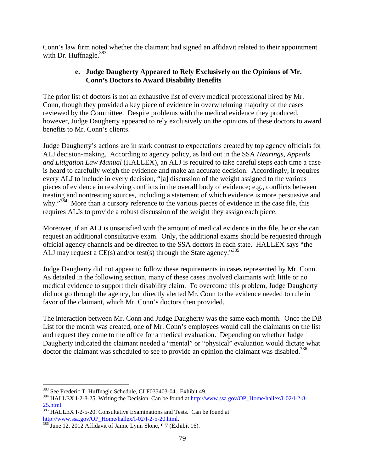Conn's law firm noted whether the claimant had signed an affidavit related to their appointment with Dr. Huffnagle. $383$ 

### **e. Judge Daugherty Appeared to Rely Exclusively on the Opinions of Mr. Conn's Doctors to Award Disability Benefits**

The prior list of doctors is not an exhaustive list of every medical professional hired by Mr. Conn, though they provided a key piece of evidence in overwhelming majority of the cases reviewed by the Committee. Despite problems with the medical evidence they produced, however, Judge Daugherty appeared to rely exclusively on the opinions of these doctors to award benefits to Mr. Conn's clients.

Judge Daugherty's actions are in stark contrast to expectations created by top agency officials for ALJ decision-making. According to agency policy, as laid out in the SSA *Hearings, Appeals and Litigation Law Manual* (HALLEX), an ALJ is required to take careful steps each time a case is heard to carefully weigh the evidence and make an accurate decision. Accordingly, it requires every ALJ to include in every decision, "[a] discussion of the weight assigned to the various pieces of evidence in resolving conflicts in the overall body of evidence; e.g., conflicts between treating and nontreating sources, including a statement of which evidence is more persuasive and why."<sup>384</sup> More than a cursory reference to the various pieces of evidence in the case file, this requires ALJs to provide a robust discussion of the weight they assign each piece.

Moreover, if an ALJ is unsatisfied with the amount of medical evidence in the file, he or she can request an additional consultative exam. Only, the additional exams should be requested through official agency channels and be directed to the SSA doctors in each state. HALLEX says "the ALJ may request a CE(s) and/or test(s) through the State agency."<sup>385</sup>

Judge Daugherty did not appear to follow these requirements in cases represented by Mr. Conn. As detailed in the following section, many of these cases involved claimants with little or no medical evidence to support their disability claim. To overcome this problem, Judge Daugherty did not go through the agency, but directly alerted Mr. Conn to the evidence needed to rule in favor of the claimant, which Mr. Conn's doctors then provided.

The interaction between Mr. Conn and Judge Daugherty was the same each month. Once the DB List for the month was created, one of Mr. Conn's employees would call the claimants on the list and request they come to the office for a medical evaluation. Depending on whether Judge Daugherty indicated the claimant needed a "mental" or "physical" evaluation would dictate what doctor the claimant was scheduled to see to provide an opinion the claimant was disabled.<sup>386</sup>

<sup>383</sup> See Frederic T. Huffnagle Schedule, CLF033403-04. Exhibit 49.

<sup>&</sup>lt;sup>384</sup> HALLEX I-2-8-25. Writing the Decision. Can be found at http://www.ssa.gov/OP\_Home/hallex/I-02/I-2-8-25.html.<br><sup>385</sup> HALLEX I-2-5-20. Consultative Examinations and Tests. Can be found at

http://www.ssa.gov/OP\_Home/hallex/I-02/I-2-5-20.html.<br><sup>386</sup> June 12, 2012 Affidavit of Jamie Lynn Slone, ¶ 7 (Exhibit 16).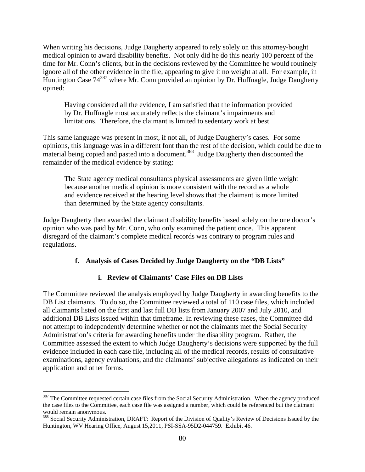When writing his decisions, Judge Daugherty appeared to rely solely on this attorney-bought medical opinion to award disability benefits. Not only did he do this nearly 100 percent of the time for Mr. Conn's clients, but in the decisions reviewed by the Committee he would routinely ignore all of the other evidence in the file, appearing to give it no weight at all. For example, in Huntington Case  $74^{387}$  where Mr. Conn provided an opinion by Dr. Huffnagle, Judge Daugherty opined:

Having considered all the evidence, I am satisfied that the information provided by Dr. Huffnagle most accurately reflects the claimant's impairments and limitations. Therefore, the claimant is limited to sedentary work at best.

This same language was present in most, if not all, of Judge Daugherty's cases. For some opinions, this language was in a different font than the rest of the decision, which could be due to material being copied and pasted into a document.<sup>388</sup> Judge Daugherty then discounted the remainder of the medical evidence by stating:

The State agency medical consultants physical assessments are given little weight because another medical opinion is more consistent with the record as a whole and evidence received at the hearing level shows that the claimant is more limited than determined by the State agency consultants.

Judge Daugherty then awarded the claimant disability benefits based solely on the one doctor's opinion who was paid by Mr. Conn, who only examined the patient once. This apparent disregard of the claimant's complete medical records was contrary to program rules and regulations.

#### **f. Analysis of Cases Decided by Judge Daugherty on the "DB Lists"**

#### **i. Review of Claimants' Case Files on DB Lists**

The Committee reviewed the analysis employed by Judge Daugherty in awarding benefits to the DB List claimants. To do so, the Committee reviewed a total of 110 case files, which included all claimants listed on the first and last full DB lists from January 2007 and July 2010, and additional DB Lists issued within that timeframe. In reviewing these cases, the Committee did not attempt to independently determine whether or not the claimants met the Social Security Administration's criteria for awarding benefits under the disability program. Rather, the Committee assessed the extent to which Judge Daugherty's decisions were supported by the full evidence included in each case file, including all of the medical records, results of consultative examinations, agency evaluations, and the claimants' subjective allegations as indicated on their application and other forms.

<sup>&</sup>lt;sup>387</sup> The Committee requested certain case files from the Social Security Administration. When the agency produced the case files to the Committee, each case file was assigned a number, which could be referenced but the claimant would remain anonymous.

<sup>&</sup>lt;sup>388</sup> Social Security Administration, DRAFT: Report of the Division of Quality's Review of Decisions Issued by the Huntington, WV Hearing Office, August 15,2011, PSI-SSA-95D2-044759. Exhibit 46.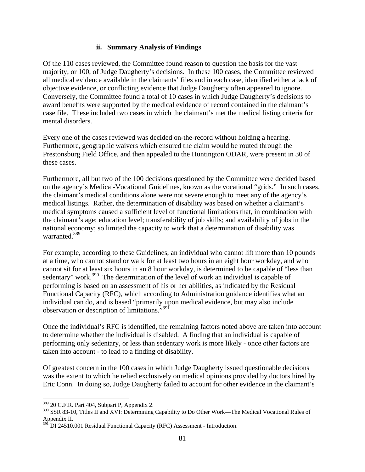#### **ii. Summary Analysis of Findings**

Of the 110 cases reviewed, the Committee found reason to question the basis for the vast majority, or 100, of Judge Daugherty's decisions. In these 100 cases, the Committee reviewed all medical evidence available in the claimants' files and in each case, identified either a lack of objective evidence, or conflicting evidence that Judge Daugherty often appeared to ignore. Conversely, the Committee found a total of 10 cases in which Judge Daugherty's decisions to award benefits were supported by the medical evidence of record contained in the claimant's case file. These included two cases in which the claimant's met the medical listing criteria for mental disorders.

Every one of the cases reviewed was decided on-the-record without holding a hearing. Furthermore, geographic waivers which ensured the claim would be routed through the Prestonsburg Field Office, and then appealed to the Huntington ODAR, were present in 30 of these cases.

Furthermore, all but two of the 100 decisions questioned by the Committee were decided based on the agency's Medical-Vocational Guidelines, known as the vocational "grids." In such cases, the claimant's medical conditions alone were not severe enough to meet any of the agency's medical listings. Rather, the determination of disability was based on whether a claimant's medical symptoms caused a sufficient level of functional limitations that, in combination with the claimant's age; education level; transferability of job skills; and availability of jobs in the national economy; so limited the capacity to work that a determination of disability was warranted.389

For example, according to these Guidelines, an individual who cannot lift more than 10 pounds at a time, who cannot stand or walk for at least two hours in an eight hour workday, and who cannot sit for at least six hours in an 8 hour workday, is determined to be capable of "less than sedentary" work. $390$  The determination of the level of work an individual is capable of performing is based on an assessment of his or her abilities, as indicated by the Residual Functional Capacity (RFC), which according to Administration guidance identifies what an individual can do, and is based "primarily upon medical evidence, but may also include observation or description of limitations."391

Once the individual's RFC is identified, the remaining factors noted above are taken into account to determine whether the individual is disabled. A finding that an individual is capable of performing only sedentary, or less than sedentary work is more likely - once other factors are taken into account - to lead to a finding of disability.

Of greatest concern in the 100 cases in which Judge Daugherty issued questionable decisions was the extent to which he relied exclusively on medical opinions provided by doctors hired by Eric Conn. In doing so, Judge Daugherty failed to account for other evidence in the claimant's

<sup>389 20</sup> C.F.R. Part 404, Subpart P, Appendix 2.

<sup>390</sup> SSR 83-10, Titles II and XVI: Determining Capability to Do Other Work—The Medical Vocational Rules of Appendix II.

<sup>391</sup> DI 24510.001 Residual Functional Capacity (RFC) Assessment - Introduction.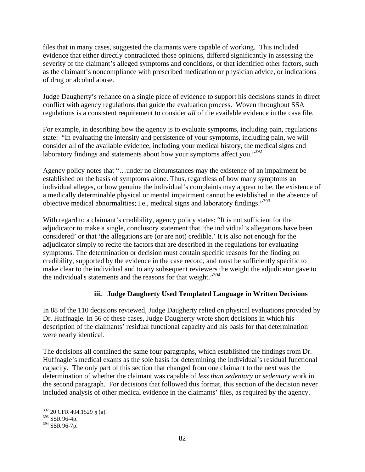files that in many cases, suggested the claimants were capable of working. This included evidence that either directly contradicted those opinions, differed significantly in assessing the severity of the claimant's alleged symptoms and conditions, or that identified other factors, such as the claimant's noncompliance with prescribed medication or physician advice, or indications of drug or alcohol abuse.

Judge Daugherty's reliance on a single piece of evidence to support his decisions stands in direct conflict with agency regulations that guide the evaluation process. Woven throughout SSA regulations is a consistent requirement to consider *all* of the available evidence in the case file.

For example, in describing how the agency is to evaluate symptoms, including pain, regulations state: "In evaluating the intensity and persistence of your symptoms, including pain, we will consider all of the available evidence, including your medical history, the medical signs and laboratory findings and statements about how your symptoms affect you."<sup>392</sup>

Agency policy notes that "…under no circumstances may the existence of an impairment be established on the basis of symptoms alone. Thus, regardless of how many symptoms an individual alleges, or how genuine the individual's complaints may appear to be, the existence of a medically determinable physical or mental impairment cannot be established in the absence of objective medical abnormalities; i.e., medical signs and laboratory findings."<sup>393</sup>

With regard to a claimant's credibility, agency policy states: "It is not sufficient for the adjudicator to make a single, conclusory statement that 'the individual's allegations have been considered' or that 'the allegations are (or are not) credible.' It is also not enough for the adjudicator simply to recite the factors that are described in the regulations for evaluating symptoms. The determination or decision must contain specific reasons for the finding on credibility, supported by the evidence in the case record, and must be sufficiently specific to make clear to the individual and to any subsequent reviewers the weight the adjudicator gave to the individual's statements and the reasons for that weight."394

# **iii. Judge Daugherty Used Templated Language in Written Decisions**

In 88 of the 110 decisions reviewed, Judge Daugherty relied on physical evaluations provided by Dr. Huffnagle. In 56 of these cases, Judge Daugherty wrote short decisions in which his description of the claimants' residual functional capacity and his basis for that determination were nearly identical.

The decisions all contained the same four paragraphs, which established the findings from Dr. Huffnagle's medical exams as the sole basis for determining the individual's residual functional capacity. The only part of this section that changed from one claimant to the next was the determination of whether the claimant was capable of *less than sedentary* or *sedentary* work in the second paragraph. For decisions that followed this format, this section of the decision never included analysis of other medical evidence in the claimants' files, as required by the agency.

 $\overline{a}$ 392 20 CFR 404.1529 § (a).

<sup>393</sup> SSR 96-4p.

<sup>394</sup> SSR 96-7p.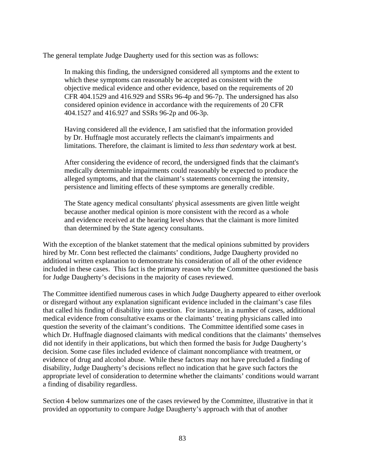The general template Judge Daugherty used for this section was as follows:

In making this finding, the undersigned considered all symptoms and the extent to which these symptoms can reasonably be accepted as consistent with the objective medical evidence and other evidence, based on the requirements of 20 CFR 404.1529 and 416.929 and SSRs 96-4p and 96-7p. The undersigned has also considered opinion evidence in accordance with the requirements of 20 CFR 404.1527 and 416.927 and SSRs 96-2p and 06-3p.

Having considered all the evidence, I am satisfied that the information provided by Dr. Huffnagle most accurately reflects the claimant's impairments and limitations. Therefore, the claimant is limited to *less than sedentary* work at best.

After considering the evidence of record, the undersigned finds that the claimant's medically determinable impairments could reasonably be expected to produce the alleged symptoms, and that the claimant's statements concerning the intensity, persistence and limiting effects of these symptoms are generally credible.

The State agency medical consultants' physical assessments are given little weight because another medical opinion is more consistent with the record as a whole and evidence received at the hearing level shows that the claimant is more limited than determined by the State agency consultants.

With the exception of the blanket statement that the medical opinions submitted by providers hired by Mr. Conn best reflected the claimants' conditions, Judge Daugherty provided no additional written explanation to demonstrate his consideration of all of the other evidence included in these cases. This fact is the primary reason why the Committee questioned the basis for Judge Daugherty's decisions in the majority of cases reviewed.

The Committee identified numerous cases in which Judge Daugherty appeared to either overlook or disregard without any explanation significant evidence included in the claimant's case files that called his finding of disability into question. For instance, in a number of cases, additional medical evidence from consultative exams or the claimants' treating physicians called into question the severity of the claimant's conditions. The Committee identified some cases in which Dr. Huffnagle diagnosed claimants with medical conditions that the claimants' themselves did not identify in their applications, but which then formed the basis for Judge Daugherty's decision. Some case files included evidence of claimant noncompliance with treatment, or evidence of drug and alcohol abuse. While these factors may not have precluded a finding of disability, Judge Daugherty's decisions reflect no indication that he gave such factors the appropriate level of consideration to determine whether the claimants' conditions would warrant a finding of disability regardless.

Section 4 below summarizes one of the cases reviewed by the Committee, illustrative in that it provided an opportunity to compare Judge Daugherty's approach with that of another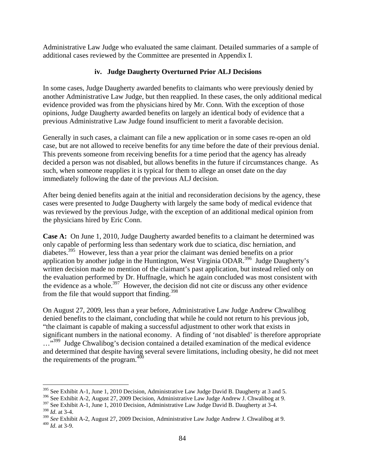Administrative Law Judge who evaluated the same claimant. Detailed summaries of a sample of additional cases reviewed by the Committee are presented in Appendix I.

## **iv. Judge Daugherty Overturned Prior ALJ Decisions**

In some cases, Judge Daugherty awarded benefits to claimants who were previously denied by another Administrative Law Judge, but then reapplied. In these cases, the only additional medical evidence provided was from the physicians hired by Mr. Conn. With the exception of those opinions, Judge Daugherty awarded benefits on largely an identical body of evidence that a previous Administrative Law Judge found insufficient to merit a favorable decision.

Generally in such cases, a claimant can file a new application or in some cases re-open an old case, but are not allowed to receive benefits for any time before the date of their previous denial. This prevents someone from receiving benefits for a time period that the agency has already decided a person was not disabled, but allows benefits in the future if circumstances change. As such, when someone reapplies it is typical for them to allege an onset date on the day immediately following the date of the previous ALJ decision.

After being denied benefits again at the initial and reconsideration decisions by the agency, these cases were presented to Judge Daugherty with largely the same body of medical evidence that was reviewed by the previous Judge, with the exception of an additional medical opinion from the physicians hired by Eric Conn.

**Case A:** On June 1, 2010, Judge Daugherty awarded benefits to a claimant he determined was only capable of performing less than sedentary work due to sciatica, disc herniation, and diabetes.<sup>395</sup> However, less than a year prior the claimant was denied benefits on a prior application by another judge in the Huntington, West Virginia ODAR.<sup>396</sup> Judge Daugherty's written decision made no mention of the claimant's past application, but instead relied only on the evaluation performed by Dr. Huffnagle, which he again concluded was most consistent with the evidence as a whole.<sup>397</sup> However, the decision did not cite or discuss any other evidence from the file that would support that finding. $398$ 

On August 27, 2009, less than a year before, Administrative Law Judge Andrew Chwalibog denied benefits to the claimant, concluding that while he could not return to his previous job, "the claimant is capable of making a successful adjustment to other work that exists in significant numbers in the national economy. A finding of 'not disabled' is therefore appropriate ...<sup>,399</sup> Judge Chwalibog's decision contained a detailed examination of the medical evidence and determined that despite having several severe limitations, including obesity, he did not meet the requirements of the program. $400$ 

 $\overline{a}$  $395$  See Exhibit A-1, June 1, 2010 Decision, Administrative Law Judge David B. Daugherty at 3 and 5.

<sup>396</sup> See Exhibit A-2, August 27, 2009 Decision, Administrative Law Judge Andrew J. Chwalibog at 9.

<sup>&</sup>lt;sup>397</sup> See Exhibit A-1, June 1, 2010 Decision, Administrative Law Judge David B. Daugherty at 3-4. <sup>398</sup> *Id*. at 3-4.

<sup>399</sup> *See* Exhibit A-2, August 27, 2009 Decision, Administrative Law Judge Andrew J. Chwalibog at 9. 400 *Id*. at 3-9.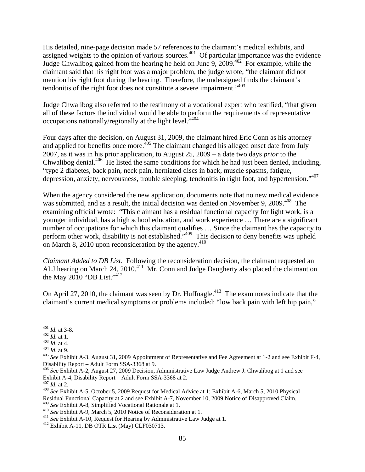His detailed, nine-page decision made 57 references to the claimant's medical exhibits, and assigned weights to the opinion of various sources.<sup>401</sup> Of particular importance was the evidence Judge Chwalibog gained from the hearing he held on June 9, 2009.<sup>402</sup> For example, while the claimant said that his right foot was a major problem, the judge wrote, "the claimant did not mention his right foot during the hearing. Therefore, the undersigned finds the claimant's tendonitis of the right foot does not constitute a severe impairment."<sup>403</sup>

Judge Chwalibog also referred to the testimony of a vocational expert who testified, "that given all of these factors the individual would be able to perform the requirements of representative occupations nationally/regionally at the light level."404

Four days after the decision, on August 31, 2009, the claimant hired Eric Conn as his attorney and applied for benefits once more.<sup>405</sup> The claimant changed his alleged onset date from July 2007, as it was in his prior application, to August 25, 2009 – a date two days *prior* to the Chwalibog denial. $406$  He listed the same conditions for which he had just been denied, including, "type 2 diabetes, back pain, neck pain, herniated discs in back, muscle spasms, fatigue, depression, anxiety, nervousness, trouble sleeping, tendonitis in right foot, and hypertension."407

When the agency considered the new application, documents note that no new medical evidence was submitted, and as a result, the initial decision was denied on November 9, 2009.<sup>408</sup> The examining official wrote: "This claimant has a residual functional capacity for light work, is a younger individual, has a high school education, and work experience … There are a significant number of occupations for which this claimant qualifies … Since the claimant has the capacity to perform other work, disability is not established."409 This decision to deny benefits was upheld on March 8, 2010 upon reconsideration by the agency.<sup>410</sup>

*Claimant Added to DB List*. Following the reconsideration decision, the claimant requested an ALJ hearing on March 24, 2010.<sup>411</sup> Mr. Conn and Judge Daugherty also placed the claimant on the May 2010 "DB List." $4^{12}$ 

On April 27, 2010, the claimant was seen by Dr. Huffnagle.<sup>413</sup> The exam notes indicate that the claimant's current medical symptoms or problems included: "low back pain with left hip pain,"

 $401$  *Id.* at 3-8.

<sup>402</sup> *Id.* at 1.<br>
<sup>403</sup> *Id.* at 4.<br>
<sup>403</sup> *Id.* at 4.<br>
<sup>404</sup> *Id.* at 9.<br>
<sup>405</sup> *See* Exhibit A-3, August 31, 2009 Appointment of Representative and Fee Agreement at 1-2 and see Exhibit F-4, Disability Report – Adult Form SSA-3368 at 9.

<sup>406</sup> *See* Exhibit A-2, August 27, 2009 Decision, Administrative Law Judge Andrew J. Chwalibog at 1 and see Exhibit A-4, Disability Report – Adult Form SSA-3368 at 2.<br> $^{407}$  *Id.* at 2.

<sup>&</sup>lt;sup>408</sup> *See* Exhibit A-5, October 5, 2009 Request for Medical Advice at 1; Exhibit A-6, March 5, 2010 Physical Residual Functional Capacity at 2 and see Exhibit A-7, November 10, 2009 Notice of Disapproved Claim.<br><sup>409</sup> See Exhibit A-8, Simplified Vocational Rationale at 1.

<sup>&</sup>lt;sup>410</sup> See Exhibit A-9, March 5, 2010 Notice of Reconsideration at 1.<br><sup>411</sup> See Exhibit A-10, Request for Hearing by Administrative Law Judge at 1.<br><sup>412</sup> Exhibit A-11, DB OTR List (May) CLF030713.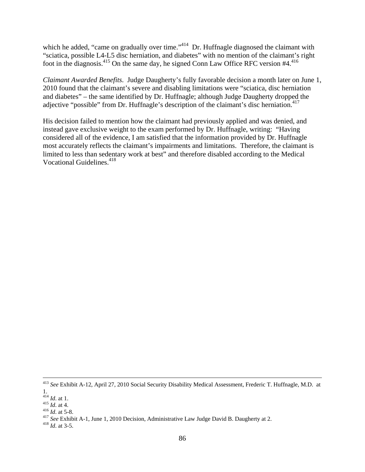which he added, "came on gradually over time."<sup>414</sup> Dr. Huffnagle diagnosed the claimant with "sciatica, possible L4-L5 disc herniation, and diabetes" with no mention of the claimant's right foot in the diagnosis.<sup>415</sup> On the same day, he signed Conn Law Office RFC version #4.<sup>416</sup>

*Claimant Awarded Benefits*. Judge Daugherty's fully favorable decision a month later on June 1, 2010 found that the claimant's severe and disabling limitations were "sciatica, disc herniation and diabetes" – the same identified by Dr. Huffnagle; although Judge Daugherty dropped the adjective "possible" from Dr. Huffnagle's description of the claimant's disc herniation. $417$ 

His decision failed to mention how the claimant had previously applied and was denied, and instead gave exclusive weight to the exam performed by Dr. Huffnagle, writing: "Having considered all of the evidence, I am satisfied that the information provided by Dr. Huffnagle most accurately reflects the claimant's impairments and limitations. Therefore, the claimant is limited to less than sedentary work at best" and therefore disabled according to the Medical Vocational Guidelines.<sup>418</sup>

 <sup>413</sup> *See* Exhibit A-12, April 27, 2010 Social Security Disability Medical Assessment, Frederic T. Huffnagle, M.D. at

 $\frac{114}{414}$  *Id.* at 1.

*Id.* at 1.<br><sup>415</sup> *Id.* at 4.<br><sup>416</sup> *Id.* at 5-8.<br><sup>417</sup> *See* Exhibit A-1, June 1, 2010 Decision, Administrative Law Judge David B. Daugherty at 2.<br><sup>418</sup> *Id.* at 3-5.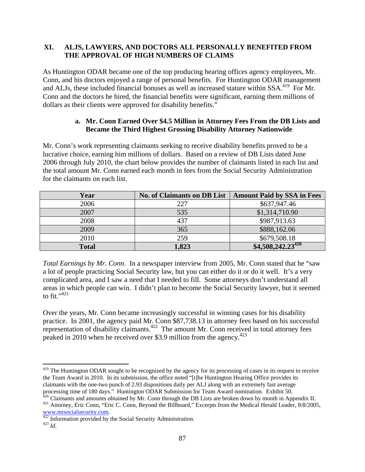### **XI. ALJS, LAWYERS, AND DOCTORS ALL PERSONALLY BENEFITED FROM THE APPROVAL OF HIGH NUMBERS OF CLAIMS**

As Huntington ODAR became one of the top producing hearing offices agency employees, Mr. Conn, and his doctors enjoyed a range of personal benefits. For Huntington ODAR management and ALJs, these included financial bonuses as well as increased stature within SSA.<sup>419</sup> For Mr. Conn and the doctors he hired, the financial benefits were significant, earning them millions of dollars as their clients were approved for disability benefits."

### **a. Mr. Conn Earned Over \$4.5 Million in Attorney Fees From the DB Lists and Became the Third Highest Grossing Disability Attorney Nationwide**

Mr. Conn's work representing claimants seeking to receive disability benefits proved to be a lucrative choice, earning him millions of dollars. Based on a review of DB Lists dated June 2006 through July 2010, the chart below provides the number of claimants listed in each list and the total amount Mr. Conn earned each month in fees from the Social Security Administration for the claimants on each list.

| Year         | <b>No. of Claimants on DB List</b> | <b>Amount Paid by SSA in Fees</b> |
|--------------|------------------------------------|-----------------------------------|
| 2006         | 227                                | \$637,947.46                      |
| 2007         | 535                                | \$1,314,710.90                    |
| 2008         | 437                                | \$987,913.63                      |
| 2009         | 365                                | \$888,162.06                      |
| 2010         | 259                                | \$679,508.18                      |
| <b>Total</b> | 1,823                              | $$4,508,242.23^{420}$             |

*Total Earnings by Mr. Conn*. In a newspaper interview from 2005, Mr. Conn stated that he "saw a lot of people practicing Social Security law, but you can either do it or do it well. It's a very complicated area, and I saw a need that I needed to fill. Some attorneys don't understand all areas in which people can win. I didn't plan to become the Social Security lawyer, but it seemed to fit." $421$ 

Over the years, Mr. Conn became increasingly successful in winning cases for his disability practice. In 2001, the agency paid Mr. Conn \$87,738.13 in attorney fees based on his successful representation of disability claimants.<sup>422</sup> The amount Mr. Conn received in total attorney fees peaked in 2010 when he received over \$3.9 million from the agency.<sup>423</sup>

<sup>&</sup>lt;sup>419</sup> The Huntington ODAR sought to be recognized by the agency for its processing of cases in its request to receive the Team Award in 2010. In its submission, the office noted "[t]he Huntington Hearing Office provides its claimants with the one-two punch of 2.93 dispositions daily per ALJ along with an extremely fast average processing time of 180 days." Huntington ODAR Submission for Team Award nomination. Exhibit 50.<br><sup>420</sup> Claimants and amounts obtained by Mr. Conn through the DB Lists are broken down by month in Appendix II.

<sup>&</sup>lt;sup>421</sup> Attorney, Eric Conn, "Eric C. Conn, Beyond the Billboard," Excerpts from the Medical Herald Leader, 8/8/2005,

www.mrsocialsecurity.com.<br><sup>422</sup> Information provided by the Social Security Administration.<br><sup>423</sup> *Id.*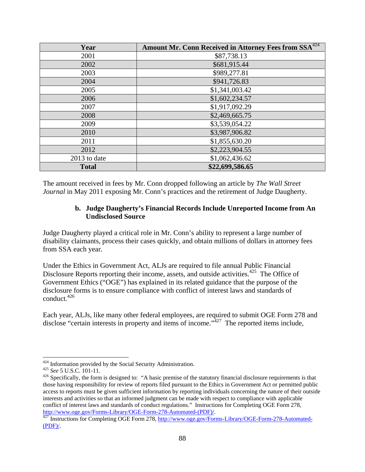| Year         | <b>Amount Mr. Conn Received in Attorney Fees from SSA</b> <sup>424</sup> |  |  |
|--------------|--------------------------------------------------------------------------|--|--|
| 2001         | \$87,738.13                                                              |  |  |
| 2002         | \$681,915.44                                                             |  |  |
| 2003         | \$989,277.81                                                             |  |  |
| 2004         | \$941,726.83                                                             |  |  |
| 2005         | \$1,341,003.42                                                           |  |  |
| 2006         | \$1,602,234.57                                                           |  |  |
| 2007         | \$1,917,092.29                                                           |  |  |
| 2008         | \$2,469,665.75                                                           |  |  |
| 2009         | \$3,539,054.22                                                           |  |  |
| 2010         | \$3,987,906.82                                                           |  |  |
| 2011         | \$1,855,630.20                                                           |  |  |
| 2012         | \$2,223,904.55                                                           |  |  |
| 2013 to date | \$1,062,436.62                                                           |  |  |
| <b>Total</b> | \$22,699,586.65                                                          |  |  |

The amount received in fees by Mr. Conn dropped following an article by *The Wall Street Journal* in May 2011 exposing Mr. Conn's practices and the retirement of Judge Daugherty.

#### **b. Judge Daugherty's Financial Records Include Unreported Income from An Undisclosed Source**

Judge Daugherty played a critical role in Mr. Conn's ability to represent a large number of disability claimants, process their cases quickly, and obtain millions of dollars in attorney fees from SSA each year.

Under the Ethics in Government Act, ALJs are required to file annual Public Financial Disclosure Reports reporting their income, assets, and outside activities.<sup>425</sup> The Office of Government Ethics ("OGE") has explained in its related guidance that the purpose of the disclosure forms is to ensure compliance with conflict of interest laws and standards of conduct.426

Each year, ALJs, like many other federal employees, are required to submit OGE Form 278 and disclose "certain interests in property and items of income."<sup>427</sup> The reported items include,

<sup>&</sup>lt;sup>424</sup> Information provided by the Social Security Administration.<br><sup>425</sup> *See* 5 U.S.C. 101-11.<br><sup>426</sup> Specifically, the form is designed to: "A basic premise of the statutory financial disclosure requirements is that those having responsibility for review of reports filed pursuant to the Ethics in Government Act or permitted public access to reports must be given sufficient information by reporting individuals concerning the nature of their outside interests and activities so that an informed judgment can be made with respect to compliance with applicable conflict of interest laws and standards of conduct regulations." Instructions for Completing OGE Form 278, http://www.oge.gov/Forms-Library/OGE-Form-278-Automated-(PDF)/.

 $\frac{427}{127}$  Instructions for Completing OGE Form 278, http://www.oge.gov/Forms-Library/OGE-Form-278-Automated- $(PDF)$ .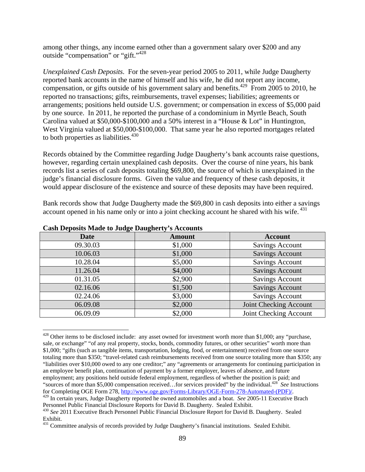among other things, any income earned other than a government salary over \$200 and any outside "compensation" or "gift."428

*Unexplained Cash Deposits*. For the seven-year period 2005 to 2011, while Judge Daugherty reported bank accounts in the name of himself and his wife, he did not report any income, compensation, or gifts outside of his government salary and benefits.<sup>429</sup> From 2005 to 2010, he reported no transactions; gifts, reimbursements, travel expenses; liabilities; agreements or arrangements; positions held outside U.S. government; or compensation in excess of \$5,000 paid by one source. In 2011, he reported the purchase of a condominium in Myrtle Beach, South Carolina valued at \$50,000-\$100,000 and a 50% interest in a "House & Lot" in Huntington, West Virginia valued at \$50,000-\$100,000. That same year he also reported mortgages related to both properties as liabilities. $430$ 

Records obtained by the Committee regarding Judge Daugherty's bank accounts raise questions, however, regarding certain unexplained cash deposits. Over the course of nine years, his bank records list a series of cash deposits totaling \$69,800, the source of which is unexplained in the judge's financial disclosure forms. Given the value and frequency of these cash deposits, it would appear disclosure of the existence and source of these deposits may have been required.

Bank records show that Judge Daugherty made the \$69,800 in cash deposits into either a savings account opened in his name only or into a joint checking account he shared with his wife. <sup>431</sup>

| <b>Date</b> | <b>Amount</b> | <b>Account</b>         |  |
|-------------|---------------|------------------------|--|
| 09.30.03    | \$1,000       | <b>Savings Account</b> |  |
| 10.06.03    | \$1,000       | <b>Savings Account</b> |  |
| 10.28.04    | \$5,000       | <b>Savings Account</b> |  |
| 11.26.04    | \$4,000       | <b>Savings Account</b> |  |
| 01.31.05    | \$2,900       | <b>Savings Account</b> |  |
| 02.16.06    | \$1,500       | <b>Savings Account</b> |  |
| 02.24.06    | \$3,000       | <b>Savings Account</b> |  |
| 06.09.08    | \$2,000       | Joint Checking Account |  |
| 06.09.09    | \$2,000       | Joint Checking Account |  |

**Cash Deposits Made to Judge Daugherty's Accounts** 

<sup>&</sup>lt;sup>428</sup> Other items to be disclosed include: any asset owned for investment worth more than \$1,000; any "purchase, sale, or exchange" "of any real property, stocks, bonds, commodity futures, or other securities" worth more than \$1,000; "gifts (such as tangible items, transportation, lodging, food, or entertainment) received from one source totaling more than \$350; "travel-related cash reimbursements received from one source totaling more than \$350; any "liabilities over \$10,000 owed to any one creditor;" any "agreements or arrangements for continuing participation in an employee benefit plan, continuation of payment by a former employer, leaves of absence, and future employment; any positions held outside federal employment, regardless of whether the position is paid; and "sources of more than \$5,000 compensation received...for services provided" by the individual.<sup>428</sup> *See* Instructions for Completing OGE Form 278, http://www.oge.gov/Forms-Library/OGE-Form-278-Automated-(PDF)/.

<sup>&</sup>lt;sup>429</sup> In certain years, Judge Daugherty reported he owned automobiles and a boat. *See* 2005-11 Executive Brach Personnel Public Financial Disclosure Reports for David B. Daugherty. Sealed Exhibit.

<sup>430</sup> *See* 2011 Executive Brach Personnel Public Financial Disclosure Report for David B. Daugherty. Sealed Exhibit.

<sup>&</sup>lt;sup>431</sup> Committee analysis of records provided by Judge Daugherty's financial institutions. Sealed Exhibit.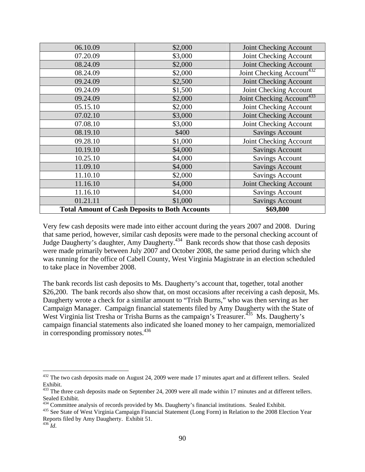| 06.10.09 | \$2,000                                               | Joint Checking Account                |  |
|----------|-------------------------------------------------------|---------------------------------------|--|
| 07.20.09 | \$3,000                                               | Joint Checking Account                |  |
| 08.24.09 | \$2,000                                               | Joint Checking Account                |  |
| 08.24.09 | \$2,000                                               | Joint Checking Account <sup>432</sup> |  |
| 09.24.09 | \$2,500                                               | Joint Checking Account                |  |
| 09.24.09 | \$1,500                                               | Joint Checking Account                |  |
| 09.24.09 | \$2,000                                               | Joint Checking Account <sup>433</sup> |  |
| 05.15.10 | \$2,000                                               | Joint Checking Account                |  |
| 07.02.10 | \$3,000                                               | Joint Checking Account                |  |
| 07.08.10 | \$3,000                                               | Joint Checking Account                |  |
| 08.19.10 | \$400                                                 | <b>Savings Account</b>                |  |
| 09.28.10 | \$1,000                                               | Joint Checking Account                |  |
| 10.19.10 | \$4,000                                               | <b>Savings Account</b>                |  |
| 10.25.10 | \$4,000                                               | <b>Savings Account</b>                |  |
| 11.09.10 | \$4,000                                               | <b>Savings Account</b>                |  |
| 11.10.10 | \$2,000                                               | <b>Savings Account</b>                |  |
| 11.16.10 | \$4,000                                               | Joint Checking Account                |  |
| 11.16.10 | \$4,000                                               | <b>Savings Account</b>                |  |
| 01.21.11 | \$1,000                                               | <b>Savings Account</b>                |  |
|          | <b>Total Amount of Cash Deposits to Both Accounts</b> | \$69,800                              |  |

Very few cash deposits were made into either account during the years 2007 and 2008. During that same period, however, similar cash deposits were made to the personal checking account of Judge Daugherty's daughter, Amy Daugherty.434 Bank records show that those cash deposits were made primarily between July 2007 and October 2008, the same period during which she was running for the office of Cabell County, West Virginia Magistrate in an election scheduled to take place in November 2008.

The bank records list cash deposits to Ms. Daugherty's account that, together, total another \$26,200. The bank records also show that, on most occasions after receiving a cash deposit, Ms. Daugherty wrote a check for a similar amount to "Trish Burns," who was then serving as her Campaign Manager. Campaign financial statements filed by Amy Daugherty with the State of West Virginia list Tresha or Trisha Burns as the campaign's Treasurer.<sup>435</sup> Ms. Daugherty's campaign financial statements also indicated she loaned money to her campaign, memorialized in corresponding promissory notes.<sup>436</sup>

 $432$  The two cash deposits made on August 24, 2009 were made 17 minutes apart and at different tellers. Sealed Exhibit.

 $433$  The three cash deposits made on September 24, 2009 were all made within 17 minutes and at different tellers. Sealed Exhibit.

<sup>&</sup>lt;sup>434</sup> Committee analysis of records provided by Ms. Daugherty's financial institutions. Sealed Exhibit.<br><sup>435</sup> See State of West Virginia Campaign Financial Statement (Long Form) in Relation to the 2008 Election Year Reports filed by Amy Daugherty. Exhibit 51.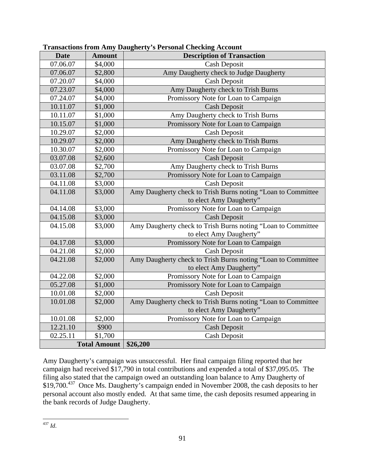| <b>Date</b>         | <b>Amount</b> | <b>Description of Transaction</b>                            |  |
|---------------------|---------------|--------------------------------------------------------------|--|
| 07.06.07            | \$4,000       | <b>Cash Deposit</b>                                          |  |
| 07.06.07            | \$2,800       | Amy Daugherty check to Judge Daugherty                       |  |
| 07.20.07            | \$4,000       | <b>Cash Deposit</b>                                          |  |
| 07.23.07            | \$4,000       | Amy Daugherty check to Trish Burns                           |  |
| 07.24.07            | \$4,000       | Promissory Note for Loan to Campaign                         |  |
| 10.11.07            | \$1,000       | <b>Cash Deposit</b>                                          |  |
| 10.11.07            | \$1,000       | Amy Daugherty check to Trish Burns                           |  |
| 10.15.07            | \$1,000       | Promissory Note for Loan to Campaign                         |  |
| 10.29.07            | \$2,000       | Cash Deposit                                                 |  |
| 10.29.07            | \$2,000       | Amy Daugherty check to Trish Burns                           |  |
| 10.30.07            | \$2,000       | Promissory Note for Loan to Campaign                         |  |
| 03.07.08            | \$2,600       | <b>Cash Deposit</b>                                          |  |
| 03.07.08            | \$2,700       | Amy Daugherty check to Trish Burns                           |  |
| 03.11.08            | \$2,700       | Promissory Note for Loan to Campaign                         |  |
| 04.11.08            | \$3,000       | <b>Cash Deposit</b>                                          |  |
| 04.11.08            | \$3,000       | Amy Daugherty check to Trish Burns noting "Loan to Committee |  |
|                     |               | to elect Amy Daugherty"                                      |  |
| 04.14.08            | \$3,000       | Promissory Note for Loan to Campaign                         |  |
| 04.15.08            | \$3,000       | <b>Cash Deposit</b>                                          |  |
| 04.15.08            | \$3,000       | Amy Daugherty check to Trish Burns noting "Loan to Committee |  |
|                     |               | to elect Amy Daugherty"                                      |  |
| 04.17.08            | \$3,000       | Promissory Note for Loan to Campaign                         |  |
| 04.21.08            | \$2,000       | <b>Cash Deposit</b>                                          |  |
| 04.21.08            | \$2,000       | Amy Daugherty check to Trish Burns noting "Loan to Committee |  |
|                     |               | to elect Amy Daugherty"                                      |  |
| 04.22.08            | \$2,000       | Promissory Note for Loan to Campaign                         |  |
| 05.27.08            | \$1,000       | Promissory Note for Loan to Campaign                         |  |
| 10.01.08            | \$2,000       | Cash Deposit                                                 |  |
| 10.01.08            | \$2,000       | Amy Daugherty check to Trish Burns noting "Loan to Committee |  |
|                     |               | to elect Amy Daugherty"                                      |  |
| 10.01.08            | \$2,000       | Promissory Note for Loan to Campaign                         |  |
| 12.21.10            | \$900         | <b>Cash Deposit</b>                                          |  |
| 02.25.11            | \$1,700       | <b>Cash Deposit</b>                                          |  |
| <b>Total Amount</b> |               | \$26,200                                                     |  |

Amy Daugherty's campaign was unsuccessful. Her final campaign filing reported that her campaign had received \$17,790 in total contributions and expended a total of \$37,095.05. The filing also stated that the campaign owed an outstanding loan balance to Amy Daugherty of \$19,700.<sup>437</sup> Once Ms. Daugherty's campaign ended in November 2008, the cash deposits to her personal account also mostly ended. At that same time, the cash deposits resumed appearing in the bank records of Judge Daugherty.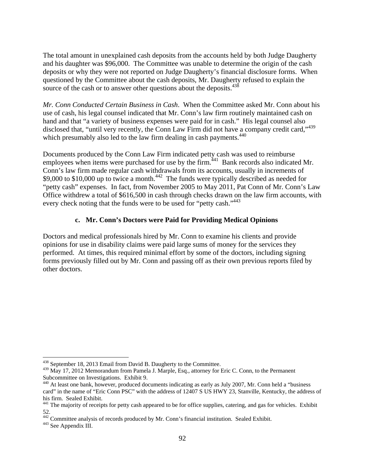The total amount in unexplained cash deposits from the accounts held by both Judge Daugherty and his daughter was \$96,000. The Committee was unable to determine the origin of the cash deposits or why they were not reported on Judge Daugherty's financial disclosure forms. When questioned by the Committee about the cash deposits, Mr. Daugherty refused to explain the source of the cash or to answer other questions about the deposits.<sup>438</sup>

*Mr. Conn Conducted Certain Business in Cash*. When the Committee asked Mr. Conn about his use of cash, his legal counsel indicated that Mr. Conn's law firm routinely maintained cash on hand and that "a variety of business expenses were paid for in cash." His legal counsel also disclosed that, "until very recently, the Conn Law Firm did not have a company credit card,"439 which presumably also led to the law firm dealing in cash payments.<sup>440</sup>

Documents produced by the Conn Law Firm indicated petty cash was used to reimburse employees when items were purchased for use by the firm.<sup> $441$ </sup> Bank records also indicated Mr. Conn's law firm made regular cash withdrawals from its accounts, usually in increments of \$9,000 to \$10,000 up to twice a month.<sup>442</sup> The funds were typically described as needed for "petty cash" expenses. In fact, from November 2005 to May 2011, Pat Conn of Mr. Conn's Law Office withdrew a total of \$616,500 in cash through checks drawn on the law firm accounts, with every check noting that the funds were to be used for "petty cash."<sup>443</sup>

#### **c. Mr. Conn's Doctors were Paid for Providing Medical Opinions**

Doctors and medical professionals hired by Mr. Conn to examine his clients and provide opinions for use in disability claims were paid large sums of money for the services they performed. At times, this required minimal effort by some of the doctors, including signing forms previously filled out by Mr. Conn and passing off as their own previous reports filed by other doctors.

<sup>438</sup> September 18, 2013 Email from David B. Daugherty to the Committee.

<sup>&</sup>lt;sup>439</sup> May 17, 2012 Memorandum from Pamela J. Marple, Esq., attorney for Eric C. Conn, to the Permanent Subcommittee on Investigations. Exhibit 9.

<sup>&</sup>lt;sup>440</sup> At least one bank, however, produced documents indicating as early as July 2007, Mr. Conn held a "business" card" in the name of "Eric Conn PSC" with the address of 12407 S US HWY 23, Stanville, Kentucky, the address of his firm. Sealed Exhibit.

<sup>&</sup>lt;sup>441</sup> The majority of receipts for petty cash appeared to be for office supplies, catering, and gas for vehicles. Exhibit 52.

 $442$  Committee analysis of records produced by Mr. Conn's financial institution. Sealed Exhibit.  $443$  See Appendix III.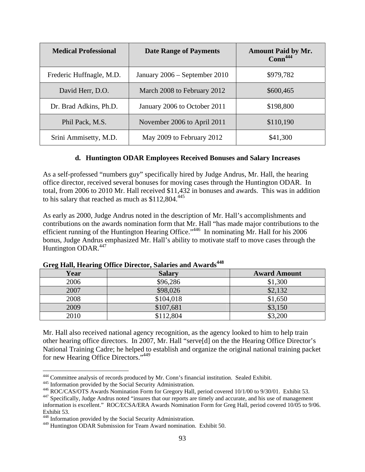| <b>Medical Professional</b> | <b>Date Range of Payments</b> | <b>Amount Paid by Mr.</b><br>Conn <sup>444</sup> |  |  |
|-----------------------------|-------------------------------|--------------------------------------------------|--|--|
| Frederic Huffnagle, M.D.    | January 2006 – September 2010 | \$979,782                                        |  |  |
| David Herr, D.O.            | March 2008 to February 2012   | \$600,465                                        |  |  |
| Dr. Brad Adkins, Ph.D.      | January 2006 to October 2011  | \$198,800                                        |  |  |
| Phil Pack, M.S.             | November 2006 to April 2011   | \$110,190                                        |  |  |
| Srini Ammisetty, M.D.       | May 2009 to February 2012     | \$41,300                                         |  |  |

#### **d. Huntington ODAR Employees Received Bonuses and Salary Increases**

As a self-professed "numbers guy" specifically hired by Judge Andrus, Mr. Hall, the hearing office director, received several bonuses for moving cases through the Huntington ODAR. In total, from 2006 to 2010 Mr. Hall received \$11,432 in bonuses and awards. This was in addition to his salary that reached as much as  $$112,804.<sup>445</sup>$ 

As early as 2000, Judge Andrus noted in the description of Mr. Hall's accomplishments and contributions on the awards nomination form that Mr. Hall "has made major contributions to the efficient running of the Huntington Hearing Office."446 In nominating Mr. Hall for his 2006 bonus, Judge Andrus emphasized Mr. Hall's ability to motivate staff to move cases through the Huntington ODAR.<sup>447</sup>

| ັ<br>Year | <b>Salary</b> | <b>Award Amount</b> |
|-----------|---------------|---------------------|
| 2006      | \$96,286      | \$1,300             |
| 2007      | \$98,026      | \$2,132             |
| 2008      | \$104,018     | \$1,650             |
| 2009      | \$107,681     | \$3,150             |
| 2010      | \$112,804     | \$3,200             |

#### **Greg Hall, Hearing Office Director, Salaries and Awards<sup>448</sup>**

Mr. Hall also received national agency recognition, as the agency looked to him to help train other hearing office directors. In 2007, Mr. Hall "serve[d] on the the Hearing Office Director's National Training Cadre; he helped to establish and organize the original national training packet for new Hearing Office Directors."449

<sup>&</sup>lt;sup>444</sup> Committee analysis of records produced by Mr. Conn's financial institution. Sealed Exhibit.

<sup>445</sup> Information provided by the Social Security Administration.<br>446 ROC/CAS/OTS Awards Nomination Form for Gregory Hall, period covered 10/1/00 to 9/30/01. Exhibit 53.<br>447 Specifically, Judge Andrus noted "insures that our information is excellent." ROC/ECSA/ERA Awards Nomination Form for Greg Hall, period covered 10/05 to 9/06. Exhibit 53.

<sup>448</sup> Information provided by the Social Security Administration.

<sup>449</sup> Huntington ODAR Submission for Team Award nomination. Exhibit 50.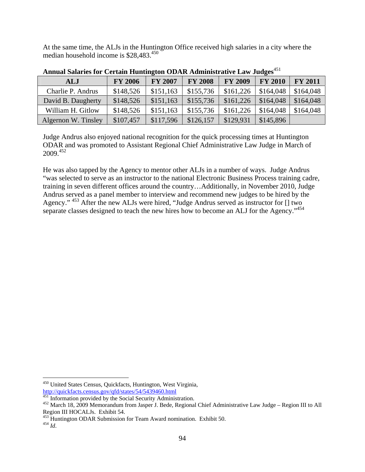At the same time, the ALJs in the Huntington Office received high salaries in a city where the median household income is \$28,483.450

| ALJ                 | <b>FY 2006</b> | <b>FY 2007</b> | <b>FY 2008</b> | <b>FY 2009</b> | <b>FY 2010</b> | <b>FY 2011</b> |
|---------------------|----------------|----------------|----------------|----------------|----------------|----------------|
| Charlie P. Andrus   | \$148,526      | \$151,163      | \$155,736      | \$161,226      | \$164,048      | \$164,048      |
| David B. Daugherty  | \$148,526      | \$151,163      | \$155,736      | \$161,226      | \$164,048      | \$164,048      |
| William H. Gitlow   | \$148,526      | \$151,163      | \$155,736      | \$161,226      | \$164,048      | \$164,048      |
| Algernon W. Tinsley | \$107,457      | \$117,596      | \$126,157      | \$129,931      | \$145,896      |                |

Annual Salaries for Certain Huntington ODAR Administrative Law Judges<sup>451</sup>

Judge Andrus also enjoyed national recognition for the quick processing times at Huntington ODAR and was promoted to Assistant Regional Chief Administrative Law Judge in March of 2009.452

He was also tapped by the Agency to mentor other ALJs in a number of ways. Judge Andrus "was selected to serve as an instructor to the national Electronic Business Process training cadre, training in seven different offices around the country…Additionally, in November 2010, Judge Andrus served as a panel member to interview and recommend new judges to be hired by the Agency." <sup>453</sup> After the new ALJs were hired, "Judge Andrus served as instructor for [] two separate classes designed to teach the new hires how to become an ALJ for the Agency."<sup>454</sup>

<u>.</u>

<sup>&</sup>lt;sup>450</sup> United States Census, Quickfacts, Huntington, West Virginia,

http://quickfacts.census.gov/qfd/states/54/5439460.html<br><sup>451</sup> Information provided by the Social Security Administration.

 $452$  March 18, 2009 Memorandum from Jasper J. Bede, Regional Chief Administrative Law Judge – Region III to All Region III HOCALJs. Exhibit 54.

<sup>453</sup> Huntington ODAR Submission for Team Award nomination. Exhibit 50. 454 *Id*.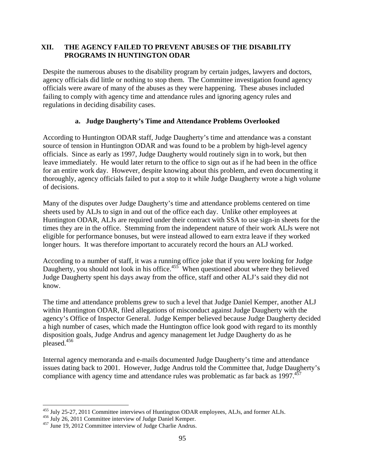## **XII. THE AGENCY FAILED TO PREVENT ABUSES OF THE DISABILITY PROGRAMS IN HUNTINGTON ODAR**

Despite the numerous abuses to the disability program by certain judges, lawyers and doctors, agency officials did little or nothing to stop them. The Committee investigation found agency officials were aware of many of the abuses as they were happening. These abuses included failing to comply with agency time and attendance rules and ignoring agency rules and regulations in deciding disability cases.

## **a. Judge Daugherty's Time and Attendance Problems Overlooked**

According to Huntington ODAR staff, Judge Daugherty's time and attendance was a constant source of tension in Huntington ODAR and was found to be a problem by high-level agency officials. Since as early as 1997, Judge Daugherty would routinely sign in to work, but then leave immediately. He would later return to the office to sign out as if he had been in the office for an entire work day. However, despite knowing about this problem, and even documenting it thoroughly, agency officials failed to put a stop to it while Judge Daugherty wrote a high volume of decisions.

Many of the disputes over Judge Daugherty's time and attendance problems centered on time sheets used by ALJs to sign in and out of the office each day. Unlike other employees at Huntington ODAR, ALJs are required under their contract with SSA to use sign-in sheets for the times they are in the office. Stemming from the independent nature of their work ALJs were not eligible for performance bonuses, but were instead allowed to earn extra leave if they worked longer hours. It was therefore important to accurately record the hours an ALJ worked.

According to a number of staff, it was a running office joke that if you were looking for Judge Daugherty, you should not look in his office. $455$  When questioned about where they believed Judge Daugherty spent his days away from the office, staff and other ALJ's said they did not know.

The time and attendance problems grew to such a level that Judge Daniel Kemper, another ALJ within Huntington ODAR, filed allegations of misconduct against Judge Daugherty with the agency's Office of Inspector General. Judge Kemper believed because Judge Daugherty decided a high number of cases, which made the Huntington office look good with regard to its monthly disposition goals, Judge Andrus and agency management let Judge Daugherty do as he pleased.456

Internal agency memoranda and e-mails documented Judge Daugherty's time and attendance issues dating back to 2001. However, Judge Andrus told the Committee that, Judge Daugherty's compliance with agency time and attendance rules was problematic as far back as 1997.<sup>457</sup>

 $\overline{a}$ <sup>455</sup> July 25-27, 2011 Committee interviews of Huntington ODAR employees, ALJs, and former ALJs.  $456$  July 26, 2011 Committee interview of Judge Daniel Kemper.  $457$  June 19, 2012 Committee interview of Judge Charlie And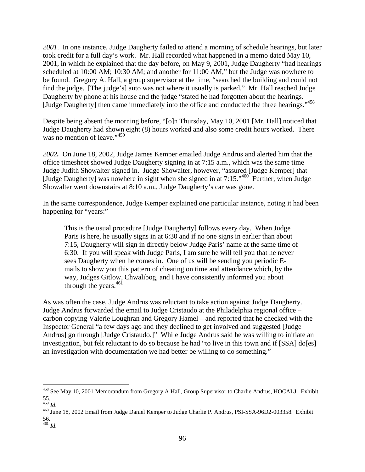*2001*. In one instance, Judge Daugherty failed to attend a morning of schedule hearings, but later took credit for a full day's work. Mr. Hall recorded what happened in a memo dated May 10, 2001, in which he explained that the day before, on May 9, 2001, Judge Daugherty "had hearings scheduled at 10:00 AM; 10:30 AM; and another for 11:00 AM," but the Judge was nowhere to be found. Gregory A. Hall, a group supervisor at the time, "searched the building and could not find the judge. [The judge's] auto was not where it usually is parked." Mr. Hall reached Judge Daugherty by phone at his house and the judge "stated he had forgotten about the hearings. [Judge Daugherty] then came immediately into the office and conducted the three hearings."<sup>458</sup>

Despite being absent the morning before, "[o]n Thursday, May 10, 2001 [Mr. Hall] noticed that Judge Daugherty had shown eight (8) hours worked and also some credit hours worked. There was no mention of leave."459

*2002.* On June 18, 2002, Judge James Kemper emailed Judge Andrus and alerted him that the office timesheet showed Judge Daugherty signing in at 7:15 a.m., which was the same time Judge Judith Showalter signed in. Judge Showalter, however, "assured [Judge Kemper] that [Judge Daugherty] was nowhere in sight when she signed in at 7:15."460 Further, when Judge Showalter went downstairs at 8:10 a.m., Judge Daugherty's car was gone.

In the same correspondence, Judge Kemper explained one particular instance, noting it had been happening for "years:"

This is the usual procedure [Judge Daugherty] follows every day. When Judge Paris is here, he usually signs in at 6:30 and if no one signs in earlier than about 7:15, Daugherty will sign in directly below Judge Paris' name at the same time of 6:30. If you will speak with Judge Paris, I am sure he will tell you that he never sees Daugherty when he comes in. One of us will be sending you periodic Emails to show you this pattern of cheating on time and attendance which, by the way, Judges Gitlow, Chwalibog, and I have consistently informed you about through the years. $461$ 

As was often the case, Judge Andrus was reluctant to take action against Judge Daugherty. Judge Andrus forwarded the email to Judge Cristaudo at the Philadelphia regional office – carbon copying Valerie Loughran and Gregory Hamel – and reported that he checked with the Inspector General "a few days ago and they declined to get involved and suggested [Judge Andrus] go through [Judge Cristaudo.]" While Judge Andrus said he was willing to initiate an investigation, but felt reluctant to do so because he had "to live in this town and if [SSA] do[es] an investigation with documentation we had better be willing to do something."

1

<sup>&</sup>lt;sup>458</sup> See May 10, 2001 Memorandum from Gregory A Hall, Group Supervisor to Charlie Andrus, HOCALJ. Exhibit 55.<br> $^{459}$  *Id.* 

<sup>&</sup>lt;sup>460</sup> June 18, 2002 Email from Judge Daniel Kemper to Judge Charlie P. Andrus, PSI-SSA-96D2-003358. Exhibit 56.

<sup>461</sup> *Id*.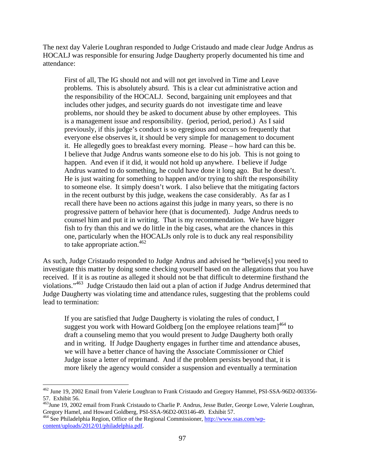The next day Valerie Loughran responded to Judge Cristaudo and made clear Judge Andrus as HOCALJ was responsible for ensuring Judge Daugherty properly documented his time and attendance:

First of all, The IG should not and will not get involved in Time and Leave problems. This is absolutely absurd. This is a clear cut administrative action and the responsibility of the HOCALJ. Second, bargaining unit employees and that includes other judges, and security guards do not investigate time and leave problems, nor should they be asked to document abuse by other employees. This is a management issue and responsibility. (period, period, period.) As I said previously, if this judge's conduct is so egregious and occurs so frequently that everyone else observes it, it should be very simple for management to document it. He allegedly goes to breakfast every morning. Please – how hard can this be. I believe that Judge Andrus wants someone else to do his job. This is not going to happen. And even if it did, it would not hold up anywhere. I believe if Judge Andrus wanted to do something, he could have done it long ago. But he doesn't. He is just waiting for something to happen and/or trying to shift the responsibility to someone else. It simply doesn't work. I also believe that the mitigating factors in the recent outburst by this judge, weakens the case considerably. As far as I recall there have been no actions against this judge in many years, so there is no progressive pattern of behavior here (that is documented). Judge Andrus needs to counsel him and put it in writing. That is my recommendation. We have bigger fish to fry than this and we do little in the big cases, what are the chances in this one, particularly when the HOCALJs only role is to duck any real responsibility to take appropriate action.  $462$ 

As such, Judge Cristaudo responded to Judge Andrus and advised he "believe[s] you need to investigate this matter by doing some checking yourself based on the allegations that you have received. If it is as routine as alleged it should not be that difficult to determine firsthand the violations."463 Judge Cristaudo then laid out a plan of action if Judge Andrus determined that Judge Daugherty was violating time and attendance rules, suggesting that the problems could lead to termination:

If you are satisfied that Judge Daugherty is violating the rules of conduct, I suggest you work with Howard Goldberg [on the employee relations team] $464$  to draft a counseling memo that you would present to Judge Daugherty both orally and in writing. If Judge Daugherty engages in further time and attendance abuses, we will have a better chance of having the Associate Commissioner or Chief Judge issue a letter of reprimand. And if the problem persists beyond that, it is more likely the agency would consider a suspension and eventually a termination

 $\overline{a}$ <sup>462</sup> June 19, 2002 Email from Valerie Loughran to Frank Cristaudo and Gregory Hammel, PSI-SSA-96D2-003356-57. Exhibit 56.

<sup>463</sup>June 19, 2002 email from Frank Cristaudo to Charlie P. Andrus, Jesse Butler, George Lowe, Valerie Loughran, Gregory Hamel, and Howard Goldberg, PSI-SSA-96D2-003146-49. Exhibit 57.

<sup>464</sup> See Philadelphia Region, Office of the Regional Commissioner, http://www.ssas.com/wpcontent/uploads/2012/01/philadelphia.pdf.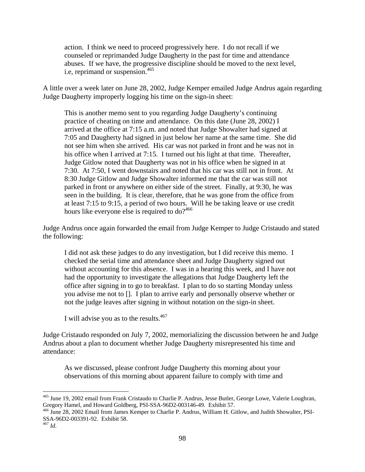action. I think we need to proceed progressively here. I do not recall if we counseled or reprimanded Judge Daugherty in the past for time and attendance abuses. If we have, the progressive discipline should be moved to the next level, i.e, reprimand or suspension.<sup>465</sup>

A little over a week later on June 28, 2002, Judge Kemper emailed Judge Andrus again regarding Judge Daugherty improperly logging his time on the sign-in sheet:

This is another memo sent to you regarding Judge Daugherty's continuing practice of cheating on time and attendance. On this date (June 28, 2002) I arrived at the office at 7:15 a.m. and noted that Judge Showalter had signed at 7:05 and Daugherty had signed in just below her name at the same time. She did not see him when she arrived. His car was not parked in front and he was not in his office when I arrived at 7:15. I turned out his light at that time. Thereafter, Judge Gitlow noted that Daugherty was not in his office when he signed in at 7:30. At 7:50, I went downstairs and noted that his car was still not in front. At 8:30 Judge Gitlow and Judge Showalter informed me that the car was still not parked in front or anywhere on either side of the street. Finally, at 9:30, he was seen in the building. It is clear, therefore, that he was gone from the office from at least 7:15 to 9:15, a period of two hours. Will he be taking leave or use credit hours like everyone else is required to do?<sup>466</sup>

Judge Andrus once again forwarded the email from Judge Kemper to Judge Cristaudo and stated the following:

I did not ask these judges to do any investigation, but I did receive this memo. I checked the serial time and attendance sheet and Judge Daugherty signed out without accounting for this absence. I was in a hearing this week, and I have not had the opportunity to investigate the allegations that Judge Daugherty left the office after signing in to go to breakfast. I plan to do so starting Monday unless you advise me not to []. I plan to arrive early and personally observe whether or not the judge leaves after signing in without notation on the sign-in sheet.

I will advise you as to the results.<sup>467</sup>

Judge Cristaudo responded on July 7, 2002, memorializing the discussion between he and Judge Andrus about a plan to document whether Judge Daugherty misrepresented his time and attendance:

As we discussed, please confront Judge Daugherty this morning about your observations of this morning about apparent failure to comply with time and

<sup>&</sup>lt;sup>465</sup> June 19, 2002 email from Frank Cristaudo to Charlie P. Andrus, Jesse Butler, George Lowe, Valerie Loughran, Gregory Hamel, and Howard Goldberg, PSI-SSA-96D2-003146-49. Exhibit 57.

<sup>466</sup> June 28, 2002 Email from James Kemper to Charlie P. Andrus, William H. Gitlow, and Judith Showalter, PSI-SSA-96D2-003391-92. Exhibit 58.

<sup>467</sup> *Id*.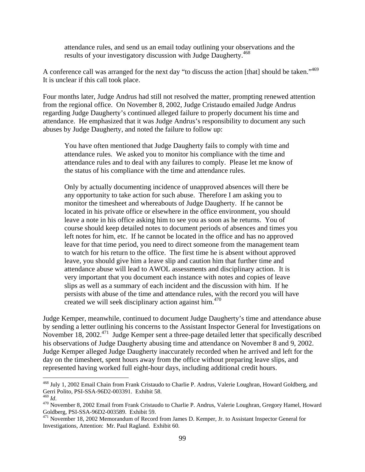attendance rules, and send us an email today outlining your observations and the results of your investigatory discussion with Judge Daugherty.<sup>468</sup>

A conference call was arranged for the next day "to discuss the action [that] should be taken."469 It is unclear if this call took place.

Four months later, Judge Andrus had still not resolved the matter, prompting renewed attention from the regional office. On November 8, 2002, Judge Cristaudo emailed Judge Andrus regarding Judge Daugherty's continued alleged failure to properly document his time and attendance. He emphasized that it was Judge Andrus's responsibility to document any such abuses by Judge Daugherty, and noted the failure to follow up:

You have often mentioned that Judge Daugherty fails to comply with time and attendance rules. We asked you to monitor his compliance with the time and attendance rules and to deal with any failures to comply. Please let me know of the status of his compliance with the time and attendance rules.

Only by actually documenting incidence of unapproved absences will there be any opportunity to take action for such abuse. Therefore I am asking you to monitor the timesheet and whereabouts of Judge Daugherty. If he cannot be located in his private office or elsewhere in the office environment, you should leave a note in his office asking him to see you as soon as he returns. You of course should keep detailed notes to document periods of absences and times you left notes for him, etc. If he cannot be located in the office and has no approved leave for that time period, you need to direct someone from the management team to watch for his return to the office. The first time he is absent without approved leave, you should give him a leave slip and caution him that further time and attendance abuse will lead to AWOL assessments and disciplinary action. It is very important that you document each instance with notes and copies of leave slips as well as a summary of each incident and the discussion with him. If he persists with abuse of the time and attendance rules, with the record you will have created we will seek disciplinary action against him.<sup>470</sup>

Judge Kemper, meanwhile, continued to document Judge Daugherty's time and attendance abuse by sending a letter outlining his concerns to the Assistant Inspector General for Investigations on November 18, 2002.<sup>471</sup> Judge Kemper sent a three-page detailed letter that specifically described his observations of Judge Daugherty abusing time and attendance on November 8 and 9, 2002. Judge Kemper alleged Judge Daugherty inaccurately recorded when he arrived and left for the day on the timesheet, spent hours away from the office without preparing leave slips, and represented having worked full eight-hour days, including additional credit hours.

<u>.</u>

<sup>&</sup>lt;sup>468</sup> July 1, 2002 Email Chain from Frank Cristaudo to Charlie P. Andrus, Valerie Loughran, Howard Goldberg, and Gerri Polito, PSI-SSA-96D2-003391. Exhibit 58.<br><sup>469</sup> Id.

<sup>&</sup>lt;sup>470</sup> November 8, 2002 Email from Frank Cristaudo to Charlie P. Andrus, Valerie Loughran, Gregory Hamel, Howard Goldberg, PSI-SSA-96D2-003589. Exhibit 59.

<sup>&</sup>lt;sup>471</sup> November 18, 2002 Memorandum of Record from James D. Kemper, Jr. to Assistant Inspector General for Investigations, Attention: Mr. Paul Ragland. Exhibit 60.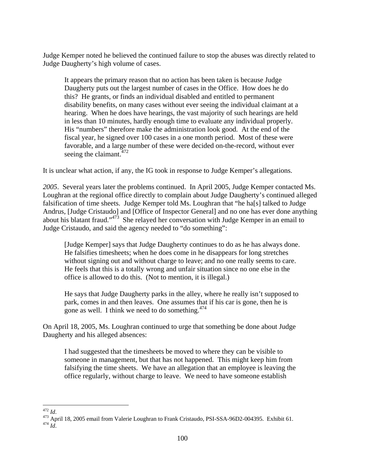Judge Kemper noted he believed the continued failure to stop the abuses was directly related to Judge Daugherty's high volume of cases.

It appears the primary reason that no action has been taken is because Judge Daugherty puts out the largest number of cases in the Office. How does he do this? He grants, or finds an individual disabled and entitled to permanent disability benefits, on many cases without ever seeing the individual claimant at a hearing. When he does have hearings, the vast majority of such hearings are held in less than 10 minutes, hardly enough time to evaluate any individual properly. His "numbers" therefore make the administration look good. At the end of the fiscal year, he signed over 100 cases in a one month period. Most of these were favorable, and a large number of these were decided on-the-record, without ever seeing the claimant.  $472$ 

It is unclear what action, if any, the IG took in response to Judge Kemper's allegations.

*2005*. Several years later the problems continued. In April 2005, Judge Kemper contacted Ms. Loughran at the regional office directly to complain about Judge Daugherty's continued alleged falsification of time sheets. Judge Kemper told Ms. Loughran that "he ha[s] talked to Judge Andrus, [Judge Cristaudo] and [Office of Inspector General] and no one has ever done anything about his blatant fraud."473 She relayed her conversation with Judge Kemper in an email to Judge Cristaudo, and said the agency needed to "do something":

[Judge Kemper] says that Judge Daugherty continues to do as he has always done. He falsifies timesheets; when he does come in he disappears for long stretches without signing out and without charge to leave; and no one really seems to care. He feels that this is a totally wrong and unfair situation since no one else in the office is allowed to do this. (Not to mention, it is illegal.)

He says that Judge Daugherty parks in the alley, where he really isn't supposed to park, comes in and then leaves. One assumes that if his car is gone, then he is gone as well. I think we need to do something. $474$ 

On April 18, 2005, Ms. Loughran continued to urge that something be done about Judge Daugherty and his alleged absences:

I had suggested that the timesheets be moved to where they can be visible to someone in management, but that has not happened. This might keep him from falsifying the time sheets. We have an allegation that an employee is leaving the office regularly, without charge to leave. We need to have someone establish

 $472$  *Id.* 

<sup>472</sup> *Id*. 473 April 18, 2005 email from Valerie Loughran to Frank Cristaudo, PSI-SSA-96D2-004395. Exhibit 61. 474 *Id*.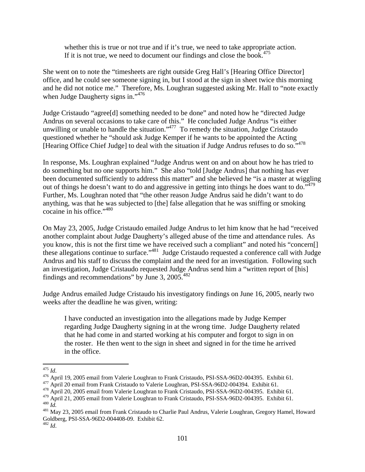whether this is true or not true and if it's true, we need to take appropriate action. If it is not true, we need to document our findings and close the book.<sup>475</sup>

She went on to note the "timesheets are right outside Greg Hall's [Hearing Office Director] office, and he could see someone signing in, but I stood at the sign in sheet twice this morning and he did not notice me." Therefore, Ms. Loughran suggested asking Mr. Hall to "note exactly when Judge Daugherty signs in."<sup>476</sup>

Judge Cristaudo "agree[d] something needed to be done" and noted how he "directed Judge Andrus on several occasions to take care of this." He concluded Judge Andrus "is either unwilling or unable to handle the situation." $477$  To remedy the situation, Judge Cristaudo questioned whether he "should ask Judge Kemper if he wants to be appointed the Acting [Hearing Office Chief Judge] to deal with the situation if Judge Andrus refuses to do so."478

In response, Ms. Loughran explained "Judge Andrus went on and on about how he has tried to do something but no one supports him." She also "told [Judge Andrus] that nothing has ever been documented sufficiently to address this matter" and she believed he "is a master at wiggling out of things he doesn't want to do and aggressive in getting into things he does want to do."<sup>479</sup> Further, Ms. Loughran noted that "the other reason Judge Andrus said he didn't want to do anything, was that he was subjected to [the] false allegation that he was sniffing or smoking cocaine in his office."480

On May 23, 2005, Judge Cristaudo emailed Judge Andrus to let him know that he had "received another complaint about Judge Daugherty's alleged abuse of the time and attendance rules. As you know, this is not the first time we have received such a compliant" and noted his "concern[] these allegations continue to surface."481 Judge Cristaudo requested a conference call with Judge Andrus and his staff to discuss the complaint and the need for an investigation. Following such an investigation, Judge Cristaudo requested Judge Andrus send him a "written report of [his] findings and recommendations" by June 3, 2005.482

Judge Andrus emailed Judge Cristaudo his investigatory findings on June 16, 2005, nearly two weeks after the deadline he was given, writing:

I have conducted an investigation into the allegations made by Judge Kemper regarding Judge Daugherty signing in at the wrong time. Judge Daugherty related that he had come in and started working at his computer and forgot to sign in on the roster. He then went to the sign in sheet and signed in for the time he arrived in the office.

 $475$  *Id.* 

<sup>&</sup>lt;sup>476</sup> April 19, 2005 email from Valerie Loughran to Frank Cristaudo, PSI-SSA-96D2-004395. Exhibit 61.<br><sup>477</sup> April 20 email from Frank Cristaudo to Valerie Loughran, PSI-SSA-96D2-004394. Exhibit 61.<br><sup>478</sup> April 20, 2005 em

A<sub>80</sub> Id.<br><sup>480</sup> Id.<br><sup>481</sup> May 23, 2005 email from Frank Cristaudo to Charlie Paul Andrus, Valerie Loughran, Gregory Hamel, Howard

Goldberg, PSI-SSA-96D2-004408-09. Exhibit 62.

<sup>482</sup> *Id*.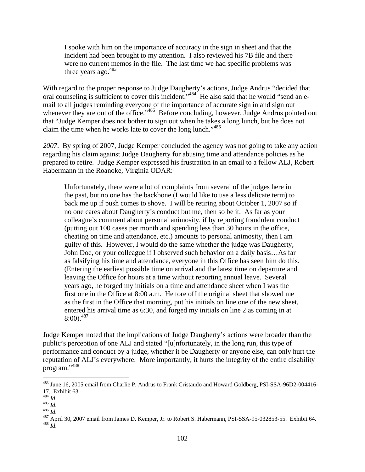I spoke with him on the importance of accuracy in the sign in sheet and that the incident had been brought to my attention. I also reviewed his 7B file and there were no current memos in the file. The last time we had specific problems was three years ago. $483$ 

With regard to the proper response to Judge Daugherty's actions, Judge Andrus "decided that oral counseling is sufficient to cover this incident."<sup>484</sup> He also said that he would "send an email to all judges reminding everyone of the importance of accurate sign in and sign out whenever they are out of the office."<sup>485</sup> Before concluding, however, Judge Andrus pointed out that "Judge Kemper does not bother to sign out when he takes a long lunch, but he does not claim the time when he works late to cover the long lunch."486

*2007*. By spring of 2007, Judge Kemper concluded the agency was not going to take any action regarding his claim against Judge Daugherty for abusing time and attendance policies as he prepared to retire. Judge Kemper expressed his frustration in an email to a fellow ALJ, Robert Habermann in the Roanoke, Virginia ODAR:

Unfortunately, there were a lot of complaints from several of the judges here in the past, but no one has the backbone (I would like to use a less delicate term) to back me up if push comes to shove. I will be retiring about October 1, 2007 so if no one cares about Daugherty's conduct but me, then so be it. As far as your colleague's comment about personal animosity, if by reporting fraudulent conduct (putting out 100 cases per month and spending less than 30 hours in the office, cheating on time and attendance, etc.) amounts to personal animosity, then I am guilty of this. However, I would do the same whether the judge was Daugherty, John Doe, or your colleague if I observed such behavior on a daily basis…As far as falsifying his time and attendance, everyone in this Office has seen him do this. (Entering the earliest possible time on arrival and the latest time on departure and leaving the Office for hours at a time without reporting annual leave. Several years ago, he forged my initials on a time and attendance sheet when I was the first one in the Office at 8:00 a.m. He tore off the original sheet that showed me as the first in the Office that morning, put his initials on line one of the new sheet, entered his arrival time as 6:30, and forged my initials on line 2 as coming in at  $8:00.487$ 

Judge Kemper noted that the implications of Judge Daugherty's actions were broader than the public's perception of one ALJ and stated "[u]nfortunately, in the long run, this type of performance and conduct by a judge, whether it be Daugherty or anyone else, can only hurt the reputation of ALJ's everywhere. More importantly, it hurts the integrity of the entire disability program."<sup>488</sup>

<sup>&</sup>lt;sup>483</sup> June 16, 2005 email from Charlie P. Andrus to Frank Cristaudo and Howard Goldberg, PSI-SSA-96D2-004416-17. Exhibit 63.<br><sup>484</sup> Id.

<sup>142.&</sup>lt;br><sup>486</sup> *Id*.<br><sup>486</sup> *Id*. 486 *Id*. 486 *Id*. 486 *Id*. 487 April 30, 2007 email from James D. Kemper, Jr. to Robert S. Habermann, PSI-SSA-95-032853-55. Exhibit 64.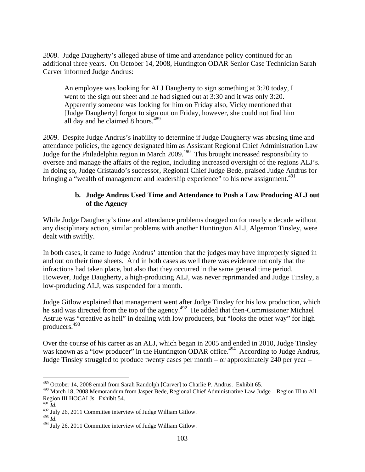*2008*. Judge Daugherty's alleged abuse of time and attendance policy continued for an additional three years. On October 14, 2008, Huntington ODAR Senior Case Technician Sarah Carver informed Judge Andrus:

An employee was looking for ALJ Daugherty to sign something at 3:20 today, I went to the sign out sheet and he had signed out at 3:30 and it was only 3:20. Apparently someone was looking for him on Friday also, Vicky mentioned that [Judge Daugherty] forgot to sign out on Friday, however, she could not find him all day and he claimed 8 hours.<sup>489</sup>

*2009*. Despite Judge Andrus's inability to determine if Judge Daugherty was abusing time and attendance policies, the agency designated him as Assistant Regional Chief Administration Law Judge for the Philadelphia region in March 2009.<sup>490</sup> This brought increased responsibility to oversee and manage the affairs of the region, including increased oversight of the regions ALJ's. In doing so, Judge Cristaudo's successor, Regional Chief Judge Bede, praised Judge Andrus for bringing a "wealth of management and leadership experience" to his new assignment.<sup>491</sup>

## **b. Judge Andrus Used Time and Attendance to Push a Low Producing ALJ out of the Agency**

While Judge Daugherty's time and attendance problems dragged on for nearly a decade without any disciplinary action, similar problems with another Huntington ALJ, Algernon Tinsley, were dealt with swiftly.

In both cases, it came to Judge Andrus' attention that the judges may have improperly signed in and out on their time sheets. And in both cases as well there was evidence not only that the infractions had taken place, but also that they occurred in the same general time period. However, Judge Daugherty, a high-producing ALJ, was never reprimanded and Judge Tinsley, a low-producing ALJ, was suspended for a month.

Judge Gitlow explained that management went after Judge Tinsley for his low production, which he said was directed from the top of the agency.<sup>492</sup> He added that then-Commissioner Michael Astrue was "creative as hell" in dealing with low producers, but "looks the other way" for high producers.493

Over the course of his career as an ALJ, which began in 2005 and ended in 2010, Judge Tinsley was known as a "low producer" in the Huntington ODAR office.<sup>494</sup> According to Judge Andrus, Judge Tinsley struggled to produce twenty cases per month – or approximately 240 per year –

<sup>&</sup>lt;sup>489</sup> October 14, 2008 email from Sarah Randolph [Carver] to Charlie P. Andrus. Exhibit 65.

<sup>490</sup> March 18, 2008 Memorandum from Jasper Bede, Regional Chief Administrative Law Judge – Region III to All Region III HOCALJs. Exhibit 54.

 $\frac{492}{492}$  July 26, 2011 Committee interview of Judge William Gitlow.

<sup>&</sup>lt;sup>494</sup> July 26, 2011 Committee interview of Judge William Gitlow.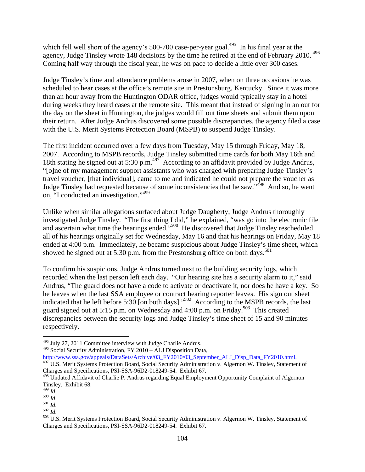which fell well short of the agency's 500-700 case-per-year goal.<sup>495</sup> In his final year at the agency, Judge Tinsley wrote 148 decisions by the time he retired at the end of February 2010.<sup>496</sup> Coming half way through the fiscal year, he was on pace to decide a little over 300 cases.

Judge Tinsley's time and attendance problems arose in 2007, when on three occasions he was scheduled to hear cases at the office's remote site in Prestonsburg, Kentucky. Since it was more than an hour away from the Huntington ODAR office, judges would typically stay in a hotel during weeks they heard cases at the remote site. This meant that instead of signing in an out for the day on the sheet in Huntington, the judges would fill out time sheets and submit them upon their return. After Judge Andrus discovered some possible discrepancies, the agency filed a case with the U.S. Merit Systems Protection Board (MSPB) to suspend Judge Tinsley.

The first incident occurred over a few days from Tuesday, May 15 through Friday, May 18, 2007. According to MSPB records, Judge Tinsley submitted time cards for both May 16th and 18th stating he signed out at 5:30 p.m.<sup>497</sup> According to an affidavit provided by Judge Andrus, "[o]ne of my management support assistants who was charged with preparing Judge Tinsley's travel voucher, [that individual], came to me and indicated he could not prepare the voucher as Judge Tinsley had requested because of some inconsistencies that he saw."498 And so, he went on, "I conducted an investigation."499

Unlike when similar allegations surfaced about Judge Daugherty, Judge Andrus thoroughly investigated Judge Tinsley. "The first thing I did," he explained, "was go into the electronic file and ascertain what time the hearings ended."<sup>500</sup> He discovered that Judge Tinsley rescheduled all of his hearings originally set for Wednesday, May 16 and that his hearings on Friday, May 18 ended at 4:00 p.m. Immediately, he became suspicious about Judge Tinsley's time sheet, which showed he signed out at 5:30 p.m. from the Prestonsburg office on both days.<sup>501</sup>

To confirm his suspicions, Judge Andrus turned next to the building security logs, which recorded when the last person left each day. "Our hearing site has a security alarm to it," said Andrus, "The guard does not have a code to activate or deactivate it, nor does he have a key. So he leaves when the last SSA employee or contract hearing reporter leaves. His sign out sheet indicated that he left before 5:30 [on both days]."<sup>502</sup> According to the MSPB records, the last guard signed out at 5:15 p.m. on Wednesday and 4:00 p.m. on Friday.<sup>503</sup> This created discrepancies between the security logs and Judge Tinsley's time sheet of 15 and 90 minutes respectively.

http://www.ssa.gov/appeals/DataSets/Archive/03\_FY2010/03\_September\_ALJ\_Disp\_Data\_FY2010.html.

<sup>495</sup> July 27, 2011 Committee interview with Judge Charlie Andrus.

<sup>496</sup> Social Security Administration, FY 2010 – ALJ Disposition Data,

<sup>&</sup>lt;sup>497</sup> U.S. Merit Systems Protection Board, Social Security Administration v. Algernon W. Tinsley, Statement of Charges and Specifications, PSI-SSA-96D2-018249-54. Exhibit 67.

<sup>498</sup> Undated Affidavit of Charlie P. Andrus regarding Equal Employment Opportunity Complaint of Algernon Tinsley. Exhibit 68.<br> $^{499}$  *Id.* 

<sup>&</sup>lt;sup>500</sup> *Id.*<br><sup>501</sup> *Id.* 503 *Id.*<br><sup>503</sup> *Id.* 503 *Id.* Social Security Administration v. Algernon W. Tinsley, Statement of 503 U.S. Merit Systems Protection Board, Social Security Administration v. Algernon W. Tinsley, St Charges and Specifications, PSI-SSA-96D2-018249-54. Exhibit 67.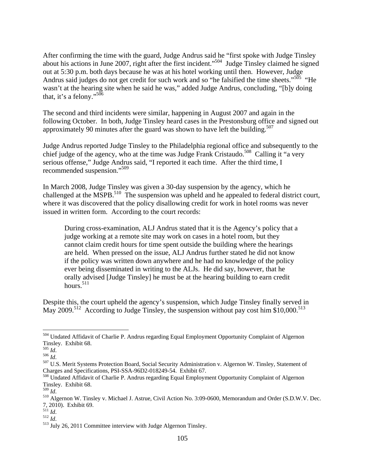After confirming the time with the guard, Judge Andrus said he "first spoke with Judge Tinsley about his actions in June 2007, right after the first incident."504 Judge Tinsley claimed he signed out at 5:30 p.m. both days because he was at his hotel working until then. However, Judge Andrus said judges do not get credit for such work and so "he falsified the time sheets."<sup>505</sup> "He wasn't at the hearing site when he said he was," added Judge Andrus, concluding, "[b]y doing that, it's a felony."506

The second and third incidents were similar, happening in August 2007 and again in the following October. In both, Judge Tinsley heard cases in the Prestonsburg office and signed out approximately 90 minutes after the guard was shown to have left the building.<sup>507</sup>

Judge Andrus reported Judge Tinsley to the Philadelphia regional office and subsequently to the chief judge of the agency, who at the time was Judge Frank Cristaudo.<sup>508</sup> Calling it "a very serious offense," Judge Andrus said, "I reported it each time. After the third time, I recommended suspension."<sup>509</sup>

In March 2008, Judge Tinsley was given a 30-day suspension by the agency, which he challenged at the MSPB.<sup>510</sup> The suspension was upheld and he appealed to federal district court, where it was discovered that the policy disallowing credit for work in hotel rooms was never issued in written form. According to the court records:

During cross-examination, ALJ Andrus stated that it is the Agency's policy that a judge working at a remote site may work on cases in a hotel room, but they cannot claim credit hours for time spent outside the building where the hearings are held. When pressed on the issue, ALJ Andrus further stated he did not know if the policy was written down anywhere and he had no knowledge of the policy ever being disseminated in writing to the ALJs. He did say, however, that he orally advised [Judge Tinsley] he must be at the hearing building to earn credit hours.<sup>511</sup>

Despite this, the court upheld the agency's suspension, which Judge Tinsley finally served in May 2009.<sup>512</sup> According to Judge Tinsley, the suspension without pay cost him  $$10,000$ .<sup>513</sup>

<sup>504</sup> Undated Affidavit of Charlie P. Andrus regarding Equal Employment Opportunity Complaint of Algernon Tinsley. Exhibit 68.<br> $\frac{1}{100}$  Id.

<sup>505</sup> *Id*. 506 *Id*. 507 U.S. Merit Systems Protection Board, Social Security Administration v. Algernon W. Tinsley, Statement of Charges and Specifications, PSI-SSA-96D2-018249-54. Exhibit 67.

<sup>508</sup> Undated Affidavit of Charlie P. Andrus regarding Equal Employment Opportunity Complaint of Algernon Tinsley. Exhibit 68.<br> $\frac{509}{1}$  *Id.* 

<sup>&</sup>lt;sup>510</sup> Algernon W. Tinsley v. Michael J. Astrue, Civil Action No. 3:09-0600, Memorandum and Order (S.D.W.V. Dec. 7, 2010). Exhibit 69.

<sup>&</sup>lt;sup>512</sup> *Id.*<br><sup>513</sup> July 26, 2011 Committee interview with Judge Algernon Tinsley.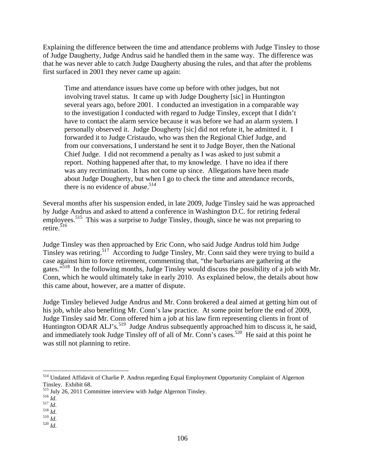Explaining the difference between the time and attendance problems with Judge Tinsley to those of Judge Daugherty, Judge Andrus said he handled them in the same way. The difference was that he was never able to catch Judge Daugherty abusing the rules, and that after the problems first surfaced in 2001 they never came up again:

Time and attendance issues have come up before with other judges, but not involving travel status. It came up with Judge Dougherty [sic] in Huntington several years ago, before 2001. I conducted an investigation in a comparable way to the investigation I conducted with regard to Judge Tinsley, except that I didn't have to contact the alarm service because it was before we had an alarm system. I personally observed it. Judge Dougherty [sic] did not refute it, he admitted it. I forwarded it to Judge Cristaudo, who was then the Regional Chief Judge, and from our conversations, I understand he sent it to Judge Boyer, then the National Chief Judge. I did not recommend a penalty as I was asked to just submit a report. Nothing happened after that, to my knowledge. I have no idea if there was any recrimination. It has not come up since. Allegations have been made about Judge Dougherty, but when I go to check the time and attendance records, there is no evidence of abuse. $514$ 

Several months after his suspension ended, in late 2009, Judge Tinsley said he was approached by Judge Andrus and asked to attend a conference in Washington D.C. for retiring federal employees.<sup>515</sup> This was a surprise to Judge Tinsley, though, since he was not preparing to retire. $516$ 

Judge Tinsley was then approached by Eric Conn, who said Judge Andrus told him Judge Tinsley was retiring.517 According to Judge Tinsley, Mr. Conn said they were trying to build a case against him to force retirement, commenting that, "the barbarians are gathering at the gates."<sup>518</sup> In the following months, Judge Tinsley would discuss the possibility of a job with Mr. Conn, which he would ultimately take in early 2010. As explained below, the details about how this came about, however, are a matter of dispute.

Judge Tinsley believed Judge Andrus and Mr. Conn brokered a deal aimed at getting him out of his job, while also benefiting Mr. Conn's law practice. At some point before the end of 2009, Judge Tinsley said Mr. Conn offered him a job at his law firm representing clients in front of Huntington ODAR ALJ's.<sup>519</sup> Judge Andrus subsequently approached him to discuss it, he said, and immediately took Judge Tinsley off of all of Mr. Conn's cases.<sup>520</sup> He said at this point he was still not planning to retire.

<sup>&</sup>lt;sup>514</sup> Undated Affidavit of Charlie P. Andrus regarding Equal Employment Opportunity Complaint of Algernon Tinsley. Exhibit 68.

<sup>515</sup> July 26, 2011 Committee interview with Judge Algernon Tinsley. 516 *Id*. 517 *Id*. 518 *Id*. 519 *Id*. 520 *Id*.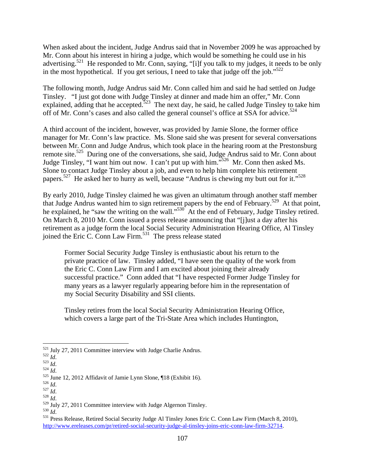When asked about the incident, Judge Andrus said that in November 2009 he was approached by Mr. Conn about his interest in hiring a judge, which would be something he could use in his advertising.<sup>521</sup> He responded to Mr. Conn, saying, "[i]f you talk to my judges, it needs to be only in the most hypothetical. If you get serious, I need to take that judge off the job."<sup>522</sup>

The following month, Judge Andrus said Mr. Conn called him and said he had settled on Judge Tinsley. "I just got done with Judge Tinsley at dinner and made him an offer," Mr. Conn explained, adding that he accepted.<sup>523</sup> The next day, he said, he called Judge Tinsley to take him off of Mr. Conn's cases and also called the general counsel's office at SSA for advice.<sup>524</sup>

A third account of the incident, however, was provided by Jamie Slone, the former office manager for Mr. Conn's law practice. Ms. Slone said she was present for several conversations between Mr. Conn and Judge Andrus, which took place in the hearing room at the Prestonsburg remote site.<sup>525</sup> During one of the conversations, she said, Judge Andrus said to Mr. Conn about Judge Tinsley, "I want him out now. I can't put up with him."526 Mr. Conn then asked Ms. Slone to contact Judge Tinsley about a job, and even to help him complete his retirement papers.527 He asked her to hurry as well, because "Andrus is chewing my butt out for it."528

By early 2010, Judge Tinsley claimed he was given an ultimatum through another staff member that Judge Andrus wanted him to sign retirement papers by the end of February.<sup>529</sup> At that point, he explained, he "saw the writing on the wall."<sup>530</sup> At the end of February, Judge Tinsley retired. On March 8, 2010 Mr. Conn issued a press release announcing that "[j]ust a day after his retirement as a judge form the local Social Security Administration Hearing Office, Al Tinsley joined the Eric C. Conn Law Firm.<sup>531</sup> The press release stated

Former Social Security Judge Tinsley is enthusiastic about his return to the private practice of law. Tinsley added, "I have seen the quality of the work from the Eric C. Conn Law Firm and I am excited about joining their already successful practice." Conn added that "I have respected Former Judge Tinsley for many years as a lawyer regularly appearing before him in the representation of my Social Security Disability and SSI clients.

Tinsley retires from the local Social Security Administration Hearing Office, which covers a large part of the Tri-State Area which includes Huntington,

<sup>&</sup>lt;sup>521</sup> July 27, 2011 Committee interview with Judge Charlie Andrus.

<sup>&</sup>lt;sup>521</sup> July 27, 2011 Committee interview with Judge Charlie Andrus.<br><sup>522</sup> *Id.*<br><sup>525</sup> *Id.*<br><sup>525</sup> June 12, 2012 Affidavit of Jamie Lynn Slone, ¶18 (Exhibit 16).<br><sup>526</sup> *Id.*<br><sup>529</sup> July 27, 2011 Committee interview with Judg http://www.ereleases.com/pr/retired-social-security-judge-al-tinsley-joins-eric-conn-law-firm-32714.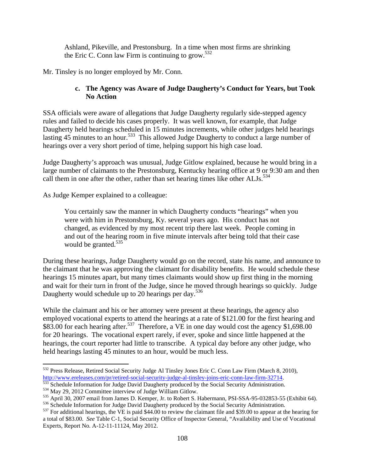Ashland, Pikeville, and Prestonsburg. In a time when most firms are shrinking the Eric C. Conn law Firm is continuing to grow.<sup>532</sup>

Mr. Tinsley is no longer employed by Mr. Conn.

### **c. The Agency was Aware of Judge Daugherty's Conduct for Years, but Took No Action**

SSA officials were aware of allegations that Judge Daugherty regularly side-stepped agency rules and failed to decide his cases properly. It was well known, for example, that Judge Daugherty held hearings scheduled in 15 minutes increments, while other judges held hearings lasting 45 minutes to an hour.<sup>533</sup> This allowed Judge Daugherty to conduct a large number of hearings over a very short period of time, helping support his high case load.

Judge Daugherty's approach was unusual, Judge Gitlow explained, because he would bring in a large number of claimants to the Prestonsburg, Kentucky hearing office at 9 or 9:30 am and then call them in one after the other, rather than set hearing times like other  $ALJs$ .<sup>534</sup>

As Judge Kemper explained to a colleague:

You certainly saw the manner in which Daugherty conducts "hearings" when you were with him in Prestonsburg, Ky. several years ago. His conduct has not changed, as evidenced by my most recent trip there last week. People coming in and out of the hearing room in five minute intervals after being told that their case would be granted. $535$ 

During these hearings, Judge Daugherty would go on the record, state his name, and announce to the claimant that he was approving the claimant for disability benefits. He would schedule these hearings 15 minutes apart, but many times claimants would show up first thing in the morning and wait for their turn in front of the Judge, since he moved through hearings so quickly. Judge Daugherty would schedule up to 20 hearings per day.<sup>536</sup>

While the claimant and his or her attorney were present at these hearings, the agency also employed vocational experts to attend the hearings at a rate of \$121.00 for the first hearing and \$83.00 for each hearing after.<sup>537</sup> Therefore, a VE in one day would cost the agency \$1,698.00 for 20 hearings. The vocational expert rarely, if ever, spoke and since little happened at the hearings, the court reporter had little to transcribe. A typical day before any other judge, who held hearings lasting 45 minutes to an hour, would be much less.

<sup>532</sup> Press Release, Retired Social Security Judge Al Tinsley Jones Eric C. Conn Law Firm (March 8, 2010), http://www.ereleases.com/pr/retired-social-security-judge-al-tinsley-joins-eric-conn-law-firm-32714.<br>
<sup>533</sup> Schedule Information for Judge David Daugherty produced by the Social Security Administration.<br>
<sup>534</sup> May 29, 2012

a total of \$83.00. *See* Table C-1, Social Security Office of Inspector General, "Availability and Use of Vocational Experts, Report No. A-12-11-11124, May 2012.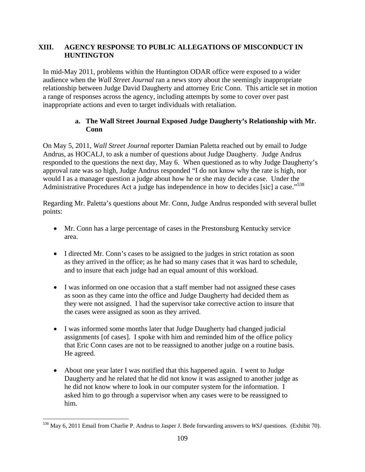# **XIII. AGENCY RESPONSE TO PUBLIC ALLEGATIONS OF MISCONDUCT IN HUNTINGTON**

In mid-May 2011, problems within the Huntington ODAR office were exposed to a wider audience when the *Wall Street Journal* ran a news story about the seemingly inappropriate relationship between Judge David Daugherty and attorney Eric Conn. This article set in motion a range of responses across the agency, including attempts by some to cover over past inappropriate actions and even to target individuals with retaliation.

# **a. The Wall Street Journal Exposed Judge Daugherty's Relationship with Mr. Conn**

On May 5, 2011, *Wall Street Journal* reporter Damian Paletta reached out by email to Judge Andrus, as HOCALJ, to ask a number of questions about Judge Daugherty. Judge Andrus responded to the questions the next day, May 6. When questioned as to why Judge Daugherty's approval rate was so high, Judge Andrus responded "I do not know why the rate is high, nor would I as a manager question a judge about how he or she may decide a case. Under the Administrative Procedures Act a judge has independence in how to decides [sic] a case."<sup>538</sup>

Regarding Mr. Paletta's questions about Mr. Conn, Judge Andrus responded with several bullet points:

- Mr. Conn has a large percentage of cases in the Prestonsburg Kentucky service area.
- I directed Mr. Conn's cases to be assigned to the judges in strict rotation as soon as they arrived in the office; as he had so many cases that it was hard to schedule, and to insure that each judge had an equal amount of this workload.
- I was informed on one occasion that a staff member had not assigned these cases as soon as they came into the office and Judge Daugherty had decided them as they were not assigned. I had the supervisor take corrective action to insure that the cases were assigned as soon as they arrived.
- I was informed some months later that Judge Daugherty had changed judicial assignments [of cases]. I spoke with him and reminded him of the office policy that Eric Conn cases are not to be reassigned to another judge on a routine basis. He agreed.
- About one year later I was notified that this happened again. I went to Judge Daugherty and he related that he did not know it was assigned to another judge as he did not know where to look in our computer system for the information. I asked him to go through a supervisor when any cases were to be reassigned to him.

<u>.</u>

<sup>538</sup> May 6, 2011 Email from Charlie P. Andrus to Jasper J. Bede forwarding answers to *WSJ* questions. (Exhibit 70).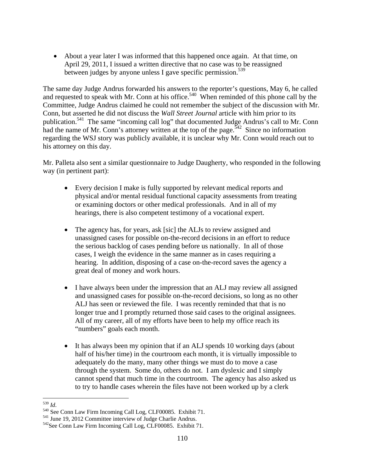About a year later I was informed that this happened once again. At that time, on April 29, 2011, I issued a written directive that no case was to be reassigned between judges by anyone unless I gave specific permission.<sup>539</sup>

The same day Judge Andrus forwarded his answers to the reporter's questions, May 6, he called and requested to speak with Mr. Conn at his office.<sup>540</sup> When reminded of this phone call by the Committee, Judge Andrus claimed he could not remember the subject of the discussion with Mr. Conn, but asserted he did not discuss the *Wall Street Journal* article with him prior to its publication.541 The same "incoming call log" that documented Judge Andrus's call to Mr. Conn had the name of Mr. Conn's attorney written at the top of the page.<sup>542</sup> Since no information regarding the WSJ story was publicly available, it is unclear why Mr. Conn would reach out to his attorney on this day.

Mr. Palleta also sent a similar questionnaire to Judge Daugherty, who responded in the following way (in pertinent part):

- Every decision I make is fully supported by relevant medical reports and physical and/or mental residual functional capacity assessments from treating or examining doctors or other medical professionals. And in all of my hearings, there is also competent testimony of a vocational expert.
- The agency has, for years, ask [sic] the ALJs to review assigned and unassigned cases for possible on-the-record decisions in an effort to reduce the serious backlog of cases pending before us nationally. In all of those cases, I weigh the evidence in the same manner as in cases requiring a hearing. In addition, disposing of a case on-the-record saves the agency a great deal of money and work hours.
- I have always been under the impression that an ALJ may review all assigned and unassigned cases for possible on-the-record decisions, so long as no other ALJ has seen or reviewed the file. I was recently reminded that that is no longer true and I promptly returned those said cases to the original assignees. All of my career, all of my efforts have been to help my office reach its "numbers" goals each month.
- It has always been my opinion that if an ALJ spends 10 working days (about half of his/her time) in the courtroom each month, it is virtually impossible to adequately do the many, many other things we must do to move a case through the system. Some do, others do not. I am dyslexic and I simply cannot spend that much time in the courtroom. The agency has also asked us to try to handle cases wherein the files have not been worked up by a clerk

 $539$  *Id.* 

<sup>&</sup>lt;sup>540</sup> See Conn Law Firm Incoming Call Log, CLF00085. Exhibit 71.<br><sup>541</sup> June 19, 2012 Committee interview of Judge Charlie Andrus.<br><sup>542</sup> See Conn Law Firm Incoming Call Log, CLF00085. Exhibit 71.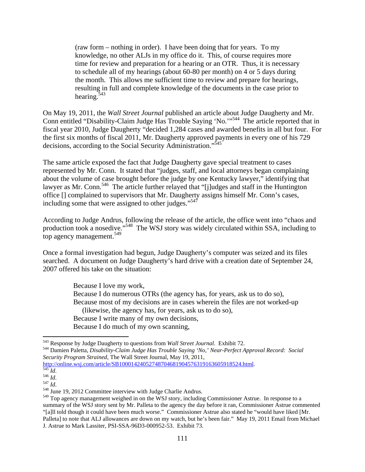(raw form – nothing in order). I have been doing that for years. To my knowledge, no other ALJs in my office do it. This, of course requires more time for review and preparation for a hearing or an OTR. Thus, it is necessary to schedule all of my hearings (about 60-80 per month) on 4 or 5 days during the month. This allows me sufficient time to review and prepare for hearings, resulting in full and complete knowledge of the documents in the case prior to hearing.<sup>543</sup>

On May 19, 2011, the *Wall Street Journal* published an article about Judge Daugherty and Mr. Conn entitled "Disability-Claim Judge Has Trouble Saying 'No.'"544 The article reported that in fiscal year 2010, Judge Daugherty "decided 1,284 cases and awarded benefits in all but four. For the first six months of fiscal 2011, Mr. Daugherty approved payments in every one of his 729 decisions, according to the Social Security Administration."<sup>545</sup>

The same article exposed the fact that Judge Daugherty gave special treatment to cases represented by Mr. Conn. It stated that "judges, staff, and local attorneys began complaining about the volume of case brought before the judge by one Kentucky lawyer," identifying that lawyer as Mr. Conn.<sup>546</sup> The article further relayed that "[j]udges and staff in the Huntington office [] complained to supervisors that Mr. Daugherty assigns himself Mr. Conn's cases, including some that were assigned to other judges."<sup>547</sup>

According to Judge Andrus, following the release of the article, the office went into "chaos and production took a nosedive."548 The WSJ story was widely circulated within SSA, including to top agency management.<sup>549</sup>

Once a formal investigation had begun, Judge Daugherty's computer was seized and its files searched. A document on Judge Daugherty's hard drive with a creation date of September 24, 2007 offered his take on the situation:

> Because I love my work, Because I do numerous OTRs (the agency has, for years, ask us to do so), Because most of my decisions are in cases wherein the files are not worked-up (likewise, the agency has, for years, ask us to do so), Because I write many of my own decisions, Because I do much of my own scanning,

http://online.wsj.com/article/SB10001424052748704681904576319163605918524.html.<br>545 *Id.*<br>546 *Id.* 548 *Id.* 548 June 19, 2012 Committee interview with Judge Charlie Andrus.

<sup>&</sup>lt;sup>543</sup> Response by Judge Daugherty to questions from *Wall Street Journal*. Exhibit 72.

<sup>544</sup> Damien Paletta, *Disability-Claim Judge Has Trouble Saying 'No,' Near-Perfect Approval Record: Social Security Program Strained*, The Wall Street Journal, May 19, 2011,

<sup>549</sup> Top agency management weighed in on the WSJ story, including Commissioner Astrue. In response to a summary of the WSJ story sent by Mr. Palleta to the agency the day before it ran, Commissioner Astrue commented "[a]ll told though it could have been much worse." Commissioner Astrue also stated he "would have liked [Mr. Palleta] to note that ALJ allowances are down on my watch, but he's been fair." May 19, 2011 Email from Michael J. Astrue to Mark Lassiter, PSI-SSA-96D3-000952-53. Exhibit 73.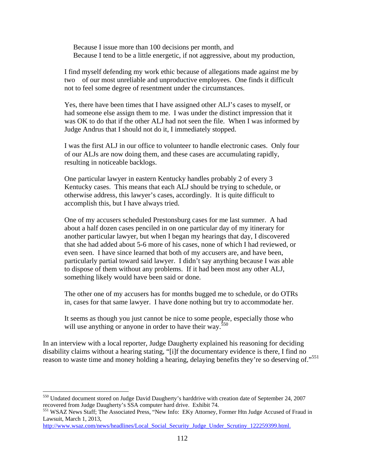Because I issue more than 100 decisions per month, and Because I tend to be a little energetic, if not aggressive, about my production,

I find myself defending my work ethic because of allegations made against me by two of our most unreliable and unproductive employees. One finds it difficult not to feel some degree of resentment under the circumstances.

Yes, there have been times that I have assigned other ALJ's cases to myself, or had someone else assign them to me. I was under the distinct impression that it was OK to do that if the other ALJ had not seen the file. When I was informed by Judge Andrus that I should not do it, I immediately stopped.

I was the first ALJ in our office to volunteer to handle electronic cases. Only four of our ALJs are now doing them, and these cases are accumulating rapidly, resulting in noticeable backlogs.

One particular lawyer in eastern Kentucky handles probably 2 of every 3 Kentucky cases. This means that each ALJ should be trying to schedule, or otherwise address, this lawyer's cases, accordingly. It is quite difficult to accomplish this, but I have always tried.

One of my accusers scheduled Prestonsburg cases for me last summer. A had about a half dozen cases penciled in on one particular day of my itinerary for another particular lawyer, but when I began my hearings that day, I discovered that she had added about 5-6 more of his cases, none of which I had reviewed, or even seen. I have since learned that both of my accusers are, and have been, particularly partial toward said lawyer. I didn't say anything because I was able to dispose of them without any problems. If it had been most any other ALJ, something likely would have been said or done.

The other one of my accusers has for months bugged me to schedule, or do OTRs in, cases for that same lawyer. I have done nothing but try to accommodate her.

It seems as though you just cannot be nice to some people, especially those who will use anything or anyone in order to have their way.<sup>550</sup>

In an interview with a local reporter, Judge Daugherty explained his reasoning for deciding disability claims without a hearing stating, "[i]f the documentary evidence is there, I find no reason to waste time and money holding a hearing, delaying benefits they're so deserving of."<sup>551</sup>

<sup>&</sup>lt;sup>550</sup> Undated document stored on Judge David Daugherty's harddrive with creation date of September 24, 2007 recovered from Judge Daugherty's SSA computer hard drive. Exhibit 74.

<sup>551</sup> WSAZ News Staff; The Associated Press, "New Info: EKy Attorney, Former Htn Judge Accused of Fraud in Lawsuit, March 1, 2013,

http://www.wsaz.com/news/headlines/Local\_Social\_Security\_Judge\_Under\_Scrutiny\_122259399.html.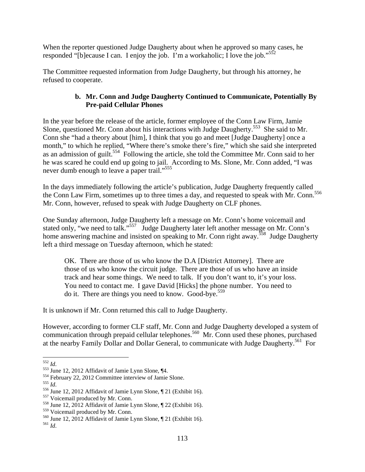When the reporter questioned Judge Daugherty about when he approved so many cases, he responded "[b]ecause I can. I enjoy the job. I'm a workaholic; I love the job."<sup>552</sup>

The Committee requested information from Judge Daugherty, but through his attorney, he refused to cooperate.

# **b. Mr. Conn and Judge Daugherty Continued to Communicate, Potentially By Pre-paid Cellular Phones**

In the year before the release of the article, former employee of the Conn Law Firm, Jamie Slone, questioned Mr. Conn about his interactions with Judge Daugherty.<sup>553</sup> She said to Mr. Conn she "had a theory about [him], I think that you go and meet [Judge Daugherty] once a month," to which he replied, "Where there's smoke there's fire," which she said she interpreted as an admission of guilt.<sup>554</sup> Following the article, she told the Committee Mr. Conn said to her he was scared he could end up going to jail. According to Ms. Slone, Mr. Conn added, "I was never dumb enough to leave a paper trail."<sup>555</sup>

In the days immediately following the article's publication, Judge Daugherty frequently called the Conn Law Firm, sometimes up to three times a day, and requested to speak with Mr. Conn.<sup>556</sup> Mr. Conn, however, refused to speak with Judge Daugherty on CLF phones.

One Sunday afternoon, Judge Daugherty left a message on Mr. Conn's home voicemail and stated only, "we need to talk."<sup>557</sup> Judge Daugherty later left another message on Mr. Conn's home answering machine and insisted on speaking to Mr. Conn right away.<sup>558</sup> Judge Daugherty left a third message on Tuesday afternoon, which he stated:

OK. There are those of us who know the D.A [District Attorney]. There are those of us who know the circuit judge. There are those of us who have an inside track and hear some things. We need to talk. If you don't want to, it's your loss. You need to contact me. I gave David [Hicks] the phone number. You need to do it. There are things you need to know. Good-bye.<sup>559</sup>

It is unknown if Mr. Conn returned this call to Judge Daugherty.

However, according to former CLF staff, Mr. Conn and Judge Daugherty developed a system of communication through prepaid cellular telephones.<sup>560</sup> Mr. Conn used these phones, purchased at the nearby Family Dollar and Dollar General, to communicate with Judge Daugherty.<sup>561</sup> For

 $^{552}$   $Id.$ 

<sup>&</sup>lt;sup>553</sup> June 12, 2012 Affidavit of Jamie Lynn Slone,  $\P$ 4.<br><sup>554</sup> February 22, 2012 Committee interview of Jamie Slone.<br><sup>555</sup> *Id.*<br><sup>555</sup> June 12, 2012 Affidavit of Jamie Lynn Slone,  $\P$  21 (Exhibit 16).<br><sup>557</sup> Voicemail prod

<sup>&</sup>lt;sup>560</sup> June 12, 2012 Affidavit of Jamie Lynn Slone, ¶ 21 (Exhibit 16). <sup>561</sup> *Id*.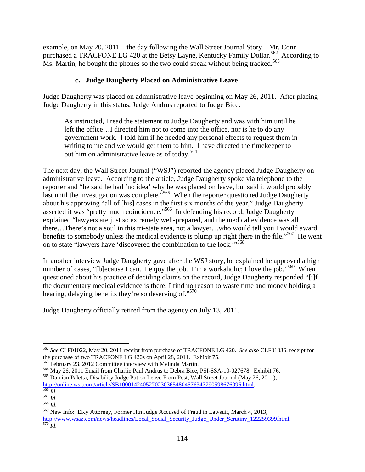example, on May 20, 2011 – the day following the Wall Street Journal Story – Mr. Conn purchased a TRACFONE LG 420 at the Betsy Layne, Kentucky Family Dollar.<sup>562</sup> According to Ms. Martin, he bought the phones so the two could speak without being tracked.<sup>563</sup>

# **c. Judge Daugherty Placed on Administrative Leave**

Judge Daugherty was placed on administrative leave beginning on May 26, 2011. After placing Judge Daugherty in this status, Judge Andrus reported to Judge Bice:

As instructed, I read the statement to Judge Daugherty and was with him until he left the office…I directed him not to come into the office, nor is he to do any government work. I told him if he needed any personal effects to request them in writing to me and we would get them to him. I have directed the timekeeper to put him on administrative leave as of today.<sup>564</sup>

The next day, the Wall Street Journal ("WSJ") reported the agency placed Judge Daugherty on administrative leave. According to the article, Judge Daugherty spoke via telephone to the reporter and "he said he had 'no idea' why he was placed on leave, but said it would probably last until the investigation was complete."<sup>565</sup> When the reporter questioned Judge Daugherty about his approving "all of [his] cases in the first six months of the year," Judge Daugherty asserted it was "pretty much coincidence."566 In defending his record, Judge Daugherty explained "lawyers are just so extremely well-prepared, and the medical evidence was all there…There's not a soul in this tri-state area, not a lawyer…who would tell you I would award benefits to somebody unless the medical evidence is plump up right there in the file.<sup> $567$ </sup> He went on to state "lawyers have 'discovered the combination to the lock.'"568

In another interview Judge Daugherty gave after the WSJ story, he explained he approved a high number of cases, "[b]ecause I can. I enjoy the job. I'm a workaholic; I love the job."<sup>569</sup> When questioned about his practice of deciding claims on the record, Judge Daugherty responded "[i]f the documentary medical evidence is there, I find no reason to waste time and money holding a hearing, delaying benefits they're so deserving of."<sup>570</sup>

Judge Daugherty officially retired from the agency on July 13, 2011.

564 May 26, 2011 Email from Charlie Paul Andrus to Debra Bice, PSI-SSA-10-027678. Exhibit 76.<br>565 Damian Paletta, Disability Judge Put on Leave From Post, Wall Street Journal (May 26, 2011),

<sup>562</sup> *See* CLF01022, May 20, 2011 receipt from purchase of TRACFONE LG 420. *See also* CLF01036, receipt for the purchase of two TRACFONE LG 420s on April 28, 2011. Exhibit 75.<br><sup>563</sup> February 23, 2012 Committee interview with Melinda Martin.

http://online.wsj.com/article/SB10001424052702303654804576347790598676096.html.<br>
<sup>566</sup>*Id.*<br>
<sup>567</sup> *Id.* 568 *Id.* 568 *Id.* 568 New Info: EKy Attorney, Former Htn Judge Accused of Fraud in Lawsuit, March 4, 2013,

http://www.wsaz.com/news/headlines/Local\_Social\_Security\_Judge\_Under\_Scrutiny\_122259399.html. <sup>570</sup> *Id*.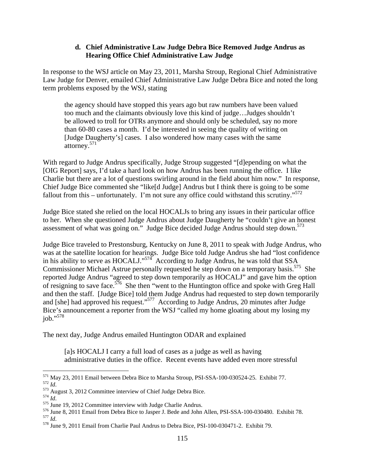#### **d. Chief Administrative Law Judge Debra Bice Removed Judge Andrus as Hearing Office Chief Administrative Law Judge**

In response to the WSJ article on May 23, 2011, Marsha Stroup, Regional Chief Administrative Law Judge for Denver, emailed Chief Administrative Law Judge Debra Bice and noted the long term problems exposed by the WSJ, stating

the agency should have stopped this years ago but raw numbers have been valued too much and the claimants obviously love this kind of judge…Judges shouldn't be allowed to troll for OTRs anymore and should only be scheduled, say no more than 60-80 cases a month. I'd be interested in seeing the quality of writing on [Judge Daugherty's] cases. I also wondered how many cases with the same attorney.<sup>571</sup>

With regard to Judge Andrus specifically, Judge Stroup suggested "[d]epending on what the [OIG Report] says, I'd take a hard look on how Andrus has been running the office. I like Charlie but there are a lot of questions swirling around in the field about him now." In response, Chief Judge Bice commented she "like[d Judge] Andrus but I think there is going to be some fallout from this – unfortunately. I'm not sure any office could withstand this scrutiny."<sup>572</sup>

Judge Bice stated she relied on the local HOCALJs to bring any issues in their particular office to her. When she questioned Judge Andrus about Judge Daugherty he "couldn't give an honest assessment of what was going on." Judge Bice decided Judge Andrus should step down.<sup>573</sup>

Judge Bice traveled to Prestonsburg, Kentucky on June 8, 2011 to speak with Judge Andrus, who was at the satellite location for hearings. Judge Bice told Judge Andrus she had "lost confidence in his ability to serve as HOCALJ." $574$  According to Judge Andrus, he was told that SSA Commissioner Michael Astrue personally requested he step down on a temporary basis.<sup>575</sup> She reported Judge Andrus "agreed to step down temporarily as HOCALJ" and gave him the option of resigning to save face.<sup>576</sup> She then "went to the Huntington office and spoke with Greg Hall and then the staff. [Judge Bice] told them Judge Andrus had requested to step down temporarily and [she] had approved his request."577 According to Judge Andrus, 20 minutes after Judge Bice's announcement a reporter from the WSJ "called my home gloating about my losing my job."578

The next day, Judge Andrus emailed Huntington ODAR and explained

[a]s HOCALJ I carry a full load of cases as a judge as well as having administrative duties in the office. Recent events have added even more stressful

<sup>&</sup>lt;sup>571</sup> May 23, 2011 Email between Debra Bice to Marsha Stroup, PSI-SSA-100-030524-25. Exhibit 77.

 $\frac{372}{1d}$ <br>  $\frac{1}{673}$  August 3, 2012 Committee interview of Chief Judge Debra Bice.<br>  $\frac{574}{1d}$ .<br>  $\frac{1}{675}$  June 19, 2012 Committee interview with Judge Charlie Andrus.<br>  $\frac{575}{100}$  June 8, 2011 Email from Debra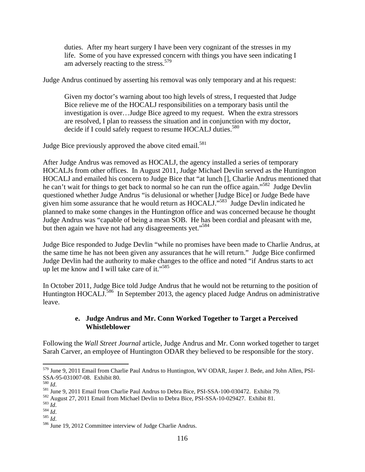duties. After my heart surgery I have been very cognizant of the stresses in my life. Some of you have expressed concern with things you have seen indicating I am adversely reacting to the stress.<sup>579</sup>

Judge Andrus continued by asserting his removal was only temporary and at his request:

Given my doctor's warning about too high levels of stress, I requested that Judge Bice relieve me of the HOCALJ responsibilities on a temporary basis until the investigation is over…Judge Bice agreed to my request. When the extra stressors are resolved, I plan to reassess the situation and in conjunction with my doctor, decide if I could safely request to resume HOCALJ duties.<sup>580</sup>

Judge Bice previously approved the above cited email.<sup>581</sup>

After Judge Andrus was removed as HOCALJ, the agency installed a series of temporary HOCALJs from other offices. In August 2011, Judge Michael Devlin served as the Huntington HOCALJ and emailed his concern to Judge Bice that "at lunch [], Charlie Andrus mentioned that he can't wait for things to get back to normal so he can run the office again."<sup>582</sup> Judge Devlin questioned whether Judge Andrus "is delusional or whether [Judge Bice] or Judge Bede have given him some assurance that he would return as HOCALJ."<sup>583</sup> Judge Devlin indicated he planned to make some changes in the Huntington office and was concerned because he thought Judge Andrus was "capable of being a mean SOB. He has been cordial and pleasant with me, but then again we have not had any disagreements yet."<sup>584</sup>

Judge Bice responded to Judge Devlin "while no promises have been made to Charlie Andrus, at the same time he has not been given any assurances that he will return." Judge Bice confirmed Judge Devlin had the authority to make changes to the office and noted "if Andrus starts to act up let me know and I will take care of it."<sup>585</sup>

In October 2011, Judge Bice told Judge Andrus that he would not be returning to the position of Huntington HOCALJ.<sup>586</sup> In September 2013, the agency placed Judge Andrus on administrative leave.

#### **e. Judge Andrus and Mr. Conn Worked Together to Target a Perceived Whistleblower**

Following the *Wall Street Journal* article, Judge Andrus and Mr. Conn worked together to target Sarah Carver, an employee of Huntington ODAR they believed to be responsible for the story.

<sup>&</sup>lt;sup>579</sup> June 9, 2011 Email from Charlie Paul Andrus to Huntington, WV ODAR, Jasper J. Bede, and John Allen, PSI-SSA-95-031007-08. Exhibit 80.<br><sup>580</sup> Id.

<sup>&</sup>lt;sup>581</sup> June 9, 2011 Email from Charlie Paul Andrus to Debra Bice, PSI-SSA-100-030472. Exhibit 79.<br><sup>582</sup> August 27, 2011 Email from Michael Devlin to Debra Bice, PSI-SSA-10-029427. Exhibit 81.<br><sup>583</sup> *Id.*<br><sup>584</sup> *Id.*<br><sup>586</sup>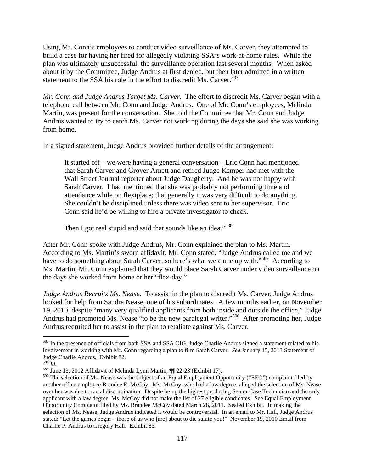Using Mr. Conn's employees to conduct video surveillance of Ms. Carver, they attempted to build a case for having her fired for allegedly violating SSA's work-at-home rules. While the plan was ultimately unsuccessful, the surveillance operation last several months. When asked about it by the Committee, Judge Andrus at first denied, but then later admitted in a written statement to the SSA his role in the effort to discredit Ms. Carver.<sup>587</sup>

*Mr. Conn and Judge Andrus Target Ms. Carver.* The effort to discredit Ms. Carver began with a telephone call between Mr. Conn and Judge Andrus. One of Mr. Conn's employees, Melinda Martin, was present for the conversation. She told the Committee that Mr. Conn and Judge Andrus wanted to try to catch Ms. Carver not working during the days she said she was working from home.

In a signed statement, Judge Andrus provided further details of the arrangement:

It started off – we were having a general conversation – Eric Conn had mentioned that Sarah Carver and Grover Arnett and retired Judge Kemper had met with the Wall Street Journal reporter about Judge Daugherty. And he was not happy with Sarah Carver. I had mentioned that she was probably not performing time and attendance while on flexiplace; that generally it was very difficult to do anything. She couldn't be disciplined unless there was video sent to her supervisor. Eric Conn said he'd be willing to hire a private investigator to check.

Then I got real stupid and said that sounds like an idea."<sup>588</sup>

After Mr. Conn spoke with Judge Andrus, Mr. Conn explained the plan to Ms. Martin. According to Ms. Martin's sworn affidavit, Mr. Conn stated, "Judge Andrus called me and we have to do something about Sarah Carver, so here's what we came up with."<sup>589</sup> According to Ms. Martin, Mr. Conn explained that they would place Sarah Carver under video surveillance on the days she worked from home or her "flex-day."

*Judge Andrus Recruits Ms. Nease*. To assist in the plan to discredit Ms. Carver, Judge Andrus looked for help from Sandra Nease, one of his subordinates. A few months earlier, on November 19, 2010, despite "many very qualified applicants from both inside and outside the office," Judge Andrus had promoted Ms. Nease "to be the new paralegal writer."<sup>590</sup> After promoting her, Judge Andrus recruited her to assist in the plan to retaliate against Ms. Carver.

<sup>&</sup>lt;sup>587</sup> In the presence of officials from both SSA and SSA OIG, Judge Charlie Andrus signed a statement related to his involvement in working with Mr. Conn regarding a plan to film Sarah Carver. *See* January 15, 2013 Statement of Judge Charlie Andrus. Exhibit 82.  $^{588}$  *M* 

<sup>588</sup> *Id*. 589 June 13, 2012 Affidavit of Melinda Lynn Martin, ¶¶ 22-23 (Exhibit 17).

<sup>590</sup> The selection of Ms. Nease was the subject of an Equal Employment Opportunity ("EEO") complaint filed by another office employee Brandee E. McCoy. Ms. McCoy, who had a law degree, alleged the selection of Ms. Nease over her was due to racial discrimination. Despite being the highest producing Senior Case Technician and the only applicant with a law degree, Ms. McCoy did not make the list of 27 eligible candidates. See Equal Employment Opportunity Complaint filed by Ms. Brandee McCoy dated March 28, 2011. Sealed Exhibit. In making the selection of Ms. Nease, Judge Andrus indicated it would be controversial. In an email to Mr. Hall, Judge Andrus stated: "Let the games begin – those of us who [are] about to die salute you!" November 19, 2010 Email from Charlie P. Andrus to Gregory Hall. Exhibit 83.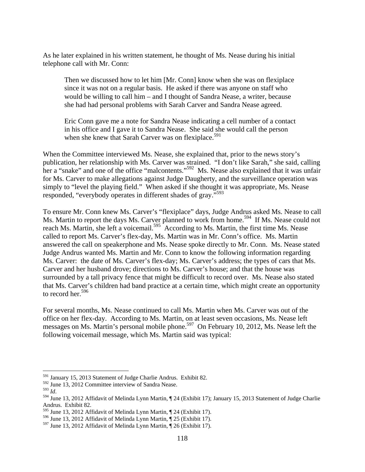As he later explained in his written statement, he thought of Ms. Nease during his initial telephone call with Mr. Conn:

Then we discussed how to let him [Mr. Conn] know when she was on flexiplace since it was not on a regular basis. He asked if there was anyone on staff who would be willing to call him – and I thought of Sandra Nease, a writer, because she had had personal problems with Sarah Carver and Sandra Nease agreed.

Eric Conn gave me a note for Sandra Nease indicating a cell number of a contact in his office and I gave it to Sandra Nease. She said she would call the person when she knew that Sarah Carver was on flexiplace.<sup>591</sup>

When the Committee interviewed Ms. Nease, she explained that, prior to the news story's publication, her relationship with Ms. Carver was strained. "I don't like Sarah," she said, calling her a "snake" and one of the office "malcontents."<sup>592</sup> Ms. Nease also explained that it was unfair for Ms. Carver to make allegations against Judge Daugherty, and the surveillance operation was simply to "level the playing field." When asked if she thought it was appropriate, Ms. Nease responded, "everybody operates in different shades of gray."<sup>593</sup>

To ensure Mr. Conn knew Ms. Carver's "flexiplace" days, Judge Andrus asked Ms. Nease to call Ms. Martin to report the days Ms. Carver planned to work from home.<sup>594</sup> If Ms. Nease could not reach Ms. Martin, she left a voicemail.<sup>595</sup> According to Ms. Martin, the first time Ms. Nease reach Ms. Nease called to report Ms. Carver's flex-day, Ms. Martin was in Mr. Conn's office. Ms. Martin answered the call on speakerphone and Ms. Nease spoke directly to Mr. Conn. Ms. Nease stated Judge Andrus wanted Ms. Martin and Mr. Conn to know the following information regarding Ms. Carver: the date of Ms. Carver's flex-day; Ms. Carver's address; the types of cars that Ms. Carver and her husband drove; directions to Ms. Carver's house; and that the house was surrounded by a tall privacy fence that might be difficult to record over. Ms. Nease also stated that Ms. Carver's children had band practice at a certain time, which might create an opportunity to record her.<sup>596</sup>

For several months, Ms. Nease continued to call Ms. Martin when Ms. Carver was out of the office on her flex-day. According to Ms. Martin, on at least seven occasions, Ms. Nease left messages on Ms. Martin's personal mobile phone.<sup>597</sup> On February 10, 2012, Ms. Nease left the following voicemail message, which Ms. Martin said was typical:

1

<sup>&</sup>lt;sup>591</sup> January 15, 2013 Statement of Judge Charlie Andrus. Exhibit 82.

 $\frac{592}{592}$  June 13, 2012 Committee interview of Sandra Nease.

<sup>&</sup>lt;sup>594</sup> June 13, 2012 Affidavit of Melinda Lynn Martin, ¶ 24 (Exhibit 17); January 15, 2013 Statement of Judge Charlie Andrus. Exhibit 82.

<sup>595</sup> June 13, 2012 Affidavit of Melinda Lynn Martin, ¶ 24 (Exhibit 17).

<sup>596</sup> June 13, 2012 Affidavit of Melinda Lynn Martin, ¶ 25 (Exhibit 17).

<sup>597</sup> June 13, 2012 Affidavit of Melinda Lynn Martin, ¶ 26 (Exhibit 17).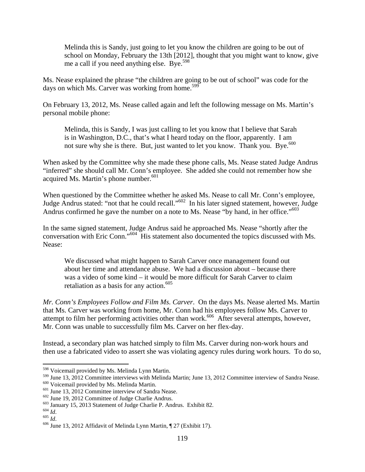Melinda this is Sandy, just going to let you know the children are going to be out of school on Monday, February the 13th [2012], thought that you might want to know, give me a call if you need anything else. Bye.<sup>598</sup>

Ms. Nease explained the phrase "the children are going to be out of school" was code for the days on which Ms. Carver was working from home.<sup>599</sup>

On February 13, 2012, Ms. Nease called again and left the following message on Ms. Martin's personal mobile phone:

Melinda, this is Sandy, I was just calling to let you know that I believe that Sarah is in Washington, D.C., that's what I heard today on the floor, apparently. I am not sure why she is there. But, just wanted to let you know. Thank you. Bye.<sup>600</sup>

When asked by the Committee why she made these phone calls, Ms. Nease stated Judge Andrus "inferred" she should call Mr. Conn's employee. She added she could not remember how she acquired Ms. Martin's phone number.<sup>601</sup>

When questioned by the Committee whether he asked Ms. Nease to call Mr. Conn's employee, Judge Andrus stated: "not that he could recall."602 In his later signed statement, however, Judge Andrus confirmed he gave the number on a note to Ms. Nease "by hand, in her office."<sup>603</sup>

In the same signed statement, Judge Andrus said he approached Ms. Nease "shortly after the conversation with Eric Conn."604 His statement also documented the topics discussed with Ms. Nease:

We discussed what might happen to Sarah Carver once management found out about her time and attendance abuse. We had a discussion about – because there was a video of some kind – it would be more difficult for Sarah Carver to claim retaliation as a basis for any action.<sup>605</sup>

*Mr. Conn's Employees Follow and Film Ms. Carver*. On the days Ms. Nease alerted Ms. Martin that Ms. Carver was working from home, Mr. Conn had his employees follow Ms. Carver to attempt to film her performing activities other than work.<sup>606</sup> After several attempts, however, Mr. Conn was unable to successfully film Ms. Carver on her flex-day.

Instead, a secondary plan was hatched simply to film Ms. Carver during non-work hours and then use a fabricated video to assert she was violating agency rules during work hours. To do so,

<sup>598</sup> Voicemail provided by Ms. Melinda Lynn Martin.

<sup>&</sup>lt;sup>599</sup> June 13, 2012 Committee interviews with Melinda Martin; June 13, 2012 Committee interview of Sandra Nease.<br><sup>600</sup> Voicemail provided by Ms. Melinda Martin.<br><sup>601</sup> June 13, 2012 Committee interview of Sandra Nease.<br><sup>60</sup>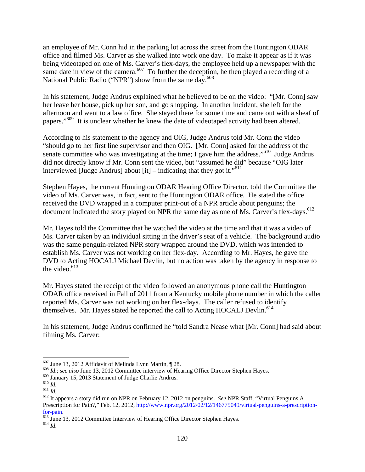an employee of Mr. Conn hid in the parking lot across the street from the Huntington ODAR office and filmed Ms. Carver as she walked into work one day. To make it appear as if it was being videotaped on one of Ms. Carver's flex-days, the employee held up a newspaper with the same date in view of the camera.<sup>607</sup> To further the deception, he then played a recording of a National Public Radio ("NPR") show from the same day.<sup>608</sup>

In his statement, Judge Andrus explained what he believed to be on the video: "[Mr. Conn] saw her leave her house, pick up her son, and go shopping. In another incident, she left for the afternoon and went to a law office. She stayed there for some time and came out with a sheaf of papers."<sup>609</sup> It is unclear whether he knew the date of videotaped activity had been altered.

According to his statement to the agency and OIG, Judge Andrus told Mr. Conn the video "should go to her first line supervisor and then OIG. [Mr. Conn] asked for the address of the senate committee who was investigating at the time; I gave him the address."<sup>610</sup> Judge Andrus did not directly know if Mr. Conn sent the video, but "assumed he did" because "OIG later interviewed [Judge Andrus] about  $\left[$ it] – indicating that they got it."<sup>611</sup>

Stephen Hayes, the current Huntington ODAR Hearing Office Director, told the Committee the video of Ms. Carver was, in fact, sent to the Huntington ODAR office. He stated the office received the DVD wrapped in a computer print-out of a NPR article about penguins; the document indicated the story played on NPR the same day as one of Ms. Carver's flex-days.<sup>612</sup>

Mr. Hayes told the Committee that he watched the video at the time and that it was a video of Ms. Carver taken by an individual sitting in the driver's seat of a vehicle. The background audio was the same penguin-related NPR story wrapped around the DVD, which was intended to establish Ms. Carver was not working on her flex-day. According to Mr. Hayes, he gave the DVD to Acting HOCALJ Michael Devlin, but no action was taken by the agency in response to the video. $613$ 

Mr. Hayes stated the receipt of the video followed an anonymous phone call the Huntington ODAR office received in Fall of 2011 from a Kentucky mobile phone number in which the caller reported Ms. Carver was not working on her flex-days. The caller refused to identify themselves. Mr. Hayes stated he reported the call to Acting HOCALJ Devlin.<sup>614</sup>

In his statement, Judge Andrus confirmed he "told Sandra Nease what [Mr. Conn] had said about filming Ms. Carver:

1

<sup>&</sup>lt;sup>607</sup> June 13, 2012 Affidavit of Melinda Lynn Martin, ¶ 28.<br><sup>608</sup> *Id.*; *see also* June 13, 2012 Committee interview of Hearing Office Director Stephen Hayes.<br><sup>609</sup> January 15, 2013 Statement of Judge Charlie Andrus.

<sup>609</sup> January 15, 2013 Statement of Judge Charlie Andrus. 610 *Id.* <sup>611</sup> *Id.* 612 It appears a story did run on NPR on February 12, 2012 on penguins. *See* NPR Staff, "Virtual Penguins A Prescription for Pain?," Feb. 12, 2012, http://www.npr.org/2012/02/12/146775049/virtual-penguins-a-prescription-

for-pain. 613 June 13, 2012 Committee Interview of Hearing Office Director Stephen Hayes. 614 *Id*.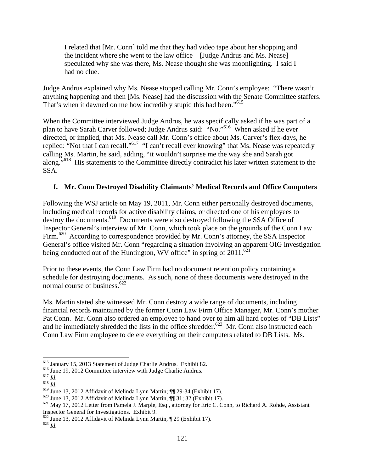I related that [Mr. Conn] told me that they had video tape about her shopping and the incident where she went to the law office – [Judge Andrus and Ms. Nease] speculated why she was there, Ms. Nease thought she was moonlighting. I said I had no clue.

Judge Andrus explained why Ms. Nease stopped calling Mr. Conn's employee: "There wasn't anything happening and then [Ms. Nease] had the discussion with the Senate Committee staffers. That's when it dawned on me how incredibly stupid this had been."<sup>615</sup>

When the Committee interviewed Judge Andrus, he was specifically asked if he was part of a plan to have Sarah Carver followed; Judge Andrus said: "No."616 When asked if he ever directed, or implied, that Ms. Nease call Mr. Conn's office about Ms. Carver's flex-days, he replied: "Not that I can recall."617 "I can't recall ever knowing" that Ms. Nease was repeatedly calling Ms. Martin, he said, adding, "it wouldn't surprise me the way she and Sarah got along."<sup>618</sup> His statements to the Committee directly contradict his later written statement to the SSA.

### **f. Mr. Conn Destroyed Disability Claimants' Medical Records and Office Computers**

Following the WSJ article on May 19, 2011, Mr. Conn either personally destroyed documents, including medical records for active disability claims, or directed one of his employees to destroy the documents.619 Documents were also destroyed following the SSA Office of Inspector General's interview of Mr. Conn, which took place on the grounds of the Conn Law Firm.<sup>620</sup> According to correspondence provided by Mr. Conn's attorney, the SSA Inspector General's office visited Mr. Conn "regarding a situation involving an apparent OIG investigation being conducted out of the Huntington, WV office" in spring of  $2011$ .<sup>62</sup>

Prior to these events, the Conn Law Firm had no document retention policy containing a schedule for destroying documents. As such, none of these documents were destroyed in the normal course of business.<sup>622</sup>

Ms. Martin stated she witnessed Mr. Conn destroy a wide range of documents, including financial records maintained by the former Conn Law Firm Office Manager, Mr. Conn's mother Pat Conn. Mr. Conn also ordered an employee to hand over to him all hard copies of "DB Lists" and he immediately shredded the lists in the office shredder.<sup>623</sup> Mr. Conn also instructed each Conn Law Firm employee to delete everything on their computers related to DB Lists. Ms.

<sup>&</sup>lt;sup>615</sup> January 15, 2013 Statement of Judge Charlie Andrus. Exhibit 82.<br><sup>616</sup> June 19, 2012 Committee interview with Judge Charlie Andrus.<br><sup>617</sup> *Id.*<br><sup>619</sup> June 13, 2012 Affidavit of Melinda Lynn Martin;  $\P$  29-34 (Exhibit Inspector General for Investigations. Exhibit 9.

<sup>622</sup> June 13, 2012 Affidavit of Melinda Lynn Martin, ¶ 29 (Exhibit 17). 623 *Id*.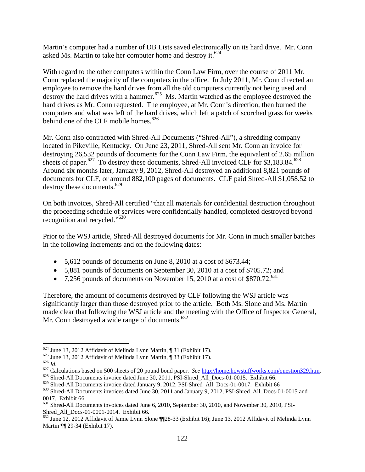Martin's computer had a number of DB Lists saved electronically on its hard drive. Mr. Conn asked Ms. Martin to take her computer home and destroy it.  $624$ 

With regard to the other computers within the Conn Law Firm, over the course of 2011 Mr. Conn replaced the majority of the computers in the office. In July 2011, Mr. Conn directed an employee to remove the hard drives from all the old computers currently not being used and destroy the hard drives with a hammer.<sup>625</sup> Ms. Martin watched as the employee destroyed the hard drives as Mr. Conn requested. The employee, at Mr. Conn's direction, then burned the computers and what was left of the hard drives, which left a patch of scorched grass for weeks behind one of the CLF mobile homes.<sup>626</sup>

Mr. Conn also contracted with Shred-All Documents ("Shred-All"), a shredding company located in Pikeville, Kentucky. On June 23, 2011, Shred-All sent Mr. Conn an invoice for destroying 26,532 pounds of documents for the Conn Law Firm, the equivalent of 2.65 million sheets of paper.<sup>627</sup> To destroy these documents, Shred-All invoiced CLF for \$3,183.84.<sup>628</sup> Around six months later, January 9, 2012, Shred-All destroyed an additional 8,821 pounds of documents for CLF, or around 882,100 pages of documents. CLF paid Shred-All \$1,058.52 to destroy these documents.<sup>629</sup>

On both invoices, Shred-All certified "that all materials for confidential destruction throughout the proceeding schedule of services were confidentially handled, completed destroyed beyond recognition and recycled."<sup>630</sup>

Prior to the WSJ article, Shred-All destroyed documents for Mr. Conn in much smaller batches in the following increments and on the following dates:

- 5,612 pounds of documents on June 8, 2010 at a cost of \$673.44;
- 5,881 pounds of documents on September 30, 2010 at a cost of \$705.72; and
- 7,256 pounds of documents on November 15, 2010 at a cost of \$870.72.<sup>631</sup>

Therefore, the amount of documents destroyed by CLF following the WSJ article was significantly larger than those destroyed prior to the article. Both Ms. Slone and Ms. Martin made clear that following the WSJ article and the meeting with the Office of Inspector General, Mr. Conn destroyed a wide range of documents. $632$ 

<sup>&</sup>lt;sup>624</sup> June 13, 2012 Affidavit of Melinda Lynn Martin, ¶ 31 (Exhibit 17).<br><sup>625</sup> June 13, 2012 Affidavit of Melinda Lynn Martin, ¶ 33 (Exhibit 17).<br><sup>626</sup> *Id.*<br><sup>627</sup> Calculations based on 500 sheets of 20 pound bond paper.

 $^{630}$  Shred-All Documents invoices dated June 30, 2011 and January 9, 2012, PSI-Shred\_All\_Docs-01-0015 and 0017. Exhibit 66.

<sup>&</sup>lt;sup>631</sup> Shred-All Documents invoices dated June 6, 2010, September 30, 2010, and November 30, 2010, PSI-Shred\_All\_Docs-01-0001-0014. Exhibit 66.

<sup>632</sup> June 12, 2012 Affidavit of Jamie Lynn Slone ¶¶28-33 (Exhibit 16); June 13, 2012 Affidavit of Melinda Lynn Martin ¶¶ 29-34 (Exhibit 17).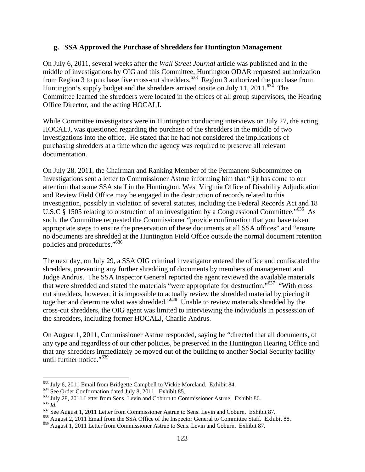#### **g. SSA Approved the Purchase of Shredders for Huntington Management**

On July 6, 2011, several weeks after the *Wall Street Journal* article was published and in the middle of investigations by OIG and this Committee, Huntington ODAR requested authorization from Region 3 to purchase five cross-cut shredders.<sup>633</sup> Region 3 authorized the purchase from Huntington's supply budget and the shredders arrived onsite on July 11, 2011.<sup>634</sup> The Committee learned the shredders were located in the offices of all group supervisors, the Hearing Office Director, and the acting HOCALJ.

While Committee investigators were in Huntington conducting interviews on July 27, the acting HOCALJ, was questioned regarding the purchase of the shredders in the middle of two investigations into the office. He stated that he had not considered the implications of purchasing shredders at a time when the agency was required to preserve all relevant documentation.

On July 28, 2011, the Chairman and Ranking Member of the Permanent Subcommittee on Investigations sent a letter to Commissioner Astrue informing him that "[i]t has come to our attention that some SSA staff in the Huntington, West Virginia Office of Disability Adjudication and Review Field Office may be engaged in the destruction of records related to this investigation, possibly in violation of several statutes, including the Federal Records Act and 18 U.S.C § 1505 relating to obstruction of an investigation by a Congressional Committee."<sup>635</sup> As such, the Committee requested the Commissioner "provide confirmation that you have taken appropriate steps to ensure the preservation of these documents at all SSA offices" and "ensure no documents are shredded at the Huntington Field Office outside the normal document retention policies and procedures."636

The next day, on July 29, a SSA OIG criminal investigator entered the office and confiscated the shredders, preventing any further shredding of documents by members of management and Judge Andrus. The SSA Inspector General reported the agent reviewed the available materials that were shredded and stated the materials "were appropriate for destruction."637 "With cross cut shredders, however, it is impossible to actually review the shredded material by piecing it together and determine what was shredded."638 Unable to review materials shredded by the cross-cut shredders, the OIG agent was limited to interviewing the individuals in possession of the shredders, including former HOCALJ, Charlie Andrus.

On August 1, 2011, Commissioner Astrue responded, saying he "directed that all documents, of any type and regardless of our other policies, be preserved in the Huntington Hearing Office and that any shredders immediately be moved out of the building to another Social Security facility until further notice."<sup>639</sup>

<sup>633</sup> July 6, 2011 Email from Bridgette Campbell to Vickie Moreland. Exhibit 84.

<sup>&</sup>lt;sup>634</sup> See Order Conformation dated July 8, 2011. Exhibit 85.<br><sup>635</sup> July 28, 2011 Letter from Sens. Levin and Coburn to Commissioner Astrue. Exhibit 86.<br><sup>636</sup> *Id.*<br><sup>637</sup> See August 1, 2011 Letter from Commissioner Astrue

<sup>639</sup> August 1, 2011 Letter from Commissioner Astrue to Sens. Levin and Coburn. Exhibit 87.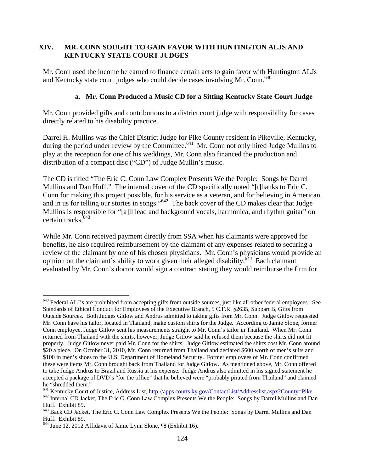### **XIV. MR. CONN SOUGHT TO GAIN FAVOR WITH HUNTINGTON ALJS AND KENTUCKY STATE COURT JUDGES**

Mr. Conn used the income he earned to finance certain acts to gain favor with Huntington ALJs and Kentucky state court judges who could decide cases involving Mr. Conn.<sup>640</sup>

#### **a. Mr. Conn Produced a Music CD for a Sitting Kentucky State Court Judge**

Mr. Conn provided gifts and contributions to a district court judge with responsibility for cases directly related to his disability practice.

Darrel H. Mullins was the Chief District Judge for Pike County resident in Pikeville, Kentucky, during the period under review by the Committee.<sup>641</sup> Mr. Conn not only hired Judge Mullins to play at the reception for one of his weddings, Mr. Conn also financed the production and distribution of a compact disc ("CD") of Judge Mullin's music.

The CD is titled "The Eric C. Conn Law Complex Presents We the People: Songs by Darrel Mullins and Dan Huff." The internal cover of the CD specifically noted "[t]hanks to Eric C. Conn for making this project possible, for his service as a veteran, and for believing in American and in us for telling our stories in songs."642 The back cover of the CD makes clear that Judge Mullins is responsible for "[a]ll lead and background vocals, harmonica, and rhythm guitar" on certain tracks.<sup>643</sup>

While Mr. Conn received payment directly from SSA when his claimants were approved for benefits, he also required reimbursement by the claimant of any expenses related to securing a review of the claimant by one of his chosen physicians. Mr. Conn's physicians would provide an opinion on the claimant's ability to work given their alleged disability.<sup>644</sup> Each claimant evaluated by Mr. Conn's doctor would sign a contract stating they would reimburse the firm for

 $640$  Federal ALJ's are prohibited from accepting gifts from outside sources, just like all other federal employees. See Standards of Ethical Conduct for Employees of the Executive Branch, 5 C.F.R. §2635, Subpart B, Gifts from Outside Sources. Both Judges Gitlow and Andrus admitted to taking gifts from Mr. Conn. Judge Gitlow requested Mr. Conn have his tailor, located in Thailand, make custom shirts for the Judge. According to Jamie Slone, former Conn employee, Judge Gitlow sent his measurements straight to Mr. Conn's tailor in Thailand. When Mr. Conn returned from Thailand with the shirts, however, Judge Gitlow said he refused them because the shirts did not fit properly. Judge Gitlow never paid Mr. Conn for the shirts. Judge Gitlow estimated the shirts cost Mr. Conn around \$20 a piece. On October 31, 2010, Mr. Conn returned from Thailand and declared \$600 worth of men's suits and \$100 in men's shoes to the U.S. Department of Homeland Security. Former employees of Mr. Conn confirmed these were items Mr. Conn brought back from Thailand for Judge Gitlow. As mentioned above, Mr. Conn offered to take Judge Andrus to Brazil and Russia at his expense. Judge Andrus also admitted in his signed statement he accepted a package of DVD's "for the office" that he believed were "probably pirated from Thailand" and claimed he "shredded them."<br><sup>641</sup> Kentucky Court of Justice, Address List, http://apps.courts.ky.gov/ContactList/Addresslist.aspx?County=Pike.

<sup>&</sup>lt;sup>642</sup> Internal CD Jacket, The Eric C. Conn Law Complex Presents We the People: Songs by Darrel Mullins and Dan Huff. Exhibit 89.

<sup>643</sup> Back CD Jacket, The Eric C. Conn Law Complex Presents We the People: Songs by Darrel Mullins and Dan Huff. Exhibit 89.

<sup>644</sup> June 12, 2012 Affidavit of Jamie Lynn Slone, ¶8 (Exhibit 16).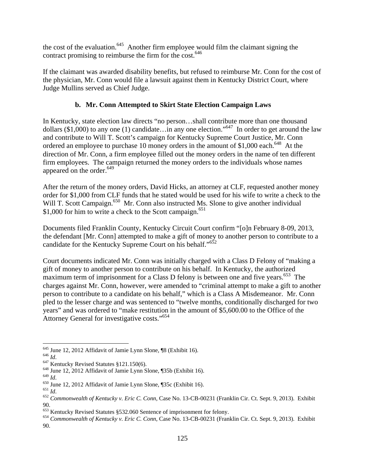the cost of the evaluation.<sup>645</sup> Another firm employee would film the claimant signing the contract promising to reimburse the firm for the cost.<sup>646</sup>

If the claimant was awarded disability benefits, but refused to reimburse Mr. Conn for the cost of the physician, Mr. Conn would file a lawsuit against them in Kentucky District Court, where Judge Mullins served as Chief Judge.

# **b. Mr. Conn Attempted to Skirt State Election Campaign Laws**

In Kentucky, state election law directs "no person…shall contribute more than one thousand dollars (\$1,000) to any one (1) candidate…in any one election."<sup>647</sup> In order to get around the law and contribute to Will T. Scott's campaign for Kentucky Supreme Court Justice, Mr. Conn ordered an employee to purchase 10 money orders in the amount of \$1,000 each.<sup>648</sup> At the direction of Mr. Conn, a firm employee filled out the money orders in the name of ten different firm employees. The campaign returned the money orders to the individuals whose names appeared on the order. $649$ 

After the return of the money orders, David Hicks, an attorney at CLF, requested another money order for \$1,000 from CLF funds that he stated would be used for his wife to write a check to the Will T. Scott Campaign.<sup>650</sup> Mr. Conn also instructed Ms. Slone to give another individual \$1,000 for him to write a check to the Scott campaign.<sup>651</sup>

Documents filed Franklin County, Kentucky Circuit Court confirm "[o]n February 8-09, 2013, the defendant [Mr. Conn] attempted to make a gift of money to another person to contribute to a candidate for the Kentucky Supreme Court on his behalf."<sup>652</sup>

Court documents indicated Mr. Conn was initially charged with a Class D Felony of "making a gift of money to another person to contribute on his behalf. In Kentucky, the authorized maximum term of imprisonment for a Class D felony is between one and five years.<sup>653</sup> The charges against Mr. Conn, however, were amended to "criminal attempt to make a gift to another person to contribute to a candidate on his behalf," which is a Class A Misdemeanor. Mr. Conn pled to the lesser charge and was sentenced to "twelve months, conditionally discharged for two years" and was ordered to "make restitution in the amount of \$5,600.00 to the Office of the Attorney General for investigative costs."654

<sup>&</sup>lt;sup>645</sup> June 12, 2012 Affidavit of Jamie Lynn Slone, ¶8 (Exhibit 16).

<sup>645</sup> *Id.*<br>647 Kentucky Revised Statutes §121.150(6).<br><sup>648</sup> June 12, 2012 Affidavit of Jamie Lynn Slone, ¶35b (Exhibit 16).<br><sup>649</sup> *Id* 

<sup>&</sup>lt;sup>650</sup> June 12, 2012 Affidavit of Jamie Lynn Slone, ¶35c (Exhibit 16).<br><sup>651</sup> *Id.* 651 *Id.* 652 *Commonwealth of Kentucky v. Eric C. Conn*, Case No. 13-CB-00231 (Franklin Cir. Ct. Sept. 9, 2013). Exhibit 90.<br><sup>653</sup> Kentucky Revised Statutes §532.060 Sentence of imprisonment for felony.

<sup>&</sup>lt;sup>654</sup> Commonwealth of Kentucky v. Eric C. Conn, Case No. 13-CB-00231 (Franklin Cir. Ct. Sept. 9, 2013). Exhibit 90.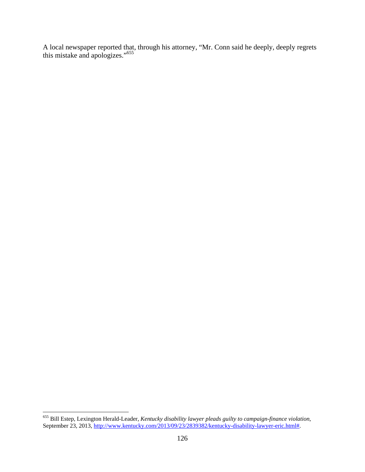A local newspaper reported that, through his attorney, "Mr. Conn said he deeply, deeply regrets this mistake and apologizes."655

1

<sup>655</sup> Bill Estep, Lexington Herald-Leader, *Kentucky disability lawyer pleads guilty to campaign-finance violation*, September 23, 2013, http://www.kentucky.com/2013/09/23/2839382/kentucky-disability-lawyer-eric.html#.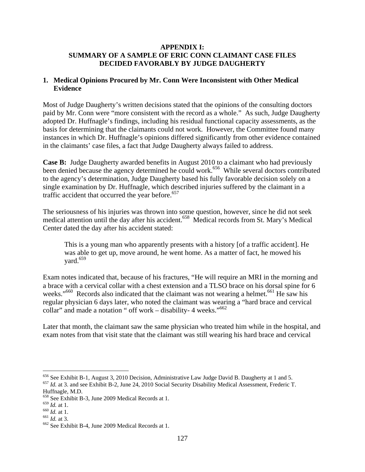#### **APPENDIX I: SUMMARY OF A SAMPLE OF ERIC CONN CLAIMANT CASE FILES DECIDED FAVORABLY BY JUDGE DAUGHERTY**

#### **1. Medical Opinions Procured by Mr. Conn Were Inconsistent with Other Medical Evidence**

Most of Judge Daugherty's written decisions stated that the opinions of the consulting doctors paid by Mr. Conn were "more consistent with the record as a whole." As such, Judge Daugherty adopted Dr. Huffnagle's findings, including his residual functional capacity assessments, as the basis for determining that the claimants could not work. However, the Committee found many instances in which Dr. Huffnagle's opinions differed significantly from other evidence contained in the claimants' case files, a fact that Judge Daugherty always failed to address.

**Case B:** Judge Daugherty awarded benefits in August 2010 to a claimant who had previously been denied because the agency determined he could work.<sup>656</sup> While several doctors contributed to the agency's determination, Judge Daugherty based his fully favorable decision solely on a single examination by Dr. Huffnagle, which described injuries suffered by the claimant in a traffic accident that occurred the year before. $657$ 

The seriousness of his injuries was thrown into some question, however, since he did not seek medical attention until the day after his accident.<sup>658</sup> Medical records from St. Mary's Medical Center dated the day after his accident stated:

This is a young man who apparently presents with a history [of a traffic accident]. He was able to get up, move around, he went home. As a matter of fact, he mowed his vard. $659$ 

Exam notes indicated that, because of his fractures, "He will require an MRI in the morning and a brace with a cervical collar with a chest extension and a TLSO brace on his dorsal spine for 6 weeks."<sup>660</sup> Records also indicated that the claimant was not wearing a helmet.<sup>661</sup> He saw his regular physician 6 days later, who noted the claimant was wearing a "hard brace and cervical collar" and made a notation " off work – disability- 4 weeks."<sup>662</sup>

Later that month, the claimant saw the same physician who treated him while in the hospital, and exam notes from that visit state that the claimant was still wearing his hard brace and cervical

<sup>656</sup> See Exhibit B-1, August 3, 2010 Decision, Administrative Law Judge David B. Daugherty at 1 and 5.

<sup>&</sup>lt;sup>657</sup> Id. at 3. and see Exhibit B-2, June 24, 2010 Social Security Disability Medical Assessment, Frederic T. Huffnagle, M.D.

<sup>&</sup>lt;sup>658</sup> See Exhibit B-3, June 2009 Medical Records at 1.<br><sup>659</sup> Id. at 1.

<sup>660</sup> *Id.* at 1.<br><sup>661</sup> *Id.* at 3.<br><sup>662</sup> See Exhibit B-4, June 2009 Medical Records at 1.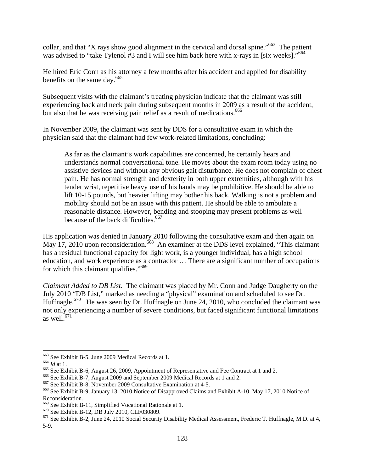collar, and that "X rays show good alignment in the cervical and dorsal spine."<sup>663</sup> The patient was advised to "take Tylenol #3 and I will see him back here with x-rays in [six weeks]."<sup>664</sup>

He hired Eric Conn as his attorney a few months after his accident and applied for disability benefits on the same day.<sup>665</sup>

Subsequent visits with the claimant's treating physician indicate that the claimant was still experiencing back and neck pain during subsequent months in 2009 as a result of the accident, but also that he was receiving pain relief as a result of medications.<sup>666</sup>

In November 2009, the claimant was sent by DDS for a consultative exam in which the physician said that the claimant had few work-related limitations, concluding:

As far as the claimant's work capabilities are concerned, he certainly hears and understands normal conversational tone. He moves about the exam room today using no assistive devices and without any obvious gait disturbance. He does not complain of chest pain. He has normal strength and dexterity in both upper extremities, although with his tender wrist, repetitive heavy use of his hands may be prohibitive. He should be able to lift 10-15 pounds, but heavier lifting may bother his back. Walking is not a problem and mobility should not be an issue with this patient. He should be able to ambulate a reasonable distance. However, bending and stooping may present problems as well because of the back difficulties.<sup>667</sup>

His application was denied in January 2010 following the consultative exam and then again on May  $17$ , 2010 upon reconsideration.<sup>668</sup> An examiner at the DDS level explained, "This claimant" has a residual functional capacity for light work, is a younger individual, has a high school education, and work experience as a contractor … There are a significant number of occupations for which this claimant qualifies."<sup>669</sup>

*Claimant Added to DB List*. The claimant was placed by Mr. Conn and Judge Daugherty on the July 2010 "DB List," marked as needing a "physical" examination and scheduled to see Dr. Huffnagle.<sup>670</sup> He was seen by Dr. Huffnagle on June 24, 2010, who concluded the claimant was not only experiencing a number of severe conditions, but faced significant functional limitations as well. $671$ 

1

<sup>&</sup>lt;sup>663</sup> See Exhibit B-5, June 2009 Medical Records at 1.<br><sup>664</sup> *Id* at 1.<br><sup>665</sup> See Exhibit B-6, August 26, 2009, Appointment of Representative and Fee Contract at 1 and 2.<br><sup>665</sup> See Exhibit B-7, August 2009 and September 2 Reconsideration.<br>
<sup>669</sup> See Exhibit B-11, Simplified Vocational Rationale at 1.

<sup>&</sup>lt;sup>670</sup> See Exhibit B-12, DB July 2010, CLF030809. <sup>671</sup> See Exhibit B-12, July 2010, CLF030809. <sup>671</sup> See Exhibit B-2, June 24, 2010 Social Security Disability Medical Assessment, Frederic T. Huffnagle, M.D. at 4, 5-9.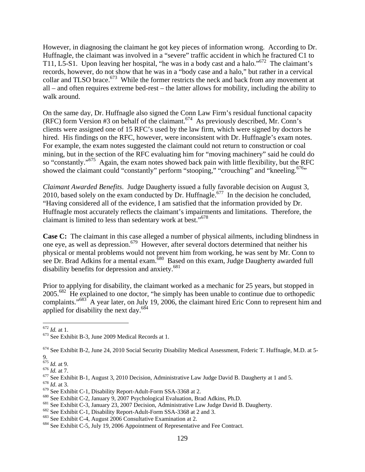However, in diagnosing the claimant he got key pieces of information wrong. According to Dr. Huffnagle, the claimant was involved in a "severe" traffic accident in which he fractured C1 to T11, L5-S1. Upon leaving her hospital, "he was in a body cast and a halo."672 The claimant's records, however, do not show that he was in a "body case and a halo," but rather in a cervical collar and TLSO brace.<sup>673</sup> While the former restricts the neck and back from any movement at all – and often requires extreme bed-rest – the latter allows for mobility, including the ability to walk around.

On the same day, Dr. Huffnagle also signed the Conn Law Firm's residual functional capacity (RFC) form Version #3 on behalf of the claimant.<sup>674</sup> As previously described, Mr. Conn's clients were assigned one of 15 RFC's used by the law firm, which were signed by doctors he hired. His findings on the RFC, however, were inconsistent with Dr. Huffnagle's exam notes. For example, the exam notes suggested the claimant could not return to construction or coal mining, but in the section of the RFC evaluating him for "moving machinery" said he could do so "constantly."<sup>675</sup> Again, the exam notes showed back pain with little flexibility, but the RFC showed the claimant could "constantly" perform "stooping," "crouching" and "kneeling.<sup>676</sup>"

*Claimant Awarded Benefits*. Judge Daugherty issued a fully favorable decision on August 3, 2010, based solely on the exam conducted by Dr. Huffnagle.<sup>677</sup> In the decision he concluded, "Having considered all of the evidence, I am satisfied that the information provided by Dr. Huffnagle most accurately reflects the claimant's impairments and limitations. Therefore, the claimant is limited to less than sedentary work at best."678

**Case C:** The claimant in this case alleged a number of physical ailments, including blindness in one eye, as well as depression.<sup>679</sup> However, after several doctors determined that neither his physical or mental problems would not prevent him from working, he was sent by Mr. Conn to see Dr. Brad Adkins for a mental exam.<sup>680</sup> Based on this exam, Judge Daugherty awarded full disability benefits for depression and anxiety. $681$ 

Prior to applying for disability, the claimant worked as a mechanic for 25 years, but stopped in 2005.682 He explained to one doctor, "he simply has been unable to continue due to orthopedic complaints."<sup>683</sup> A year later, on July 19, 2006, the claimant hired Eric Conn to represent him and applied for disability the next day.<sup>684</sup>

 $674$  See Exhibit B-2, June 24, 2010 Social Security Disability Medical Assessment, Frderic T. Huffnagle, M.D. at 5-

 $672$  *Id.* at 1.

<sup>&</sup>lt;sup>673</sup> See Exhibit B-3, June 2009 Medical Records at 1.

<sup>9.&</sup>lt;br> $^{675}$  *Id.* at 9.

<sup>&</sup>lt;sup>676</sup> *Id.* at 7.<br>
<sup>677</sup> See Exhibit B-1, August 3, 2010 Decision, Administrative Law Judge David B. Daugherty at 1 and 5.<br>
<sup>678</sup> See Exhibit C-1, Disability Report-Adult-Form SSA-3368 at 2.<br>
<sup>689</sup> See Exhibit C-2, Januar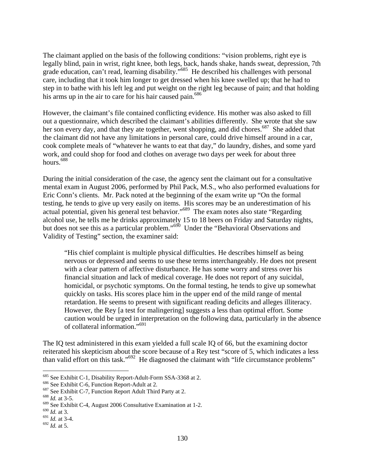The claimant applied on the basis of the following conditions: "vision problems, right eye is legally blind, pain in wrist, right knee, both legs, back, hands shake, hands sweat, depression, 7th grade education, can't read, learning disability."685 He described his challenges with personal care, including that it took him longer to get dressed when his knee swelled up; that he had to step in to bathe with his left leg and put weight on the right leg because of pain; and that holding his arms up in the air to care for his hair caused pain.<sup>686</sup>

However, the claimant's file contained conflicting evidence. His mother was also asked to fill out a questionnaire, which described the claimant's abilities differently. She wrote that she saw her son every day, and that they ate together, went shopping, and did chores.<sup>687</sup> She added that the claimant did not have any limitations in personal care, could drive himself around in a car, cook complete meals of "whatever he wants to eat that day," do laundry, dishes, and some yard work, and could shop for food and clothes on average two days per week for about three hours.<sup>688</sup>

During the initial consideration of the case, the agency sent the claimant out for a consultative mental exam in August 2006, performed by Phil Pack, M.S., who also performed evaluations for Eric Conn's clients. Mr. Pack noted at the beginning of the exam write up "On the formal testing, he tends to give up very easily on items. His scores may be an underestimation of his actual potential, given his general test behavior."689 The exam notes also state "Regarding alcohol use, he tells me he drinks approximately 15 to 18 beers on Friday and Saturday nights, but does not see this as a particular problem."<sup>690</sup> Under the "Behavioral Observations and Validity of Testing" section, the examiner said:

"His chief complaint is multiple physical difficulties. He describes himself as being nervous or depressed and seems to use these terms interchangeably. He does not present with a clear pattern of affective disturbance. He has some worry and stress over his financial situation and lack of medical coverage. He does not report of any suicidal, homicidal, or psychotic symptoms. On the formal testing, he tends to give up somewhat quickly on tasks. His scores place him in the upper end of the mild range of mental retardation. He seems to present with significant reading deficits and alleges illiteracy. However, the Rey [a test for malingering] suggests a less than optimal effort. Some caution would be urged in interpretation on the following data, particularly in the absence of collateral information."691

The IQ test administered in this exam yielded a full scale IQ of 66, but the examining doctor reiterated his skepticism about the score because of a Rey test "score of 5, which indicates a less than valid effort on this task."692 He diagnosed the claimant with "life circumstance problems"

<sup>685</sup> See Exhibit C-1, Disability Report-Adult-Form SSA-3368 at 2.

<sup>&</sup>lt;sup>686</sup> See Exhibit C-6, Function Report-Adult at 2.<br><sup>687</sup> See Exhibit C-7, Function Report Adult Third Party at 2. <sup>688</sup> *Id.* at 3-5.

<sup>689</sup> See Exhibit C-4, August 2006 Consultative Examination at 1-2.

<sup>690</sup> *Id.* at 3.

<sup>691</sup> *Id.* at 3-4.

<sup>692</sup> *Id.* at 5.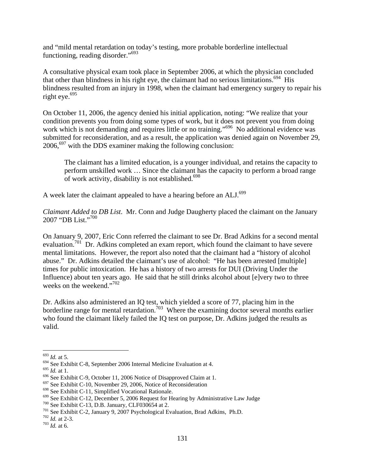and "mild mental retardation on today's testing, more probable borderline intellectual functioning, reading disorder."693

A consultative physical exam took place in September 2006, at which the physician concluded that other than blindness in his right eye, the claimant had no serious limitations.<sup>694</sup> His blindness resulted from an injury in 1998, when the claimant had emergency surgery to repair his right eye. $695$ 

On October 11, 2006, the agency denied his initial application, noting: "We realize that your condition prevents you from doing some types of work, but it does not prevent you from doing work which is not demanding and requires little or no training."<sup>696</sup> No additional evidence was submitted for reconsideration, and as a result, the application was denied again on November 29,  $2006$ ,  $697$  with the DDS examiner making the following conclusion:

The claimant has a limited education, is a younger individual, and retains the capacity to perform unskilled work … Since the claimant has the capacity to perform a broad range of work activity, disability is not established.<sup>698</sup>

A week later the claimant appealed to have a hearing before an ALJ.<sup>699</sup>

*Claimant Added to DB List*. Mr. Conn and Judge Daugherty placed the claimant on the January 2007 "DB List."700

On January 9, 2007, Eric Conn referred the claimant to see Dr. Brad Adkins for a second mental evaluation.<sup>701</sup> Dr. Adkins completed an exam report, which found the claimant to have severe mental limitations. However, the report also noted that the claimant had a "history of alcohol abuse." Dr. Adkins detailed the claimant's use of alcohol: "He has been arrested [multiple] times for public intoxication. He has a history of two arrests for DUI (Driving Under the Influence) about ten years ago. He said that he still drinks alcohol about [e]very two to three weeks on the weekend."702

Dr. Adkins also administered an IQ test, which yielded a score of 77, placing him in the borderline range for mental retardation.<sup>703</sup> Where the examining doctor several months earlier who found the claimant likely failed the IQ test on purpose, Dr. Adkins judged the results as valid.

<sup>693</sup> *Id.* at 5.

<sup>&</sup>lt;sup>694</sup> See Exhibit C-8, September 2006 Internal Medicine Evaluation at 4.<br><sup>695</sup> Id. at 1.

<sup>&</sup>lt;sup>696</sup> See Exhibit C-9, October 11, 2006 Notice of Disapproved Claim at 1.<br><sup>697</sup> See Exhibit C-10, November 29, 2006, Notice of Reconsideration<br><sup>698</sup> See Exhibit C-11, Simplified Vocational Rationale.

<sup>&</sup>lt;sup>699</sup> See Exhibit C-12, December 5, 2006 Request for Hearing by Administrative Law Judge 700 See Exhibit C-13, D.B. January, CLF030654 at 2.<br><sup>701</sup> See Exhibit C-2, January 9, 2007 Psychological Evaluation, Brad Adkins, Ph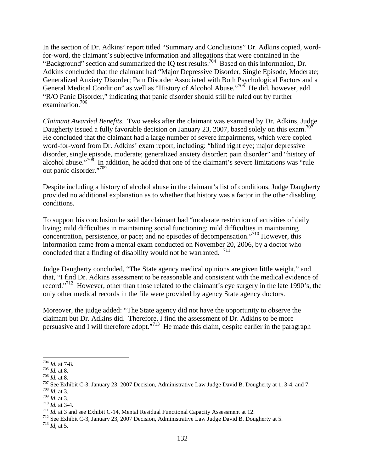In the section of Dr. Adkins' report titled "Summary and Conclusions" Dr. Adkins copied, wordfor-word, the claimant's subjective information and allegations that were contained in the "Background" section and summarized the IQ test results.704 Based on this information, Dr. Adkins concluded that the claimant had "Major Depressive Disorder, Single Episode, Moderate; Generalized Anxiety Disorder; Pain Disorder Associated with Both Psychological Factors and a General Medical Condition" as well as "History of Alcohol Abuse."<sup>705</sup> He did, however, add "R/O Panic Disorder," indicating that panic disorder should still be ruled out by further examination.706

*Claimant Awarded Benefits*. Two weeks after the claimant was examined by Dr. Adkins, Judge Daugherty issued a fully favorable decision on January 23, 2007, based solely on this exam.<sup>707</sup> He concluded that the claimant had a large number of severe impairments, which were copied word-for-word from Dr. Adkins' exam report, including: "blind right eye; major depressive disorder, single episode, moderate; generalized anxiety disorder; pain disorder" and "history of alcohol abuse."708 In addition, he added that one of the claimant's severe limitations was "rule out panic disorder."709

Despite including a history of alcohol abuse in the claimant's list of conditions, Judge Daugherty provided no additional explanation as to whether that history was a factor in the other disabling conditions.

To support his conclusion he said the claimant had "moderate restriction of activities of daily living; mild difficulties in maintaining social functioning; mild difficulties in maintaining concentration, persistence, or pace; and no episodes of decompensation."710 However, this information came from a mental exam conducted on November 20, 2006, by a doctor who concluded that a finding of disability would not be warranted. <sup>711</sup>

Judge Daugherty concluded, "The State agency medical opinions are given little weight," and that, "I find Dr. Adkins assessment to be reasonable and consistent with the medical evidence of record."712 However, other than those related to the claimant's eye surgery in the late 1990's, the only other medical records in the file were provided by agency State agency doctors.

Moreover, the judge added: "The State agency did not have the opportunity to observe the claimant but Dr. Adkins did. Therefore, I find the assessment of Dr. Adkins to be more persuasive and I will therefore adopt."<sup>713</sup> He made this claim, despite earlier in the paragraph

 $704$  *Id.* at 7-8.

*Tos Id.* at 7-8.<br> *Tos Id.* at 8.<br>
<sup>705</sup> *Id.* at 8.<br>
<sup>706</sup> *Id.* at 8.<br>
<sup>707</sup> See Exhibit C-3, January 23, 2007 Decision, Administrative Law Judge David B. Dougherty at 1, 3-4, and 7.<br>
<sup>708</sup> *Id.* at 3.<br>
<sup>709</sup> *Id.* at

<sup>&</sup>lt;sup>710</sup> *Id.* at 3-4.<br><sup>711</sup> *Id.* at 3 and see Exhibit C-14, Mental Residual Functional Capacity Assessment at 12.<br><sup>712</sup> See Exhibit C-3, January 23, 2007 Decision, Administrative Law Judge David B. Dougherty at 5.<br><sup>713</sup> *I*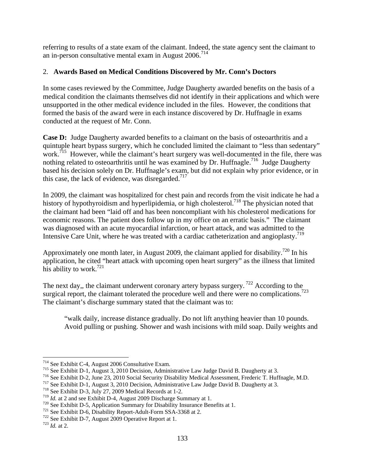referring to results of a state exam of the claimant. Indeed, the state agency sent the claimant to an in-person consultative mental exam in August  $2006$ <sup> $^{714}$ </sup>

# 2. **Awards Based on Medical Conditions Discovered by Mr. Conn's Doctors**

In some cases reviewed by the Committee, Judge Daugherty awarded benefits on the basis of a medical condition the claimants themselves did not identify in their applications and which were unsupported in the other medical evidence included in the files. However, the conditions that formed the basis of the award were in each instance discovered by Dr. Huffnagle in exams conducted at the request of Mr. Conn.

**Case D:** Judge Daugherty awarded benefits to a claimant on the basis of osteoarthritis and a quintuple heart bypass surgery, which he concluded limited the claimant to "less than sedentary" work.<sup>715</sup> However, while the claimant's heart surgery was well-documented in the file, there was nothing related to osteoarthritis until he was examined by Dr. Huffnagle.<sup>716</sup> Judge Daugherty based his decision solely on Dr. Huffnagle's exam, but did not explain why prior evidence, or in this case, the lack of evidence, was disregarded.<sup>717</sup>

In 2009, the claimant was hospitalized for chest pain and records from the visit indicate he had a history of hypothyroidism and hyperlipidemia, or high cholesterol.<sup>718</sup> The physician noted that the claimant had been "laid off and has been noncompliant with his cholesterol medications for economic reasons. The patient does follow up in my office on an erratic basis." The claimant was diagnosed with an acute myocardial infarction, or heart attack, and was admitted to the Intensive Care Unit, where he was treated with a cardiac catheterization and angioplasty.<sup>719</sup>

Approximately one month later, in August 2009, the claimant applied for disability.<sup>720</sup> In his application, he cited "heart attack with upcoming open heart surgery" as the illness that limited his ability to work.<sup>721</sup>

The next day,, the claimant underwent coronary artery bypass surgery.<sup>722</sup> According to the surgical report, the claimant tolerated the procedure well and there were no complications.<sup>723</sup> The claimant's discharge summary stated that the claimant was to:

"walk daily, increase distance gradually. Do not lift anything heavier than 10 pounds. Avoid pulling or pushing. Shower and wash incisions with mild soap. Daily weights and

<sup>1</sup> 

<sup>&</sup>lt;sup>714</sup> See Exhibit C-4, August 2006 Consultative Exam.<br><sup>715</sup> See Exhibit D-1, August 3, 2010 Decision, Administrative Law Judge David B. Daugherty at 3.<br><sup>716</sup> See Exhibit D-2, June 23, 2010 Social Security Disability Medic

<sup>&</sup>lt;sup>720</sup> See Exhibit D-5, Application Summary for Disability Insurance Benefits at 1.<br><sup>721</sup> See Exhibit D-6, Disability Report-Adult-Form SSA-3368 at 2.<br><sup>722</sup> See Exhibit D-7, August 2009 Operative Report at 1.<br><sup>723</sup> Id. at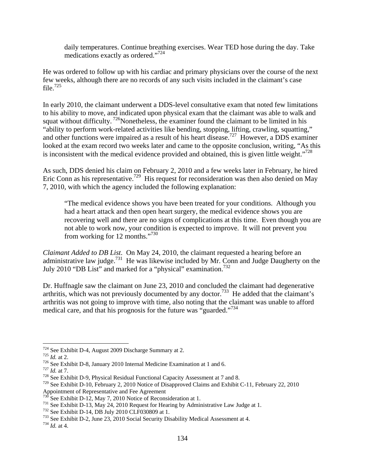daily temperatures. Continue breathing exercises. Wear TED hose during the day. Take medications exactly as ordered."724

He was ordered to follow up with his cardiac and primary physicians over the course of the next few weeks, although there are no records of any such visits included in the claimant's case file. $725$ 

In early 2010, the claimant underwent a DDS-level consultative exam that noted few limitations to his ability to move, and indicated upon physical exam that the claimant was able to walk and squat without difficulty.  $726$ Nonetheless, the examiner found the claimant to be limited in his "ability to perform work-related activities like bending, stopping, lifting, crawling, squatting," and other functions were impaired as a result of his heart disease.727 However, a DDS examiner looked at the exam record two weeks later and came to the opposite conclusion, writing, "As this is inconsistent with the medical evidence provided and obtained, this is given little weight."<sup>728</sup>

As such, DDS denied his claim on February 2, 2010 and a few weeks later in February, he hired Eric Conn as his representative.<sup>729</sup> His request for reconsideration was then also denied on May 7, 2010, with which the agency included the following explanation:

"The medical evidence shows you have been treated for your conditions. Although you had a heart attack and then open heart surgery, the medical evidence shows you are recovering well and there are no signs of complications at this time. Even though you are not able to work now, your condition is expected to improve. It will not prevent you from working for 12 months."730

*Claimant Added to DB List*. On May 24, 2010, the claimant requested a hearing before an administrative law judge.<sup>731</sup> He was likewise included by Mr. Conn and Judge Daugherty on the July 2010 "DB List" and marked for a "physical" examination.<sup>732</sup>

Dr. Huffnagle saw the claimant on June 23, 2010 and concluded the claimant had degenerative arthritis, which was not previously documented by any doctor.<sup>733</sup> He added that the claimant's arthritis was not going to improve with time, also noting that the claimant was unable to afford medical care, and that his prognosis for the future was "guarded."<sup>734</sup>

<sup>724</sup> See Exhibit D-4, August 2009 Discharge Summary at 2.

<sup>&</sup>lt;sup>725</sup> *Id.* at 2.<br><sup>726</sup> See Exhibit D-8, January 2010 Internal Medicine Examination at 1 and 6.<br><sup>727</sup> *Id.* at 7.<br><sup>728</sup> See Exhibit D-9, Physical Residual Functional Capacity Assessment at 7 and 8.

<sup>729</sup> See Exhibit D-10, February 2, 2010 Notice of Disapproved Claims and Exhibit C-11, February 22, 2010 Appointment of Representative and Fee Agreement<br><sup>730</sup> See Exhibit D-12, May 7, 2010 Notice of Reconsideration at 1.

<sup>&</sup>lt;sup>731</sup> See Exhibit D-13, May 24, 2010 Request for Hearing by Administrative Law Judge at 1.<br><sup>732</sup> See Exhibit D-14, DB July 2010 CLF030809 at 1.<br><sup>732</sup> See Exhibit D-14, DB July 2010 CLF030809 at 1.<br><sup>733</sup> See Exhibit D-2, J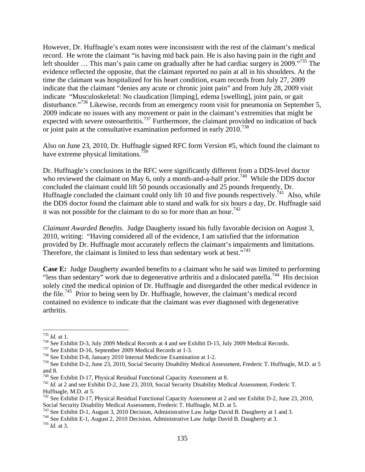However, Dr. Huffnagle's exam notes were inconsistent with the rest of the claimant's medical record. He wrote the claimant "is having mid back pain. He is also having pain in the right and left shoulder ... This man's pain came on gradually after he had cardiac surgery in 2009."<sup>735</sup> The evidence reflected the opposite, that the claimant reported no pain at all in his shoulders. At the time the claimant was hospitalized for his heart condition, exam records from July 27, 2009 indicate that the claimant "denies any acute or chronic joint pain" and from July 28, 2009 visit indicate "Musculoskeletal: No claudication [limping], edema [swelling], joint pain, or gait disturbance."<sup>736</sup> Likewise, records from an emergency room visit for pneumonia on September 5, 2009 indicate no issues with any movement or pain in the claimant's extremities that might be expected with severe osteoarthritis.<sup>737</sup> Furthermore, the claimant provided no indication of back or joint pain at the consultative examination performed in early 2010.<sup>738</sup>

Also on June 23, 2010, Dr. Huffnagle signed RFC form Version #5, which found the claimant to have extreme physical limitations.<sup>739</sup>

Dr. Huffnagle's conclusions in the RFC were significantly different from a DDS-level doctor who reviewed the claimant on May 6, only a month-and-a-half prior.<sup>740</sup> While the DDS doctor concluded the claimant could lift 50 pounds occasionally and 25 pounds frequently, Dr. Huffnagle concluded the claimant could only lift 10 and five pounds respectively.<sup>741</sup> Also, while the DDS doctor found the claimant able to stand and walk for six hours a day, Dr. Huffnagle said it was not possible for the claimant to do so for more than an hour.<sup>742</sup>

*Claimant Awarded Benefits*. Judge Daugherty issued his fully favorable decision on August 3, 2010, writing: "Having considered all of the evidence, I am satisfied that the information provided by Dr. Huffnagle most accurately reflects the claimant's impairments and limitations. Therefore, the claimant is limited to less than sedentary work at best. $\cdot^{7743}$ 

**Case E:** Judge Daugherty awarded benefits to a claimant who he said was limited to performing "less than sedentary" work due to degenerative arthritis and a dislocated patella.<sup>744</sup> His decision solely cited the medical opinion of Dr. Huffnagle and disregarded the other medical evidence in the file.745 Prior to being seen by Dr. Huffnagle, however, the claimant's medical record contained no evidence to indicate that the claimant was ever diagnosed with degenerative arthritis.

 $^{735}$  *Id.* at 1.

<sup>&</sup>lt;sup>736</sup> See Exhibit D-3, July 2009 Medical Records at 4 and see Exhibit D-15, July 2009 Medical Records.<br><sup>737</sup> See Exhibit D-16, September 2009 Medical Records at 1-3.<br><sup>738</sup> See Exhibit D-8, January 2010 Internal Medicine E

<sup>&</sup>lt;sup>739</sup> See Exhibit D-2, June 23, 2010, Social Security Disability Medical Assessment, Frederic T. Huffnagle, M.D. at 5 and 8.<br><sup>740</sup> See Exhibit D-17, Physical Residual Functional Capacity Assessment at 8.

<sup>&</sup>lt;sup>741</sup> Id. at 2 and see Exhibit D-2, June 23, 2010, Social Security Disability Medical Assessment, Frederic T. Huffnagle, M.D. at 5.

<sup>&</sup>lt;sup>742</sup> See Exhibit D-17, Physical Residual Functional Capacity Assessment at 2 and see Exhibit D-2, June 23, 2010, Social Security Disability Medical Assessment, Frederic T. Huffnagle, M.D. at 5.<br><sup>743</sup> See Exhibit D-1, August 3, 2010 Decision, Administrative Law Judge David B. Daugherty at 1 and 3.<br><sup>744</sup> See Exhibit E-1, August 2, 201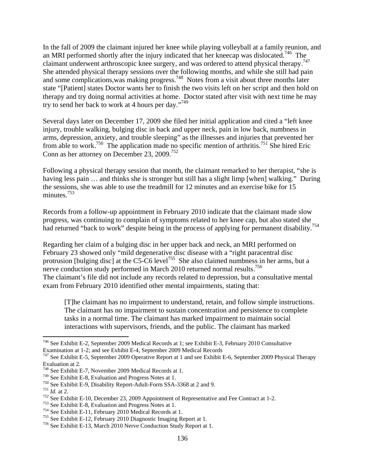In the fall of 2009 the claimant injured her knee while playing volleyball at a family reunion, and an MRI performed shortly after the injury indicated that her kneecap was dislocated.746 The claimant underwent arthroscopic knee surgery, and was ordered to attend physical therapy.<sup>747</sup> She attended physical therapy sessions over the following months, and while she still had pain and some complications, was making progress.<sup>748</sup> Notes from a visit about three months later state "[Patient] states Doctor wants her to finish the two visits left on her script and then hold on therapy and try doing normal activities at home. Doctor stated after visit with next time he may try to send her back to work at 4 hours per day."749

Several days later on December 17, 2009 she filed her initial application and cited a "left knee injury, trouble walking, bulging disc in back and upper neck, pain in low back, numbness in arms, depression, anxiety, and trouble sleeping" as the illnesses and injuries that prevented her from able to work.<sup>750</sup> The application made no specific mention of arthritis.<sup>751</sup> She hired Eric Conn as her attorney on December 23, 2009.<sup>752</sup>

Following a physical therapy session that month, the claimant remarked to her therapist, "she is having less pain ... and thinks she is stronger but still has a slight limp [when] walking." During the sessions, she was able to use the treadmill for 12 minutes and an exercise bike for 15 minutes.<sup>753</sup>

Records from a follow-up appointment in February 2010 indicate that the claimant made slow progress, was continuing to complain of symptoms related to her knee cap, but also stated she had returned "back to work" despite being in the process of applying for permanent disability.<sup>754</sup>

Regarding her claim of a bulging disc in her upper back and neck, an MRI performed on February 23 showed only "mild degenerative disc disease with a "right paracentral disc protrusion [bulging disc] at the C5-C6 level<sup>755</sup> She also claimed numbness in her arms, but a nerve conduction study performed in March 2010 returned normal results.<sup>756</sup> The claimant's file did not include any records related to depression, but a consultative mental exam from February 2010 identified other mental impairments, stating that:

[T]he claimant has no impairment to understand, retain, and follow simple instructions. The claimant has no impairment to sustain concentration and persistence to complete tasks in a normal time. The claimant has marked impairment to maintain social interactions with supervisors, friends, and the public. The claimant has marked

<sup>746</sup> See Exhibit E-2, September 2009 Medical Records at 1; see Exhibit E-3, February 2010 Consultative Examination at 1-2; and see Exhibit E-4, September 2009 Medical Records

<sup>747</sup> See Exhibit E-5, September 2009 Operative Report at 1 and see Exhibit E-6, September 2009 Physical Therapy Evaluation at 2.

<sup>&</sup>lt;sup>748</sup> See Exhibit E-7, November 2009 Medical Records at 1.<br><sup>749</sup> See Exhibit E-8, Evaluation and Progress Notes at 1.

<sup>&</sup>lt;sup>750</sup> See Exhibit E-9, Disability Report-Adult-Form SSA-3368 at 2 and 9.<br><sup>751</sup> *Id.* at 2.<br><sup>752</sup> See Exhibit E-10, December 23, 2009 Appointment of Representative and Fee Contract at 1-2.<br><sup>752</sup> See Exhibit E-8, Evaluation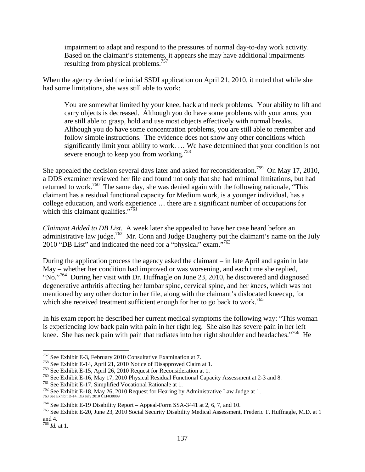impairment to adapt and respond to the pressures of normal day-to-day work activity. Based on the claimant's statements, it appears she may have additional impairments resulting from physical problems.<sup>757</sup>

When the agency denied the initial SSDI application on April 21, 2010, it noted that while she had some limitations, she was still able to work:

You are somewhat limited by your knee, back and neck problems. Your ability to lift and carry objects is decreased. Although you do have some problems with your arms, you are still able to grasp, hold and use most objects effectively with normal breaks. Although you do have some concentration problems, you are still able to remember and follow simple instructions. The evidence does not show any other conditions which significantly limit your ability to work. … We have determined that your condition is not severe enough to keep you from working.<sup>758</sup>

She appealed the decision several days later and asked for reconsideration.<sup>759</sup> On May 17, 2010, a DDS examiner reviewed her file and found not only that she had minimal limitations, but had returned to work.<sup>760</sup> The same day, she was denied again with the following rationale, "This claimant has a residual functional capacity for Medium work, is a younger individual, has a college education, and work experience … there are a significant number of occupations for which this claimant qualifies." $\frac{761}{ }$ 

*Claimant Added to DB List*. A week later she appealed to have her case heard before an administrative law judge.<sup>762</sup> Mr. Conn and Judge Daugherty put the claimant's name on the July 2010 "DB List" and indicated the need for a "physical" exam."<sup>763</sup>

During the application process the agency asked the claimant – in late April and again in late May – whether her condition had improved or was worsening, and each time she replied, "No."<sup>764</sup> During her visit with Dr. Huffnagle on June 23, 2010, he discovered and diagnosed degenerative arthritis affecting her lumbar spine, cervical spine, and her knees, which was not mentioned by any other doctor in her file, along with the claimant's dislocated kneecap, for which she received treatment sufficient enough for her to go back to work.<sup>765</sup>

In his exam report he described her current medical symptoms the following way: "This woman is experiencing low back pain with pain in her right leg. She also has severe pain in her left knee. She has neck pain with pain that radiates into her right shoulder and headaches."<sup>766</sup> He

<sup>&</sup>lt;sup>757</sup> See Exhibit E-3, February 2010 Consultative Examination at 7.<br><sup>758</sup> See Exhibit E-14, April 21, 2010 Notice of Disapproved Claim at 1.<br><sup>759</sup> See Exhibit E-15, April 26, 2010 Request for Reconsideration at 1.

<sup>&</sup>lt;sup>760</sup> See Exhibit E-16, May 17, 2010 Physical Residual Functional Capacity Assessment at 2-3 and 8.<br><sup>761</sup> See Exhibit E-17, Simplified Vocational Rationale at 1.<br><sup>762</sup> See Exhibit E-18, May 26, 2010 Request for Hearing by

<sup>763</sup> See Exhibit D-14, DB July 2010 CLF030809

<sup>&</sup>lt;sup>764</sup> See Exhibit E-19 Disability Report – Appeal-Form SSA-3441 at 2, 6, 7, and 10.<br><sup>765</sup> See Exhibit E-20, June 23, 2010 Social Security Disability Medical Assessment, Frederic T. Huffnagle, M.D. at 1 and 4.

<sup>766</sup> *Id.* at 1.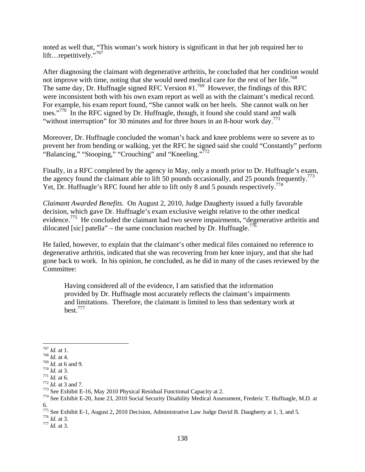noted as well that, "This woman's work history is significant in that her job required her to lift…repetitively."<sup>767</sup>

After diagnosing the claimant with degenerative arthritis, he concluded that her condition would not improve with time, noting that she would need medical care for the rest of her life.<sup>768</sup> The same day, Dr. Huffnagle signed RFC Version #1.<sup>769</sup> However, the findings of this RFC were inconsistent both with his own exam report as well as with the claimant's medical record. For example, his exam report found, "She cannot walk on her heels. She cannot walk on her toes."<sup>770</sup> In the RFC signed by Dr. Huffnagle, though, it found she could stand and walk "without interruption" for 30 minutes and for three hours in an 8-hour work day.<sup>771</sup>

Moreover, Dr. Huffnagle concluded the woman's back and knee problems were so severe as to prevent her from bending or walking, yet the RFC he signed said she could "Constantly" perform "Balancing," "Stooping," "Crouching" and "Kneeling."<sup>772</sup>

Finally, in a RFC completed by the agency in May, only a month prior to Dr. Huffnagle's exam, the agency found the claimant able to lift 50 pounds occasionally, and 25 pounds frequently.<sup>773</sup> Yet, Dr. Huffnagle's RFC found her able to lift only 8 and 5 pounds respectively.<sup>774</sup>

*Claimant Awarded Benefits*. On August 2, 2010, Judge Daugherty issued a fully favorable decision, which gave Dr. Huffnagle's exam exclusive weight relative to the other medical evidence.<sup>775</sup> He concluded the claimant had two severe impairments, "degenerative arthritis and dilocated [sic] patella" – the same conclusion reached by Dr. Huffnagle.<sup>776</sup>

He failed, however, to explain that the claimant's other medical files contained no reference to degenerative arthritis, indicated that she was recovering from her knee injury, and that she had gone back to work. In his opinion, he concluded, as he did in many of the cases reviewed by the Committee:

Having considered all of the evidence, I am satisfied that the information provided by Dr. Huffnagle most accurately reflects the claimant's impairments and limitations. Therefore, the claimant is limited to less than sedentary work at best.777

 $^{767}$  *Id.* at 1.

<sup>&</sup>lt;sup>768</sup> *Id.* at 4.<br>
<sup>769</sup> *Id.* at 6 and 9.<br>
<sup>770</sup> *Id.* at 6.<br>
<sup>771</sup> *Id.* at 6.<br>
<sup>772</sup> *Id.* at 3 and 7.<br>
<sup>772</sup> *Id.* at 3 and 7.<br>
<sup>772</sup> See Exhibit E-16, May 2010 Physical Residual Functional Capacity at 2.<br>
<sup>773</sup> See E 6.

<sup>775</sup> See Exhibit E-1, August 2, 2010 Decision, Administrative Law Judge David B. Daugherty at 1, 3, and 5. 776 *Id.* at 3. 777 *Id.* at 3.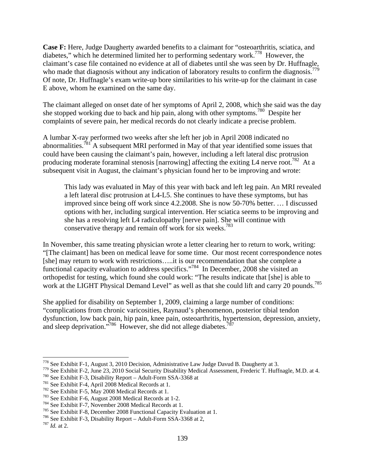**Case F:** Here, Judge Daugherty awarded benefits to a claimant for "osteoarthritis, sciatica, and diabetes," which he determined limited her to performing sedentary work.778 However, the claimant's case file contained no evidence at all of diabetes until she was seen by Dr. Huffnagle, who made that diagnosis without any indication of laboratory results to confirm the diagnosis.<sup>779</sup> Of note, Dr. Huffnagle's exam write-up bore similarities to his write-up for the claimant in case E above, whom he examined on the same day.

The claimant alleged on onset date of her symptoms of April 2, 2008, which she said was the day she stopped working due to back and hip pain, along with other symptoms.<sup>780</sup> Despite her complaints of severe pain, her medical records do not clearly indicate a precise problem.

A lumbar X-ray performed two weeks after she left her job in April 2008 indicated no abnormalities.<sup> $781$ </sup> A subsequent MRI performed in May of that year identified some issues that could have been causing the claimant's pain, however, including a left lateral disc protrusion producing moderate foraminal stenosis [narrowing] affecting the exiting L4 nerve root.<sup>782</sup> At a subsequent visit in August, the claimant's physician found her to be improving and wrote:

This lady was evaluated in May of this year with back and left leg pain. An MRI revealed a left lateral disc protrusion at L4-L5. She continues to have these symptoms, but has improved since being off work since 4.2.2008. She is now 50-70% better. … I discussed options with her, including surgical intervention. Her sciatica seems to be improving and she has a resolving left L4 radiculopathy [nerve pain]. She will continue with conservative therapy and remain off work for six weeks.<sup>783</sup>

In November, this same treating physician wrote a letter clearing her to return to work, writing: "[The claimant] has been on medical leave for some time. Our most recent correspondence notes [she] may return to work with restrictions…..it is our recommendation that she complete a functional capacity evaluation to address specifics."<sup>784</sup> In December, 2008 she visited an orthopedist for testing, which found she could work: "The results indicate that [she] is able to work at the LIGHT Physical Demand Level" as well as that she could lift and carry 20 pounds.<sup>785</sup>

She applied for disability on September 1, 2009, claiming a large number of conditions: "complications from chronic varicosities, Raynaud's phenomenon, posterior tibial tendon dysfunction, low back pain, hip pain, knee pain, osteoarthritis, hypertension, depression, anxiety, and sleep deprivation."<sup>786</sup> However, she did not allege diabetes.<sup>787</sup>

<sup>&</sup>lt;sup>778</sup> See Exhibit F-1, August 3, 2010 Decision, Administrative Law Judge Davud B. Daugherty at 3.<br><sup>779</sup> See Exhibit F-2, June 23, 2010 Social Security Disability Medical Assessment, Frederic T. Huffnagle, M.D. at 4.<br><sup>780</sup>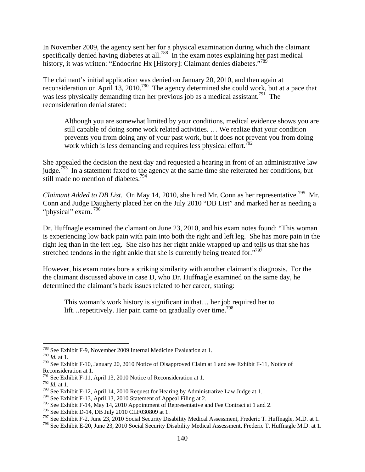In November 2009, the agency sent her for a physical examination during which the claimant specifically denied having diabetes at all.<sup>788</sup> In the exam notes explaining her past medical history, it was written: "Endocrine Hx [History]: Claimant denies diabetes."<sup>789</sup>

The claimant's initial application was denied on January 20, 2010, and then again at reconsideration on April 13, 2010.<sup>790</sup> The agency determined she could work, but at a pace that was less physically demanding than her previous job as a medical assistant.<sup>791</sup> The reconsideration denial stated:

Although you are somewhat limited by your conditions, medical evidence shows you are still capable of doing some work related activities. … We realize that your condition prevents you from doing any of your past work, but it does not prevent you from doing work which is less demanding and requires less physical effort.<sup>792</sup>

She appealed the decision the next day and requested a hearing in front of an administrative law judge.<sup>793</sup> In a statement faxed to the agency at the same time she reiterated her conditions, but still made no mention of diabetes.<sup>794</sup>

*Claimant Added to DB List.* On May 14, 2010, she hired Mr. Conn as her representative.<sup>795</sup> Mr. Conn and Judge Daugherty placed her on the July 2010 "DB List" and marked her as needing a "physical" exam.<sup>796</sup>

Dr. Huffnagle examined the clamant on June 23, 2010, and his exam notes found: "This woman is experiencing low back pain with pain into both the right and left leg. She has more pain in the right leg than in the left leg. She also has her right ankle wrapped up and tells us that she has stretched tendons in the right ankle that she is currently being treated for."<sup>797</sup>

However, his exam notes bore a striking similarity with another claimant's diagnosis. For the the claimant discussed above in case D, who Dr. Huffnagle examined on the same day, he determined the claimant's back issues related to her career, stating:

This woman's work history is significant in that… her job required her to lift…repetitively. Her pain came on gradually over time.<sup>798</sup>

<sup>788</sup> See Exhibit F-9, November 2009 Internal Medicine Evaluation at 1.

<sup>789</sup> *Id.* at 1.

<sup>790</sup> See Exhibit F-10, January 20, 2010 Notice of Disapproved Claim at 1 and see Exhibit F-11, Notice of Reconsideration at 1.

 $791$  See Exhibit F-11, April 13, 2010 Notice of Reconsideration at 1.

<sup>792</sup> *Id.* at 1.

<sup>793</sup> See Exhibit F-12, April 14, 2010 Request for Hearing by Administrative Law Judge at 1.

<sup>&</sup>lt;sup>794</sup> See Exhibit F-13, April 13, 2010 Statement of Appeal Filing at 2.<br><sup>795</sup> See Exhibit F-14, May 14, 2010 Appointment of Representative and Fee Contract at 1 and 2.

<sup>&</sup>lt;sup>796</sup> See Exhibit D-14, DB July 2010 CLF030809 at 1.<br><sup>797</sup> See Exhibit F-2, June 23, 2010 Social Security Disability Medical Assessment, Frederic T. Huffnagle, M.D. at 1.

<sup>&</sup>lt;sup>798</sup> See Exhibit E-20, June 23, 2010 Social Security Disability Medical Assessment, Frederic T. Huffnagle M.D. at 1.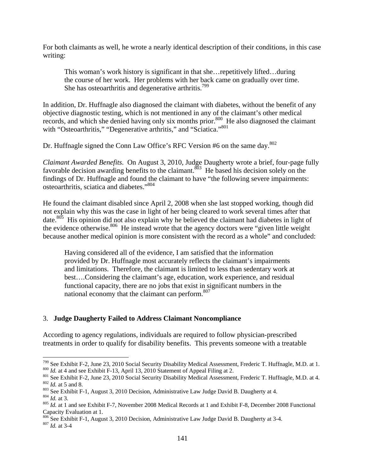For both claimants as well, he wrote a nearly identical description of their conditions, in this case writing:

This woman's work history is significant in that she…repetitively lifted…during the course of her work. Her problems with her back came on gradually over time. She has osteoarthritis and degenerative arthritis.<sup>799</sup>

In addition, Dr. Huffnagle also diagnosed the claimant with diabetes, without the benefit of any objective diagnostic testing, which is not mentioned in any of the claimant's other medical records, and which she denied having only six months prior.<sup>800</sup> He also diagnosed the claimant with "Osteoarthritis," "Degenerative arthritis," and "Sciatica."801

Dr. Huffnagle signed the Conn Law Office's RFC Version #6 on the same day.<sup>802</sup>

*Claimant Awarded Benefits*. On August 3, 2010, Judge Daugherty wrote a brief, four-page fully favorable decision awarding benefits to the claimant.<sup>803</sup> He based his decision solely on the findings of Dr. Huffnagle and found the claimant to have "the following severe impairments: osteoarthritis, sciatica and diabetes."804

He found the claimant disabled since April 2, 2008 when she last stopped working, though did not explain why this was the case in light of her being cleared to work several times after that date.<sup>805</sup> His opinion did not also explain why he believed the claimant had diabetes in light of the evidence otherwise.<sup>806</sup> He instead wrote that the agency doctors were "given little weight" because another medical opinion is more consistent with the record as a whole" and concluded:

Having considered all of the evidence, I am satisfied that the information provided by Dr. Huffnagle most accurately reflects the claimant's impairments and limitations. Therefore, the claimant is limited to less than sedentary work at best….Considering the claimant's age, education, work experience, and residual functional capacity, there are no jobs that exist in significant numbers in the national economy that the claimant can perform.<sup>807</sup>

## 3. **Judge Daugherty Failed to Address Claimant Noncompliance**

According to agency regulations, individuals are required to follow physician-prescribed treatments in order to qualify for disability benefits. This prevents someone with a treatable

1

<sup>&</sup>lt;sup>799</sup> See Exhibit F-2, June 23, 2010 Social Security Disability Medical Assessment, Frederic T. Huffnagle, M.D. at 1.<br><sup>800</sup> *Id.* at 4 and see Exhibit F-13, April 13, 2010 Statement of Appeal Filing at 2.<br><sup>801</sup> See Exhibi

Capacity Evaluation at 1.

<sup>&</sup>lt;sup>806</sup> See Exhibit F-1, August 3, 2010 Decision, Administrative Law Judge David B. Daugherty at 3-4. <sup>807</sup> *Id.* at 3-4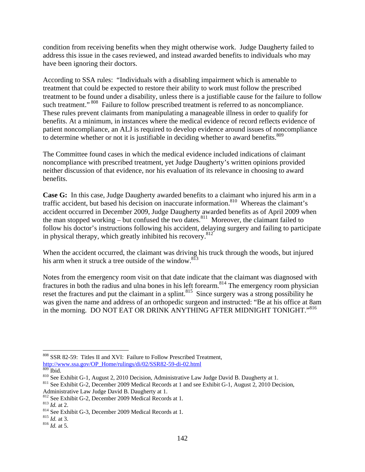condition from receiving benefits when they might otherwise work. Judge Daugherty failed to address this issue in the cases reviewed, and instead awarded benefits to individuals who may have been ignoring their doctors.

According to SSA rules: "Individuals with a disabling impairment which is amenable to treatment that could be expected to restore their ability to work must follow the prescribed treatment to be found under a disability, unless there is a justifiable cause for the failure to follow such treatment." <sup>808</sup> Failure to follow prescribed treatment is referred to as noncompliance. These rules prevent claimants from manipulating a manageable illness in order to qualify for benefits. At a minimum, in instances where the medical evidence of record reflects evidence of patient noncompliance, an ALJ is required to develop evidence around issues of noncompliance to determine whether or not it is justifiable in deciding whether to award benefits.<sup>809</sup>

The Committee found cases in which the medical evidence included indications of claimant noncompliance with prescribed treatment, yet Judge Daugherty's written opinions provided neither discussion of that evidence, nor his evaluation of its relevance in choosing to award benefits.

**Case G:** In this case, Judge Daugherty awarded benefits to a claimant who injured his arm in a traffic accident, but based his decision on inaccurate information.810 Whereas the claimant's accident occurred in December 2009, Judge Daugherty awarded benefits as of April 2009 when the man stopped working – but confused the two dates. $811$  Moreover, the claimant failed to follow his doctor's instructions following his accident, delaying surgery and failing to participate in physical therapy, which greatly inhibited his recovery.<sup>812</sup>

When the accident occurred, the claimant was driving his truck through the woods, but injured his arm when it struck a tree outside of the window.<sup>813</sup>

Notes from the emergency room visit on that date indicate that the claimant was diagnosed with fractures in both the radius and ulna bones in his left forearm.<sup>814</sup> The emergency room physician reset the fractures and put the claimant in a splint.<sup>815</sup> Since surgery was a strong possibility he was given the name and address of an orthopedic surgeon and instructed: "Be at his office at 8am in the morning. DO NOT EAT OR DRINK ANYTHING AFTER MIDNIGHT TONIGHT."<sup>816</sup>

1

<sup>&</sup>lt;sup>808</sup> SSR 82-59: Titles II and XVI: Failure to Follow Prescribed Treatment, http://www.ssa.gov/OP Home/rulings/di/02/SSR82-59-di-02.html <sup>809</sup> Ibid.

 $810$  See Exhibit G-1, August 2, 2010 Decision, Administrative Law Judge David B. Daugherty at 1.<br> $811$  See Exhibit G-2, December 2009 Medical Records at 1 and see Exhibit G-1, August 2, 2010 Decision,

Administrative Law Judge David B. Daugherty at 1.

<sup>&</sup>lt;sup>812</sup> See Exhibit G-2, December 2009 Medical Records at 1.<br><sup>813</sup> *Id.* at 2.<br><sup>814</sup> See Exhibit G-3, December 2009 Medical Records at 1.<br><sup>815</sup> *Id.* at 3.<br><sup>816</sup> *Id.* at 5.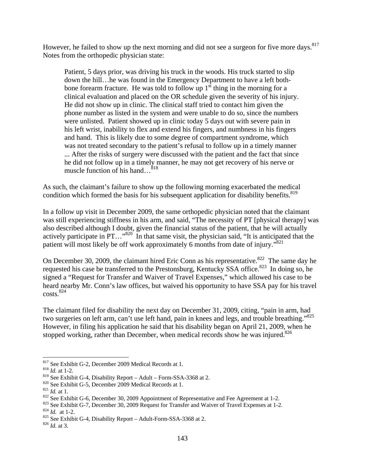However, he failed to show up the next morning and did not see a surgeon for five more days.<sup>817</sup> Notes from the orthopedic physician state:

Patient, 5 days prior, was driving his truck in the woods. His truck started to slip down the hill…he was found in the Emergency Department to have a left bothbone forearm fracture. He was told to follow up  $1<sup>st</sup>$  thing in the morning for a clinical evaluation and placed on the OR schedule given the severity of his injury. He did not show up in clinic. The clinical staff tried to contact him given the phone number as listed in the system and were unable to do so, since the numbers were unlisted. Patient showed up in clinic today 5 days out with severe pain in his left wrist, inability to flex and extend his fingers, and numbness in his fingers and hand. This is likely due to some degree of compartment syndrome, which was not treated secondary to the patient's refusal to follow up in a timely manner ... After the risks of surgery were discussed with the patient and the fact that since he did not follow up in a timely manner, he may not get recovery of his nerve or muscle function of his hand…<sup>818</sup>

As such, the claimant's failure to show up the following morning exacerbated the medical condition which formed the basis for his subsequent application for disability benefits.<sup>819</sup>

In a follow up visit in December 2009, the same orthopedic physician noted that the claimant was still experiencing stiffness in his arm, and said, "The necessity of PT [physical therapy] was also described although I doubt, given the financial status of the patient, that he will actually actively participate in  $PT...$ <sup>820</sup> In that same visit, the physician said, "It is anticipated that the patient will most likely be off work approximately 6 months from date of injury."821

On December 30, 2009, the claimant hired Eric Conn as his representative.<sup>822</sup> The same day he requested his case be transferred to the Prestonsburg, Kentucky SSA office.<sup>823</sup> In doing so, he signed a "Request for Transfer and Waiver of Travel Expenses," which allowed his case to be heard nearby Mr. Conn's law offices, but waived his opportunity to have SSA pay for his travel  $costs.<sup>824</sup>$ 

The claimant filed for disability the next day on December 31, 2009, citing, "pain in arm, had two surgeries on left arm, can't use left hand, pain in knees and legs, and trouble breathing."825 However, in filing his application he said that his disability began on April 21, 2009, when he stopped working, rather than December, when medical records show he was injured.<sup>826</sup>

<sup>&</sup>lt;sup>817</sup> See Exhibit G-2, December 2009 Medical Records at 1.<br><sup>818</sup> *Id.* at 1-2.<br><sup>819</sup> See Exhibit G-4, Disability Report – Adult – Form-SSA-3368 at 2.

<sup>&</sup>lt;sup>820</sup> See Exhibit G-5, December 2009 Medical Records at 1.<br><sup>821</sup> *Id.* at 1.<br><sup>822</sup> See Exhibit G-6, December 30, 2009 Appointment of Representative and Fee Agreement at 1-2.<br><sup>823</sup> See Exhibit G-7, December 30, 2009 Reques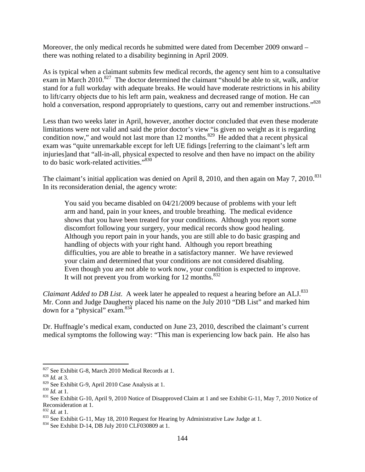Moreover, the only medical records he submitted were dated from December 2009 onward – there was nothing related to a disability beginning in April 2009.

As is typical when a claimant submits few medical records, the agency sent him to a consultative exam in March 2010.<sup>827</sup> The doctor determined the claimant "should be able to sit, walk, and/or stand for a full workday with adequate breaks. He would have moderate restrictions in his ability to lift/carry objects due to his left arm pain, weakness and decreased range of motion. He can hold a conversation, respond appropriately to questions, carry out and remember instructions."<sup>828</sup>

Less than two weeks later in April, however, another doctor concluded that even these moderate limitations were not valid and said the prior doctor's view "is given no weight as it is regarding condition now," and would not last more than 12 months.<sup>829</sup> He added that a recent physical exam was "quite unremarkable except for left UE fidings [referring to the claimant's left arm injuries]and that "all-in-all, physical expected to resolve and then have no impact on the ability to do basic work-related activities."<sup>830</sup>

The claimant's initial application was denied on April 8, 2010, and then again on May 7, 2010.<sup>831</sup> In its reconsideration denial, the agency wrote:

You said you became disabled on 04/21/2009 because of problems with your left arm and hand, pain in your knees, and trouble breathing. The medical evidence shows that you have been treated for your conditions. Although you report some discomfort following your surgery, your medical records show good healing. Although you report pain in your hands, you are still able to do basic grasping and handling of objects with your right hand. Although you report breathing difficulties, you are able to breathe in a satisfactory manner. We have reviewed your claim and determined that your conditions are not considered disabling. Even though you are not able to work now, your condition is expected to improve. It will not prevent you from working for 12 months. $832$ 

*Claimant Added to DB List.* A week later he appealed to request a hearing before an ALJ.<sup>833</sup> Mr. Conn and Judge Daugherty placed his name on the July 2010 "DB List" and marked him down for a "physical" exam.834

Dr. Huffnagle's medical exam, conducted on June 23, 2010, described the claimant's current medical symptoms the following way: "This man is experiencing low back pain. He also has

<sup>&</sup>lt;sup>827</sup> See Exhibit G-8, March 2010 Medical Records at 1.<br><sup>828</sup> *Id.* at 3.<br><sup>829</sup> See Exhibit G-9, April 2010 Case Analysis at 1.

<sup>&</sup>lt;sup>830</sup> Id. at 1.<br><sup>831</sup> See Exhibit G-10, April 9, 2010 Notice of Disapproved Claim at 1 and see Exhibit G-11, May 7, 2010 Notice of Reconsideration at 1.<br> $832$  *Id.* at 1.

<sup>&</sup>lt;sup>833</sup> See Exhibit G-11, May 18, 2010 Request for Hearing by Administrative Law Judge at 1.<br><sup>834</sup> See Exhibit D-14, DB July 2010 CLF030809 at 1.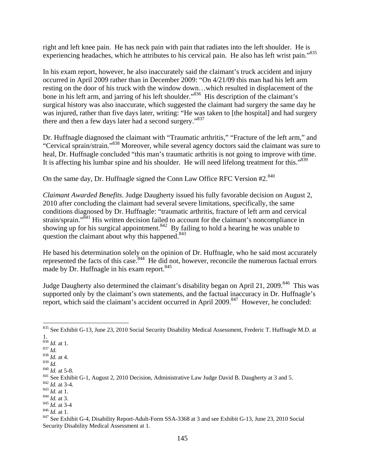right and left knee pain. He has neck pain with pain that radiates into the left shoulder. He is experiencing headaches, which he attributes to his cervical pain. He also has left wrist pain."835

In his exam report, however, he also inaccurately said the claimant's truck accident and injury occurred in April 2009 rather than in December 2009: "On 4/21/09 this man had his left arm resting on the door of his truck with the window down…which resulted in displacement of the bone in his left arm, and jarring of his left shoulder."<sup>836</sup> His description of the claimant's surgical history was also inaccurate, which suggested the claimant had surgery the same day he was injured, rather than five days later, writing: "He was taken to [the hospital] and had surgery there and then a few days later had a second surgery."<sup>837</sup>

Dr. Huffnagle diagnosed the claimant with "Traumatic arthritis," "Fracture of the left arm," and "Cervical sprain/strain."838 Moreover, while several agency doctors said the claimant was sure to heal, Dr. Huffnagle concluded "this man's traumatic arthritis is not going to improve with time. It is affecting his lumbar spine and his shoulder. He will need lifelong treatment for this."<sup>839</sup>

On the same day, Dr. Huffnagle signed the Conn Law Office RFC Version #2.<sup>840</sup>

*Claimant Awarded Benefits*. Judge Daugherty issued his fully favorable decision on August 2, 2010 after concluding the claimant had several severe limitations, specifically, the same conditions diagnosed by Dr. Huffnagle: "traumatic arthritis, fracture of left arm and cervical strain/sprain."<sup>841</sup> His written decision failed to account for the claimant's noncompliance in showing up for his surgical appointment.<sup>842</sup> By failing to hold a hearing he was unable to question the claimant about why this happened. $843$ 

He based his determination solely on the opinion of Dr. Huffnagle, who he said most accurately represented the facts of this case.<sup>844</sup> He did not, however, reconcile the numerous factual errors made by Dr. Huffnagle in his exam report.<sup>845</sup>

Judge Daugherty also determined the claimant's disability began on April 21, 2009.<sup>846</sup> This was supported only by the claimant's own statements, and the factual inaccuracy in Dr. Huffnagle's report, which said the claimant's accident occurred in April 2009.<sup>847</sup> However, he concluded:

 $\overline{a}$ 835 See Exhibit G-13, June 23, 2010 Social Security Disability Medical Assessment, Frederic T. Huffnagle M.D. at 1.

<sup>&</sup>lt;sup>836</sup> *Id.* at 1.<br><sup>837</sup> *Id.*<br><sup>838</sup> *Id.* at 4.

<sup>&</sup>lt;sup>838</sup> *Id.* at 4.<br>
<sup>839</sup> *Id.*<br>
<sup>840</sup> *Id.* at 5-8.<br>
<sup>841</sup> See Exhibit G-1, August 2, 2010 Decision, Administrative Law Judge David B. Daugherty at 3 and 5.<br>
<sup>842</sup> *Id.* at 3-4.<br>
<sup>842</sup> *Id.* at 3.<br>
<sup>843</sup> *Id.* at 3.<br>
<sup>845</sup>

Security Disability Medical Assessment at 1.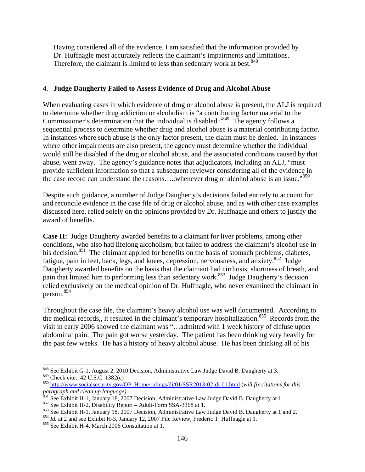Having considered all of the evidence, I am satisfied that the information provided by Dr. Huffnagle most accurately reflects the claimant's impairments and limitations. Therefore, the claimant is limited to less than sedentary work at best.<sup>848</sup>

#### 4. **Judge Daugherty Failed to Assess Evidence of Drug and Alcohol Abuse**

When evaluating cases in which evidence of drug or alcohol abuse is present, the ALJ is required to determine whether drug addiction or alcoholism is "a contributing factor material to the Commissioner's determination that the individual is disabled."<sup>849</sup> The agency follows a sequential process to determine whether drug and alcohol abuse is a material contributing factor. In instances where such abuse is the only factor present, the claim must be denied. In instances where other impairments are also present, the agency must determine whether the individual would still be disabled if the drug or alcohol abuse, and the associated conditions caused by that abuse, went away. The agency's guidance notes that adjudicators, including an ALJ, "must provide sufficient information so that a subsequent reviewer considering all of the evidence in the case record can understand the reasons.....whenever drug or alcohol abuse is an issue."<sup>850</sup>

Despite such guidance, a number of Judge Daugherty's decisions failed entirely to account for and reconcile evidence in the case file of drug or alcohol abuse, and as with other case examples discussed here, relied solely on the opinions provided by Dr. Huffnagle and others to justify the award of benefits.

**Case H:** Judge Daugherty awarded benefits to a claimant for liver problems, among other conditions, who also had lifelong alcoholism, but failed to address the claimant's alcohol use in his decision.<sup>851</sup> The claimant applied for benefits on the basis of stomach problems, diabetes, fatigue, pain in feet, back, legs, and knees, depression, nervousness, and anxiety.<sup>852</sup> Judge Daugherty awarded benefits on the basis that the claimant had cirrhosis, shortness of breath, and pain that limited him to performing less than sedentary work.<sup>853</sup> Judge Daugherty's decision relied exclusively on the medical opinion of Dr. Huffnagle, who never examined the claimant in person.854

Throughout the case file, the claimant's heavy alcohol use was well documented. According to the medical records,, it resulted in the claimant's temporary hospitalization.<sup>855</sup> Records from the visit in early 2006 showed the claimant was "…admitted with 1 week history of diffuse upper abdominal pain. The pain got worse yesterday. The patient has been drinking very heavily for the past few weeks. He has a history of heavy alcohol abuse. He has been drinking all of his

 $\overline{a}$ <sup>848</sup> See Exhibit G-1, August 2, 2010 Decision, Administrative Law Judge David B. Daugherty at 3.<br><sup>849</sup> Check cite: 42 U.S.C. 1382(c)

<sup>850</sup> http://www.socialsecurity.gov/OP\_Home/rulings/di/01/SSR2013-02-di-01.html (*will fix citations for this paragraph and clean up language)*

<sup>&</sup>lt;sup>851</sup> See Exhibit H-1, January 18, 2007 Decision, Administrative Law Judge David B. Daugherty at 1.<br><sup>852</sup> See Exhibit H-2, Disability Report – Adult-Form SSA-3368 at 1.<br><sup>853</sup> See Exhibit H-1, January 18, 2007 Decision, Ad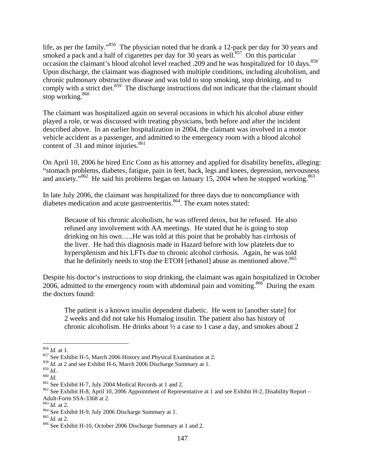life, as per the family."<sup>856</sup> The physician noted that he drank a 12-pack per day for 30 years and smoked a pack and a half of cigarettes per day for 30 years as well.<sup>857</sup> On this particular occasion the claimant's blood alcohol level reached .209 and he was hospitalized for 10 days.<sup>858</sup> Upon discharge, the claimant was diagnosed with multiple conditions, including alcoholism, and chronic pulmonary obstructive disease and was told to stop smoking, stop drinking, and to comply with a strict diet.<sup>859</sup> The discharge instructions did not indicate that the claimant should stop working.<sup>860</sup>

The claimant was hospitalized again on several occasions in which his alcohol abuse either played a role, or was discussed with treating physicians, both before and after the incident described above. In an earlier hospitalization in 2004, the claimant was involved in a motor vehicle accident as a passenger, and admitted to the emergency room with a blood alcohol content of  $.31$  and minor injuries.<sup>861</sup>

On April 10, 2006 he hired Eric Conn as his attorney and applied for disability benefits, alleging: "stomach problems, diabetes, fatigue, pain in feet, back, legs and knees, depression, nervousness and anxiety." $862$  He said his problems began on January 15, 2004 when he stopped working. $863$ 

In late July 2006, the claimant was hospitalized for three days due to noncompliance with diabetes medication and acute gastroenteritis.<sup>864</sup>. The exam notes stated:

Because of his chronic alcoholism, he was offered detox, but he refused. He also refused any involvement with AA meetings. He stated that he is going to stop drinking on his own…..He was told at this point that he probably has cirrhosis of the liver. He had this diagnosis made in Hazard before with low platelets due to hypersplenism and his LFTs due to chronic alcohol cirrhosis. Again, he was told that he definitely needs to stop the ETOH [ethanol] abuse as mentioned above.<sup>865</sup>

Despite his doctor's instructions to stop drinking, the claimant was again hospitalized in October 2006, admitted to the emergency room with abdominal pain and vomiting.<sup>866</sup> During the exam the doctors found:

The patient is a known insulin dependent diabetic. He went to [another state] for 2 weeks and did not take his Humalog insulin. The patient also has history of chronic alcoholism. He drinks about  $\frac{1}{2}$  a case to 1 case a day, and smokes about 2

 $856$  *Id.* at 1.

<sup>&</sup>lt;sup>857</sup> See Exhibit H-5, March 2006 History and Physical Examination at 2. <sup>858</sup> *Id.* at 2 and see Exhibit H-6, March 2006 Discharge Summary at 1. <sup>859</sup> *Id* 

<sup>860</sup> *Id.*<br><sup>861</sup> See Exhibit H-7, July 2004 Medical Records at 1 and 2.<br><sup>862</sup> See Exhibit H-8, April 10, 2006 Appointment of Representative at 1 and see Exhibit H-2, Disability Report – Adult-Form SSA-3368 at 2.<br> $^{863}$  *Id.* at 2.

<sup>864</sup> See Exhibit H-9, July 2006 Discharge Summary at 1.<br><sup>865</sup> *Id.* at 2.<br><sup>866</sup> See Exhibit H-10, October 2006 Discharge Summary at 1 and 2.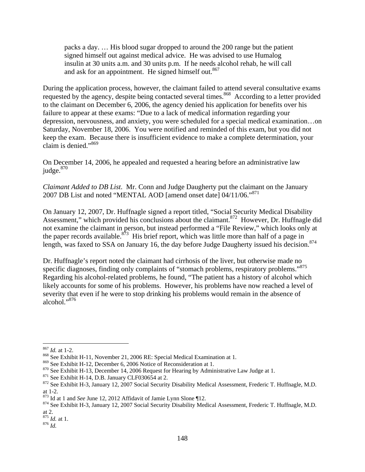packs a day. … His blood sugar dropped to around the 200 range but the patient signed himself out against medical advice. He was advised to use Humalog insulin at 30 units a.m. and 30 units p.m. If he needs alcohol rehab, he will call and ask for an appointment. He signed himself out.<sup>867</sup>

During the application process, however, the claimant failed to attend several consultative exams requested by the agency, despite being contacted several times.<sup>868</sup> According to a letter provided to the claimant on December 6, 2006, the agency denied his application for benefits over his failure to appear at these exams: "Due to a lack of medical information regarding your depression, nervousness, and anxiety, you were scheduled for a special medical examination…on Saturday, November 18, 2006. You were notified and reminded of this exam, but you did not keep the exam. Because there is insufficient evidence to make a complete determination, your claim is denied."869

On December 14, 2006, he appealed and requested a hearing before an administrative law judge.<sup>870</sup>

*Claimant Added to DB List*. Mr. Conn and Judge Daugherty put the claimant on the January 2007 DB List and noted "MENTAL AOD [amend onset date] 04/11/06."<sup>871</sup>

On January 12, 2007, Dr. Huffnagle signed a report titled, "Social Security Medical Disability Assessment," which provided his conclusions about the claimant.<sup>872</sup> However, Dr. Huffnagle did not examine the claimant in person, but instead performed a "File Review," which looks only at the paper records available.<sup>873</sup> His brief report, which was little more than half of a page in length, was faxed to SSA on January 16, the day before Judge Daugherty issued his decision.<sup>874</sup>

Dr. Huffnagle's report noted the claimant had cirrhosis of the liver, but otherwise made no specific diagnoses, finding only complaints of "stomach problems, respiratory problems."<sup>875</sup> Regarding his alcohol-related problems, he found, "The patient has a history of alcohol which likely accounts for some of his problems. However, his problems have now reached a level of severity that even if he were to stop drinking his problems would remain in the absence of alcohol."876

 $867$  *Id.* at 1-2.

<sup>&</sup>lt;sup>868</sup> See Exhibit H-11, November 21, 2006 RE: Special Medical Examination at 1.<br><sup>869</sup> See Exhibit H-12, December 6, 2006 Notice of Reconsideration at 1.

<sup>&</sup>lt;sup>870</sup> See Exhibit H-13, December 14, 2006 Request for Hearing by Administrative Law Judge at 1.<br><sup>871</sup> See Exhibit H-14, D.B. January CLF030654 at 2.<br><sup>872</sup> See Exhibit H-3, January 12, 2007 Social Security Disability Medic at 1-2.<br><sup>873</sup> Id at 1 and *See* June 12, 2012 Affidavit of Jamie Lynn Slone ¶12.

<sup>&</sup>lt;sup>874</sup> See Exhibit H-3, January 12, 2007 Social Security Disability Medical Assessment, Frederic T. Huffnagle, M.D. at 2.

 $\frac{875}{876}$  *Id.* at 1.<br> $\frac{876}{6}$  *Id.*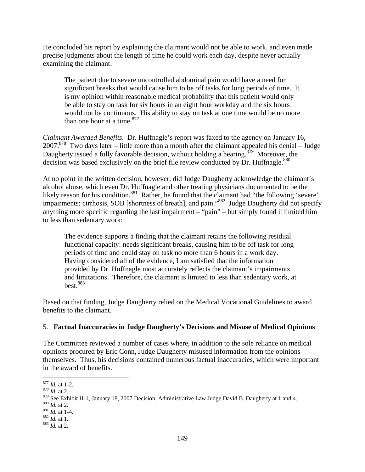He concluded his report by explaining the claimant would not be able to work, and even made precise judgments about the length of time he could work each day, despite never actually examining the claimant:

The patient due to severe uncontrolled abdominal pain would have a need for significant breaks that would cause him to be off tasks for long periods of time. It is my opinion within reasonable medical probability that this patient would only be able to stay on task for six hours in an eight hour workday and the six hours would not be continuous. His ability to stay on task at one time would be no more than one hour at a time.  $877$ 

*Claimant Awarded Benefits*. Dr. Huffnagle's report was faxed to the agency on January 16,  $2007$ <sup>878</sup> Two days later – little more than a month after the claimant appealed his denial – Judge Daugherty issued a fully favorable decision, without holding a hearing.<sup>879</sup> Moreover, the decision was based exclusively on the brief file review conducted by Dr. Huffnagle.<sup>880</sup>

At no point in the written decision, however, did Judge Daugherty acknowledge the claimant's alcohol abuse, which even Dr. Huffnagle and other treating physicians documented to be the likely reason for his condition.<sup>881</sup> Rather, he found that the claimant had "the following 'severe' impairments: cirrhosis, SOB [shortness of breath], and pain."882 Judge Daugherty did not specify anything more specific regarding the last impairment – "pain" – but simply found it limited him to less than sedentary work:

The evidence supports a finding that the claimant retains the following residual functional capacity: needs significant breaks, causing him to be off task for long periods of time and could stay on task no more than 6 hours in a work day. Having considered all of the evidence, I am satisfied that the information provided by Dr. Huffnagle most accurately reflects the claimant's impairments and limitations. Therefore, the claimant is limited to less than sedentary work, at  $best<sub>0</sub>$ <sup>883</sup>

Based on that finding, Judge Daugherty relied on the Medical Vocational Guidelines to award benefits to the claimant.

## 5. **Factual Inaccuracies in Judge Daugherty's Decisions and Misuse of Medical Opinions**

The Committee reviewed a number of cases where, in addition to the sole reliance on medical opinions procured by Eric Conn, Judge Daugherty misused information from the opinions themselves. Thus, his decisions contained numerous factual inaccuracies, which were important in the award of benefits.

 $877$  *Id.* at 1-2.

<sup>&</sup>lt;sup>878</sup> *Id.* at 2.

<sup>879</sup> See Exhibit H-1, January 18, 2007 Decision, Administrative Law Judge David B. Daugherty at 1 and 4. 880 *Id.* at 2.<br>881 *Id.* at 1-4. 882 *Id.* at 1.<br>882 *Id.* at 1.<br>883 *Id.* at 1.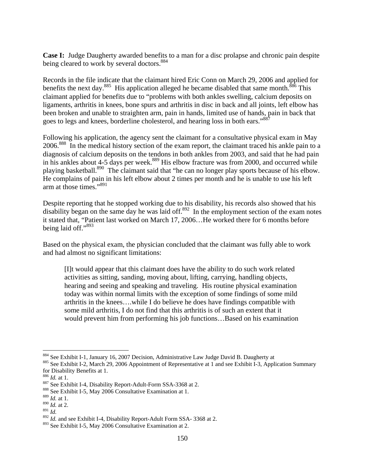**Case I:** Judge Daugherty awarded benefits to a man for a disc prolapse and chronic pain despite being cleared to work by several doctors.<sup>884</sup>

Records in the file indicate that the claimant hired Eric Conn on March 29, 2006 and applied for benefits the next day.<sup>885</sup> His application alleged he became disabled that same month.<sup>886</sup> This claimant applied for benefits due to "problems with both ankles swelling, calcium deposits on ligaments, arthritis in knees, bone spurs and arthritis in disc in back and all joints, left elbow has been broken and unable to straighten arm, pain in hands, limited use of hands, pain in back that goes to legs and knees, borderline cholesterol, and hearing loss in both ears."<sup>887</sup>

Following his application, the agency sent the claimant for a consultative physical exam in May 2006.<sup>888</sup> In the medical history section of the exam report, the claimant traced his ankle pain to a diagnosis of calcium deposits on the tendons in both ankles from 2003, and said that he had pain in his ankles about 4-5 days per week.<sup>889</sup> His elbow fracture was from 2000, and occurred while playing basketball.<sup>890</sup> The claimant said that "he can no longer play sports because of his elbow. He complains of pain in his left elbow about 2 times per month and he is unable to use his left arm at those times."<sup>891</sup>

Despite reporting that he stopped working due to his disability, his records also showed that his disability began on the same day he was laid off. $892$  In the employment section of the exam notes it stated that, "Patient last worked on March 17, 2006…He worked there for 6 months before being laid off."<sup>893</sup>

Based on the physical exam, the physician concluded that the claimant was fully able to work and had almost no significant limitations:

[I]t would appear that this claimant does have the ability to do such work related activities as sitting, sanding, moving about, lifting, carrying, handling objects, hearing and seeing and speaking and traveling. His routine physical examination today was within normal limits with the exception of some findings of some mild arthritis in the knees….while I do believe he does have findings compatible with some mild arthritis, I do not find that this arthritis is of such an extent that it would prevent him from performing his job functions…Based on his examination

<sup>&</sup>lt;sup>884</sup> See Exhibit I-1, January 16, 2007 Decision, Administrative Law Judge David B. Daugherty at <sup>885</sup> See Exhibit I-2, March 29, 2006 Appointment of Representative at 1 and see Exhibit I-3, Application Summary for Disability Benefits at 1.<br> $\frac{886}{1}$  *Id.* at 1.

<sup>887</sup> See Exhibit I-4, Disability Report-Adult-Form SSA-3368 at 2.<br><sup>888</sup> See Exhibit I-5, May 2006 Consultative Examination at 1.

<sup>889</sup> *Id.* at 1.

 $\frac{890}{10}$  *Id.* at 2.<br> $\frac{891}{10}$ 

<sup>&</sup>lt;sup>892</sup> *Id.* and see Exhibit I-4, Disability Report-Adult Form SSA- 3368 at 2.

<sup>893</sup> See Exhibit I-5, May 2006 Consultative Examination at 2.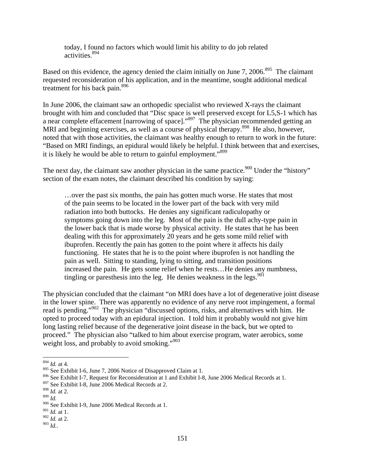today, I found no factors which would limit his ability to do job related activities.<sup>894</sup>

Based on this evidence, the agency denied the claim initially on June 7, 2006.<sup>895</sup> The claimant requested reconsideration of his application, and in the meantime, sought additional medical treatment for his back pain.896

In June 2006, the claimant saw an orthopedic specialist who reviewed X-rays the claimant brought with him and concluded that "Disc space is well preserved except for L5,S-1 which has a near complete effacement [narrowing of space]."897 The physician recommended getting an MRI and beginning exercises, as well as a course of physical therapy.<sup>898</sup> He also, however, noted that with those activities, the claimant was healthy enough to return to work in the future: "Based on MRI findings, an epidural would likely be helpful. I think between that and exercises, it is likely he would be able to return to gainful employment."<sup>899</sup>

The next day, the claimant saw another physician in the same practice.<sup>900</sup> Under the "history" section of the exam notes, the claimant described his condition by saying:

…over the past six months, the pain has gotten much worse. He states that most of the pain seems to be located in the lower part of the back with very mild radiation into both buttocks. He denies any significant radiculopathy or symptoms going down into the leg. Most of the pain is the dull achy-type pain in the lower back that is made worse by physical activity. He states that he has been dealing with this for approximately 20 years and he gets some mild relief with ibuprofen. Recently the pain has gotten to the point where it affects his daily functioning. He states that he is to the point where ibuprofen is not handling the pain as well. Sitting to standing, lying to sitting, and transition positions increased the pain. He gets some relief when he rests…He denies any numbness, tingling or paresthesis into the leg. He denies weakness in the legs. $901$ 

The physician concluded that the claimant "on MRI does have a lot of degenerative joint disease in the lower spine. There was apparently no evidence of any nerve root impingement, a formal read is pending."902 The physician "discussed options, risks, and alternatives with him. He opted to proceed today with an epidural injection. I told him it probably would not give him long lasting relief because of the degenerative joint disease in the back, but we opted to proceed." The physician also "talked to him about exercise program, water aerobics, some weight loss, and probably to avoid smoking."<sup>903</sup>

<sup>894</sup> *Id.* at 4.

<sup>895</sup> See Exhibit I-6, June 7, 2006 Notice of Disapproved Claim at 1.

<sup>896</sup> See Exhibit I-7, Request for Reconsideration at 1 and Exhibit I-8, June 2006 Medical Records at 1.

<sup>897</sup> See Exhibit I-8, June 2006 Medical Records at 2.

<sup>898</sup> *Id.* at 2.

<sup>899</sup> *Id.*

<sup>900</sup> See Exhibit I-9, June 2006 Medical Records at 1.

<sup>901</sup> *Id.* at 1.

<sup>902</sup> *Id.* at 2.

<sup>903</sup> *Id.*.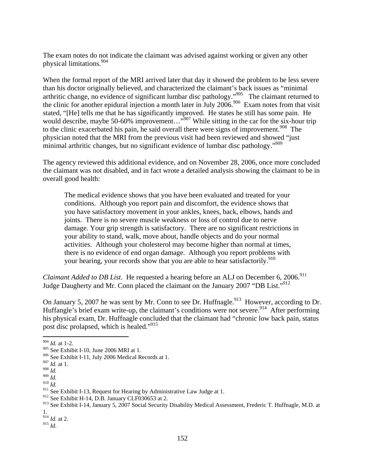The exam notes do not indicate the claimant was advised against working or given any other physical limitations.904

When the formal report of the MRI arrived later that day it showed the problem to be less severe than his doctor originally believed, and characterized the claimant's back issues as "minimal arthritic change, no evidence of significant lumbar disc pathology."<sup>905</sup> The claimant returned to the clinic for another epidural injection a month later in July  $2006$ .<sup>906</sup> Exam notes from that visit stated, "[He] tells me that he has significantly improved. He states he still has some pain. He would describe, maybe 50-60% improvement..."<sup>907</sup> While sitting in the car for the six-hour trip to the clinic exacerbated his pain, he said overall there were signs of improvement.<sup>908</sup> The physician noted that the MRI from the previous visit had been reviewed and showed "just minimal arthritic changes, but no significant evidence of lumbar disc pathology."<sup>909</sup>

The agency reviewed this additional evidence, and on November 28, 2006, once more concluded the claimant was not disabled, and in fact wrote a detailed analysis showing the claimant to be in overall good health:

The medical evidence shows that you have been evaluated and treated for your conditions. Although you report pain and discomfort, the evidence shows that you have satisfactory movement in your ankles, knees, back, elbows, hands and joints. There is no severe muscle weakness or loss of control due to nerve damage. Your grip strength is satisfactory. There are no significant restrictions in your ability to stand, walk, move about, handle objects and do your normal activities. Although your cholesterol may become higher than normal at times, there is no evidence of end organ damage. Although you report problems with your hearing, your records show that you are able to hear satisfactorily.<sup>910</sup>

*Claimant Added to DB List*. He requested a hearing before an ALJ on December 6, 2006.<sup>911</sup> Judge Daugherty and Mr. Conn placed the claimant on the January 2007 "DB List."912

On January 5, 2007 he was sent by Mr. Conn to see Dr. Huffnagle.<sup>913</sup> However, according to Dr. Huffangle's brief exam write-up, the claimant's conditions were not severe.<sup>914</sup> After performing his physical exam, Dr. Huffnagle concluded that the claimant had "chronic low back pain, status post disc prolapsed, which is healed."915

<sup>914</sup> *Id.* at 2.

<sup>915</sup> *Id*.

 $\overline{a}$ <sup>904</sup> *Id.* at 1-2.

<sup>905</sup> See Exhibit I-10, June 2006 MRI at 1.

<sup>906</sup> See Exhibit I-11, July 2006 Medical Records at 1.

<sup>907</sup> *Id.* at 1.

<sup>908</sup> *Id.*

<sup>909</sup> *Id.*

<sup>910</sup> *Id.*

<sup>&</sup>lt;sup>911</sup> See Exhibit I-13, Request for Hearing by Administrative Law Judge at 1.

<sup>912</sup> See Exhibit H-14, D.B. January CLF030653 at 2.

<sup>913</sup> See Exhibit I-14, January 5, 2007 Social Security Disability Medical Assessment, Frederic T. Huffnagle, M.D. at 1.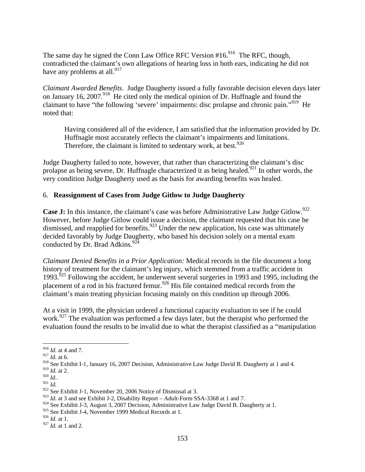The same day he signed the Conn Law Office RFC Version  $#16.<sup>916</sup>$  The RFC, though, contradicted the claimant's own allegations of hearing loss in both ears, indicating he did not have any problems at all. $917$ 

*Claimant Awarded Benefits*. Judge Daugherty issued a fully favorable decision eleven days later on January 16, 2007.<sup>918</sup> He cited only the medical opinion of Dr. Huffnagle and found the claimant to have "the following 'severe' impairments: disc prolapse and chronic pain."<sup>919</sup> He noted that:

Having considered all of the evidence, I am satisfied that the information provided by Dr. Huffnagle most accurately reflects the claimant's impairments and limitations. Therefore, the claimant is limited to sedentary work, at best.<sup>920</sup>

Judge Daugherty failed to note, however, that rather than characterizing the claimant's disc prolapse as being severe, Dr. Huffnagle characterized it as being healed.<sup>921</sup> In other words, the very condition Judge Daugherty used as the basis for awarding benefits was healed.

#### 6. **Reassignment of Cases from Judge Gitlow to Judge Daugherty**

Case J: In this instance, the claimant's case was before Administrative Law Judge Gitlow.<sup>922</sup> However, before Judge Gitlow could issue a decision, the claimant requested that his case be dismissed, and reapplied for benefits.<sup>923</sup> Under the new application, his case was ultimately decided favorably by Judge Daugherty, who based his decision solely on a mental exam conducted by Dr. Brad Adkins. $924$ 

*Claimant Denied Benefits in a Prior Application:* Medical records in the file document a long history of treatment for the claimant's leg injury, which stemmed from a traffic accident in 1993.925 Following the accident, he underwent several surgeries in 1993 and 1995, including the placement of a rod in his fractured femur.<sup>926</sup> His file contained medical records from the claimant's main treating physician focusing mainly on this condition up through 2006.

At a visit in 1999, the physician ordered a functional capacity evaluation to see if he could work.<sup>927</sup> The evaluation was performed a few days later, but the therapist who performed the evaluation found the results to be invalid due to what the therapist classified as a "manipulation

<sup>916</sup> *Id.* at 4 and 7.

<sup>917</sup> *Id.* at 6.

<sup>918</sup> See Exhibit I-1, January 16, 2007 Decision, Administrative Law Judge David B. Daugherty at 1 and 4.

<sup>&</sup>lt;sup>919</sup> *Id.* at 2.<br><sup>920</sup> *Id.*.

<sup>921</sup> *Id.*<br><sup>921</sup> *Id.* 922 See Exhibit J-1, November 20, 2006 Notice of Dismissal at 3.

<sup>923</sup> *Id.* at 3 and see Exhibit J-2, Disability Report – Adult-Form SSA-3368 at 1 and 7.

<sup>924</sup> See Exhibit J-3, August 3, 2007 Decision, Administrative Law Judge David B. Daugherty at 1.

<sup>&</sup>lt;sup>925</sup> See Exhibit J-4, November 1999 Medical Records at 1.

<sup>926</sup> *Id.* at 1.

<sup>927</sup> *Id.* at 1 and 2.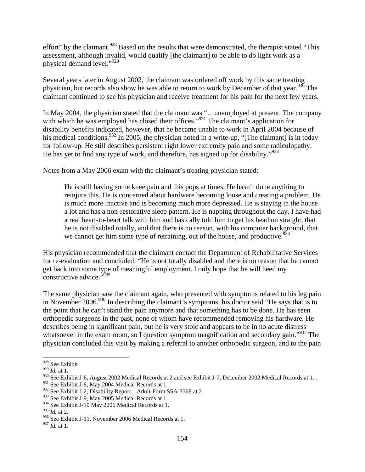effort" by the claimant.<sup>928</sup> Based on the results that were demonstrated, the therapist stated "This assessment, although invalid, would qualify [the claimant] to be able to do light work as a physical demand level."929

Several years later in August 2002, the claimant was ordered off work by this same treating physician, but records also show he was able to return to work by December of that year.<sup>930</sup> The claimant continued to see his physician and receive treatment for his pain for the next few years.

In May 2004, the physician stated that the claimant was "…unemployed at present. The company with which he was employed has closed their offices."<sup>931</sup> The claimant's application for disability benefits indicated, however, that he became unable to work in April 2004 because of his medical conditions.<sup>932</sup> In 2005, the physician noted in a write-up, "[The claimant] is in today for follow-up. He still describes persistent right lower extremity pain and some radiculopathy. He has yet to find any type of work, and therefore, has signed up for disability."<sup>933</sup>

Notes from a May 2006 exam with the claimant's treating physician stated:

He is still having some knee pain and this pops at times. He hasn't done anything to reinjure this. He is concerned about hardware becoming loose and creating a problem. He is much more inactive and is becoming much more depressed. He is staying in the house a lot and has a non-restorative sleep pattern. He is napping throughout the day. I have had a real heart-to-heart talk with him and basically told him to get his head on straight, that he is not disabled totally, and that there is no reason, with his computer background, that we cannot get him some type of retraining, out of the house, and productive.<sup>934</sup>

His physician recommended that the claimant contact the Department of Rehabilitative Services for re-evaluation and concluded: "He is not totally disabled and there is no reason that he cannot get back into some type of meaningful employment. I only hope that he will heed my constructive advice."935

The same physician saw the claimant again, who presented with symptoms related to his leg pain in November 2006.<sup>936</sup> In describing the claimant's symptoms, his doctor said "He says that is to the point that he can't stand the pain anymore and that something has to be done. He has seen orthopedic surgeons in the past, none of whom have recommended removing his hardware. He describes being in significant pain, but he is very stoic and appears to be in no acute distress whatsoever in the exam room, so I question symptom magnification and secondary gain."<sup>937</sup> The physician concluded this visit by making a referral to another orthopedic surgeon, and to the pain

<sup>1</sup> <sup>928</sup> See Exhibit

 $^{929}$  *Id.* at 1.

<sup>930</sup> See Exhibit J-6, August 2002 Medical Records at 2 and see Exhibit J-7, December 2002 Medical Records at 1..

<sup>&</sup>lt;sup>931</sup> See Exhibit J-8, May 2004 Medical Records at 1.

<sup>932</sup> See Exhibit J-2, Disability Report – Adult-Form SSA-3368 at 2.

<sup>933</sup> See Exhibit J-9, May 2005 Medical Records at 1.

<sup>934</sup> See Exhibit J-10 May 2006 Medical Records at 1.

<sup>935</sup> *Id.* at 2.

<sup>936</sup> See Exhibit J-11, November 2006 Medical Records at 1.

<sup>937</sup> *Id.* at 1.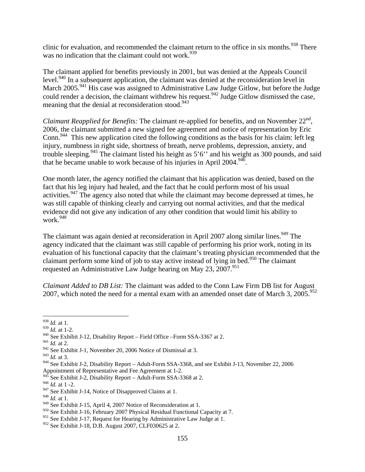clinic for evaluation, and recommended the claimant return to the office in six months.<sup>938</sup> There was no indication that the claimant could not work.<sup>939</sup>

The claimant applied for benefits previously in 2001, but was denied at the Appeals Council level.<sup>940</sup> In a subsequent application, the claimant was denied at the reconsideration level in March 2005.<sup>941</sup> His case was assigned to Administrative Law Judge Gitlow, but before the Judge could render a decision, the claimant withdrew his request.<sup>942</sup> Judge Gitlow dismissed the case, meaning that the denial at reconsideration stood.<sup>943</sup>

*Claimant Reapplied for Benefits:* The claimant re-applied for benefits, and on November 22<sup>nd</sup>, 2006, the claimant submitted a new signed fee agreement and notice of representation by Eric Conn.<sup>944</sup> This new application cited the following conditions as the basis for his claim: left leg injury, numbness in right side, shortness of breath, nerve problems, depression, anxiety, and trouble sleeping.<sup>945</sup> The claimant listed his height as  $5'6'$  and his weight as 300 pounds, and said that he became unable to work because of his injuries in April  $2004$ <sup>946</sup>.

One month later, the agency notified the claimant that his application was denied, based on the fact that his leg injury had healed, and the fact that he could perform most of his usual activities.<sup>947</sup> The agency also noted that while the claimant may become depressed at times, he was still capable of thinking clearly and carrying out normal activities, and that the medical evidence did not give any indication of any other condition that would limit his ability to work.948

The claimant was again denied at reconsideration in April 2007 along similar lines.<sup>949</sup> The agency indicated that the claimant was still capable of performing his prior work, noting in its evaluation of his functional capacity that the claimant's treating physician recommended that the claimant perform some kind of job to stay active instead of lying in bed.<sup>950</sup> The claimant requested an Administrative Law Judge hearing on May  $23$ ,  $2007$ .<sup>951</sup>

*Claimant Added to DB List:* The claimant was added to the Conn Law Firm DB list for August 2007, which noted the need for a mental exam with an amended onset date of March 3,  $2005$ .<sup>952</sup>

<sup>943</sup> *Id.* at 3.

 $\overline{a}$ <sup>938</sup> *Id.* at 1.

<sup>939</sup> *Id.* at 1-2.

<sup>940</sup> See Exhibit J-12, Disability Report – Field Office –Form SSA-3367 at 2.

<sup>941</sup> *Id.* at 2.

<sup>942</sup> See Exhibit J-1, November 20, 2006 Notice of Dismissal at 3.

<sup>944</sup> See Exhibit J-2, Disability Report – Adult-Form SSA-3368, and see Exhibit J-13, November 22, 2006 Appointment of Representative and Fee Agreement at 1-2.

 $945$  See Exhibit J-2, Disability Report – Adult-Form SSA-3368 at 2.

 $^{946}$  *Id.* at 1 -2.

<sup>&</sup>lt;sup>947</sup> See Exhibit J-14, Notice of Disapproved Claims at 1.

<sup>948</sup> *Id.* at 1.

<sup>949</sup> See Exhibit J-15, April 4, 2007 Notice of Reconsideration at 1.

<sup>950</sup> See Exhibit J-16, February 2007 Physical Residual Functional Capacity at 7.

<sup>&</sup>lt;sup>951</sup> See Exhibit J-17, Request for Hearing by Administrative Law Judge at 1.

<sup>952</sup> See Exhibit J-18, D.B. August 2007, CLF030625 at 2.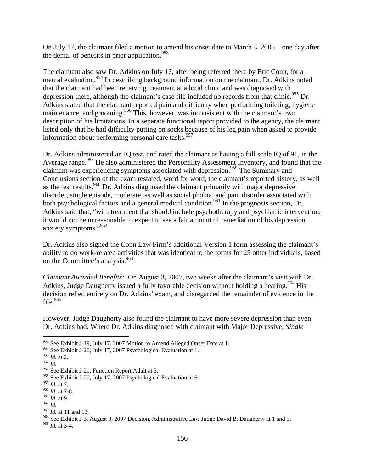On July 17, the claimant filed a motion to amend his onset date to March 3, 2005 – one day after the denial of benefits in prior application. $953$ 

The claimant also saw Dr. Adkins on July 17, after being referred there by Eric Conn, for a mental evaluation.<sup>954</sup> In describing background information on the claimant, Dr. Adkins noted that the claimant had been receiving treatment at a local clinic and was diagnosed with depression there, although the claimant's case file included no records from that clinic.<sup>955</sup> Dr. Adkins stated that the claimant reported pain and difficulty when performing toileting, hygiene maintenance, and grooming.<sup>956</sup> This, however, was inconsistent with the claimant's own description of his limitations. In a separate functional report provided to the agency, the claimant listed only that he had difficulty putting on socks because of his leg pain when asked to provide information about performing personal care tasks.<sup>957</sup>

Dr. Adkins administered an IQ test, and rated the claimant as having a full scale IQ of 91, in the Average range.<sup>958</sup> He also administered the Personality Assessment Inventory, and found that the claimant was experiencing symptoms associated with depression.<sup>959</sup> The Summary and Conclusions section of the exam restated, word for word, the claimant's reported history, as well as the test results.<sup>960</sup> Dr. Adkins diagnosed the claimant primarily with major depressive disorder, single episode, moderate, as well as social phobia, and pain disorder associated with both psychological factors and a general medical condition.<sup>961</sup> In the prognosis section, Dr. Adkins said that, "with treatment that should include psychotherapy and psychiatric intervention, it would not be unreasonable to expect to see a fair amount of remediation of his depression anxiety symptoms."962

Dr. Adkins also signed the Conn Law Firm's additional Version 1 form assessing the claimant's ability to do work-related activities that was identical to the forms for 25 other individuals, based on the Committee's analysis.<sup>963</sup>

*Claimant Awarded Benefits:* On August 3, 2007, two weeks after the claimant's visit with Dr. Adkins, Judge Daugherty issued a fully favorable decision without holding a hearing.<sup>964</sup> His decision relied entirely on Dr. Adkins' exam, and disregarded the remainder of evidence in the file. $965$ 

However, Judge Daugherty also found the claimant to have more severe depression than even Dr. Adkins had. Where Dr. Adkins diagnosed with claimant with Major Depressive, *Single* 

1

<sup>&</sup>lt;sup>953</sup> See Exhibit J-19, July 17, 2007 Motion to Amend Alleged Onset Date at 1.

<sup>954</sup> See Exhibit J-20, July 17, 2007 Psychological Evaluation at 1.

<sup>955</sup> *Id.* at 2.

<sup>956</sup> *Id.*

<sup>957</sup> See Exhibit J-21, Function Report Adult at 3.

<sup>&</sup>lt;sup>958</sup> See Exhibit J-20, July 17, 2007 Psychological Evaluation at 6.

<sup>959</sup> *Id.* at 7.

<sup>960</sup> *Id.* at 7-8.

<sup>961</sup> *Id.* at 9.

<sup>962</sup> *Id.* 963 *Id.* at 11 and 13.

<sup>964</sup> See Exhibit J-3, August 3, 2007 Decision, Administrative Law Judge David B. Daugherty at 1 and 5.

<sup>965</sup> *Id.* at 3-4.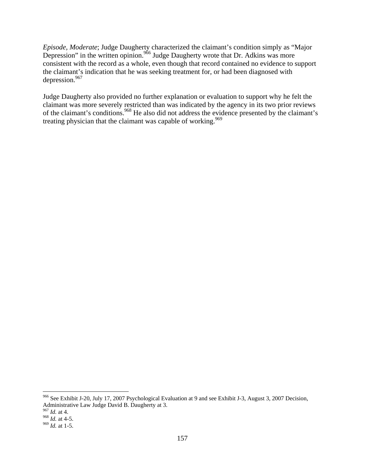*Episode, Moderate*; Judge Daugherty characterized the claimant's condition simply as "Major Depression" in the written opinion.<sup>966</sup> Judge Daugherty wrote that Dr. Adkins was more consistent with the record as a whole, even though that record contained no evidence to support the claimant's indication that he was seeking treatment for, or had been diagnosed with depression.967

Judge Daugherty also provided no further explanation or evaluation to support why he felt the claimant was more severely restricted than was indicated by the agency in its two prior reviews of the claimant's conditions.968 He also did not address the evidence presented by the claimant's treating physician that the claimant was capable of working.<sup>969</sup>

<sup>&</sup>lt;sup>966</sup> See Exhibit J-20, July 17, 2007 Psychological Evaluation at 9 and see Exhibit J-3, August 3, 2007 Decision, Administrative Law Judge David B. Daugherty at 3.

<sup>967</sup> *Id.* at 4.

<sup>968</sup> *Id.* at 4-5. 969 *Id.* at 1-5.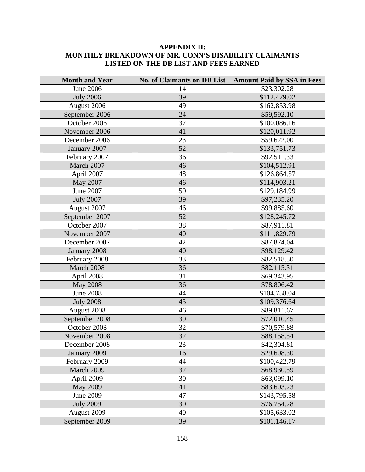## **APPENDIX II: MONTHLY BREAKDOWN OF MR. CONN'S DISABILITY CLAIMANTS LISTED ON THE DB LIST AND FEES EARNED**

| <b>Month and Year</b> | No. of Claimants on DB List | <b>Amount Paid by SSA in Fees</b> |
|-----------------------|-----------------------------|-----------------------------------|
| <b>June 2006</b>      | 14                          | \$23,302.28                       |
| <b>July 2006</b>      | 39                          | \$112,479.02                      |
| August 2006           | 49                          | \$162,853.98                      |
| September 2006        | 24                          | \$59,592.10                       |
| October 2006          | 37                          | \$100,086.16                      |
| November 2006         | 41                          | \$120,011.92                      |
| December 2006         | 23                          | \$59,622.00                       |
| January 2007          | 52                          | \$133,751.73                      |
| February 2007         | 36                          | \$92,511.33                       |
| March 2007            | 46                          | \$104,512.91                      |
| April 2007            | 48                          | \$126,864.57                      |
| May 2007              | 46                          | \$114,903.21                      |
| June 2007             | 50                          | \$129,184.99                      |
| <b>July 2007</b>      | 39                          | \$97,235.20                       |
| August 2007           | 46                          | \$99,885.60                       |
| September 2007        | 52                          | \$128,245.72                      |
| October 2007          | 38                          | \$87,911.81                       |
| November 2007         | 40                          | \$111,829.79                      |
| December 2007         | 42                          | \$87,874.04                       |
| January 2008          | 40                          | \$98,129.42                       |
| February 2008         | 33                          | \$82,518.50                       |
| March 2008            | 36                          | \$82,115.31                       |
| April 2008            | 31                          | \$69,343.95                       |
| <b>May 2008</b>       | 36                          | \$78,806.42                       |
| <b>June 2008</b>      | 44                          | \$104,758.04                      |
| <b>July 2008</b>      | 45                          | \$109,376.64                      |
| August 2008           | 46                          | \$89,811.67                       |
| September 2008        | 39                          | \$72,010.45                       |
| October 2008          | 32                          | \$70,579.88                       |
| November 2008         | 32                          | \$88,158.54                       |
| December 2008         | 23                          | \$42,304.81                       |
| January 2009          | 16                          | \$29,608.30                       |
| February 2009         | 44                          | \$100,422.79                      |
| March 2009            | 32                          | \$68,930.59                       |
| April 2009            | 30                          | \$63,099.10                       |
| <b>May 2009</b>       | 41                          | \$83,603.23                       |
| June 2009             | 47                          | \$143,795.58                      |
| <b>July 2009</b>      | 30                          | \$76,754.28                       |
| August 2009           | 40                          | \$105,633.02                      |
| September 2009        | 39                          | \$101,146.17                      |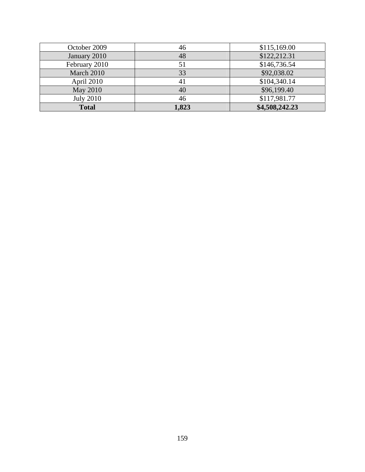| October 2009     | 46    | \$115,169.00   |
|------------------|-------|----------------|
| January 2010     | 48    | \$122,212.31   |
| February 2010    |       | \$146,736.54   |
| March 2010       | 33    | \$92,038.02    |
| April 2010       | 41    | \$104,340.14   |
| May 2010         | 40    | \$96,199.40    |
| <b>July 2010</b> | 46    | \$117,981.77   |
| <b>Total</b>     | 1,823 | \$4,508,242.23 |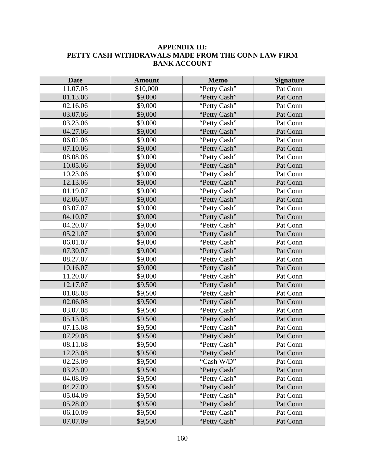# **APPENDIX III: PETTY CASH WITHDRAWALS MADE FROM THE CONN LAW FIRM BANK ACCOUNT**

| <b>Date</b> | <b>Amount</b> | <b>Memo</b>  | <b>Signature</b> |
|-------------|---------------|--------------|------------------|
| 11.07.05    | \$10,000      | "Petty Cash" | Pat Conn         |
| 01.13.06    | \$9,000       | "Petty Cash" | Pat Conn         |
| 02.16.06    | \$9,000       | "Petty Cash" | Pat Conn         |
| 03.07.06    | \$9,000       | "Petty Cash" | Pat Conn         |
| 03.23.06    | \$9,000       | "Petty Cash" | Pat Conn         |
| 04.27.06    | \$9,000       | "Petty Cash" | Pat Conn         |
| 06.02.06    | \$9,000       | "Petty Cash" | Pat Conn         |
| 07.10.06    | \$9,000       | "Petty Cash" | Pat Conn         |
| 08.08.06    | \$9,000       | "Petty Cash" | Pat Conn         |
| 10.05.06    | \$9,000       | "Petty Cash" | Pat Conn         |
| 10.23.06    | \$9,000       | "Petty Cash" | Pat Conn         |
| 12.13.06    | \$9,000       | "Petty Cash" | Pat Conn         |
| 01.19.07    | \$9,000       | "Petty Cash" | Pat Conn         |
| 02.06.07    | \$9,000       | "Petty Cash" | Pat Conn         |
| 03.07.07    | \$9,000       | "Petty Cash" | Pat Conn         |
| 04.10.07    | \$9,000       | "Petty Cash" | Pat Conn         |
| 04.20.07    | \$9,000       | "Petty Cash" | Pat Conn         |
| 05.21.07    | \$9,000       | "Petty Cash" | Pat Conn         |
| 06.01.07    | \$9,000       | "Petty Cash" | Pat Conn         |
| 07.30.07    | \$9,000       | "Petty Cash" | Pat Conn         |
| 08.27.07    | \$9,000       | "Petty Cash" | Pat Conn         |
| 10.16.07    | \$9,000       | "Petty Cash" | Pat Conn         |
| 11.20.07    | \$9,000       | "Petty Cash" | Pat Conn         |
| 12.17.07    | \$9,500       | "Petty Cash" | Pat Conn         |
| 01.08.08    | \$9,500       | "Petty Cash" | Pat Conn         |
| 02.06.08    | \$9,500       | "Petty Cash" | Pat Conn         |
| 03.07.08    | \$9,500       | "Petty Cash" | Pat Conn         |
| 05.13.08    | \$9,500       | "Petty Cash" | Pat Conn         |
| 07.15.08    | \$9,500       | "Petty Cash" | Pat Conn         |
| 07.29.08    | \$9,500       | "Petty Cash" | Pat Conn         |
| 08.11.08    | \$9,500       | "Petty Cash" | Pat Conn         |
| 12.23.08    | \$9,500       | "Petty Cash" | Pat Conn         |
| 02.23.09    | \$9,500       | "Cash W/D"   | Pat Conn         |
| 03.23.09    | \$9,500       | "Petty Cash" | Pat Conn         |
| 04.08.09    | \$9,500       | "Petty Cash" | Pat Conn         |
| 04.27.09    | \$9,500       | "Petty Cash" | Pat Conn         |
| 05.04.09    | \$9,500       | "Petty Cash" | Pat Conn         |
| 05.28.09    | \$9,500       | "Petty Cash" | Pat Conn         |
| 06.10.09    | \$9,500       | "Petty Cash" | Pat Conn         |
| 07.07.09    | \$9,500       | "Petty Cash" | Pat Conn         |